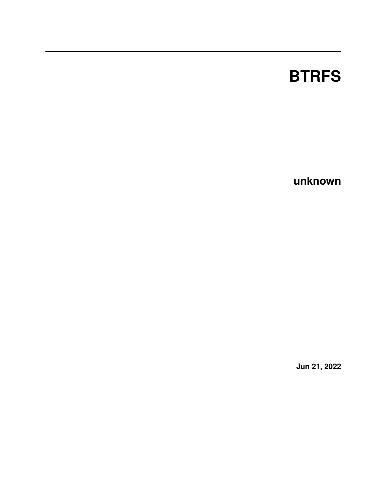# **BTRFS**

**unknown**

**Jun 21, 2022**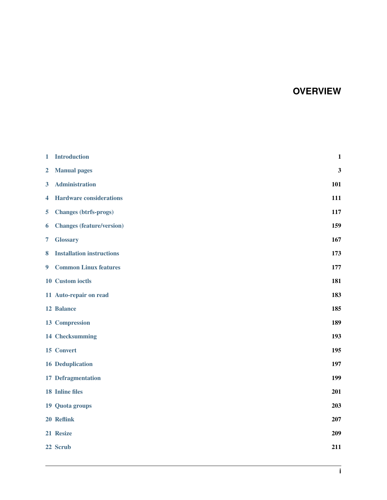# **OVERVIEW**

| 1                       | <b>Introduction</b>              | $\mathbf{1}$ |
|-------------------------|----------------------------------|--------------|
| $\overline{2}$          | <b>Manual pages</b>              | 3            |
| $\overline{\mathbf{3}}$ | <b>Administration</b>            | 101          |
| 4                       | <b>Hardware considerations</b>   | 111          |
| 5                       | <b>Changes (btrfs-progs)</b>     | 117          |
| 6                       | <b>Changes (feature/version)</b> | 159          |
| 7                       | <b>Glossary</b>                  | 167          |
| 8                       | <b>Installation instructions</b> | 173          |
| 9 <sup>°</sup>          | <b>Common Linux features</b>     | 177          |
|                         | 10 Custom ioctls                 | 181          |
|                         | 11 Auto-repair on read           | 183          |
|                         | 12 Balance                       | 185          |
|                         | 13 Compression                   | 189          |
|                         | 14 Checksumming                  | 193          |
|                         | 15 Convert                       | 195          |
|                         | <b>16 Deduplication</b>          | 197          |
|                         | 17 Defragmentation               | 199          |
|                         | <b>18</b> Inline files           | 201          |
|                         | 19 Quota groups                  | 203          |
|                         | 20 Reflink                       | 207          |
|                         | 21 Resize                        | 209          |
|                         | 22 Scrub                         | 211          |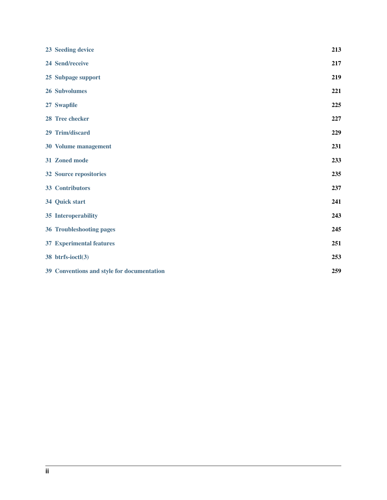| 23 Seeding device                          | 213 |
|--------------------------------------------|-----|
| 24 Send/receive                            | 217 |
| 25 Subpage support                         | 219 |
| 26 Subvolumes                              | 221 |
| 27 Swapfile                                | 225 |
| 28 Tree checker                            | 227 |
| 29 Trim/discard                            | 229 |
| 30 Volume management                       | 231 |
| 31 Zoned mode                              | 233 |
| 32 Source repositories                     | 235 |
| 33 Contributors                            | 237 |
| 34 Quick start                             | 241 |
| 35 Interoperability                        | 243 |
| 36 Troubleshooting pages                   | 245 |
| <b>37 Experimental features</b>            | 251 |
| 38 btrfs-ioctl(3)                          | 253 |
| 39 Conventions and style for documentation | 259 |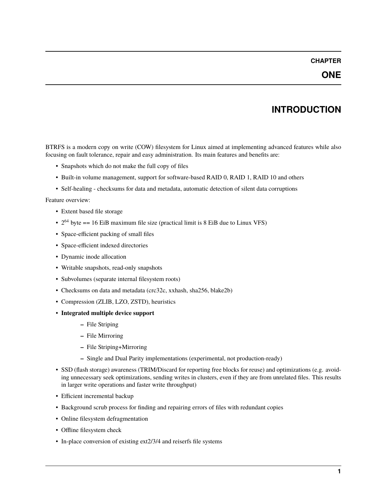# **CHAPTER**

# **INTRODUCTION**

<span id="page-4-0"></span>BTRFS is a modern copy on write (COW) filesystem for Linux aimed at implementing advanced features while also focusing on fault tolerance, repair and easy administration. Its main features and benefits are:

- Snapshots which do not make the full copy of files
- Built-in volume management, support for software-based RAID 0, RAID 1, RAID 10 and others
- Self-healing checksums for data and metadata, automatic detection of silent data corruptions

Feature overview:

- Extent based file storage
- $2^{64}$  byte == 16 EiB maximum file size (practical limit is 8 EiB due to Linux VFS)
- Space-efficient packing of small files
- Space-efficient indexed directories
- Dynamic inode allocation
- Writable snapshots, read-only snapshots
- Subvolumes (separate internal filesystem roots)
- Checksums on data and metadata (crc32c, xxhash, sha256, blake2b)
- Compression (ZLIB, LZO, ZSTD), heuristics
- **Integrated multiple device support**
	- **–** File Striping
	- **–** File Mirroring
	- **–** File Striping+Mirroring
	- **–** Single and Dual Parity implementations (experimental, not production-ready)
- SSD (flash storage) awareness (TRIM/Discard for reporting free blocks for reuse) and optimizations (e.g. avoiding unnecessary seek optimizations, sending writes in clusters, even if they are from unrelated files. This results in larger write operations and faster write throughput)
- Efficient incremental backup
- Background scrub process for finding and repairing errors of files with redundant copies
- Online filesystem defragmentation
- Offline filesystem check
- In-place conversion of existing ext2/3/4 and reiserfs file systems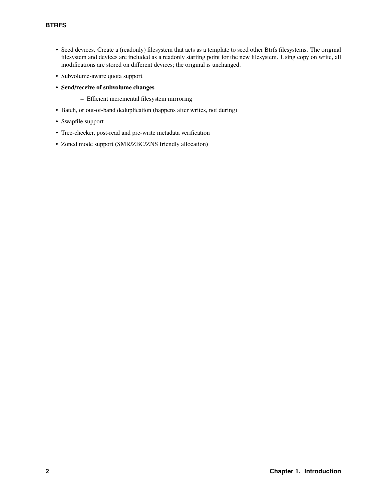- Seed devices. Create a (readonly) filesystem that acts as a template to seed other Btrfs filesystems. The original filesystem and devices are included as a readonly starting point for the new filesystem. Using copy on write, all modifications are stored on different devices; the original is unchanged.
- Subvolume-aware quota support
- **Send/receive of subvolume changes**
	- **–** Efficient incremental filesystem mirroring
- Batch, or out-of-band deduplication (happens after writes, not during)
- Swapfile support
- Tree-checker, post-read and pre-write metadata verification
- Zoned mode support (SMR/ZBC/ZNS friendly allocation)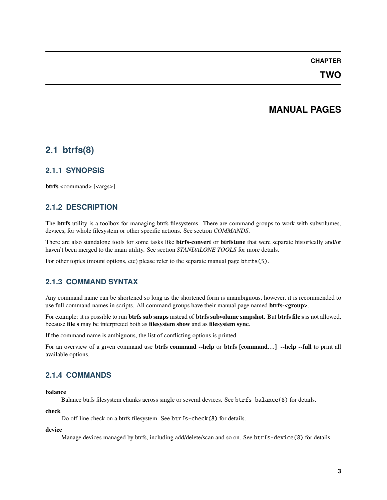# **CHAPTER**

# **TWO**

# **MANUAL PAGES**

# <span id="page-6-0"></span>**2.1 btrfs(8)**

# **2.1.1 SYNOPSIS**

**btrfs** <command> [<args>]

# **2.1.2 DESCRIPTION**

The **btrfs** utility is a toolbox for managing btrfs filesystems. There are command groups to work with subvolumes, devices, for whole filesystem or other specific actions. See section *COMMANDS*.

There are also standalone tools for some tasks like **btrfs-convert** or **btrfstune** that were separate historically and/or haven't been merged to the main utility. See section *STANDALONE TOOLS* for more details.

For other topics (mount options, etc) please refer to the separate manual page btrfs(5).

# **2.1.3 COMMAND SYNTAX**

Any command name can be shortened so long as the shortened form is unambiguous, however, it is recommended to use full command names in scripts. All command groups have their manual page named **btrfs-<group>**.

For example: it is possible to run **btrfs sub snaps** instead of **btrfs subvolume snapshot**. But **btrfs file s** is not allowed, because **file s** may be interpreted both as **filesystem show** and as **filesystem sync**.

If the command name is ambiguous, the list of conflicting options is printed.

For an overview of a given command use **btrfs command --help** or **btrfs [command...]** --help --full to print all available options.

# **2.1.4 COMMANDS**

**balance**

Balance btrfs filesystem chunks across single or several devices. See btrfs-balance(8) for details.

**check**

Do off-line check on a btrfs filesystem. See btrfs-check(8) for details.

**device**

Manage devices managed by btrfs, including add/delete/scan and so on. See btrfs-device(8) for details.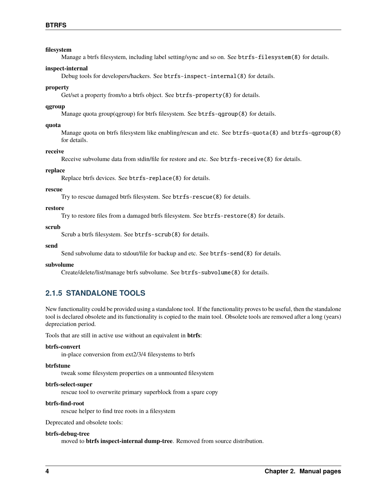# **filesystem**

Manage a btrfs filesystem, including label setting/sync and so on. See btrfs-filesystem(8) for details.

### **inspect-internal**

Debug tools for developers/hackers. See btrfs-inspect-internal(8) for details.

# **property**

Get/set a property from/to a btrfs object. See btrfs-property(8) for details.

# **qgroup**

Manage quota group(qgroup) for btrfs filesystem. See btrfs-qgroup(8) for details.

### **quota**

Manage quota on btrfs filesystem like enabling/rescan and etc. See btrfs-quota(8) and btrfs-qgroup(8) for details.

### **receive**

Receive subvolume data from stdin/file for restore and etc. See btrfs-receive(8) for details.

# **replace**

Replace btrfs devices. See btrfs-replace(8) for details.

### **rescue**

Try to rescue damaged btrfs filesystem. See btrfs-rescue(8) for details.

# **restore**

Try to restore files from a damaged btrfs filesystem. See btrfs-restore(8) for details.

# **scrub**

Scrub a btrfs filesystem. See btrfs-scrub(8) for details.

### **send**

Send subvolume data to stdout/file for backup and etc. See btrfs-send(8) for details.

### **subvolume**

Create/delete/list/manage btrfs subvolume. See btrfs-subvolume(8) for details.

# **2.1.5 STANDALONE TOOLS**

New functionality could be provided using a standalone tool. If the functionality proves to be useful, then the standalone tool is declared obsolete and its functionality is copied to the main tool. Obsolete tools are removed after a long (years) depreciation period.

Tools that are still in active use without an equivalent in **btrfs**:

### **btrfs-convert**

in-place conversion from ext2/3/4 filesystems to btrfs

# **btrfstune**

tweak some filesystem properties on a unmounted filesystem

### **btrfs-select-super**

rescue tool to overwrite primary superblock from a spare copy

### **btrfs-find-root**

rescue helper to find tree roots in a filesystem

Deprecated and obsolete tools:

### **btrfs-debug-tree**

moved to **btrfs inspect-internal dump-tree**. Removed from source distribution.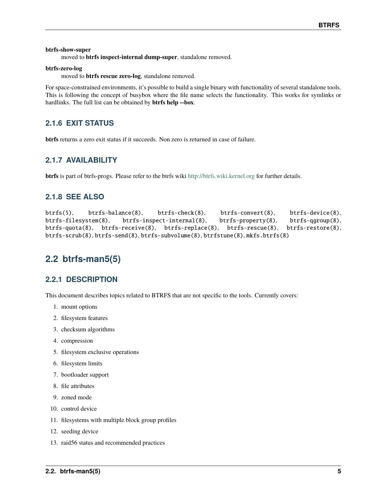### **btrfs-show-super**

moved to **btrfs inspect-internal dump-super**, standalone removed.

# **btrfs-zero-log**

moved to **btrfs rescue zero-log**, standalone removed.

For space-constrained environments, it's possible to build a single binary with functionality of several standalone tools. This is following the concept of busybox where the file name selects the functionality. This works for symlinks or hardlinks. The full list can be obtained by **btrfs help --box**.

# **2.1.6 EXIT STATUS**

**btrfs** returns a zero exit status if it succeeds. Non zero is returned in case of failure.

# **2.1.7 AVAILABILITY**

**btrfs** is part of btrfs-progs. Please refer to the btrfs wiki <http://btrfs.wiki.kernel.org> for further details.

# **2.1.8 SEE ALSO**

```
btrfs(5), btrfs-balance(8), btrfs-check(8), btrfs-convert(8), btrfs-device(8),
btrfs-filesystem(8), btrfs-inspect-internal(8), btrfs-property(8), btrfs-qgroup(8),
btrfs-quota(8), btrfs-receive(8), btrfs-replace(8), btrfs-rescue(8), btrfs-restore(8),
btrfs-scrub(8), btrfs-send(8), btrfs-subvolume(8), btrfstune(8), mkfs.btrfs(8)
```
# **2.2 btrfs-man5(5)**

# **2.2.1 DESCRIPTION**

This document describes topics related to BTRFS that are not specific to the tools. Currently covers:

- 1. mount options
- 2. filesystem features
- 3. checksum algorithms
- 4. compression
- 5. filesystem exclusive operations
- 6. filesystem limits
- 7. bootloader support
- 8. file attributes
- 9. zoned mode
- 10. control device
- 11. filesystems with multiple block group profiles
- 12. seeding device
- 13. raid56 status and recommended practices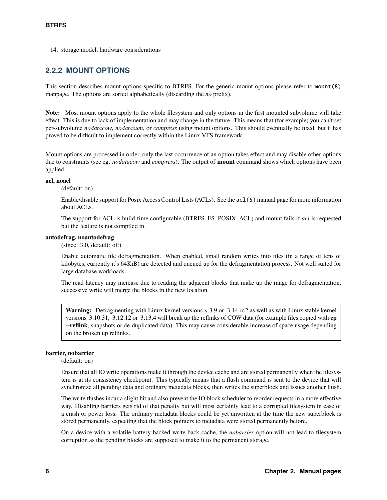14. storage model, hardware considerations

# **2.2.2 MOUNT OPTIONS**

This section describes mount options specific to BTRFS. For the generic mount options please refer to mount(8) manpage. The options are sorted alphabetically (discarding the *no* prefix).

**Note:** Most mount options apply to the whole filesystem and only options in the first mounted subvolume will take effect. This is due to lack of implementation and may change in the future. This means that (for example) you can't set per-subvolume *nodatacow*, *nodatasum*, or *compress* using mount options. This should eventually be fixed, but it has proved to be difficult to implement correctly within the Linux VFS framework.

Mount options are processed in order, only the last occurrence of an option takes effect and may disable other options due to constraints (see eg. *nodatacow* and *compress*). The output of **mount** command shows which options have been applied.

#### **acl, noacl**

(default: on)

Enable/disable support for Posix Access Control Lists (ACLs). See the acl(5) manual page for more information about ACLs.

The support for ACL is build-time configurable (BTRFS\_FS\_POSIX\_ACL) and mount fails if *acl* is requested but the feature is not compiled in.

#### **autodefrag, noautodefrag**

(since: 3.0, default: off)

Enable automatic file defragmentation. When enabled, small random writes into files (in a range of tens of kilobytes, currently it's 64KiB) are detected and queued up for the defragmentation process. Not well suited for large database workloads.

The read latency may increase due to reading the adjacent blocks that make up the range for defragmentation, successive write will merge the blocks in the new location.

**Warning:** Defragmenting with Linux kernel versions < 3.9 or 3.14-rc2 as well as with Linux stable kernel versions 3.10.31, 3.12.12 or 3.13.4 will break up the reflinks of COW data (for example files copied with **cp --reflink**, snapshots or de-duplicated data). This may cause considerable increase of space usage depending on the broken up reflinks.

### **barrier, nobarrier**

(default: on)

Ensure that all IO write operations make it through the device cache and are stored permanently when the filesystem is at its consistency checkpoint. This typically means that a flush command is sent to the device that will synchronize all pending data and ordinary metadata blocks, then writes the superblock and issues another flush.

The write flushes incur a slight hit and also prevent the IO block scheduler to reorder requests in a more effective way. Disabling barriers gets rid of that penalty but will most certainly lead to a corrupted filesystem in case of a crash or power loss. The ordinary metadata blocks could be yet unwritten at the time the new superblock is stored permanently, expecting that the block pointers to metadata were stored permanently before.

On a device with a volatile battery-backed write-back cache, the *nobarrier* option will not lead to filesystem corruption as the pending blocks are supposed to make it to the permanent storage.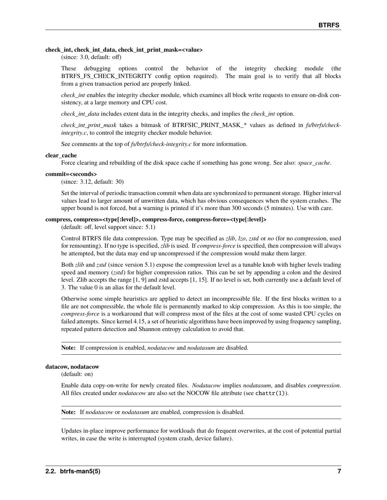### **check\_int, check\_int\_data, check\_int\_print\_mask=<value>**

(since: 3.0, default: off)

These debugging options control the behavior of the integrity checking module (the BTRFS\_FS\_CHECK\_INTEGRITY config option required). The main goal is to verify that all blocks from a given transaction period are properly linked.

*check int* enables the integrity checker module, which examines all block write requests to ensure on-disk consistency, at a large memory and CPU cost.

*check\_int\_data* includes extent data in the integrity checks, and implies the *check\_int* option.

*check\_int\_print\_mask* takes a bitmask of BTRFSIC\_PRINT\_MASK\_\* values as defined in *fs/btrfs/checkintegrity.c*, to control the integrity checker module behavior.

See comments at the top of *fs/btrfs/check-integrity.c* for more information.

#### **clear\_cache**

Force clearing and rebuilding of the disk space cache if something has gone wrong. See also: *space\_cache*.

#### **commit=<seconds>**

(since: 3.12, default: 30)

Set the interval of periodic transaction commit when data are synchronized to permanent storage. Higher interval values lead to larger amount of unwritten data, which has obvious consequences when the system crashes. The upper bound is not forced, but a warning is printed if it's more than 300 seconds (5 minutes). Use with care.

#### **compress, compress=<type[:level]>, compress-force, compress-force=<type[:level]>**

(default: off, level support since: 5.1)

Control BTRFS file data compression. Type may be specified as *zlib*, *lzo*, *zstd* or *no* (for no compression, used for remounting). If no type is specified, *zlib* is used. If *compress-force* is specified, then compression will always be attempted, but the data may end up uncompressed if the compression would make them larger.

Both *zlib* and *zstd* (since version 5.1) expose the compression level as a tunable knob with higher levels trading speed and memory (*zstd*) for higher compression ratios. This can be set by appending a colon and the desired level. Zlib accepts the range [1, 9] and zstd accepts [1, 15]. If no level is set, both currently use a default level of 3. The value 0 is an alias for the default level.

Otherwise some simple heuristics are applied to detect an incompressible file. If the first blocks written to a file are not compressible, the whole file is permanently marked to skip compression. As this is too simple, the *compress-force* is a workaround that will compress most of the files at the cost of some wasted CPU cycles on failed attempts. Since kernel 4.15, a set of heuristic algorithms have been improved by using frequency sampling, repeated pattern detection and Shannon entropy calculation to avoid that.

**Note:** If compression is enabled, *nodatacow* and *nodatasum* are disabled.

#### **datacow, nodatacow**

(default: on)

Enable data copy-on-write for newly created files. *Nodatacow* implies *nodatasum*, and disables *compression*. All files created under *nodatacow* are also set the NOCOW file attribute (see chattr(1)).

**Note:** If *nodatacow* or *nodatasum* are enabled, compression is disabled.

Updates in-place improve performance for workloads that do frequent overwrites, at the cost of potential partial writes, in case the write is interrupted (system crash, device failure).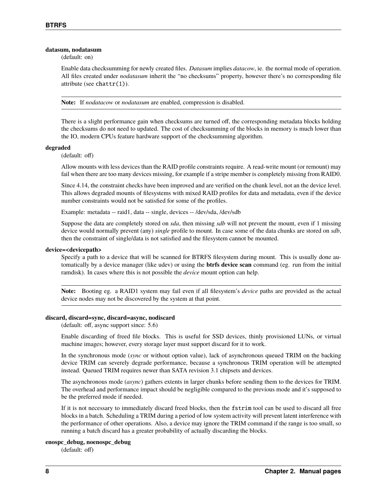#### **datasum, nodatasum**

(default: on)

Enable data checksumming for newly created files. *Datasum* implies *datacow*, ie. the normal mode of operation. All files created under *nodatasum* inherit the "no checksums" property, however there's no corresponding file attribute (see chattr(1)).

**Note:** If *nodatacow* or *nodatasum* are enabled, compression is disabled.

There is a slight performance gain when checksums are turned off, the corresponding metadata blocks holding the checksums do not need to updated. The cost of checksumming of the blocks in memory is much lower than the IO, modern CPUs feature hardware support of the checksumming algorithm.

#### **degraded**

(default: off)

Allow mounts with less devices than the RAID profile constraints require. A read-write mount (or remount) may fail when there are too many devices missing, for example if a stripe member is completely missing from RAID0.

Since 4.14, the constraint checks have been improved and are verified on the chunk level, not an the device level. This allows degraded mounts of filesystems with mixed RAID profiles for data and metadata, even if the device number constraints would not be satisfied for some of the profiles.

Example: metadata -- raid1, data -- single, devices -- /dev/sda, /dev/sdb

Suppose the data are completely stored on *sda*, then missing *sdb* will not prevent the mount, even if 1 missing device would normally prevent (any) *single* profile to mount. In case some of the data chunks are stored on *sdb*, then the constraint of single/data is not satisfied and the filesystem cannot be mounted.

#### **device=<devicepath>**

Specify a path to a device that will be scanned for BTRFS filesystem during mount. This is usually done automatically by a device manager (like udev) or using the **btrfs device scan** command (eg. run from the initial ramdisk). In cases where this is not possible the *device* mount option can help.

**Note:** Booting eg. a RAID1 system may fail even if all filesystem's *device* paths are provided as the actual device nodes may not be discovered by the system at that point.

#### **discard, discard=sync, discard=async, nodiscard**

(default: off, async support since: 5.6)

Enable discarding of freed file blocks. This is useful for SSD devices, thinly provisioned LUNs, or virtual machine images; however, every storage layer must support discard for it to work.

In the synchronous mode (*sync* or without option value), lack of asynchronous queued TRIM on the backing device TRIM can severely degrade performance, because a synchronous TRIM operation will be attempted instead. Queued TRIM requires newer than SATA revision 3.1 chipsets and devices.

The asynchronous mode (*async*) gathers extents in larger chunks before sending them to the devices for TRIM. The overhead and performance impact should be negligible compared to the previous mode and it's supposed to be the preferred mode if needed.

If it is not necessary to immediately discard freed blocks, then the fstrim tool can be used to discard all free blocks in a batch. Scheduling a TRIM during a period of low system activity will prevent latent interference with the performance of other operations. Also, a device may ignore the TRIM command if the range is too small, so running a batch discard has a greater probability of actually discarding the blocks.

#### **enospc\_debug, noenospc\_debug**

(default: off)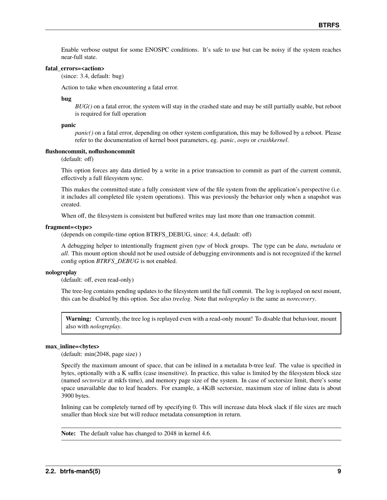Enable verbose output for some ENOSPC conditions. It's safe to use but can be noisy if the system reaches near-full state.

#### **fatal\_errors=<action>**

(since: 3.4, default: bug)

Action to take when encountering a fatal error.

**bug**

*BUG()* on a fatal error, the system will stay in the crashed state and may be still partially usable, but reboot is required for full operation

#### **panic**

*panic()* on a fatal error, depending on other system configuration, this may be followed by a reboot. Please refer to the documentation of kernel boot parameters, eg. *panic*, *oops* or *crashkernel*.

#### **flushoncommit, noflushoncommit**

(default: off)

This option forces any data dirtied by a write in a prior transaction to commit as part of the current commit, effectively a full filesystem sync.

This makes the committed state a fully consistent view of the file system from the application's perspective (i.e. it includes all completed file system operations). This was previously the behavior only when a snapshot was created.

When off, the filesystem is consistent but buffered writes may last more than one transaction commit.

#### **fragment=<type>**

(depends on compile-time option BTRFS\_DEBUG, since: 4.4, default: off)

A debugging helper to intentionally fragment given *type* of block groups. The type can be *data*, *metadata* or *all*. This mount option should not be used outside of debugging environments and is not recognized if the kernel config option *BTRFS\_DEBUG* is not enabled.

#### **nologreplay**

(default: off, even read-only)

The tree-log contains pending updates to the filesystem until the full commit. The log is replayed on next mount, this can be disabled by this option. See also *treelog*. Note that *nologreplay* is the same as *norecovery*.

**Warning:** Currently, the tree log is replayed even with a read-only mount! To disable that behaviour, mount also with *nologreplay*.

### **max\_inline=<bytes>**

(default: min(2048, page size) )

Specify the maximum amount of space, that can be inlined in a metadata b-tree leaf. The value is specified in bytes, optionally with a K suffix (case insensitive). In practice, this value is limited by the filesystem block size (named *sectorsize* at mkfs time), and memory page size of the system. In case of sectorsize limit, there's some space unavailable due to leaf headers. For example, a 4KiB sectorsize, maximum size of inline data is about 3900 bytes.

Inlining can be completely turned off by specifying 0. This will increase data block slack if file sizes are much smaller than block size but will reduce metadata consumption in return.

**Note:** The default value has changed to 2048 in kernel 4.6.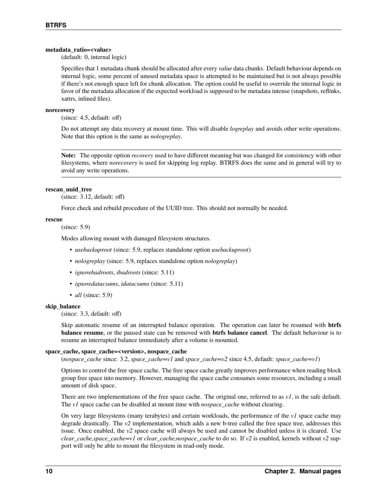### **metadata\_ratio=<value>**

(default: 0, internal logic)

Specifies that 1 metadata chunk should be allocated after every *value* data chunks. Default behaviour depends on internal logic, some percent of unused metadata space is attempted to be maintained but is not always possible if there's not enough space left for chunk allocation. The option could be useful to override the internal logic in favor of the metadata allocation if the expected workload is supposed to be metadata intense (snapshots, reflinks, xattrs, inlined files).

### **norecovery**

(since: 4.5, default: off)

Do not attempt any data recovery at mount time. This will disable *logreplay* and avoids other write operations. Note that this option is the same as *nologreplay*.

**Note:** The opposite option *recovery* used to have different meaning but was changed for consistency with other filesystems, where *norecovery* is used for skipping log replay. BTRFS does the same and in general will try to avoid any write operations.

### **rescan\_uuid\_tree**

(since: 3.12, default: off)

Force check and rebuild procedure of the UUID tree. This should not normally be needed.

#### **rescue**

(since: 5.9)

Modes allowing mount with damaged filesystem structures.

- *usebackuproot* (since: 5.9, replaces standalone option *usebackuproot*)
- *nologreplay* (since: 5.9, replaces standalone option *nologreplay*)
- *ignorebadroots*, *ibadroots* (since: 5.11)
- *ignoredatacsums*, *idatacsums* (since: 5.11)
- *all* (since: 5.9)

### **skip\_balance**

(since: 3.3, default: off)

Skip automatic resume of an interrupted balance operation. The operation can later be resumed with **btrfs balance resume**, or the paused state can be removed with **btrfs balance cancel**. The default behaviour is to resume an interrupted balance immediately after a volume is mounted.

### space\_cache, space\_cache=<version>, nospace\_cache

(*nospace\_cache* since: 3.2, *space\_cache=v1* and *space\_cache=v2* since 4.5, default: *space\_cache=v1*)

Options to control the free space cache. The free space cache greatly improves performance when reading block group free space into memory. However, managing the space cache consumes some resources, including a small amount of disk space.

There are two implementations of the free space cache. The original one, referred to as *v1*, is the safe default. The *v1* space cache can be disabled at mount time with *nospace\_cache* without clearing.

On very large filesystems (many terabytes) and certain workloads, the performance of the *v1* space cache may degrade drastically. The *v2* implementation, which adds a new b-tree called the free space tree, addresses this issue. Once enabled, the *v2* space cache will always be used and cannot be disabled unless it is cleared. Use *clear\_cache,space\_cache=v1* or *clear\_cache,nospace\_cache* to do so. If *v2* is enabled, kernels without *v2* support will only be able to mount the filesystem in read-only mode.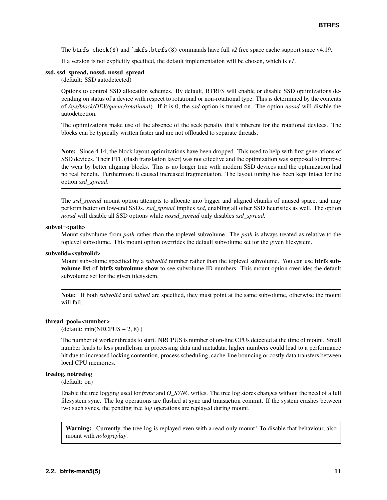The btrfs-check(8) and `mkfs.btrfs(8) commands have full *v2* free space cache support since v4.19.

If a version is not explicitly specified, the default implementation will be chosen, which is *v1*.

### **ssd, ssd\_spread, nossd, nossd\_spread**

(default: SSD autodetected)

Options to control SSD allocation schemes. By default, BTRFS will enable or disable SSD optimizations depending on status of a device with respect to rotational or non-rotational type. This is determined by the contents of */sys/block/DEV/queue/rotational*). If it is 0, the *ssd* option is turned on. The option *nossd* will disable the autodetection.

The optimizations make use of the absence of the seek penalty that's inherent for the rotational devices. The blocks can be typically written faster and are not offloaded to separate threads.

**Note:** Since 4.14, the block layout optimizations have been dropped. This used to help with first generations of SSD devices. Their FTL (flash translation layer) was not effective and the optimization was supposed to improve the wear by better aligning blocks. This is no longer true with modern SSD devices and the optimization had no real benefit. Furthermore it caused increased fragmentation. The layout tuning has been kept intact for the option *ssd\_spread*.

The *ssd\_spread* mount option attempts to allocate into bigger and aligned chunks of unused space, and may perform better on low-end SSDs. *ssd\_spread* implies *ssd*, enabling all other SSD heuristics as well. The option *nossd* will disable all SSD options while *nossd\_spread* only disables *ssd\_spread*.

#### subvol=<path>

Mount subvolume from *path* rather than the toplevel subvolume. The *path* is always treated as relative to the toplevel subvolume. This mount option overrides the default subvolume set for the given filesystem.

### **subvolid=<subvolid>**

Mount subvolume specified by a *subvolid* number rather than the toplevel subvolume. You can use **btrfs subvolume list** of **btrfs subvolume show** to see subvolume ID numbers. This mount option overrides the default subvolume set for the given filesystem.

**Note:** If both *subvolid* and *subvol* are specified, they must point at the same subvolume, otherwise the mount will fail.

#### **thread\_pool=<number>**

(default: min(NRCPUS + 2, 8) )

The number of worker threads to start. NRCPUS is number of on-line CPUs detected at the time of mount. Small number leads to less parallelism in processing data and metadata, higher numbers could lead to a performance hit due to increased locking contention, process scheduling, cache-line bouncing or costly data transfers between local CPU memories.

### **treelog, notreelog**

(default: on)

Enable the tree logging used for *fsync* and *O\_SYNC* writes. The tree log stores changes without the need of a full filesystem sync. The log operations are flushed at sync and transaction commit. If the system crashes between two such syncs, the pending tree log operations are replayed during mount.

**Warning:** Currently, the tree log is replayed even with a read-only mount! To disable that behaviour, also mount with *nologreplay*.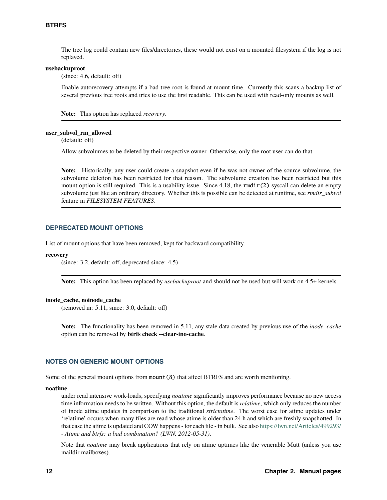The tree log could contain new files/directories, these would not exist on a mounted filesystem if the log is not replayed.

#### **usebackuproot**

(since: 4.6, default: off)

Enable autorecovery attempts if a bad tree root is found at mount time. Currently this scans a backup list of several previous tree roots and tries to use the first readable. This can be used with read-only mounts as well.

**Note:** This option has replaced *recovery*.

#### **user\_subvol\_rm\_allowed**

(default: off)

Allow subvolumes to be deleted by their respective owner. Otherwise, only the root user can do that.

**Note:** Historically, any user could create a snapshot even if he was not owner of the source subvolume, the subvolume deletion has been restricted for that reason. The subvolume creation has been restricted but this mount option is still required. This is a usability issue. Since 4.18, the  $rmdir(2)$  syscall can delete an empty subvolume just like an ordinary directory. Whether this is possible can be detected at runtime, see *rmdir\_subvol* feature in *FILESYSTEM FEATURES*.

#### **DEPRECATED MOUNT OPTIONS**

List of mount options that have been removed, kept for backward compatibility.

#### **recovery**

(since: 3.2, default: off, deprecated since: 4.5)

**Note:** This option has been replaced by *usebackuproot* and should not be used but will work on 4.5+ kernels.

#### **inode\_cache, noinode\_cache**

(removed in: 5.11, since: 3.0, default: off)

**Note:** The functionality has been removed in 5.11, any stale data created by previous use of the *inode\_cache* option can be removed by **btrfs check --clear-ino-cache**.

# **NOTES ON GENERIC MOUNT OPTIONS**

Some of the general mount options from mount(8) that affect BTRFS and are worth mentioning.

#### **noatime**

under read intensive work-loads, specifying *noatime* significantly improves performance because no new access time information needs to be written. Without this option, the default is *relatime*, which only reduces the number of inode atime updates in comparison to the traditional *strictatime*. The worst case for atime updates under 'relatime' occurs when many files are read whose atime is older than 24 h and which are freshly snapshotted. In that case the atime is updated and COW happens - for each file - in bulk. See also <https://lwn.net/Articles/499293/> - *Atime and btrfs: a bad combination? (LWN, 2012-05-31)*.

Note that *noatime* may break applications that rely on atime uptimes like the venerable Mutt (unless you use maildir mailboxes).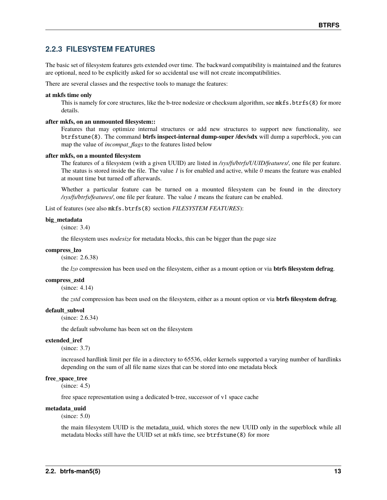# **2.2.3 FILESYSTEM FEATURES**

The basic set of filesystem features gets extended over time. The backward compatibility is maintained and the features are optional, need to be explicitly asked for so accidental use will not create incompatibilities.

There are several classes and the respective tools to manage the features:

#### **at mkfs time only**

This is namely for core structures, like the b-tree nodesize or checksum algorithm, see mkfs.btrfs(8) for more details.

#### **after mkfs, on an unmounted filesystem::**

Features that may optimize internal structures or add new structures to support new functionality, see btrfstune(8). The command **btrfs inspect-internal dump-super /dev/sdx** will dump a superblock, you can map the value of *incompat\_flags* to the features listed below

#### **after mkfs, on a mounted filesystem**

The features of a filesystem (with a given UUID) are listed in */sys/fs/btrfs/UUID/features/*, one file per feature. The status is stored inside the file. The value *1* is for enabled and active, while *0* means the feature was enabled at mount time but turned off afterwards.

Whether a particular feature can be turned on a mounted filesystem can be found in the directory */sys/fs/btrfs/features/*, one file per feature. The value *1* means the feature can be enabled.

List of features (see also mkfs.btrfs(8) section *FILESYSTEM FEATURES*):

### **big\_metadata**

(since: 3.4)

the filesystem uses *nodesize* for metadata blocks, this can be bigger than the page size

#### **compress\_lzo**

(since: 2.6.38)

the *lzo* compression has been used on the filesystem, either as a mount option or via **btrfs filesystem defrag**.

#### **compress\_zstd**

(since: 4.14)

the *zstd* compression has been used on the filesystem, either as a mount option or via **btrfs filesystem defrag**.

#### **default\_subvol**

(since: 2.6.34)

the default subvolume has been set on the filesystem

#### **extended\_iref**

(since: 3.7)

increased hardlink limit per file in a directory to 65536, older kernels supported a varying number of hardlinks depending on the sum of all file name sizes that can be stored into one metadata block

### free space tree

(since: 4.5)

free space representation using a dedicated b-tree, successor of v1 space cache

#### **metadata\_uuid**

(since: 5.0)

the main filesystem UUID is the metadata\_uuid, which stores the new UUID only in the superblock while all metadata blocks still have the UUID set at mkfs time, see btrfstune(8) for more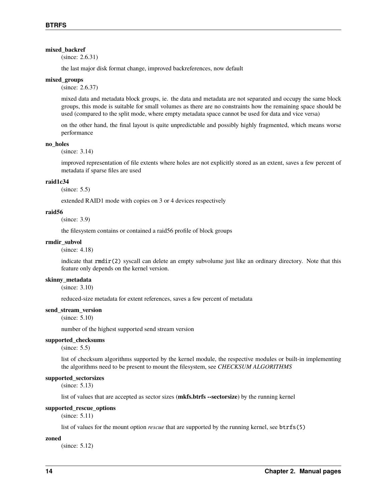### **mixed\_backref**

(since: 2.6.31)

the last major disk format change, improved backreferences, now default

#### **mixed\_groups**

(since: 2.6.37)

mixed data and metadata block groups, ie. the data and metadata are not separated and occupy the same block groups, this mode is suitable for small volumes as there are no constraints how the remaining space should be used (compared to the split mode, where empty metadata space cannot be used for data and vice versa)

on the other hand, the final layout is quite unpredictable and possibly highly fragmented, which means worse performance

#### **no\_holes**

(since: 3.14)

improved representation of file extents where holes are not explicitly stored as an extent, saves a few percent of metadata if sparse files are used

#### **raid1c34**

(since: 5.5)

extended RAID1 mode with copies on 3 or 4 devices respectively

#### **raid56**

(since: 3.9)

the filesystem contains or contained a raid56 profile of block groups

#### **rmdir\_subvol**

(since: 4.18)

indicate that rmdir(2) syscall can delete an empty subvolume just like an ordinary directory. Note that this feature only depends on the kernel version.

#### **skinny\_metadata**

(since: 3.10)

reduced-size metadata for extent references, saves a few percent of metadata

#### **send\_stream\_version**

(since: 5.10)

number of the highest supported send stream version

#### **supported\_checksums**

(since: 5.5)

list of checksum algorithms supported by the kernel module, the respective modules or built-in implementing the algorithms need to be present to mount the filesystem, see *CHECKSUM ALGORITHMS*

#### **supported\_sectorsizes**

(since: 5.13)

list of values that are accepted as sector sizes (**mkfs.btrfs --sectorsize**) by the running kernel

#### **supported\_rescue\_options**

(since: 5.11)

list of values for the mount option *rescue* that are supported by the running kernel, see btrfs(5)

#### **zoned**

(since: 5.12)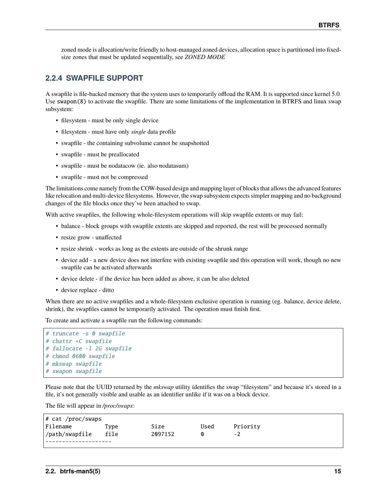zoned mode is allocation/write friendly to host-managed zoned devices, allocation space is partitioned into fixedsize zones that must be updated sequentially, see *ZONED MODE*

# **2.2.4 SWAPFILE SUPPORT**

A swapfile is file-backed memory that the system uses to temporarily offload the RAM. It is supported since kernel 5.0. Use swapon(8) to activate the swapfile. There are some limitations of the implementation in BTRFS and linux swap subsystem:

- filesystem must be only single device
- filesystem must have only *single* data profile
- swapfile the containing subvolume cannot be snapshotted
- swapfile must be preallocated
- swapfile must be nodatacow (ie. also nodatasum)
- swapfile must not be compressed

The limitations come namely from the COW-based design and mapping layer of blocks that allows the advanced features like relocation and multi-device filesystems. However, the swap subsystem expects simpler mapping and no background changes of the file blocks once they've been attached to swap.

With active swapfiles, the following whole-filesystem operations will skip swapfile extents or may fail:

- balance block groups with swapfile extents are skipped and reported, the rest will be processed normally
- resize grow unaffected
- resize shrink works as long as the extents are outside of the shrunk range
- device add a new device does not interfere with existing swapfile and this operation will work, though no new swapfile can be activated afterwards
- device delete if the device has been added as above, it can be also deleted
- device replace ditto

When there are no active swapfiles and a whole-filesystem exclusive operation is running (eg. balance, device delete, shrink), the swapfiles cannot be temporarily activated. The operation must finish first.

To create and activate a swapfile run the following commands:

```
# truncate -s 0 swapfile
# chattr +C swapfile
# fallocate -l 2G swapfile
# chmod 0600 swapfile
# mkswap swapfile
# swapon swapfile
```
Please note that the UUID returned by the *mkswap* utility identifies the swap "filesystem" and because it's stored in a file, it's not generally visible and usable as an identifier unlike if it was on a block device.

The file will appear in */proc/swaps*:

| $\#$ cat /proc/swaps |         |      |          |  |
|----------------------|---------|------|----------|--|
| Type                 | Size    | Used | Priority |  |
| file                 | 2097152 | ⋒    | -2       |  |
|                      |         |      |          |  |
|                      |         |      |          |  |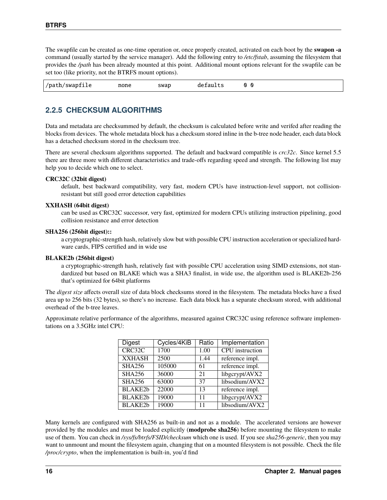The swapfile can be created as one-time operation or, once properly created, activated on each boot by the **swapon -a** command (usually started by the service manager). Add the following entry to */etc/fstab*, assuming the filesystem that provides the */path* has been already mounted at this point. Additional mount options relevant for the swapfile can be set too (like priority, not the BTRFS mount options).

|--|

# **2.2.5 CHECKSUM ALGORITHMS**

Data and metadata are checksummed by default, the checksum is calculated before write and verifed after reading the blocks from devices. The whole metadata block has a checksum stored inline in the b-tree node header, each data block has a detached checksum stored in the checksum tree.

There are several checksum algorithms supported. The default and backward compatible is *crc32c*. Since kernel 5.5 there are three more with different characteristics and trade-offs regarding speed and strength. The following list may help you to decide which one to select.

# **CRC32C (32bit digest)**

default, best backward compatibility, very fast, modern CPUs have instruction-level support, not collisionresistant but still good error detection capabilities

### **XXHASH (64bit digest)**

can be used as CRC32C successor, very fast, optimized for modern CPUs utilizing instruction pipelining, good collision resistance and error detection

# **SHA256 (256bit digest)::**

a cryptographic-strength hash, relatively slow but with possible CPU instruction acceleration or specialized hardware cards, FIPS certified and in wide use

### **BLAKE2b (256bit digest)**

a cryptographic-strength hash, relatively fast with possible CPU acceleration using SIMD extensions, not standardized but based on BLAKE which was a SHA3 finalist, in wide use, the algorithm used is BLAKE2b-256 that's optimized for 64bit platforms

The *digest size* affects overall size of data block checksums stored in the filesystem. The metadata blocks have a fixed area up to 256 bits (32 bytes), so there's no increase. Each data block has a separate checksum stored, with additional overhead of the b-tree leaves.

Approximate relative performance of the algorithms, measured against CRC32C using reference software implementations on a 3.5GHz intel CPU:

| Digest         | Cycles/4KiB | Ratio | Implementation  |
|----------------|-------------|-------|-----------------|
| CRC32C         | 1700        | 1.00  | CPU instruction |
| <b>XXHASH</b>  | 2500        | 1.44  | reference impl. |
| <b>SHA256</b>  | 105000      | 61    | reference impl. |
| <b>SHA256</b>  | 36000       | 21    | libgcrypt/AVX2  |
| <b>SHA256</b>  | 63000       | 37    | libsodium/AVX2  |
| <b>BLAKE2b</b> | 22000       | 13    | reference impl. |
| <b>BLAKE2b</b> | 19000       | 11    | libgcrypt/AVX2  |
| <b>BLAKE2b</b> | 19000       | 11    | libsodium/AVX2  |

Many kernels are configured with SHA256 as built-in and not as a module. The accelerated versions are however provided by the modules and must be loaded explicitly (**modprobe sha256**) before mounting the filesystem to make use of them. You can check in */sys/fs/btrfs/FSID/checksum* which one is used. If you see *sha256-generic*, then you may want to unmount and mount the filesystem again, changing that on a mounted filesystem is not possible. Check the file */proc/crypto*, when the implementation is built-in, you'd find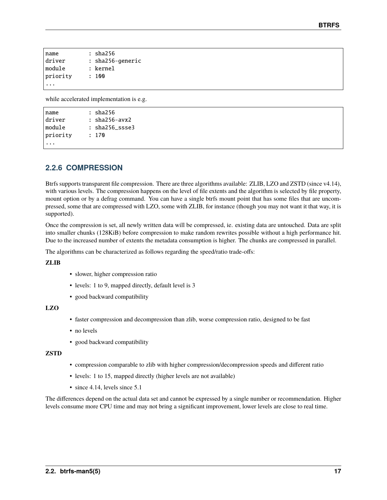| name     | : sha256         |
|----------|------------------|
| driver   | : sha256-generic |
| module   | : kernel         |
| priority | : 100            |
|          |                  |

while accelerated implementation is e.g.

```
name : sha256
driver : sha256-avx2
module : sha256_ssse3
priority : 170
...
```
# **2.2.6 COMPRESSION**

Btrfs supports transparent file compression. There are three algorithms available: ZLIB, LZO and ZSTD (since v4.14), with various levels. The compression happens on the level of file extents and the algorithm is selected by file property, mount option or by a defrag command. You can have a single btrfs mount point that has some files that are uncompressed, some that are compressed with LZO, some with ZLIB, for instance (though you may not want it that way, it is supported).

Once the compression is set, all newly written data will be compressed, ie. existing data are untouched. Data are split into smaller chunks (128KiB) before compression to make random rewrites possible without a high performance hit. Due to the increased number of extents the metadata consumption is higher. The chunks are compressed in parallel.

The algorithms can be characterized as follows regarding the speed/ratio trade-offs:

**ZLIB**

- slower, higher compression ratio
- levels: 1 to 9, mapped directly, default level is 3
- good backward compatibility

# **LZO**

- faster compression and decompression than zlib, worse compression ratio, designed to be fast
- no levels
- good backward compatibility

# **ZSTD**

- compression comparable to zlib with higher compression/decompression speeds and different ratio
- levels: 1 to 15, mapped directly (higher levels are not available)
- since 4.14, levels since 5.1

The differences depend on the actual data set and cannot be expressed by a single number or recommendation. Higher levels consume more CPU time and may not bring a significant improvement, lower levels are close to real time.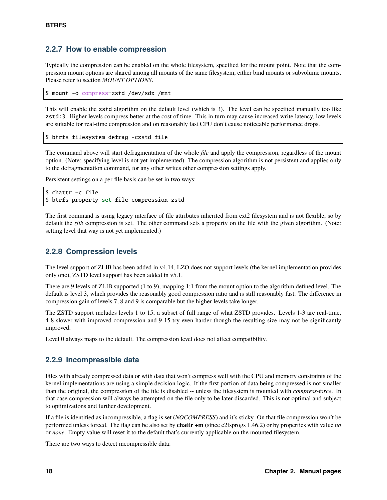# **2.2.7 How to enable compression**

Typically the compression can be enabled on the whole filesystem, specified for the mount point. Note that the compression mount options are shared among all mounts of the same filesystem, either bind mounts or subvolume mounts. Please refer to section *MOUNT OPTIONS*.

\$ mount -o compress=zstd /dev/sdx /mnt

This will enable the zstd algorithm on the default level (which is 3). The level can be specified manually too like zstd:3. Higher levels compress better at the cost of time. This in turn may cause increased write latency, low levels are suitable for real-time compression and on reasonably fast CPU don't cause noticeable performance drops.

\$ btrfs filesystem defrag -czstd file

The command above will start defragmentation of the whole *file* and apply the compression, regardless of the mount option. (Note: specifying level is not yet implemented). The compression algorithm is not persistent and applies only to the defragmentation command, for any other writes other compression settings apply.

Persistent settings on a per-file basis can be set in two ways:

```
$ chattr +c file
$ btrfs property set file compression zstd
```
The first command is using legacy interface of file attributes inherited from ext2 filesystem and is not flexible, so by default the *zlib* compression is set. The other command sets a property on the file with the given algorithm. (Note: setting level that way is not yet implemented.)

# **2.2.8 Compression levels**

The level support of ZLIB has been added in v4.14, LZO does not support levels (the kernel implementation provides only one), ZSTD level support has been added in v5.1.

There are 9 levels of ZLIB supported (1 to 9), mapping 1:1 from the mount option to the algorithm defined level. The default is level 3, which provides the reasonably good compression ratio and is still reasonably fast. The difference in compression gain of levels 7, 8 and 9 is comparable but the higher levels take longer.

The ZSTD support includes levels 1 to 15, a subset of full range of what ZSTD provides. Levels 1-3 are real-time, 4-8 slower with improved compression and 9-15 try even harder though the resulting size may not be significantly improved.

Level 0 always maps to the default. The compression level does not affect compatibility.

# **2.2.9 Incompressible data**

Files with already compressed data or with data that won't compress well with the CPU and memory constraints of the kernel implementations are using a simple decision logic. If the first portion of data being compressed is not smaller than the original, the compression of the file is disabled -- unless the filesystem is mounted with *compress-force*. In that case compression will always be attempted on the file only to be later discarded. This is not optimal and subject to optimizations and further development.

If a file is identified as incompressible, a flag is set (*NOCOMPRESS*) and it's sticky. On that file compression won't be performed unless forced. The flag can be also set by **chattr +m** (since e2fsprogs 1.46.2) or by properties with value *no* or *none*. Empty value will reset it to the default that's currently applicable on the mounted filesystem.

There are two ways to detect incompressible data: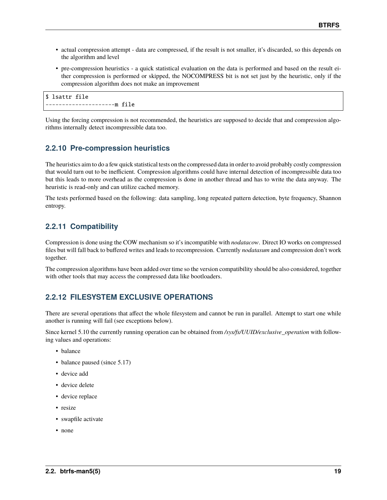- actual compression attempt data are compressed, if the result is not smaller, it's discarded, so this depends on the algorithm and level
- pre-compression heuristics a quick statistical evaluation on the data is performed and based on the result either compression is performed or skipped, the NOCOMPRESS bit is not set just by the heuristic, only if the compression algorithm does not make an improvement

```
$ lsattr file
 ---------------------m file
```
Using the forcing compression is not recommended, the heuristics are supposed to decide that and compression algorithms internally detect incompressible data too.

# **2.2.10 Pre-compression heuristics**

The heuristics aim to do a few quick statistical tests on the compressed data in order to avoid probably costly compression that would turn out to be inefficient. Compression algorithms could have internal detection of incompressible data too but this leads to more overhead as the compression is done in another thread and has to write the data anyway. The heuristic is read-only and can utilize cached memory.

The tests performed based on the following: data sampling, long repeated pattern detection, byte frequency, Shannon entropy.

# **2.2.11 Compatibility**

Compression is done using the COW mechanism so it's incompatible with *nodatacow*. Direct IO works on compressed files but will fall back to buffered writes and leads to recompression. Currently *nodatasum* and compression don't work together.

The compression algorithms have been added over time so the version compatibility should be also considered, together with other tools that may access the compressed data like bootloaders.

# **2.2.12 FILESYSTEM EXCLUSIVE OPERATIONS**

There are several operations that affect the whole filesystem and cannot be run in parallel. Attempt to start one while another is running will fail (see exceptions below).

Since kernel 5.10 the currently running operation can be obtained from */sys/fs/UUID/exclusive\_operation* with following values and operations:

- balance
- balance paused (since 5.17)
- device add
- device delete
- device replace
- resize
- swapfile activate
- none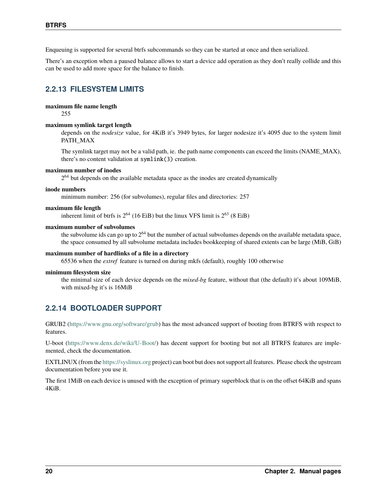Enqueuing is supported for several btrfs subcommands so they can be started at once and then serialized.

There's an exception when a paused balance allows to start a device add operation as they don't really collide and this can be used to add more space for the balance to finish.

# **2.2.13 FILESYSTEM LIMITS**

### **maximum file name length**

255

#### **maximum symlink target length**

depends on the *nodesize* value, for 4KiB it's 3949 bytes, for larger nodesize it's 4095 due to the system limit PATH\_MAX

The symlink target may not be a valid path, ie. the path name components can exceed the limits (NAME\_MAX), there's no content validation at symlink(3) creation.

#### **maximum number of inodes**

 $2<sup>64</sup>$  but depends on the available metadata space as the inodes are created dynamically

#### **inode numbers**

minimum number: 256 (for subvolumes), regular files and directories: 257

#### **maximum file length**

inherent limit of btrfs is  $2^{64}$  (16 EiB) but the linux VFS limit is  $2^{63}$  (8 EiB)

### **maximum number of subvolumes**

the subvolume ids can go up to  $2^{64}$  but the number of actual subvolumes depends on the available metadata space, the space consumed by all subvolume metadata includes bookkeeping of shared extents can be large (MiB, GiB)

### **maximum number of hardlinks of a file in a directory**

65536 when the *extref* feature is turned on during mkfs (default), roughly 100 otherwise

#### **minimum filesystem size**

the minimal size of each device depends on the *mixed-bg* feature, without that (the default) it's about 109MiB, with mixed-bg it's is 16MiB

# **2.2.14 BOOTLOADER SUPPORT**

GRUB2 [\(https://www.gnu.org/software/grub\)](https://www.gnu.org/software/grub) has the most advanced support of booting from BTRFS with respect to features.

U-boot [\(https://www.denx.de/wiki/U-Boot/\)](https://www.denx.de/wiki/U-Boot/) has decent support for booting but not all BTRFS features are implemented, check the documentation.

EXTLINUX (from the <https://syslinux.org> project) can boot but does not support all features. Please check the upstream documentation before you use it.

The first 1MiB on each device is unused with the exception of primary superblock that is on the offset 64KiB and spans 4KiB.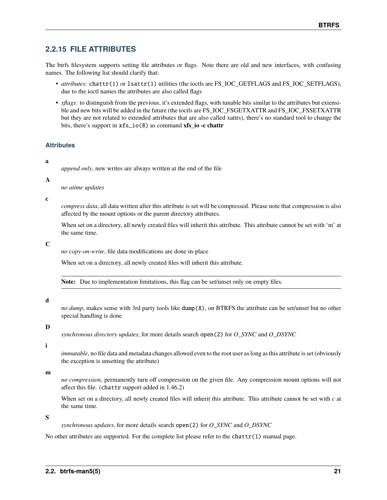# **2.2.15 FILE ATTRIBUTES**

The btrfs filesystem supports setting file attributes or flags. Note there are old and new interfaces, with confusing names. The following list should clarify that:

- *attributes*: chattr(1) or lsattr(1) utilities (the ioctls are FS\_IOC\_GETFLAGS and FS\_IOC\_SETFLAGS), due to the ioctl names the attributes are also called flags
- *xflags*: to distinguish from the previous, it's extended flags, with tunable bits similar to the attributes but extensible and new bits will be added in the future (the ioctls are FS\_IOC\_FSGETXATTR and FS\_IOC\_FSSETXATTR but they are not related to extended attributes that are also called xattrs), there's no standard tool to change the bits, there's support in xfs\_io(8) as command **xfs\_io -c chattr**

# **Attributes**

# **a**

*append only*, new writes are always written at the end of the file

**A**

*no atime updates*

**c**

*compress data*, all data written after this attribute is set will be compressed. Please note that compression is also affected by the mount options or the parent directory attributes.

When set on a directory, all newly created files will inherit this attribute. This attribute cannot be set with 'm' at the same time.

**C**

*no copy-on-write*, file data modifications are done in-place

When set on a directory, all newly created files will inherit this attribute.

**Note:** Due to implementation limitations, this flag can be set/unset only on empty files.

### **d**

*no dump*, makes sense with 3rd party tools like dump(8), on BTRFS the attribute can be set/unset but no other special handling is done

### **D**

*synchronous directory updates*, for more details search open(2) for *O\_SYNC* and *O\_DSYNC*

### **i**

*immutable*, no file data and metadata changes allowed even to the root user as long as this attribute is set (obviously the exception is unsetting the attribute)

**m**

*no compression*, permanently turn off compression on the given file. Any compression mount options will not affect this file. (chattr support added in 1.46.2)

When set on a directory, all newly created files will inherit this attribute. This attribute cannot be set with *c* at the same time.

**S**

*synchronous updates*, for more details search open(2) for *O\_SYNC* and *O\_DSYNC*

No other attributes are supported. For the complete list please refer to the chattr $(1)$  manual page.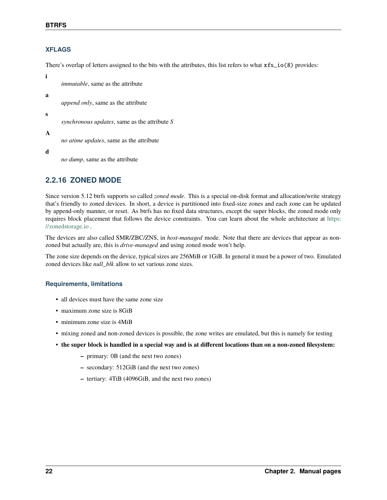# **XFLAGS**

There's overlap of letters assigned to the bits with the attributes, this list refers to what xfs\_io(8) provides:

**i**

*immutable*, same as the attribute

**a**

*append only*, same as the attribute

**s**

*synchronous updates*, same as the attribute *S*

**A**

*no atime updates*, same as the attribute

**d**

*no dump*, same as the attribute

# **2.2.16 ZONED MODE**

Since version 5.12 btrfs supports so called *zoned mode*. This is a special on-disk format and allocation/write strategy that's friendly to zoned devices. In short, a device is partitioned into fixed-size zones and each zone can be updated by append-only manner, or reset. As btrfs has no fixed data structures, except the super blocks, the zoned mode only requires block placement that follows the device constraints. You can learn about the whole architecture at [https:](https://zonedstorage.io) [//zonedstorage.io](https://zonedstorage.io) .

The devices are also called SMR/ZBC/ZNS, in *host-managed* mode. Note that there are devices that appear as nonzoned but actually are, this is *drive-managed* and using zoned mode won't help.

The zone size depends on the device, typical sizes are 256MiB or 1GiB. In general it must be a power of two. Emulated zoned devices like *null\_blk* allow to set various zone sizes.

# **Requirements, limitations**

- all devices must have the same zone size
- maximum zone size is 8GiB
- minimum zone size is 4MiB
- mixing zoned and non-zoned devices is possible, the zone writes are emulated, but this is namely for testing
- **the super block is handled in a special way and is at different locations than on a non-zoned filesystem:**
	- **–** primary: 0B (and the next two zones)
	- **–** secondary: 512GiB (and the next two zones)
	- **–** tertiary: 4TiB (4096GiB, and the next two zones)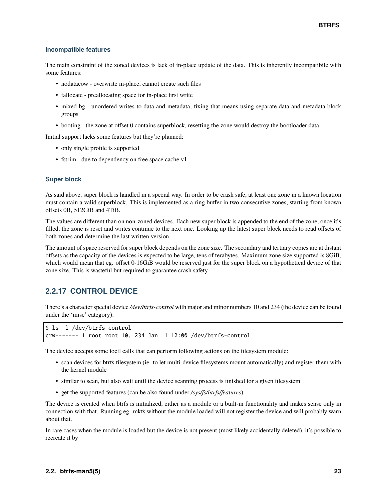# **Incompatible features**

The main constraint of the zoned devices is lack of in-place update of the data. This is inherently incompatibile with some features:

- nodatacow overwrite in-place, cannot create such files
- fallocate preallocating space for in-place first write
- mixed-bg unordered writes to data and metadata, fixing that means using separate data and metadata block groups
- booting the zone at offset 0 contains superblock, resetting the zone would destroy the bootloader data

Initial support lacks some features but they're planned:

- only single profile is supported
- fstrim due to dependency on free space cache v1

# **Super block**

As said above, super block is handled in a special way. In order to be crash safe, at least one zone in a known location must contain a valid superblock. This is implemented as a ring buffer in two consecutive zones, starting from known offsets 0B, 512GiB and 4TiB.

The values are different than on non-zoned devices. Each new super block is appended to the end of the zone, once it's filled, the zone is reset and writes continue to the next one. Looking up the latest super block needs to read offsets of both zones and determine the last written version.

The amount of space reserved for super block depends on the zone size. The secondary and tertiary copies are at distant offsets as the capacity of the devices is expected to be large, tens of terabytes. Maximum zone size supported is 8GiB, which would mean that eg. offset 0-16GiB would be reserved just for the super block on a hypothetical device of that zone size. This is wasteful but required to guarantee crash safety.

# **2.2.17 CONTROL DEVICE**

There's a character special device */dev/btrfs-control* with major and minor numbers 10 and 234 (the device can be found under the 'misc' category).

```
$ ls -l /dev/btrfs-control
crw------- 1 root root 10, 234 Jan 1 12:00 /dev/btrfs-control
```
The device accepts some ioctl calls that can perform following actions on the filesystem module:

- scan devices for btrfs filesystem (ie. to let multi-device filesystems mount automatically) and register them with the kernel module
- similar to scan, but also wait until the device scanning process is finished for a given filesystem
- get the supported features (can be also found under */sys/fs/btrfs/features*)

The device is created when btrfs is initialized, either as a module or a built-in functionality and makes sense only in connection with that. Running eg. mkfs without the module loaded will not register the device and will probably warn about that.

In rare cases when the module is loaded but the device is not present (most likely accidentally deleted), it's possible to recreate it by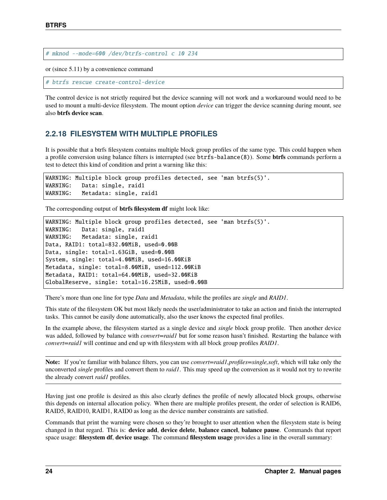# mknod --mode=600 /dev/btrfs-control c 10 234

or (since 5.11) by a convenience command

# btrfs rescue create-control-device

The control device is not strictly required but the device scanning will not work and a workaround would need to be used to mount a multi-device filesystem. The mount option *device* can trigger the device scanning during mount, see also **btrfs device scan**.

# **2.2.18 FILESYSTEM WITH MULTIPLE PROFILES**

It is possible that a btrfs filesystem contains multiple block group profiles of the same type. This could happen when a profile conversion using balance filters is interrupted (see btrfs-balance(8)). Some **btrfs** commands perform a test to detect this kind of condition and print a warning like this:

```
WARNING: Multiple block group profiles detected, see 'man btrfs(5)'.
WARNING: Data: single, raid1
WARNING: Metadata: single, raid1
```
The corresponding output of **btrfs filesystem df** might look like:

```
WARNING: Multiple block group profiles detected, see 'man btrfs(5)'.
WARNING: Data: single, raid1
WARNING: Metadata: single, raid1
Data, RAID1: total=832.00MiB, used=0.00B
Data, single: total=1.63GiB, used=0.00B
System, single: total=4.00MiB, used=16.00KiB
Metadata, single: total=8.00MiB, used=112.00KiB
Metadata, RAID1: total=64.00MiB, used=32.00KiB
GlobalReserve, single: total=16.25MiB, used=0.00B
```
There's more than one line for type *Data* and *Metadata*, while the profiles are *single* and *RAID1*.

This state of the filesystem OK but most likely needs the user/administrator to take an action and finish the interrupted tasks. This cannot be easily done automatically, also the user knows the expected final profiles.

In the example above, the filesystem started as a single device and *single* block group profile. Then another device was added, followed by balance with *convert=raid1* but for some reason hasn't finished. Restarting the balance with *convert=raid1* will continue and end up with filesystem with all block group profiles *RAID1*.

**Note:** If you're familiar with balance filters, you can use *convert=raid1,profiles=single,soft*, which will take only the unconverted *single* profiles and convert them to *raid1*. This may speed up the conversion as it would not try to rewrite the already convert *raid1* profiles.

Having just one profile is desired as this also clearly defines the profile of newly allocated block groups, otherwise this depends on internal allocation policy. When there are multiple profiles present, the order of selection is RAID6, RAID5, RAID10, RAID1, RAID0 as long as the device number constraints are satisfied.

Commands that print the warning were chosen so they're brought to user attention when the filesystem state is being changed in that regard. This is: **device add**, **device delete**, **balance cancel**, **balance pause**. Commands that report space usage: **filesystem df**, **device usage**. The command **filesystem usage** provides a line in the overall summary: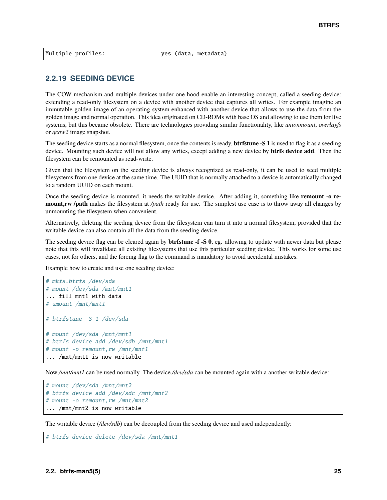Multiple profiles: yes (data, metadata)

# **2.2.19 SEEDING DEVICE**

The COW mechanism and multiple devices under one hood enable an interesting concept, called a seeding device: extending a read-only filesystem on a device with another device that captures all writes. For example imagine an immutable golden image of an operating system enhanced with another device that allows to use the data from the golden image and normal operation. This idea originated on CD-ROMs with base OS and allowing to use them for live systems, but this became obsolete. There are technologies providing similar functionality, like *unionmount*, *overlayfs* or *qcow2* image snapshot.

The seeding device starts as a normal filesystem, once the contents is ready, **btrfstune -S 1** is used to flag it as a seeding device. Mounting such device will not allow any writes, except adding a new device by **btrfs device add**. Then the filesystem can be remounted as read-write.

Given that the filesystem on the seeding device is always recognized as read-only, it can be used to seed multiple filesystems from one device at the same time. The UUID that is normally attached to a device is automatically changed to a random UUID on each mount.

Once the seeding device is mounted, it needs the writable device. After adding it, something like **remount -o remount,rw /path** makes the filesystem at */path* ready for use. The simplest use case is to throw away all changes by unmounting the filesystem when convenient.

Alternatively, deleting the seeding device from the filesystem can turn it into a normal filesystem, provided that the writable device can also contain all the data from the seeding device.

The seeding device flag can be cleared again by **btrfstune -f -S 0**, eg. allowing to update with newer data but please note that this will invalidate all existing filesystems that use this particular seeding device. This works for some use cases, not for others, and the forcing flag to the command is mandatory to avoid accidental mistakes.

Example how to create and use one seeding device:

```
# mkfs.btrfs /dev/sda
# mount /dev/sda /mnt/mnt1
... fill mnt1 with data
# umount /mnt/mnt1
# btrfstune -S 1 /dev/sda
# mount /dev/sda /mnt/mnt1
# btrfs device add /dev/sdb /mnt/mnt1
# mount -o remount,rw /mnt/mnt1
... /mnt/mnt1 is now writable
```
Now */mnt/mnt1* can be used normally. The device */dev/sda* can be mounted again with a another writable device:

```
# mount /dev/sda /mnt/mnt2
# btrfs device add /dev/sdc /mnt/mnt2
# mount -o remount,rw /mnt/mnt2
... /mnt/mnt2 is now writable
```
The writable device (*/dev/sdb*) can be decoupled from the seeding device and used independently:

```
# btrfs device delete /dev/sda /mnt/mnt1
```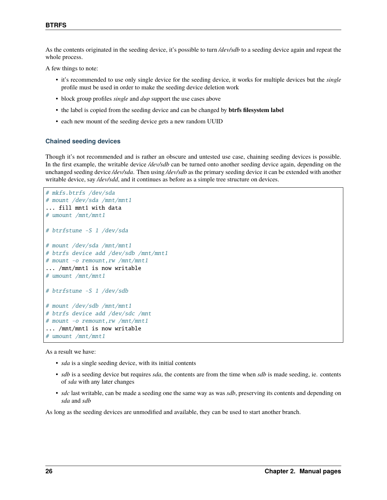As the contents originated in the seeding device, it's possible to turn */dev/sdb* to a seeding device again and repeat the whole process.

A few things to note:

- it's recommended to use only single device for the seeding device, it works for multiple devices but the *single* profile must be used in order to make the seeding device deletion work
- block group profiles *single* and *dup* support the use cases above
- the label is copied from the seeding device and can be changed by **btrfs filesystem label**
- each new mount of the seeding device gets a new random UUID

# **Chained seeding devices**

Though it's not recommended and is rather an obscure and untested use case, chaining seeding devices is possible. In the first example, the writable device */dev/sdb* can be turned onto another seeding device again, depending on the unchanged seeding device */dev/sda*. Then using */dev/sdb* as the primary seeding device it can be extended with another writable device, say */dev/sdd*, and it continues as before as a simple tree structure on devices.

```
# mkfs.btrfs /dev/sda
# mount /dev/sda /mnt/mnt1
... fill mnt1 with data
# umount /mnt/mnt1
# btrfstune -S 1 /dev/sda
# mount /dev/sda /mnt/mnt1
# btrfs device add /dev/sdb /mnt/mnt1
# mount -o remount,rw /mnt/mnt1
... /mnt/mnt1 is now writable
# umount /mnt/mnt1
# btrfstune -S 1 /dev/sdb
# mount /dev/sdb /mnt/mnt1
# btrfs device add /dev/sdc /mnt
# mount -o remount,rw /mnt/mnt1
... /mnt/mnt1 is now writable
# umount /mnt/mnt1
```
As a result we have:

- *sda* is a single seeding device, with its initial contents
- *sdb* is a seeding device but requires *sda*, the contents are from the time when *sdb* is made seeding, ie. contents of *sda* with any later changes
- *sdc* last writable, can be made a seeding one the same way as was *sdb*, preserving its contents and depending on *sda* and *sdb*

As long as the seeding devices are unmodified and available, they can be used to start another branch.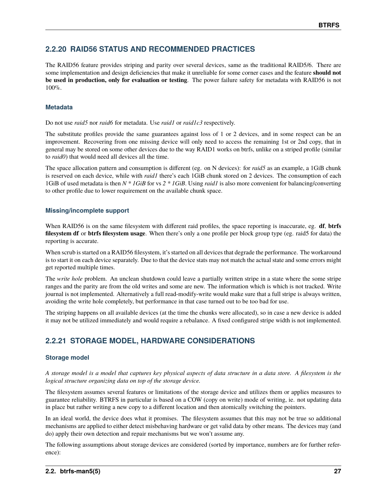# **2.2.20 RAID56 STATUS AND RECOMMENDED PRACTICES**

The RAID56 feature provides striping and parity over several devices, same as the traditional RAID5/6. There are some implementation and design deficiencies that make it unreliable for some corner cases and the feature **should not be used in production, only for evaluation or testing**. The power failure safety for metadata with RAID56 is not 100%.

# **Metadata**

Do not use *raid5* nor *raid6* for metadata. Use *raid1* or *raid1c3* respectively.

The substitute profiles provide the same guarantees against loss of 1 or 2 devices, and in some respect can be an improvement. Recovering from one missing device will only need to access the remaining 1st or 2nd copy, that in general may be stored on some other devices due to the way RAID1 works on btrfs, unlike on a striped profile (similar to *raid0*) that would need all devices all the time.

The space allocation pattern and consumption is different (eg. on N devices): for *raid5* as an example, a 1GiB chunk is reserved on each device, while with *raid1* there's each 1GiB chunk stored on 2 devices. The consumption of each 1GiB of used metadata is then *N \* 1GiB* for vs *2 \* 1GiB*. Using *raid1* is also more convenient for balancing/converting to other profile due to lower requirement on the available chunk space.

# **Missing/incomplete support**

When RAID56 is on the same filesystem with different raid profiles, the space reporting is inaccurate, eg. **df**, **btrfs filesystem df** or **btrfs filesystem usage**. When there's only a one profile per block group type (eg. raid5 for data) the reporting is accurate.

When scrub is started on a RAID56 filesystem, it's started on all devices that degrade the performance. The workaround is to start it on each device separately. Due to that the device stats may not match the actual state and some errors might get reported multiple times.

The *write hole* problem. An unclean shutdown could leave a partially written stripe in a state where the some stripe ranges and the parity are from the old writes and some are new. The information which is which is not tracked. Write journal is not implemented. Alternatively a full read-modify-write would make sure that a full stripe is always written, avoiding the write hole completely, but performance in that case turned out to be too bad for use.

The striping happens on all available devices (at the time the chunks were allocated), so in case a new device is added it may not be utilized immediately and would require a rebalance. A fixed configured stripe width is not implemented.

# **2.2.21 STORAGE MODEL, HARDWARE CONSIDERATIONS**

# **Storage model**

*A storage model is a model that captures key physical aspects of data structure in a data store. A filesystem is the logical structure organizing data on top of the storage device.*

The filesystem assumes several features or limitations of the storage device and utilizes them or applies measures to guarantee reliability. BTRFS in particular is based on a COW (copy on write) mode of writing, ie. not updating data in place but rather writing a new copy to a different location and then atomically switching the pointers.

In an ideal world, the device does what it promises. The filesystem assumes that this may not be true so additional mechanisms are applied to either detect misbehaving hardware or get valid data by other means. The devices may (and do) apply their own detection and repair mechanisms but we won't assume any.

The following assumptions about storage devices are considered (sorted by importance, numbers are for further reference):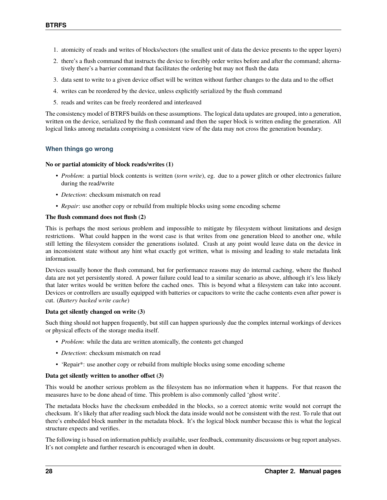- 1. atomicity of reads and writes of blocks/sectors (the smallest unit of data the device presents to the upper layers)
- 2. there's a flush command that instructs the device to forcibly order writes before and after the command; alternatively there's a barrier command that facilitates the ordering but may not flush the data
- 3. data sent to write to a given device offset will be written without further changes to the data and to the offset
- 4. writes can be reordered by the device, unless explicitly serialized by the flush command
- 5. reads and writes can be freely reordered and interleaved

The consistency model of BTRFS builds on these assumptions. The logical data updates are grouped, into a generation, written on the device, serialized by the flush command and then the super block is written ending the generation. All logical links among metadata comprising a consistent view of the data may not cross the generation boundary.

# **When things go wrong**

### **No or partial atomicity of block reads/writes (1)**

- *Problem*: a partial block contents is written (*torn write*), eg. due to a power glitch or other electronics failure during the read/write
- *Detection*: checksum mismatch on read
- *Repair*: use another copy or rebuild from multiple blocks using some encoding scheme

# **The flush command does not flush (2)**

This is perhaps the most serious problem and impossible to mitigate by filesystem without limitations and design restrictions. What could happen in the worst case is that writes from one generation bleed to another one, while still letting the filesystem consider the generations isolated. Crash at any point would leave data on the device in an inconsistent state without any hint what exactly got written, what is missing and leading to stale metadata link information.

Devices usually honor the flush command, but for performance reasons may do internal caching, where the flushed data are not yet persistently stored. A power failure could lead to a similar scenario as above, although it's less likely that later writes would be written before the cached ones. This is beyond what a filesystem can take into account. Devices or controllers are usually equipped with batteries or capacitors to write the cache contents even after power is cut. (*Battery backed write cache*)

### **Data get silently changed on write (3)**

Such thing should not happen frequently, but still can happen spuriously due the complex internal workings of devices or physical effects of the storage media itself.

- *Problem*: while the data are written atomically, the contents get changed
- *Detection*: checksum mismatch on read
- 'Repair\*: use another copy or rebuild from multiple blocks using some encoding scheme

### **Data get silently written to another offset (3)**

This would be another serious problem as the filesystem has no information when it happens. For that reason the measures have to be done ahead of time. This problem is also commonly called 'ghost write'.

The metadata blocks have the checksum embedded in the blocks, so a correct atomic write would not corrupt the checksum. It's likely that after reading such block the data inside would not be consistent with the rest. To rule that out there's embedded block number in the metadata block. It's the logical block number because this is what the logical structure expects and verifies.

The following is based on information publicly available, user feedback, community discussions or bug report analyses. It's not complete and further research is encouraged when in doubt.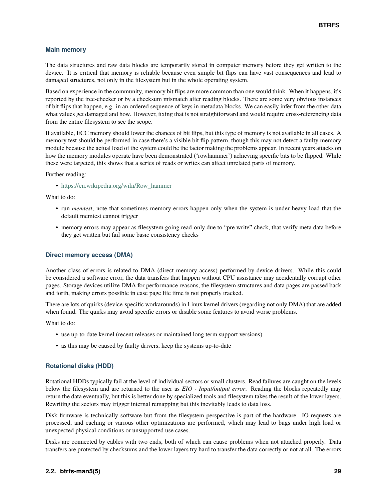# **Main memory**

The data structures and raw data blocks are temporarily stored in computer memory before they get written to the device. It is critical that memory is reliable because even simple bit flips can have vast consequences and lead to damaged structures, not only in the filesystem but in the whole operating system.

Based on experience in the community, memory bit flips are more common than one would think. When it happens, it's reported by the tree-checker or by a checksum mismatch after reading blocks. There are some very obvious instances of bit flips that happen, e.g. in an ordered sequence of keys in metadata blocks. We can easily infer from the other data what values get damaged and how. However, fixing that is not straightforward and would require cross-referencing data from the entire filesystem to see the scope.

If available, ECC memory should lower the chances of bit flips, but this type of memory is not available in all cases. A memory test should be performed in case there's a visible bit flip pattern, though this may not detect a faulty memory module because the actual load of the system could be the factor making the problems appear. In recent years attacks on how the memory modules operate have been demonstrated ('rowhammer') achieving specific bits to be flipped. While these were targeted, this shows that a series of reads or writes can affect unrelated parts of memory.

Further reading:

• [https://en.wikipedia.org/wiki/Row\\_hammer](https://en.wikipedia.org/wiki/Row_hammer)

What to do:

- run *memtest*, note that sometimes memory errors happen only when the system is under heavy load that the default memtest cannot trigger
- memory errors may appear as filesystem going read-only due to "pre write" check, that verify meta data before they get written but fail some basic consistency checks

# **Direct memory access (DMA)**

Another class of errors is related to DMA (direct memory access) performed by device drivers. While this could be considered a software error, the data transfers that happen without CPU assistance may accidentally corrupt other pages. Storage devices utilize DMA for performance reasons, the filesystem structures and data pages are passed back and forth, making errors possible in case page life time is not properly tracked.

There are lots of quirks (device-specific workarounds) in Linux kernel drivers (regarding not only DMA) that are added when found. The quirks may avoid specific errors or disable some features to avoid worse problems.

What to do:

- use up-to-date kernel (recent releases or maintained long term support versions)
- as this may be caused by faulty drivers, keep the systems up-to-date

# **Rotational disks (HDD)**

Rotational HDDs typically fail at the level of individual sectors or small clusters. Read failures are caught on the levels below the filesystem and are returned to the user as *EIO - Input/output error*. Reading the blocks repeatedly may return the data eventually, but this is better done by specialized tools and filesystem takes the result of the lower layers. Rewriting the sectors may trigger internal remapping but this inevitably leads to data loss.

Disk firmware is technically software but from the filesystem perspective is part of the hardware. IO requests are processed, and caching or various other optimizations are performed, which may lead to bugs under high load or unexpected physical conditions or unsupported use cases.

Disks are connected by cables with two ends, both of which can cause problems when not attached properly. Data transfers are protected by checksums and the lower layers try hard to transfer the data correctly or not at all. The errors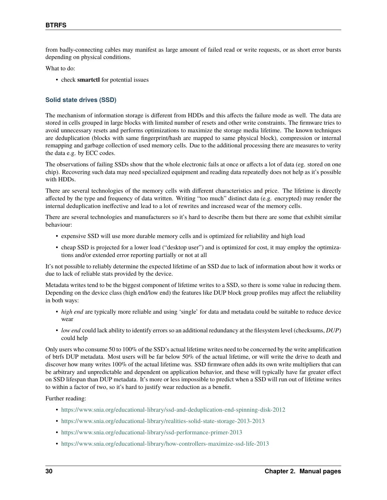from badly-connecting cables may manifest as large amount of failed read or write requests, or as short error bursts depending on physical conditions.

What to do:

• check **smartctl** for potential issues

# **Solid state drives (SSD)**

The mechanism of information storage is different from HDDs and this affects the failure mode as well. The data are stored in cells grouped in large blocks with limited number of resets and other write constraints. The firmware tries to avoid unnecessary resets and performs optimizations to maximize the storage media lifetime. The known techniques are deduplication (blocks with same fingerprint/hash are mapped to same physical block), compression or internal remapping and garbage collection of used memory cells. Due to the additional processing there are measures to verity the data e.g. by ECC codes.

The observations of failing SSDs show that the whole electronic fails at once or affects a lot of data (eg. stored on one chip). Recovering such data may need specialized equipment and reading data repeatedly does not help as it's possible with HDDs.

There are several technologies of the memory cells with different characteristics and price. The lifetime is directly affected by the type and frequency of data written. Writing "too much" distinct data (e.g. encrypted) may render the internal deduplication ineffective and lead to a lot of rewrites and increased wear of the memory cells.

There are several technologies and manufacturers so it's hard to describe them but there are some that exhibit similar behaviour:

- expensive SSD will use more durable memory cells and is optimized for reliability and high load
- cheap SSD is projected for a lower load ("desktop user") and is optimized for cost, it may employ the optimizations and/or extended error reporting partially or not at all

It's not possible to reliably determine the expected lifetime of an SSD due to lack of information about how it works or due to lack of reliable stats provided by the device.

Metadata writes tend to be the biggest component of lifetime writes to a SSD, so there is some value in reducing them. Depending on the device class (high end/low end) the features like DUP block group profiles may affect the reliability in both ways:

- *high end* are typically more reliable and using 'single' for data and metadata could be suitable to reduce device wear
- *low end* could lack ability to identify errors so an additional redundancy at the filesystem level (checksums, *DUP*) could help

Only users who consume 50 to 100% of the SSD's actual lifetime writes need to be concerned by the write amplification of btrfs DUP metadata. Most users will be far below 50% of the actual lifetime, or will write the drive to death and discover how many writes 100% of the actual lifetime was. SSD firmware often adds its own write multipliers that can be arbitrary and unpredictable and dependent on application behavior, and these will typically have far greater effect on SSD lifespan than DUP metadata. It's more or less impossible to predict when a SSD will run out of lifetime writes to within a factor of two, so it's hard to justify wear reduction as a benefit.

Further reading:

- <https://www.snia.org/educational-library/ssd-and-deduplication-end-spinning-disk-2012>
- <https://www.snia.org/educational-library/realities-solid-state-storage-2013-2013>
- <https://www.snia.org/educational-library/ssd-performance-primer-2013>
- <https://www.snia.org/educational-library/how-controllers-maximize-ssd-life-2013>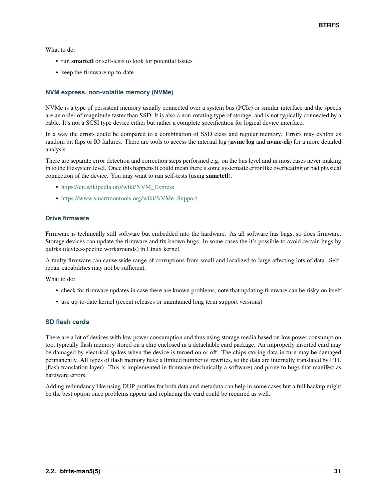What to do:

- run **smartctl** or self-tests to look for potential issues
- keep the firmware up-to-date

# **NVM express, non-volatile memory (NVMe)**

NVMe is a type of persistent memory usually connected over a system bus (PCIe) or similar interface and the speeds are an order of magnitude faster than SSD. It is also a non-rotating type of storage, and is not typically connected by a cable. It's not a SCSI type device either but rather a complete specification for logical device interface.

In a way the errors could be compared to a combination of SSD class and regular memory. Errors may exhibit as random bit flips or IO failures. There are tools to access the internal log (**nvme log** and **nvme-cli**) for a more detailed analysis.

There are separate error detection and correction steps performed e.g. on the bus level and in most cases never making in to the filesystem level. Once this happens it could mean there's some systematic error like overheating or bad physical connection of the device. You may want to run self-tests (using **smartctl**).

- [https://en.wikipedia.org/wiki/NVM\\_Express](https://en.wikipedia.org/wiki/NVM_Express)
- [https://www.smartmontools.org/wiki/NVMe\\_Support](https://www.smartmontools.org/wiki/NVMe_Support)

# **Drive firmware**

Firmware is technically still software but embedded into the hardware. As all software has bugs, so does firmware. Storage devices can update the firmware and fix known bugs. In some cases the it's possible to avoid certain bugs by quirks (device-specific workarounds) in Linux kernel.

A faulty firmware can cause wide range of corruptions from small and localized to large affecting lots of data. Selfrepair capabilities may not be sufficient.

What to do:

- check for firmware updates in case there are known problems, note that updating firmware can be risky on itself
- use up-to-date kernel (recent releases or maintained long term support versions)

# **SD flash cards**

There are a lot of devices with low power consumption and thus using storage media based on low power consumption too, typically flash memory stored on a chip enclosed in a detachable card package. An improperly inserted card may be damaged by electrical spikes when the device is turned on or off. The chips storing data in turn may be damaged permanently. All types of flash memory have a limited number of rewrites, so the data are internally translated by FTL (flash translation layer). This is implemented in firmware (technically a software) and prone to bugs that manifest as hardware errors.

Adding redundancy like using DUP profiles for both data and metadata can help in some cases but a full backup might be the best option once problems appear and replacing the card could be required as well.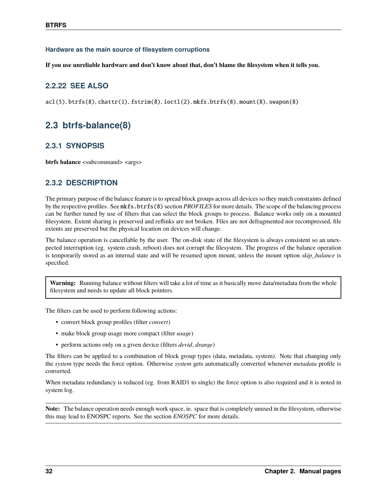# **Hardware as the main source of filesystem corruptions**

**If you use unreliable hardware and don't know about that, don't blame the filesystem when it tells you.**

# **2.2.22 SEE ALSO**

 $acl(5)$ ,  $btrfs(8)$ ,  $chattr(1)$ ,  $fstrim(8)$ ,  $ioct1(2)$ ,  $mkfs.btrfs(8)$ ,  $mount(8)$ , swapon(8)

# **2.3 btrfs-balance(8)**

# **2.3.1 SYNOPSIS**

**btrfs balance** <subcommand> <args>

# **2.3.2 DESCRIPTION**

The primary purpose of the balance feature is to spread block groups across all devices so they match constraints defined by the respective profiles. See mkfs.btrfs(8) section *PROFILES* for more details. The scope of the balancing process can be further tuned by use of filters that can select the block groups to process. Balance works only on a mounted filesystem. Extent sharing is preserved and reflinks are not broken. Files are not defragmented nor recompressed, file extents are preserved but the physical location on devices will change.

The balance operation is cancellable by the user. The on-disk state of the filesystem is always consistent so an unexpected interruption (eg. system crash, reboot) does not corrupt the filesystem. The progress of the balance operation is temporarily stored as an internal state and will be resumed upon mount, unless the mount option *skip\_balance* is specified.

**Warning:** Running balance without filters will take a lot of time as it basically move data/metadata from the whole filesystem and needs to update all block pointers.

The filters can be used to perform following actions:

- convert block group profiles (filter *convert*)
- make block group usage more compact (filter *usage*)
- perform actions only on a given device (filters *devid*, *drange*)

The filters can be applied to a combination of block group types (data, metadata, system). Note that changing only the *system* type needs the force option. Otherwise *system* gets automatically converted whenever *metadata* profile is converted.

When metadata redundancy is reduced (eg. from RAID1 to single) the force option is also required and it is noted in system log.

**Note:** The balance operation needs enough work space, ie. space that is completely unused in the filesystem, otherwise this may lead to ENOSPC reports. See the section *ENOSPC* for more details.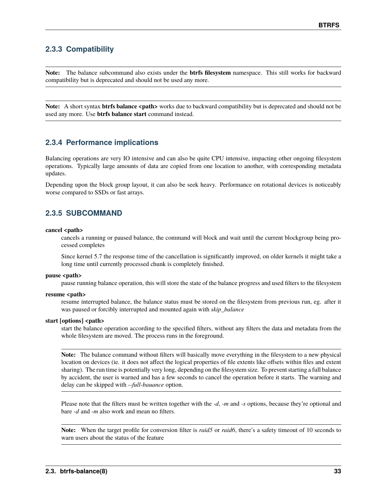## **2.3.3 Compatibility**

**Note:** The balance subcommand also exists under the **btrfs filesystem** namespace. This still works for backward compatibility but is deprecated and should not be used any more.

**Note:** A short syntax **btrfs balance <path>** works due to backward compatibility but is deprecated and should not be used any more. Use **btrfs balance start** command instead.

## **2.3.4 Performance implications**

Balancing operations are very IO intensive and can also be quite CPU intensive, impacting other ongoing filesystem operations. Typically large amounts of data are copied from one location to another, with corresponding metadata updates.

Depending upon the block group layout, it can also be seek heavy. Performance on rotational devices is noticeably worse compared to SSDs or fast arrays.

## **2.3.5 SUBCOMMAND**

#### cancel <path>

cancels a running or paused balance, the command will block and wait until the current blockgroup being processed completes

Since kernel 5.7 the response time of the cancellation is significantly improved, on older kernels it might take a long time until currently processed chunk is completely finished.

#### pause <path>

pause running balance operation, this will store the state of the balance progress and used filters to the filesystem

#### resume <path>

resume interrupted balance, the balance status must be stored on the filesystem from previous run, eg. after it was paused or forcibly interrupted and mounted again with *skip\_balance*

#### **start [options] <path>**

start the balance operation according to the specified filters, without any filters the data and metadata from the whole filesystem are moved. The process runs in the foreground.

**Note:** The balance command without filters will basically move everything in the filesystem to a new physical location on devices (ie. it does not affect the logical properties of file extents like offsets within files and extent sharing). The run time is potentially very long, depending on the filesystem size. To prevent starting a full balance by accident, the user is warned and has a few seconds to cancel the operation before it starts. The warning and delay can be skipped with *--full-bauance* option.

Please note that the filters must be written together with the *-d*, *-m* and *-s* options, because they're optional and bare *-d* and *-m* also work and mean no filters.

**Note:** When the target profile for conversion filter is *raid5* or *raid6*, there's a safety timeout of 10 seconds to warn users about the status of the feature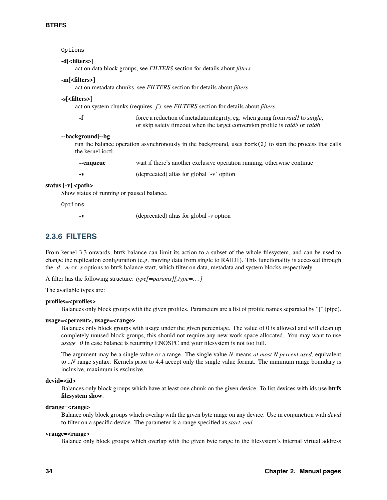|                                                                                                                 | Options                                                                                              |                                                                                                                                                                                             |  |
|-----------------------------------------------------------------------------------------------------------------|------------------------------------------------------------------------------------------------------|---------------------------------------------------------------------------------------------------------------------------------------------------------------------------------------------|--|
|                                                                                                                 | -d[ <filters>]<br/>act on data block groups, see FILTERS section for details about filters</filters> |                                                                                                                                                                                             |  |
|                                                                                                                 | act on metadata chunks, see FILTERS section for details about filters                                |                                                                                                                                                                                             |  |
| -s[ <filters>]<br/>act on system chunks (requires -f), see FILTERS section for details about filters.</filters> |                                                                                                      |                                                                                                                                                                                             |  |
|                                                                                                                 | -f                                                                                                   | force a reduction of metadata integrity, eg. when going from <i>raid1</i> to <i>single</i> ,<br>or skip safety timeout when the target conversion profile is <i>raid</i> 5 or <i>raid</i> 6 |  |
|                                                                                                                 | --background --bg<br>the kernel joctl                                                                | run the balance operation asynchronously in the background, uses fork(2) to start the process that calls                                                                                    |  |
|                                                                                                                 | --enqueue                                                                                            | wait if there's another exclusive operation running, otherwise continue                                                                                                                     |  |
|                                                                                                                 | $-\mathbf{V}$                                                                                        | (deprecated) alias for global '-v' option                                                                                                                                                   |  |
|                                                                                                                 | status [-v] <path><br/>Show status of running or paused balance.</path>                              |                                                                                                                                                                                             |  |
|                                                                                                                 |                                                                                                      |                                                                                                                                                                                             |  |

## Options

**-v** (deprecated) alias for global *-v* option

## **2.3.6 FILTERS**

From kernel 3.3 onwards, btrfs balance can limit its action to a subset of the whole filesystem, and can be used to change the replication configuration (e.g. moving data from single to RAID1). This functionality is accessed through the *-d*, *-m* or *-s* options to btrfs balance start, which filter on data, metadata and system blocks respectively.

A filter has the following structure: *type[=params][,type=. . . ]*

The available types are:

#### **profiles=<profiles>**

Balances only block groups with the given profiles. Parameters are a list of profile names separated by "*|*" (pipe).

#### **usage=<percent>, usage=<range>**

Balances only block groups with usage under the given percentage. The value of 0 is allowed and will clean up completely unused block groups, this should not require any new work space allocated. You may want to use *usage=0* in case balance is returning ENOSPC and your filesystem is not too full.

The argument may be a single value or a range. The single value *N* means *at most N percent used*, equivalent to *..N* range syntax. Kernels prior to 4.4 accept only the single value format. The minimum range boundary is inclusive, maximum is exclusive.

#### **devid=<id>**

Balances only block groups which have at least one chunk on the given device. To list devices with ids use **btrfs filesystem show**.

#### **drange=<range>**

Balance only block groups which overlap with the given byte range on any device. Use in conjunction with *devid* to filter on a specific device. The parameter is a range specified as *start..end*.

### **vrange=<range>**

Balance only block groups which overlap with the given byte range in the filesystem's internal virtual address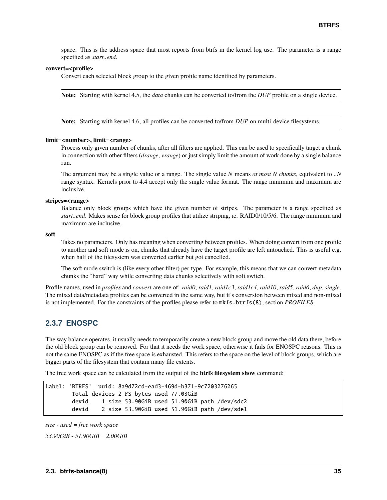space. This is the address space that most reports from btrfs in the kernel log use. The parameter is a range specified as *start..end*.

#### **convert=<profile>**

Convert each selected block group to the given profile name identified by parameters.

**Note:** Starting with kernel 4.5, the *data* chunks can be converted to/from the *DUP* profile on a single device.

**Note:** Starting with kernel 4.6, all profiles can be converted to/from *DUP* on multi-device filesystems.

#### **limit=<number>, limit=<range>**

Process only given number of chunks, after all filters are applied. This can be used to specifically target a chunk in connection with other filters (*drange*, *vrange*) or just simply limit the amount of work done by a single balance run.

The argument may be a single value or a range. The single value *N* means *at most N chunks*, equivalent to *..N* range syntax. Kernels prior to 4.4 accept only the single value format. The range minimum and maximum are inclusive.

#### **stripes=<range>**

Balance only block groups which have the given number of stripes. The parameter is a range specified as *start..end*. Makes sense for block group profiles that utilize striping, ie. RAID0/10/5/6. The range minimum and maximum are inclusive.

**soft**

Takes no parameters. Only has meaning when converting between profiles. When doing convert from one profile to another and soft mode is on, chunks that already have the target profile are left untouched. This is useful e.g. when half of the filesystem was converted earlier but got cancelled.

The soft mode switch is (like every other filter) per-type. For example, this means that we can convert metadata chunks the "hard" way while converting data chunks selectively with soft switch.

Profile names, used in *profiles* and *convert* are one of: *raid0*, *raid1*, *raid1c3*, *raid1c4*, *raid10*, *raid5*, *raid6*, *dup*, *single*. The mixed data/metadata profiles can be converted in the same way, but it's conversion between mixed and non-mixed is not implemented. For the constraints of the profiles please refer to mkfs.btrfs(8), section *PROFILES*.

## **2.3.7 ENOSPC**

The way balance operates, it usually needs to temporarily create a new block group and move the old data there, before the old block group can be removed. For that it needs the work space, otherwise it fails for ENOSPC reasons. This is not the same ENOSPC as if the free space is exhausted. This refers to the space on the level of block groups, which are bigger parts of the filesystem that contain many file extents.

The free work space can be calculated from the output of the **btrfs filesystem show** command:

```
Label: 'BTRFS' uuid: 8a9d72cd-ead3-469d-b371-9c7203276265
       Total devices 2 FS bytes used 77.03GiB
       devid 1 size 53.90GiB used 51.90GiB path /dev/sdc2
       devid 2 size 53.90GiB used 51.90GiB path /dev/sde1
```
*size* - *used* = *free work space*

*53.90GiB* - *51.90GiB* = *2.00GiB*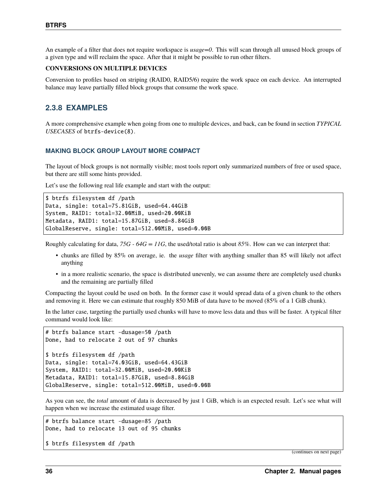An example of a filter that does not require workspace is *usage=0*. This will scan through all unused block groups of a given type and will reclaim the space. After that it might be possible to run other filters.

#### **CONVERSIONS ON MULTIPLE DEVICES**

Conversion to profiles based on striping (RAID0, RAID5/6) require the work space on each device. An interrupted balance may leave partially filled block groups that consume the work space.

## **2.3.8 EXAMPLES**

A more comprehensive example when going from one to multiple devices, and back, can be found in section *TYPICAL USECASES* of btrfs-device(8).

### **MAKING BLOCK GROUP LAYOUT MORE COMPACT**

The layout of block groups is not normally visible; most tools report only summarized numbers of free or used space, but there are still some hints provided.

Let's use the following real life example and start with the output:

```
$ btrfs filesystem df /path
Data, single: total=75.81GiB, used=64.44GiB
System, RAID1: total=32.00MiB, used=20.00KiB
Metadata, RAID1: total=15.87GiB, used=8.84GiB
GlobalReserve, single: total=512.00MiB, used=0.00B
```
Roughly calculating for data, *75G - 64G = 11G*, the used/total ratio is about *85%*. How can we can interpret that:

- chunks are filled by 85% on average, ie. the *usage* filter with anything smaller than 85 will likely not affect anything
- in a more realistic scenario, the space is distributed unevenly, we can assume there are completely used chunks and the remaining are partially filled

Compacting the layout could be used on both. In the former case it would spread data of a given chunk to the others and removing it. Here we can estimate that roughly 850 MiB of data have to be moved (85% of a 1 GiB chunk).

In the latter case, targeting the partially used chunks will have to move less data and thus will be faster. A typical filter command would look like:

# btrfs balance start -dusage=50 /path Done, had to relocate 2 out of 97 chunks \$ btrfs filesystem df /path Data, single: total=74.03GiB, used=64.43GiB System, RAID1: total=32.00MiB, used=20.00KiB Metadata, RAID1: total=15.87GiB, used=8.84GiB GlobalReserve, single: total=512.00MiB, used=0.00B

As you can see, the *total* amount of data is decreased by just 1 GiB, which is an expected result. Let's see what will happen when we increase the estimated usage filter.

# btrfs balance start -dusage=85 /path Done, had to relocate 13 out of 95 chunks

\$ btrfs filesystem df /path

(continues on next page)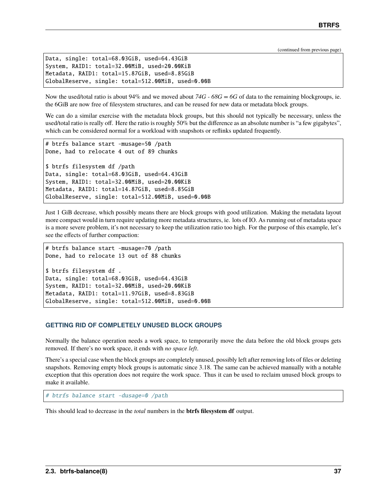(continued from previous page)

```
Data, single: total=68.03GiB, used=64.43GiB
System, RAID1: total=32.00MiB, used=20.00KiB
Metadata, RAID1: total=15.87GiB, used=8.85GiB
GlobalReserve, single: total=512.00MiB, used=0.00B
```
Now the used/total ratio is about 94% and we moved about 74G - 68G = 6G of data to the remaining blockgroups, ie. the 6GiB are now free of filesystem structures, and can be reused for new data or metadata block groups.

We can do a similar exercise with the metadata block groups, but this should not typically be necessary, unless the used/total ratio is really off. Here the ratio is roughly 50% but the difference as an absolute number is "a few gigabytes", which can be considered normal for a workload with snapshots or reflinks updated frequently.

```
# btrfs balance start -musage=50 /path
Done, had to relocate 4 out of 89 chunks
$ btrfs filesystem df /path
Data, single: total=68.03GiB, used=64.43GiB
System, RAID1: total=32.00MiB, used=20.00KiB
Metadata, RAID1: total=14.87GiB, used=8.85GiB
GlobalReserve, single: total=512.00MiB, used=0.00B
```
Just 1 GiB decrease, which possibly means there are block groups with good utilization. Making the metadata layout more compact would in turn require updating more metadata structures, ie. lots of IO. As running out of metadata space is a more severe problem, it's not necessary to keep the utilization ratio too high. For the purpose of this example, let's see the effects of further compaction:

# btrfs balance start -musage=70 /path Done, had to relocate 13 out of 88 chunks

\$ btrfs filesystem df . Data, single: total=68.03GiB, used=64.43GiB System, RAID1: total=32.00MiB, used=20.00KiB Metadata, RAID1: total=11.97GiB, used=8.83GiB GlobalReserve, single: total=512.00MiB, used=0.00B

### **GETTING RID OF COMPLETELY UNUSED BLOCK GROUPS**

Normally the balance operation needs a work space, to temporarily move the data before the old block groups gets removed. If there's no work space, it ends with *no space left*.

There's a special case when the block groups are completely unused, possibly left after removing lots of files or deleting snapshots. Removing empty block groups is automatic since 3.18. The same can be achieved manually with a notable exception that this operation does not require the work space. Thus it can be used to reclaim unused block groups to make it available.

# btrfs balance start -dusage=0 /path

This should lead to decrease in the *total* numbers in the **btrfs filesystem df** output.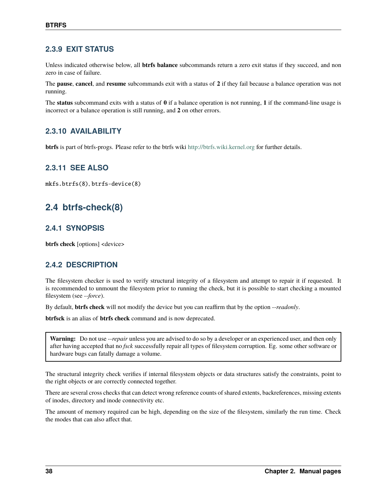## **2.3.9 EXIT STATUS**

Unless indicated otherwise below, all **btrfs balance** subcommands return a zero exit status if they succeed, and non zero in case of failure.

The **pause**, **cancel**, and **resume** subcommands exit with a status of **2** if they fail because a balance operation was not running.

The **status** subcommand exits with a status of **0** if a balance operation is not running, **1** if the command-line usage is incorrect or a balance operation is still running, and **2** on other errors.

## **2.3.10 AVAILABILITY**

**btrfs** is part of btrfs-progs. Please refer to the btrfs wiki <http://btrfs.wiki.kernel.org> for further details.

## **2.3.11 SEE ALSO**

mkfs.btrfs(8), btrfs-device(8)

# **2.4 btrfs-check(8)**

## **2.4.1 SYNOPSIS**

**btrfs check** [options] <device>

## **2.4.2 DESCRIPTION**

The filesystem checker is used to verify structural integrity of a filesystem and attempt to repair it if requested. It is recommended to unmount the filesystem prior to running the check, but it is possible to start checking a mounted filesystem (see *--force*).

By default, **btrfs check** will not modify the device but you can reaffirm that by the option *--readonly*.

**btrfsck** is an alias of **btrfs check** command and is now deprecated.

**Warning:** Do not use *--repair* unless you are advised to do so by a developer or an experienced user, and then only after having accepted that no *fsck* successfully repair all types of filesystem corruption. Eg. some other software or hardware bugs can fatally damage a volume.

The structural integrity check verifies if internal filesystem objects or data structures satisfy the constraints, point to the right objects or are correctly connected together.

There are several cross checks that can detect wrong reference counts of shared extents, backreferences, missing extents of inodes, directory and inode connectivity etc.

The amount of memory required can be high, depending on the size of the filesystem, similarly the run time. Check the modes that can also affect that.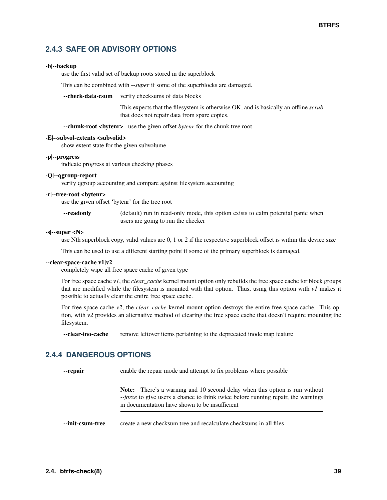## **2.4.3 SAFE OR ADVISORY OPTIONS**

### **-b|--backup**

use the first valid set of backup roots stored in the superblock

This can be combined with *--super* if some of the superblocks are damaged.

**--check-data-csum** verify checksums of data blocks

This expects that the filesystem is otherwise OK, and is basically an offline *scrub* that does not repair data from spare copies.

**--chunk-root <br/>bytenr>** use the given offset *bytenr* for the chunk tree root

#### **-E|--subvol-extents <subvolid>**

show extent state for the given subvolume

#### **-p|--progress**

indicate progress at various checking phases

#### **-Q|--qgroup-report**

verify qgroup accounting and compare against filesystem accounting

### **-r|--tree-root <bytenr>**

use the given offset 'bytenr' for the tree root

| --readonly | (default) run in read-only mode, this option exists to calm potential panic when |
|------------|----------------------------------------------------------------------------------|
|            | users are going to run the checker                                               |

#### **-s|--super <N>**

use Nth superblock copy, valid values are 0, 1 or 2 if the respective superblock offset is within the device size

This can be used to use a different starting point if some of the primary superblock is damaged.

#### **--clear-space-cache v1|v2**

completely wipe all free space cache of given type

For free space cache *v1*, the *clear\_cache* kernel mount option only rebuilds the free space cache for block groups that are modified while the filesystem is mounted with that option. Thus, using this option with *v1* makes it possible to actually clear the entire free space cache.

For free space cache *v2*, the *clear\_cache* kernel mount option destroys the entire free space cache. This option, with *v2* provides an alternative method of clearing the free space cache that doesn't require mounting the filesystem.

**--clear-ino-cache** remove leftover items pertaining to the deprecated inode map feature

## **2.4.4 DANGEROUS OPTIONS**

**--repair** enable the repair mode and attempt to fix problems where possible

**Note:** There's a warning and 10 second delay when this option is run without *--force* to give users a chance to think twice before running repair, the warnings in documentation have shown to be insufficient

**--init-csum-tree** create a new checksum tree and recalculate checksums in all files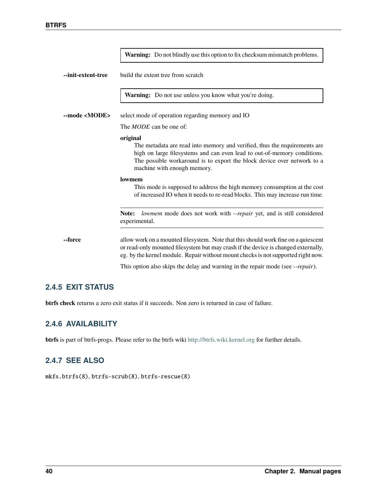|                      | Warning: Do not blindly use this option to fix checksum mismatch problems.                                                                                                                                                                                                  |
|----------------------|-----------------------------------------------------------------------------------------------------------------------------------------------------------------------------------------------------------------------------------------------------------------------------|
| --init-extent-tree   | build the extent tree from scratch                                                                                                                                                                                                                                          |
|                      | Warning: Do not use unless you know what you're doing.                                                                                                                                                                                                                      |
| --mode <mode></mode> | select mode of operation regarding memory and IO                                                                                                                                                                                                                            |
|                      | The <i>MODE</i> can be one of:                                                                                                                                                                                                                                              |
|                      | original<br>The metadata are read into memory and verified, thus the requirements are<br>high on large filesystems and can even lead to out-of-memory conditions.<br>The possible workaround is to export the block device over network to a<br>machine with enough memory. |
|                      | lowmem<br>This mode is supposed to address the high memory consumption at the cost<br>of increased IO when it needs to re-read blocks. This may increase run time.                                                                                                          |
|                      | lowmem mode does not work with --repair yet, and is still considered<br>Note:<br>experimental.                                                                                                                                                                              |
| --force              | allow work on a mounted filesystem. Note that this should work fine on a quiescent<br>or read-only mounted filesystem but may crash if the device is changed externally,<br>eg. by the kernel module. Repair without mount checks is not supported right now.               |
|                      | This option also skips the delay and warning in the repair mode (see --repair).                                                                                                                                                                                             |

## **2.4.5 EXIT STATUS**

**btrfs check** returns a zero exit status if it succeeds. Non zero is returned in case of failure.

# **2.4.6 AVAILABILITY**

**btrfs** is part of btrfs-progs. Please refer to the btrfs wiki <http://btrfs.wiki.kernel.org> for further details.

## **2.4.7 SEE ALSO**

mkfs.btrfs(8), btrfs-scrub(8), btrfs-rescue(8)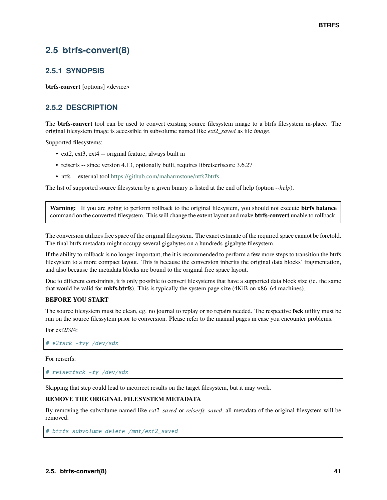# **2.5 btrfs-convert(8)**

## **2.5.1 SYNOPSIS**

**btrfs-convert** [options] <device>

## **2.5.2 DESCRIPTION**

The **btrfs-convert** tool can be used to convert existing source filesystem image to a btrfs filesystem in-place. The original filesystem image is accessible in subvolume named like *ext2\_saved* as file *image*.

Supported filesystems:

- ext2, ext3, ext4 -- original feature, always built in
- reiserfs -- since version 4.13, optionally built, requires libreiserfscore 3.6.27
- ntfs -- external tool <https://github.com/maharmstone/ntfs2btrfs>

The list of supported source filesystem by a given binary is listed at the end of help (option *--help*).

**Warning:** If you are going to perform rollback to the original filesystem, you should not execute **btrfs balance** command on the converted filesystem. This will change the extent layout and make **btrfs-convert** unable to rollback.

The conversion utilizes free space of the original filesystem. The exact estimate of the required space cannot be foretold. The final btrfs metadata might occupy several gigabytes on a hundreds-gigabyte filesystem.

If the ability to rollback is no longer important, the it is recommended to perform a few more steps to transition the btrfs filesystem to a more compact layout. This is because the conversion inherits the original data blocks' fragmentation, and also because the metadata blocks are bound to the original free space layout.

Due to different constraints, it is only possible to convert filesystems that have a supported data block size (ie. the same that would be valid for **mkfs.btrfs**). This is typically the system page size (4KiB on x86\_64 machines).

### **BEFORE YOU START**

The source filesystem must be clean, eg. no journal to replay or no repairs needed. The respective **fsck** utility must be run on the source filessytem prior to conversion. Please refer to the manual pages in case you encounter problems.

For ext2/3/4:

# e2fsck -fvy /dev/sdx

For reiserfs:

# reiserfsck -fy /dev/sdx

Skipping that step could lead to incorrect results on the target filesystem, but it may work.

### **REMOVE THE ORIGINAL FILESYSTEM METADATA**

By removing the subvolume named like *ext2\_saved* or *reiserfs\_saved*, all metadata of the original filesystem will be removed:

# btrfs subvolume delete /mnt/ext2\_saved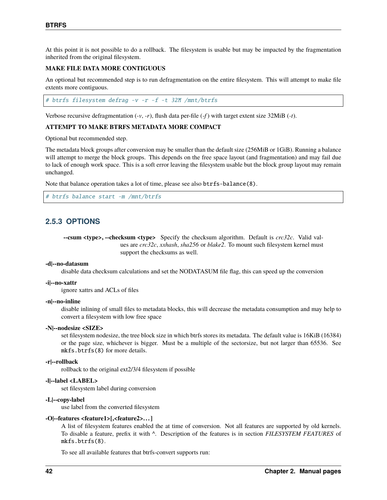At this point it is not possible to do a rollback. The filesystem is usable but may be impacted by the fragmentation inherited from the original filesystem.

#### **MAKE FILE DATA MORE CONTIGUOUS**

An optional but recommended step is to run defragmentation on the entire filesystem. This will attempt to make file extents more contiguous.

# btrfs filesystem defrag -v -r -f -t 32M /mnt/btrfs

Verbose recursive defragmentation  $(-v, -r)$ , flush data per-file  $(-f)$  with target extent size 32MiB  $(-t)$ .

#### **ATTEMPT TO MAKE BTRFS METADATA MORE COMPACT**

Optional but recommended step.

The metadata block groups after conversion may be smaller than the default size (256MiB or 1GiB). Running a balance will attempt to merge the block groups. This depends on the free space layout (and fragmentation) and may fail due to lack of enough work space. This is a soft error leaving the filesystem usable but the block group layout may remain unchanged.

Note that balance operation takes a lot of time, please see also btrfs-balance(8).

```
# btrfs balance start -m /mnt/btrfs
```
## **2.5.3 OPTIONS**

**--csum <type>, --checksum <type>** Specify the checksum algorithm. Default is *crc32c*. Valid values are *crc32c*, *xxhash*, *sha256* or *blake2*. To mount such filesystem kernel must support the checksums as well.

#### **-d|--no-datasum**

disable data checksum calculations and set the NODATASUM file flag, this can speed up the conversion

#### **-i|--no-xattr**

ignore xattrs and ACLs of files

### **-n|--no-inline**

disable inlining of small files to metadata blocks, this will decrease the metadata consumption and may help to convert a filesystem with low free space

#### **-N|--nodesize <SIZE>**

set filesystem nodesize, the tree block size in which btrfs stores its metadata. The default value is 16KiB (16384) or the page size, whichever is bigger. Must be a multiple of the sectorsize, but not larger than 65536. See mkfs.btrfs(8) for more details.

#### **-r|--rollback**

rollback to the original ext2/3/4 filesystem if possible

### **-l|--label <LABEL>**

set filesystem label during conversion

#### **-L|--copy-label**

use label from the converted filesystem

#### **-O|--features <feature1>[,<feature2>. . . ]**

A list of filesystem features enabled the at time of conversion. Not all features are supported by old kernels. To disable a feature, prefix it with *^*. Description of the features is in section *FILESYSTEM FEATURES* of mkfs.btrfs(8).

To see all available features that btrfs-convert supports run: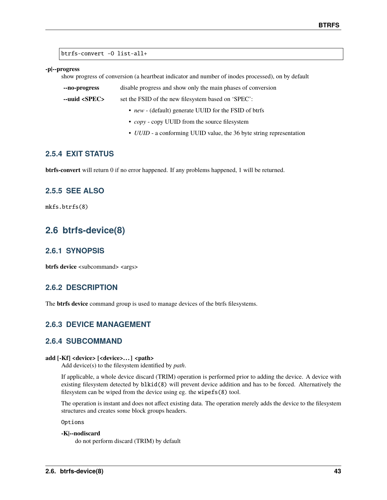btrfs-convert -O list-all+

#### **-p|--progress**

show progress of conversion (a heartbeat indicator and number of inodes processed), on by default

**--no-progress** disable progress and show only the main phases of conversion

**--uuid <SPEC>** set the FSID of the new filesystem based on 'SPEC':

- *new* (default) generate UUID for the FSID of btrfs
- *copy* copy UUID from the source filesystem
- *UUID* a conforming UUID value, the 36 byte string representation

## **2.5.4 EXIT STATUS**

**btrfs-convert** will return 0 if no error happened. If any problems happened, 1 will be returned.

## **2.5.5 SEE ALSO**

mkfs.btrfs(8)

# **2.6 btrfs-device(8)**

## **2.6.1 SYNOPSIS**

**btrfs device** <subcommand> <args>

## **2.6.2 DESCRIPTION**

The **btrfs device** command group is used to manage devices of the btrfs filesystems.

## **2.6.3 DEVICE MANAGEMENT**

## **2.6.4 SUBCOMMAND**

### **add [-Kf] <device> [<device>. . . ] <path>**

Add device(s) to the filesystem identified by *path*.

If applicable, a whole device discard (TRIM) operation is performed prior to adding the device. A device with existing filesystem detected by blkid(8) will prevent device addition and has to be forced. Alternatively the filesystem can be wiped from the device using eg. the wipefs(8) tool.

The operation is instant and does not affect existing data. The operation merely adds the device to the filesystem structures and creates some block groups headers.

Options

### **-K|--nodiscard**

do not perform discard (TRIM) by default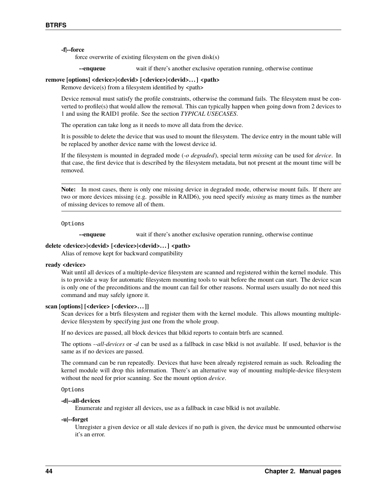### **-f|--force**

force overwrite of existing filesystem on the given disk(s)

**--enqueue** wait if there's another exclusive operation running, otherwise continue

## **remove [options] <device>|<devid> [<device>|<devid>. . . ] <path>**

Remove device(s) from a filesystem identified by  $\langle$  path>

Device removal must satisfy the profile constraints, otherwise the command fails. The filesystem must be converted to profile(s) that would allow the removal. This can typically happen when going down from 2 devices to 1 and using the RAID1 profile. See the section *TYPICAL USECASES*.

The operation can take long as it needs to move all data from the device.

It is possible to delete the device that was used to mount the filesystem. The device entry in the mount table will be replaced by another device name with the lowest device id.

If the filesystem is mounted in degraded mode (*-o degraded*), special term *missing* can be used for *device*. In that case, the first device that is described by the filesystem metadata, but not present at the mount time will be removed.

**Note:** In most cases, there is only one missing device in degraded mode, otherwise mount fails. If there are two or more devices missing (e.g. possible in RAID6), you need specify *missing* as many times as the number of missing devices to remove all of them.

#### Options

**--enqueue** wait if there's another exclusive operation running, otherwise continue

### **delete <device>|<devid> [<device>|<devid>. . . ] <path>**

Alias of remove kept for backward compatibility

#### **ready <device>**

Wait until all devices of a multiple-device filesystem are scanned and registered within the kernel module. This is to provide a way for automatic filesystem mounting tools to wait before the mount can start. The device scan is only one of the preconditions and the mount can fail for other reasons. Normal users usually do not need this command and may safely ignore it.

### **scan [options] [<device> [<device>. . . ]]**

Scan devices for a btrfs filesystem and register them with the kernel module. This allows mounting multipledevice filesystem by specifying just one from the whole group.

If no devices are passed, all block devices that blkid reports to contain btrfs are scanned.

The options *--all-devices* or *-d* can be used as a fallback in case blkid is not available. If used, behavior is the same as if no devices are passed.

The command can be run repeatedly. Devices that have been already registered remain as such. Reloading the kernel module will drop this information. There's an alternative way of mounting multiple-device filesystem without the need for prior scanning. See the mount option *device*.

#### Options

### **-d|--all-devices**

Enumerate and register all devices, use as a fallback in case blkid is not available.

#### **-u|--forget**

Unregister a given device or all stale devices if no path is given, the device must be unmounted otherwise it's an error.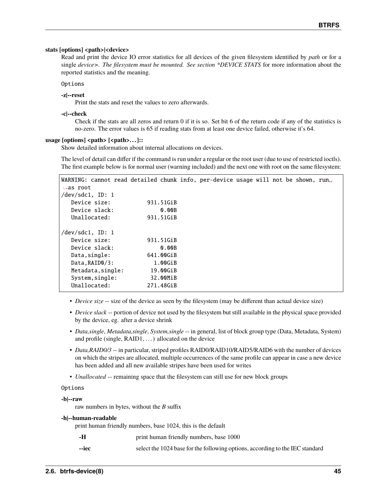### stats [options] <path>|<device>

Read and print the device IO error statistics for all devices of the given filesystem identified by *path* or for a single *device>. The filesystem must be mounted. See section \*DEVICE STATS* for more information about the reported statistics and the meaning.

Options

#### **-z|--reset**

Print the stats and reset the values to zero afterwards.

### **-c|--check**

Check if the stats are all zeros and return 0 if it is so. Set bit 6 of the return code if any of the statistics is no-zero. The error values is 65 if reading stats from at least one device failed, otherwise it's 64.

#### usage [options] <path> [<path>...]::

Show detailed information about internal allocations on devices.

The level of detail can differ if the command is run under a regular or the root user (due to use of restricted ioctls). The first example below is for normal user (warning included) and the next one with root on the same filesystem:

| WARNING: cannot read detailed chunk info, per-device usage will not be shown, run. |
|------------------------------------------------------------------------------------|
|                                                                                    |
|                                                                                    |
|                                                                                    |
|                                                                                    |
|                                                                                    |
|                                                                                    |
|                                                                                    |
|                                                                                    |
|                                                                                    |
|                                                                                    |
|                                                                                    |
|                                                                                    |
|                                                                                    |
|                                                                                    |

- *Device size* -- size of the device as seen by the filesystem (may be different than actual device size)
- *Device slack* -- portion of device not used by the filesystem but still available in the physical space provided by the device, eg. after a device shrink
- *Data,single*, *Metadata,single*, *System,single* -- in general, list of block group type (Data, Metadata, System) and profile (single, RAID1, . . . ) allocated on the device
- *Data,RAID0/3* -- in particular, striped profiles RAID0/RAID10/RAID5/RAID6 with the number of devices on which the stripes are allocated, multiple occurrences of the same profile can appear in case a new device has been added and all new available stripes have been used for writes
- *Unallocated* -- remaining space that the filesystem can still use for new block groups

### Options

### **-b|--raw**

raw numbers in bytes, without the *B* suffix

#### **-h|--human-readable**

print human friendly numbers, base 1024, this is the default

- **-H** print human friendly numbers, base 1000
- **--iec** select the 1024 base for the following options, according to the IEC standard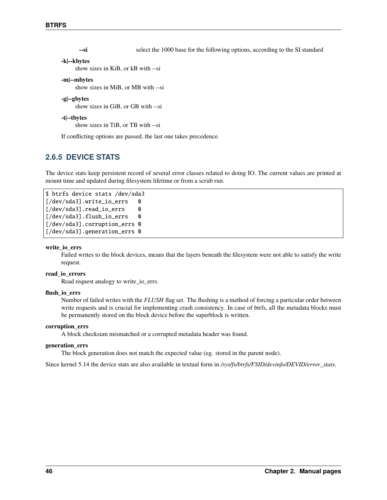**--si** select the 1000 base for the following options, according to the SI standard

# **-k|--kbytes**

show sizes in KiB, or kB with --si

### **-m|--mbytes**

show sizes in MiB, or MB with --si

### **-g|--gbytes**

show sizes in GiB, or GB with --si

#### **-t|--tbytes**

show sizes in TiB, or TB with --si

If conflicting options are passed, the last one takes precedence.

## **2.6.5 DEVICE STATS**

The device stats keep persistent record of several error classes related to doing IO. The current values are printed at mount time and updated during filesystem lifetime or from a scrub run.

```
$ btrfs device stats /dev/sda3
[/dev/sda3].write_io_errs 0
[/dev/sda3].read_io_errs 0
[/dev/sda3].flush_io_errs 0
[/dev/sda3].corruption_errs 0
[/dev/sda3].generation_errs 0
```
#### **write\_io\_errs**

Failed writes to the block devices, means that the layers beneath the filesystem were not able to satisfy the write request.

### **read\_io\_errors**

Read request analogy to write\_io\_errs.

#### **flush\_io\_errs**

Number of failed writes with the *FLUSH* flag set. The flushing is a method of forcing a particular order between write requests and is crucial for implementing crash consistency. In case of btrfs, all the metadata blocks must be permanently stored on the block device before the superblock is written.

#### **corruption\_errs**

A block checksum mismatched or a corrupted metadata header was found.

#### **generation\_errs**

The block generation does not match the expected value (eg. stored in the parent node).

Since kernel 5.14 the device stats are also available in textual form in */sys/fs/btrfs/FSID/devinfo/DEVID/error\_stats*.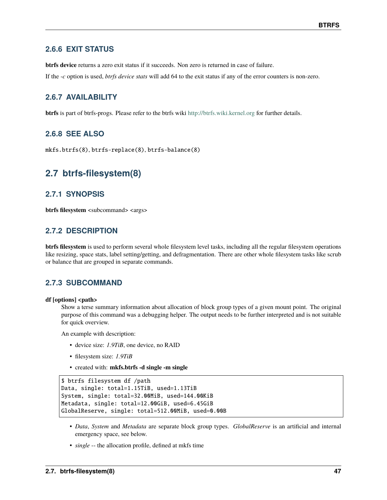## **2.6.6 EXIT STATUS**

**btrfs device** returns a zero exit status if it succeeds. Non zero is returned in case of failure.

If the *-c* option is used, *btrfs device stats* will add 64 to the exit status if any of the error counters is non-zero.

## **2.6.7 AVAILABILITY**

**btrfs** is part of btrfs-progs. Please refer to the btrfs wiki <http://btrfs.wiki.kernel.org> for further details.

## **2.6.8 SEE ALSO**

mkfs.btrfs(8), btrfs-replace(8), btrfs-balance(8)

## **2.7 btrfs-filesystem(8)**

## **2.7.1 SYNOPSIS**

**btrfs filesystem** <subcommand> <args>

## **2.7.2 DESCRIPTION**

**btrfs filesystem** is used to perform several whole filesystem level tasks, including all the regular filesystem operations like resizing, space stats, label setting/getting, and defragmentation. There are other whole filesystem tasks like scrub or balance that are grouped in separate commands.

## **2.7.3 SUBCOMMAND**

### **df [options] <path>**

Show a terse summary information about allocation of block group types of a given mount point. The original purpose of this command was a debugging helper. The output needs to be further interpreted and is not suitable for quick overview.

An example with description:

- device size: *1.9TiB*, one device, no RAID
- filesystem size: *1.9TiB*
- created with: **mkfs.btrfs -d single -m single**

```
$ btrfs filesystem df /path
Data, single: total=1.15TiB, used=1.13TiB
System, single: total=32.00MiB, used=144.00KiB
Metadata, single: total=12.00GiB, used=6.45GiB
GlobalReserve, single: total=512.00MiB, used=0.00B
```
- *Data*, *System* and *Metadata* are separate block group types. *GlobalReserve* is an artificial and internal emergency space, see below.
- *single* -- the allocation profile, defined at mkfs time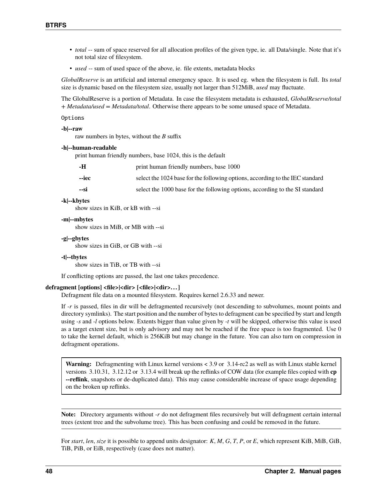- *total* -- sum of space reserved for all allocation profiles of the given type, ie. all Data/single. Note that it's not total size of filesystem.
- *used* -- sum of used space of the above, ie. file extents, metadata blocks

*GlobalReserve* is an artificial and internal emergency space. It is used eg. when the filesystem is full. Its *total* size is dynamic based on the filesystem size, usually not larger than 512MiB, *used* may fluctuate.

The GlobalReserve is a portion of Metadata. In case the filesystem metadata is exhausted, *GlobalReserve/total + Metadata/used = Metadata/total*. Otherwise there appears to be some unused space of Metadata.

#### Options

#### **-b|--raw**

raw numbers in bytes, without the *B* suffix

#### **-h|--human-readable**

print human friendly numbers, base 1024, this is the default

| -н    | print human friendly numbers, base 1000                                       |
|-------|-------------------------------------------------------------------------------|
| --iec | select the 1024 base for the following options, according to the IEC standard |
| --si  | select the 1000 base for the following options, according to the SI standard  |

#### **-k|--kbytes**

show sizes in KiB, or kB with --si

#### **-m|--mbytes**

show sizes in MiB, or MB with --si

#### **-g|--gbytes**

show sizes in GiB, or GB with --si

#### **-t|--tbytes**

show sizes in TiB, or TB with --si

If conflicting options are passed, the last one takes precedence.

#### **defragment [options] <file>|<dir> [<file>|<dir>. . . ]**

Defragment file data on a mounted filesystem. Requires kernel 2.6.33 and newer.

If *-r* is passed, files in dir will be defragmented recursively (not descending to subvolumes, mount points and directory symlinks). The start position and the number of bytes to defragment can be specified by start and length using *-s* and *-l* options below. Extents bigger than value given by *-t* will be skipped, otherwise this value is used as a target extent size, but is only advisory and may not be reached if the free space is too fragmented. Use 0 to take the kernel default, which is 256KiB but may change in the future. You can also turn on compression in defragment operations.

**Warning:** Defragmenting with Linux kernel versions < 3.9 or 3.14-rc2 as well as with Linux stable kernel versions 3.10.31, 3.12.12 or 3.13.4 will break up the reflinks of COW data (for example files copied with **cp --reflink**, snapshots or de-duplicated data). This may cause considerable increase of space usage depending on the broken up reflinks.

**Note:** Directory arguments without *-r* do not defragment files recursively but will defragment certain internal trees (extent tree and the subvolume tree). This has been confusing and could be removed in the future.

For *start*, *len*, *size* it is possible to append units designator: *K*, *M*, *G*, *T*, *P*, or *E*, which represent KiB, MiB, GiB, TiB, PiB, or EiB, respectively (case does not matter).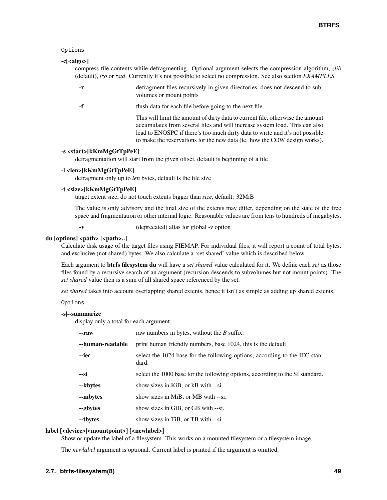### Options

### **-c[<algo>]**

compress file contents while defragmenting. Optional argument selects the compression algorithm, *zlib* (default), *lzo* or *zstd*. Currently it's not possible to select no compression. See also section *EXAMPLES*.

- **-r** defragment files recursively in given directories, does not descend to subvolumes or mount points
- 

**-f** flush data for each file before going to the next file.

This will limit the amount of dirty data to current file, otherwise the amount accumulates from several files and will increase system load. This can also lead to ENOSPC if there's too much dirty data to write and it's not possible to make the reservations for the new data (ie. how the COW design works).

### **-s <start>[kKmMgGtTpPeE]**

defragmentation will start from the given offset, default is beginning of a file

### **-l <len>[kKmMgGtTpPeE]**

defragment only up to *len* bytes, default is the file size

### **-t <size>[kKmMgGtTpPeE]**

target extent size, do not touch extents bigger than *size*, default: 32MiB

The value is only advisory and the final size of the extents may differ, depending on the state of the free space and fragmentation or other internal logic. Reasonable values are from tens to hundreds of megabytes.

**-v** (deprecated) alias for global *-v* option

### du [options] <path> [<path>..]

Calculate disk usage of the target files using FIEMAP. For individual files, it will report a count of total bytes, and exclusive (not shared) bytes. We also calculate a 'set shared' value which is described below.

Each argument to **btrfs filesystem du** will have a *set shared* value calculated for it. We define each *set* as those files found by a recursive search of an argument (recursion descends to subvolumes but not mount points). The *set shared* value then is a sum of all shared space referenced by the set.

*set shared* takes into account overlapping shared extents, hence it isn't as simple as adding up shared extents.

Options

### **-s|--summarize**

display only a total for each argument

| --raw            | raw numbers in bytes, without the $B$ suffix.                                       |
|------------------|-------------------------------------------------------------------------------------|
| --human-readable | print human friendly numbers, base 1024, this is the default                        |
| --iec            | select the 1024 base for the following options, according to the IEC stan-<br>dard. |
| --si             | select the 1000 base for the following options, according to the SI standard.       |
| --kbytes         | show sizes in KiB, or kB with --si.                                                 |
| --mbytes         | show sizes in MiB, or MB with --si.                                                 |
| --gbytes         | show sizes in GiB, or GB with --si.                                                 |
| --tbytes         | show sizes in TiB, or TB with --si.                                                 |

### **label [<device>|<mountpoint>] [<newlabel>]**

Show or update the label of a filesystem. This works on a mounted filesystem or a filesystem image.

The *newlabel* argument is optional. Current label is printed if the argument is omitted.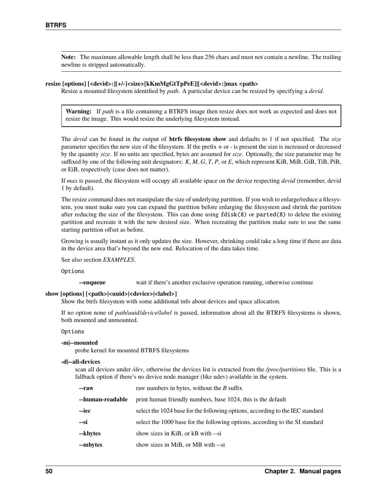**Note:** The maximum allowable length shall be less than 256 chars and must not contain a newline. The trailing newline is stripped automatically.

### **resize [options] [<devid>:][+/-]<size>[kKmMgGtTpPeE]|[<devid>:]max <path>**

Resize a mounted filesystem identified by *path*. A particular device can be resized by specifying a *devid*.

**Warning:** If *path* is a file containing a BTRFS image then resize does not work as expected and does not resize the image. This would resize the underlying filesystem instead.

The *devid* can be found in the output of **btrfs filesystem show** and defaults to 1 if not specified. The *size* parameter specifies the new size of the filesystem. If the prefix *+* or *-* is present the size is increased or decreased by the quantity *size*. If no units are specified, bytes are assumed for *size*. Optionally, the size parameter may be suffixed by one of the following unit designators: *K*, *M*, *G*, *T*, *P*, or *E*, which represent KiB, MiB, GiB, TiB, PiB, or EiB, respectively (case does not matter).

If *max* is passed, the filesystem will occupy all available space on the device respecting *devid* (remember, devid 1 by default).

The resize command does not manipulate the size of underlying partition. If you wish to enlarge/reduce a filesystem, you must make sure you can expand the partition before enlarging the filesystem and shrink the partition after reducing the size of the filesystem. This can done using fdisk(8) or parted(8) to delete the existing partition and recreate it with the new desired size. When recreating the partition make sure to use the same starting partition offset as before.

Growing is usually instant as it only updates the size. However, shrinking could take a long time if there are data in the device area that's beyond the new end. Relocation of the data takes time.

See also section *EXAMPLES*.

Options

**--enqueue** wait if there's another exclusive operation running, otherwise continue

#### show [options]  $[\langle path \rangle | \langle build \rangle | \langle device \rangle | \langle label \rangle]$

Show the btrfs filesystem with some additional info about devices and space allocation.

If no option none of *path*/*uuid*/*device*/*label* is passed, information about all the BTRFS filesystems is shown, both mounted and unmounted.

#### Options

#### **-m|--mounted**

probe kernel for mounted BTRFS filesystems

#### **-d|--all-devices**

scan all devices under */dev*, otherwise the devices list is extracted from the */proc/partitions* file. This is a fallback option if there's no device node manager (like udev) available in the system.

| --raw            | raw numbers in bytes, without the $B$ suffix                                  |  |
|------------------|-------------------------------------------------------------------------------|--|
| --human-readable | print human friendly numbers, base 1024, this is the default                  |  |
| --iec            | select the 1024 base for the following options, according to the IEC standard |  |
| --si             | select the 1000 base for the following options, according to the SI standard  |  |
| --kbytes         | show sizes in KiB, or kB with --si                                            |  |
| --mbytes         | show sizes in MiB, or MB with --si                                            |  |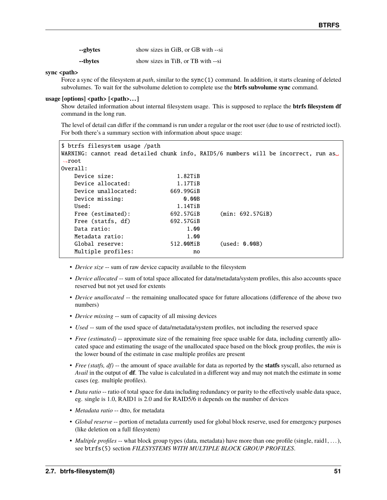| --gbytes | show sizes in GiB, or GB with --si |
|----------|------------------------------------|
| --tbytes | show sizes in TiB, or TB with --si |

### sync <path>

Force a sync of the filesystem at *path*, similar to the sync(1) command. In addition, it starts cleaning of deleted subvolumes. To wait for the subvolume deletion to complete use the **btrfs subvolume sync** command.

### usage [options] <path> [<path>...]

Show detailed information about internal filesystem usage. This is supposed to replace the **btrfs filesystem df** command in the long run.

The level of detail can differ if the command is run under a regular or the root user (due to use of restricted ioctl). For both there's a summary section with information about space usage:

| \$ btrfs filesystem usage /path |           | WARNING: cannot read detailed chunk info, RAID5/6 numbers will be incorrect, run as |
|---------------------------------|-----------|-------------------------------------------------------------------------------------|
| $\rightarrow$ root              |           |                                                                                     |
| Overall:                        |           |                                                                                     |
| Device size:                    | 1.82TiB   |                                                                                     |
| Device allocated:               | 1.17TiB   |                                                                                     |
| Device unallocated:             | 669.99GiB |                                                                                     |
| Device missing:                 | 0.00B     |                                                                                     |
| Used:                           | 1.14TiB   |                                                                                     |
| Free (estimated):               | 692.57GiB | (min: 692.57GiB)                                                                    |
| Free (statfs, df)               | 692.57GiB |                                                                                     |
| Data ratio:                     | 1.00      |                                                                                     |
| Metadata ratio:                 | 1.00      |                                                                                     |
| Global reserve:                 | 512.00MiB | (used: 0.00B)                                                                       |
| Multiple profiles:              | no        |                                                                                     |

- *Device size* -- sum of raw device capacity available to the filesystem
- *Device allocated* -- sum of total space allocated for data/metadata/system profiles, this also accounts space reserved but not yet used for extents
- *Device unallocated* -- the remaining unallocated space for future allocations (difference of the above two numbers)
- *Device missing* -- sum of capacity of all missing devices
- *Used* -- sum of the used space of data/metadata/system profiles, not including the reserved space
- *Free (estimated)* -- approximate size of the remaining free space usable for data, including currently allocated space and estimating the usage of the unallocated space based on the block group profiles, the *min* is the lower bound of the estimate in case multiple profiles are present
- *Free (statfs, df)* -- the amount of space available for data as reported by the **statfs** syscall, also returned as *Avail* in the output of **df**. The value is calculated in a different way and may not match the estimate in some cases (eg. multiple profiles).
- *Data ratio* -- ratio of total space for data including redundancy or parity to the effectively usable data space, eg. single is 1.0, RAID1 is 2.0 and for RAID5/6 it depends on the number of devices
- *Metadata ratio* -- dtto, for metadata
- *Global reserve* -- portion of metadata currently used for global block reserve, used for emergency purposes (like deletion on a full filesystem)
- *Multiple profiles* -- what block group types (data, metadata) have more than one profile (single, raid1, ...), see btrfs(5) section *FILESYSTEMS WITH MULTIPLE BLOCK GROUP PROFILES*.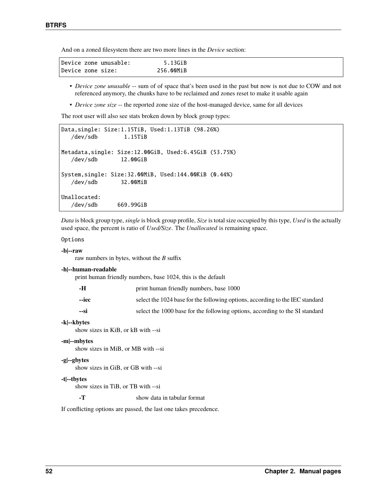And on a zoned filesystem there are two more lines in the *Device* section:

- *Device zone unusable* -- sum of of space that's been used in the past but now is not due to COW and not referenced anymory, the chunks have to be reclaimed and zones reset to make it usable again
- *Device zone size* -- the reported zone size of the host-managed device, same for all devices

The root user will also see stats broken down by block group types:

```
Data,single: Size:1.15TiB, Used:1.13TiB (98.26%)
  /dev/sdb 1.15TiB
Metadata,single: Size:12.00GiB, Used:6.45GiB (53.75%)
  /dev/sdb 12.00GiB
System,single: Size:32.00MiB, Used:144.00KiB (0.44%)
  /dev/sdb 32.00MiB
Unallocated:
  /dev/sdb 669.99GiB
```
*Data* is block group type, *single* is block group profile, *Size* is total size occupied by this type, *Used* is the actually used space, the percent is ratio of *Used/Size*. The *Unallocated* is remaining space.

#### Options

#### **-b|--raw**

raw numbers in bytes, without the *B* suffix

#### **-h|--human-readable**

print human friendly numbers, base 1024, this is the default

| -H    | print human friendly numbers, base 1000                                       |
|-------|-------------------------------------------------------------------------------|
| --iec | select the 1024 base for the following options, according to the IEC standard |
| --si  | select the 1000 base for the following options, according to the SI standard  |

#### **-k|--kbytes**

show sizes in KiB, or kB with --si

#### **-m|--mbytes**

show sizes in MiB, or MB with --si

#### **-g|--gbytes**

show sizes in GiB, or GB with --si

#### **-t|--tbytes**

show sizes in TiB, or TB with --si

**-T** show data in tabular format

If conflicting options are passed, the last one takes precedence.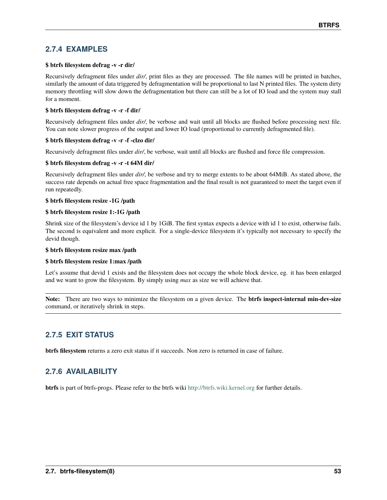## **2.7.4 EXAMPLES**

### **\$ btrfs filesystem defrag -v -r dir/**

Recursively defragment files under *dir/*, print files as they are processed. The file names will be printed in batches, similarly the amount of data triggered by defragmentation will be proportional to last N printed files. The system dirty memory throttling will slow down the defragmentation but there can still be a lot of IO load and the system may stall for a moment.

### **\$ btrfs filesystem defrag -v -r -f dir/**

Recursively defragment files under *dir/*, be verbose and wait until all blocks are flushed before processing next file. You can note slower progress of the output and lower IO load (proportional to currently defragmented file).

### **\$ btrfs filesystem defrag -v -r -f -clzo dir/**

Recursively defragment files under *dir/*, be verbose, wait until all blocks are flushed and force file compression.

### **\$ btrfs filesystem defrag -v -r -t 64M dir/**

Recursively defragment files under *dir/*, be verbose and try to merge extents to be about 64MiB. As stated above, the success rate depends on actual free space fragmentation and the final result is not guaranteed to meet the target even if run repeatedly.

### **\$ btrfs filesystem resize -1G /path**

### **\$ btrfs filesystem resize 1:-1G /path**

Shrink size of the filesystem's device id 1 by 1GiB. The first syntax expects a device with id 1 to exist, otherwise fails. The second is equivalent and more explicit. For a single-device filesystem it's typically not necessary to specify the devid though.

### **\$ btrfs filesystem resize max /path**

### **\$ btrfs filesystem resize 1:max /path**

Let's assume that devid 1 exists and the filesystem does not occupy the whole block device, eg. it has been enlarged and we want to grow the filesystem. By simply using *max* as size we will achieve that.

**Note:** There are two ways to minimize the filesystem on a given device. The **btrfs inspect-internal min-dev-size** command, or iteratively shrink in steps.

# **2.7.5 EXIT STATUS**

**btrfs filesystem** returns a zero exit status if it succeeds. Non zero is returned in case of failure.

## **2.7.6 AVAILABILITY**

**btrfs** is part of btrfs-progs. Please refer to the btrfs wiki <http://btrfs.wiki.kernel.org> for further details.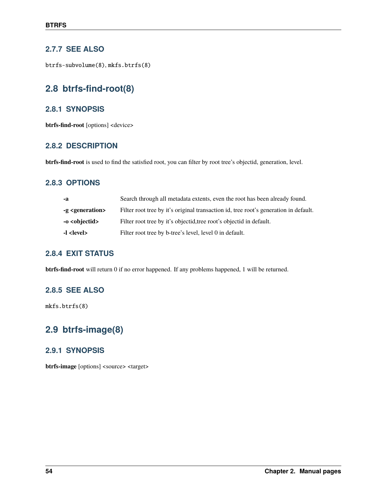## **2.7.7 SEE ALSO**

btrfs-subvolume(8), mkfs.btrfs(8)

# **2.8 btrfs-find-root(8)**

## **2.8.1 SYNOPSIS**

**btrfs-find-root** [options] <device>

## **2.8.2 DESCRIPTION**

**btrfs-find-root** is used to find the satisfied root, you can filter by root tree's objectid, generation, level.

## **2.8.3 OPTIONS**

| -a                           | Search through all metadata extents, even the root has been already found.           |  |
|------------------------------|--------------------------------------------------------------------------------------|--|
| -g <generation></generation> | Filter root tree by it's original transaction id, tree root's generation in default. |  |
| -o <objectid></objectid>     | Filter root tree by it's objectid, tree root's objectid in default.                  |  |
| -l <level></level>           | Filter root tree by b-tree's level, level 0 in default.                              |  |

## **2.8.4 EXIT STATUS**

**btrfs-find-root** will return 0 if no error happened. If any problems happened, 1 will be returned.

## **2.8.5 SEE ALSO**

mkfs.btrfs(8)

# **2.9 btrfs-image(8)**

## **2.9.1 SYNOPSIS**

**btrfs-image** [options] <source> <target>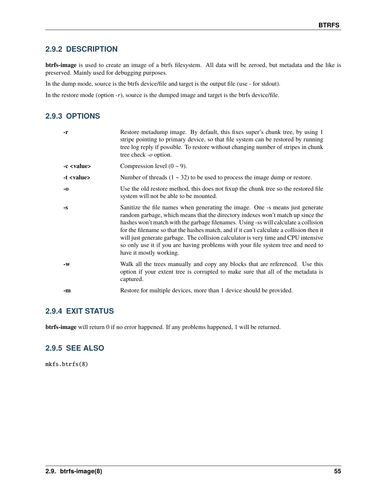## **2.9.2 DESCRIPTION**

**btrfs-image** is used to create an image of a btrfs filesystem. All data will be zeroed, but metadata and the like is preserved. Mainly used for debugging purposes.

In the dump mode, source is the btrfs device/file and target is the output file (use *-* for stdout).

In the restore mode (option *-r*), source is the dumped image and target is the btrfs device/file.

## **2.9.3 OPTIONS**

| -r                 | Restore metadump image. By default, this fixes super's chunk tree, by using 1<br>stripe pointing to primary device, so that file system can be restored by running<br>tree log reply if possible. To restore without changing number of stripes in chunk<br>tree check -o option.                                                                                                                                                                                                                                                                         |
|--------------------|-----------------------------------------------------------------------------------------------------------------------------------------------------------------------------------------------------------------------------------------------------------------------------------------------------------------------------------------------------------------------------------------------------------------------------------------------------------------------------------------------------------------------------------------------------------|
| -c <value></value> | Compression level $(0 \sim 9)$ .                                                                                                                                                                                                                                                                                                                                                                                                                                                                                                                          |
| -t <value></value> | Number of threads $(1 \sim 32)$ to be used to process the image dump or restore.                                                                                                                                                                                                                                                                                                                                                                                                                                                                          |
| -0                 | Use the old restore method, this does not fixup the chunk tree so the restored file<br>system will not be able to be mounted.                                                                                                                                                                                                                                                                                                                                                                                                                             |
| -S                 | Sanitize the file names when generating the image. One -s means just generate<br>random garbage, which means that the directory indexes won't match up since the<br>hashes won't match with the garbage filenames. Using -ss will calculate a collision<br>for the filename so that the hashes match, and if it can't calculate a collision then it<br>will just generate garbage. The collision calculator is very time and CPU intensive<br>so only use it if you are having problems with your file system tree and need to<br>have it mostly working. |
| $-W$               | Walk all the trees manually and copy any blocks that are referenced. Use this<br>option if your extent tree is corrupted to make sure that all of the metadata is<br>captured.                                                                                                                                                                                                                                                                                                                                                                            |
| -m                 | Restore for multiple devices, more than 1 device should be provided.                                                                                                                                                                                                                                                                                                                                                                                                                                                                                      |

## **2.9.4 EXIT STATUS**

**btrfs-image** will return 0 if no error happened. If any problems happened, 1 will be returned.

## **2.9.5 SEE ALSO**

mkfs.btrfs(8)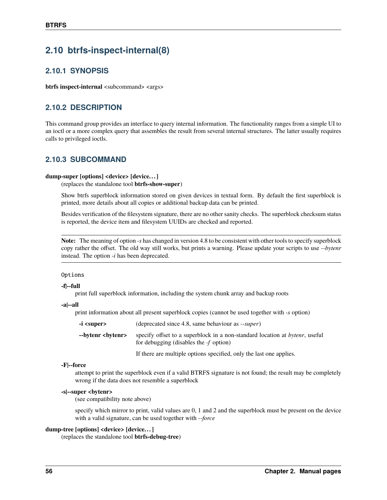# **2.10 btrfs-inspect-internal(8)**

## **2.10.1 SYNOPSIS**

**btrfs inspect-internal** <subcommand> <args>

## **2.10.2 DESCRIPTION**

This command group provides an interface to query internal information. The functionality ranges from a simple UI to an ioctl or a more complex query that assembles the result from several internal structures. The latter usually requires calls to privileged ioctls.

## **2.10.3 SUBCOMMAND**

### **dump-super [options] <device> [device. . . ]**

(replaces the standalone tool **btrfs-show-super**)

Show btrfs superblock information stored on given devices in textual form. By default the first superblock is printed, more details about all copies or additional backup data can be printed.

Besides verification of the filesystem signature, there are no other sanity checks. The superblock checksum status is reported, the device item and filesystem UUIDs are checked and reported.

**Note:** The meaning of option *-s* has changed in version 4.8 to be consistent with other tools to specify superblock copy rather the offset. The old way still works, but prints a warning. Please update your scripts to use *--bytenr* instead. The option *-i* has been deprecated.

#### Options

### **-f|--full**

print full superblock information, including the system chunk array and backup roots

#### **-a|--all**

print information about all present superblock copies (cannot be used together with *-s* option)

| -i <super></super>         | (deprecated since 4.8, same behaviour as --super)                                                                               |  |
|----------------------------|---------------------------------------------------------------------------------------------------------------------------------|--|
| --bytenr <bvtenr></bvtenr> | specify offset to a superblock in a non-standard location at <i>bytenr</i> , useful<br>for debugging (disables the $-f$ option) |  |

If there are multiple options specified, only the last one applies.

### **-F|--force**

attempt to print the superblock even if a valid BTRFS signature is not found; the result may be completely wrong if the data does not resemble a superblock

### **-s|--super <bytenr>**

(see compatibility note above)

specify which mirror to print, valid values are 0, 1 and 2 and the superblock must be present on the device with a valid signature, can be used together with *--force*

### **dump-tree [options] <device> [device. . . ]**

(replaces the standalone tool **btrfs-debug-tree**)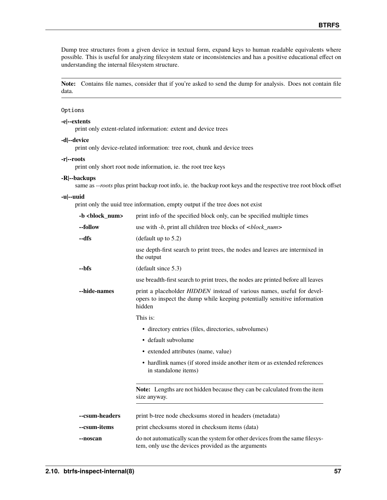Dump tree structures from a given device in textual form, expand keys to human readable equivalents where possible. This is useful for analyzing filesystem state or inconsistencies and has a positive educational effect on understanding the internal filesystem structure.

**Note:** Contains file names, consider that if you're asked to send the dump for analysis. Does not contain file data.

### Options

### **-e|--extents**

print only extent-related information: extent and device trees

### **-d|--device**

print only device-related information: tree root, chunk and device trees

#### **-r|--roots**

print only short root node information, ie. the root tree keys

#### **-R|--backups**

same as *--roots* plus print backup root info, ie. the backup root keys and the respective tree root block offset

#### **-u|--uuid**

print only the uuid tree information, empty output if the tree does not exist

| -b<br>block num> | print info of the specified block only, can be specified multiple times                                                                                       |
|------------------|---------------------------------------------------------------------------------------------------------------------------------------------------------------|
| --follow         | use with -b, print all children tree blocks of<br>block_num>                                                                                                  |
| --dfs            | (default up to $5.2$ )                                                                                                                                        |
|                  | use depth-first search to print trees, the nodes and leaves are intermixed in<br>the output                                                                   |
| --bfs            | (default since 5.3)                                                                                                                                           |
|                  | use breadth-first search to print trees, the nodes are printed before all leaves                                                                              |
| --hide-names     | print a placeholder HIDDEN instead of various names, useful for devel-<br>opers to inspect the dump while keeping potentially sensitive information<br>hidden |
|                  | This is:                                                                                                                                                      |
|                  | • directory entries (files, directories, subvolumes)                                                                                                          |
|                  | • default subvolume                                                                                                                                           |
|                  | • extended attributes (name, value)                                                                                                                           |
|                  | • hardlink names (if stored inside another item or as extended references<br>in standalone items)                                                             |
|                  | Note: Lengths are not hidden because they can be calculated from the item<br>size anyway.                                                                     |
| --csum-headers   | print b-tree node checksums stored in headers (metadata)                                                                                                      |
| --csum-items     | print checksums stored in checksum items (data)                                                                                                               |
| --noscan         | do not automatically scan the system for other devices from the same filesys-<br>tem, only use the devices provided as the arguments                          |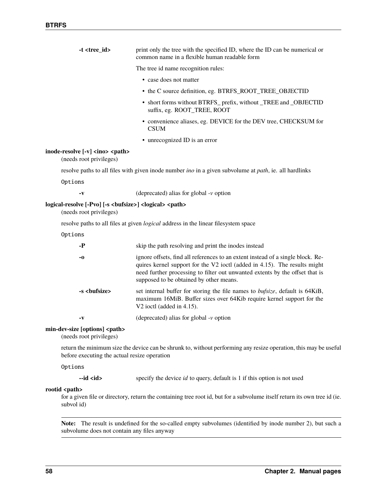| $-t < t$ ree_id>                                                                         | print only the tree with the specified ID, where the ID can be numerical or                                                                                                                                                                                                             |
|------------------------------------------------------------------------------------------|-----------------------------------------------------------------------------------------------------------------------------------------------------------------------------------------------------------------------------------------------------------------------------------------|
|                                                                                          | common name in a flexible human readable form                                                                                                                                                                                                                                           |
|                                                                                          | The tree id name recognition rules:                                                                                                                                                                                                                                                     |
|                                                                                          | • case does not matter                                                                                                                                                                                                                                                                  |
|                                                                                          | • the C source definition, eg. BTRFS_ROOT_TREE_OBJECTID                                                                                                                                                                                                                                 |
|                                                                                          | • short forms without BTRFS_prefix, without _TREE and _OBJECTID<br>suffix, eg. ROOT_TREE, ROOT                                                                                                                                                                                          |
|                                                                                          | • convenience aliases, eg. DEVICE for the DEV tree, CHECKSUM for<br><b>CSUM</b>                                                                                                                                                                                                         |
|                                                                                          | • unrecognized ID is an error                                                                                                                                                                                                                                                           |
| inode-resolve [-v] <ino> <path><br/>(needs root privileges)</path></ino>                 |                                                                                                                                                                                                                                                                                         |
|                                                                                          | resolve paths to all files with given inode number <i>ino</i> in a given subvolume at <i>path</i> , ie. all hardlinks                                                                                                                                                                   |
| Options                                                                                  |                                                                                                                                                                                                                                                                                         |
| -v                                                                                       | (deprecated) alias for global $-v$ option                                                                                                                                                                                                                                               |
| logical-resolve [-Pvo] [-s<br><br><br>logical> <path><br/>(needs root privileges)</path> |                                                                                                                                                                                                                                                                                         |
|                                                                                          | resolve paths to all files at given <i>logical</i> address in the linear filesystem space                                                                                                                                                                                               |
| Options                                                                                  |                                                                                                                                                                                                                                                                                         |
| -Р                                                                                       | skip the path resolving and print the inodes instead                                                                                                                                                                                                                                    |
| -0                                                                                       | ignore offsets, find all references to an extent instead of a single block. Re-<br>quires kernel support for the V2 ioctl (added in 4.15). The results might<br>need further processing to filter out unwanted extents by the offset that is<br>supposed to be obtained by other means. |
| -s <bufsize></bufsize>                                                                   | set internal buffer for storing the file names to bufsize, default is 64KiB,<br>maximum 16MiB. Buffer sizes over 64Kib require kernel support for the<br>V2 ioctl (added in 4.15).                                                                                                      |
| -V                                                                                       | (deprecated) alias for global $-v$ option                                                                                                                                                                                                                                               |
| min-dev-size [options] <path><br/>(needs root privileges)</path>                         |                                                                                                                                                                                                                                                                                         |
| before executing the actual resize operation                                             | return the minimum size the device can be shrunk to, without performing any resize operation, this may be useful                                                                                                                                                                        |
| Options                                                                                  |                                                                                                                                                                                                                                                                                         |
| $-id d$                                                                                  | specify the device id to query, default is 1 if this option is not used                                                                                                                                                                                                                 |
| rootid <path></path>                                                                     |                                                                                                                                                                                                                                                                                         |

for a given file or directory, return the containing tree root id, but for a subvolume itself return its own tree id (ie. subvol id)

**Note:** The result is undefined for the so-called empty subvolumes (identified by inode number 2), but such a subvolume does not contain any files anyway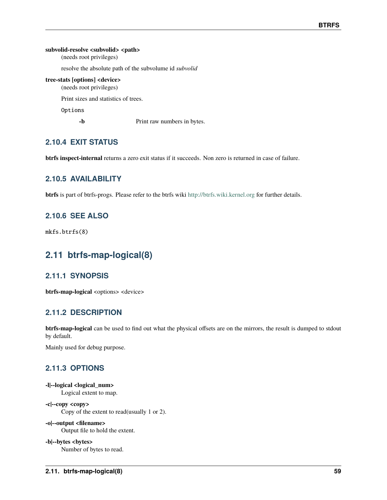### subvolid-resolve <subvolid> <path>

(needs root privileges)

resolve the absolute path of the subvolume id *subvolid*

### **tree-stats [options] <device>**

(needs root privileges)

Print sizes and statistics of trees.

Options

**-b** Print raw numbers in bytes.

## **2.10.4 EXIT STATUS**

**btrfs inspect-internal** returns a zero exit status if it succeeds. Non zero is returned in case of failure.

## **2.10.5 AVAILABILITY**

**btrfs** is part of btrfs-progs. Please refer to the btrfs wiki <http://btrfs.wiki.kernel.org> for further details.

## **2.10.6 SEE ALSO**

mkfs.btrfs(8)

# **2.11 btrfs-map-logical(8)**

## **2.11.1 SYNOPSIS**

**btrfs-map-logical** <options> <device>

## **2.11.2 DESCRIPTION**

**btrfs-map-logical** can be used to find out what the physical offsets are on the mirrors, the result is dumped to stdout by default.

Mainly used for debug purpose.

## **2.11.3 OPTIONS**

**-l|--logical <logical\_num>** Logical extent to map.

**-c|--copy <copy>** Copy of the extent to read(usually 1 or 2).

## **-o|--output <filename>**

Output file to hold the extent.

**-b|--bytes <bytes>**

Number of bytes to read.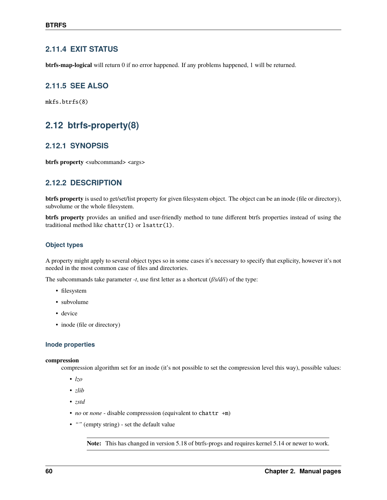## **2.11.4 EXIT STATUS**

**btrfs-map-logical** will return 0 if no error happened. If any problems happened, 1 will be returned.

## **2.11.5 SEE ALSO**

mkfs.btrfs(8)

# **2.12 btrfs-property(8)**

## **2.12.1 SYNOPSIS**

**btrfs property** <subcommand> <args>

## **2.12.2 DESCRIPTION**

**btrfs property** is used to get/set/list property for given filesystem object. The object can be an inode (file or directory), subvolume or the whole filesystem.

**btrfs property** provides an unified and user-friendly method to tune different btrfs properties instead of using the traditional method like chattr(1) or lsattr(1).

### **Object types**

A property might apply to several object types so in some cases it's necessary to specify that explicity, however it's not needed in the most common case of files and directories.

The subcommands take parameter *-t*, use first letter as a shortcut (*f/s/d/i*) of the type:

- filesystem
- subvolume
- device
- inode (file or directory)

### **Inode properties**

#### **compression**

compression algorithm set for an inode (it's not possible to set the compression level this way), possible values:

- *lzo*
- *zlib*
- *zstd*
- *no* or *none* disable compresssion (equivalent to chattr +m)
- *""* (empty string) set the default value

**Note:** This has changed in version 5.18 of btrfs-progs and requires kernel 5.14 or newer to work.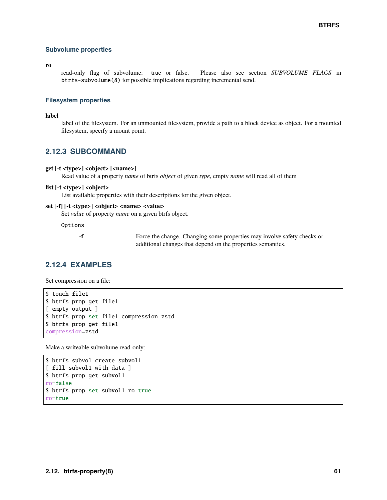### **Subvolume properties**

**ro**

read-only flag of subvolume: true or false. Please also see section *SUBVOLUME FLAGS* in btrfs-subvolume(8) for possible implications regarding incremental send.

### **Filesystem properties**

**label**

label of the filesystem. For an unmounted filesystem, provide a path to a block device as object. For a mounted filesystem, specify a mount point.

## **2.12.3 SUBCOMMAND**

#### **get [-t <type>] <object> [<name>]**

Read value of a property *name* of btrfs *object* of given *type*, empty *name* will read all of them

#### **list [-t <type>] <object>**

List available properties with their descriptions for the given object.

### **set [-f] [-t <type>] <object> <name> <value>**

Set *value* of property *name* on a given btrfs object.

Options

**-f** Force the change. Changing some properties may involve safety checks or additional changes that depend on the properties semantics.

## **2.12.4 EXAMPLES**

Set compression on a file:

```
$ touch file1
$ btrfs prop get file1
[ empty output ]
$ btrfs prop set file1 compression zstd
$ btrfs prop get file1
compression=zstd
```
Make a writeable subvolume read-only:

```
$ btrfs subvol create subvol1
[ fill subvol1 with data ]
$ btrfs prop get subvol1
ro=false
$ btrfs prop set subvol1 ro true
ro=true
```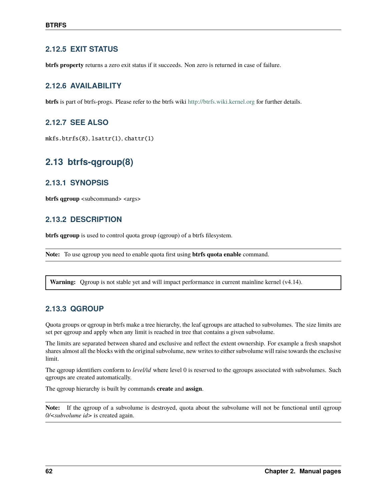## **2.12.5 EXIT STATUS**

**btrfs property** returns a zero exit status if it succeeds. Non zero is returned in case of failure.

## **2.12.6 AVAILABILITY**

**btrfs** is part of btrfs-progs. Please refer to the btrfs wiki <http://btrfs.wiki.kernel.org> for further details.

## **2.12.7 SEE ALSO**

mkfs.btrfs(8), lsattr(1), chattr(1)

# **2.13 btrfs-qgroup(8)**

## **2.13.1 SYNOPSIS**

**btrfs qgroup** <subcommand> <args>

## **2.13.2 DESCRIPTION**

**btrfs qgroup** is used to control quota group (qgroup) of a btrfs filesystem.

**Note:** To use qgroup you need to enable quota first using **btrfs quota enable** command.

**Warning:** Qgroup is not stable yet and will impact performance in current mainline kernel (v4.14).

## **2.13.3 QGROUP**

Quota groups or qgroup in btrfs make a tree hierarchy, the leaf qgroups are attached to subvolumes. The size limits are set per qgroup and apply when any limit is reached in tree that contains a given subvolume.

The limits are separated between shared and exclusive and reflect the extent ownership. For example a fresh snapshot shares almost all the blocks with the original subvolume, new writes to either subvolume will raise towards the exclusive limit.

The qgroup identifiers conform to *level/id* where level 0 is reserved to the qgroups associated with subvolumes. Such qgroups are created automatically.

The qgroup hierarchy is built by commands **create** and **assign**.

**Note:** If the ggroup of a subvolume is destroyed, quota about the subvolume will not be functional until qgroup *0/<subvolume id>* is created again.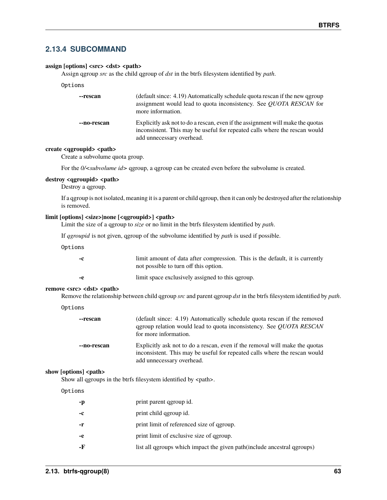## **2.13.4 SUBCOMMAND**

### assign [options] <src> <dst> <path>

Assign qgroup *src* as the child qgroup of *dst* in the btrfs filesystem identified by *path*.

| --rescan    | (default since: 4.19) Automatically schedule quota rescan if the new qgroup<br>assignment would lead to quota inconsistency. See <i>QUOTA RESCAN</i> for<br>more information.             |
|-------------|-------------------------------------------------------------------------------------------------------------------------------------------------------------------------------------------|
| --no-rescan | Explicitly ask not to do a rescan, even if the assignment will make the quotas<br>inconsistent. This may be useful for repeated calls where the rescan would<br>add unnecessary overhead. |

### create <qgroupid> <path>

Create a subvolume quota group.

For the  $0$ /<*subvolume id*> qgroup, a qgroup can be created even before the subvolume is created.

### destroy <qgroupid> <path>

Destroy a qgroup.

If a qgroup is not isolated, meaning it is a parent or child qgroup, then it can only be destroyed after the relationship is removed.

#### **limit [options] <size>|none [<qgroupid>] <path>**

Limit the size of a qgroup to *size* or no limit in the btrfs filesystem identified by *path*.

If *qgroupid* is not given, qgroup of the subvolume identified by *path* is used if possible.

Options

| -c  | limit amount of data after compression. This is the default, it is currently<br>not possible to turn off this option. |
|-----|-----------------------------------------------------------------------------------------------------------------------|
| -e. | limit space exclusively assigned to this qgroup.                                                                      |

#### remove <src> <dst> <path>

Remove the relationship between child qgroup *src* and parent qgroup *dst* in the btrfs filesystem identified by *path*.

| Options |  |  |
|---------|--|--|
|         |  |  |

| --rescan    | (default since: 4.19) Automatically schedule quota rescan if the removed<br>qgroup relation would lead to quota inconsistency. See <i>QUOTA RESCAN</i><br>for more information.        |
|-------------|----------------------------------------------------------------------------------------------------------------------------------------------------------------------------------------|
| --no-rescan | Explicitly ask not to do a rescan, even if the removal will make the quotas<br>inconsistent. This may be useful for repeated calls where the rescan would<br>add unnecessary overhead. |

#### show [options] <path>

Show all qgroups in the btrfs filesystem identified by <path>.

### Options

| -р   | print parent qgroup id.                                                  |
|------|--------------------------------------------------------------------------|
| $-c$ | print child ggroup id.                                                   |
| -r   | print limit of referenced size of geroup.                                |
| -e   | print limit of exclusive size of qgroup.                                 |
| -F   | list all qgroups which impact the given path (include ancestral qgroups) |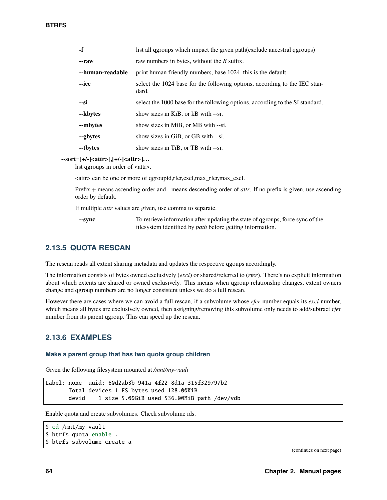| $-f$             | list all qgroups which impact the given path(exclude ancestral qgroups)             |
|------------------|-------------------------------------------------------------------------------------|
| --raw            | raw numbers in bytes, without the $B$ suffix.                                       |
| --human-readable | print human friendly numbers, base 1024, this is the default                        |
| --iec            | select the 1024 base for the following options, according to the IEC stan-<br>dard. |
| --si             | select the 1000 base for the following options, according to the SI standard.       |
| --kbytes         | show sizes in KiB, or kB with --si.                                                 |
| --mbytes         | show sizes in MiB, or MB with --si.                                                 |
| --gbytes         | show sizes in GiB, or GB with --si.                                                 |
| --tbytes         | show sizes in TiB, or TB with --si.                                                 |

**--sort=[+/-]<attr>[,[+/-]<attr>]. . .**

list qgroups in order of <attr>.

<attr> can be one or more of qgroupid,rfer,excl,max\_rfer,max\_excl.

Prefix *+* means ascending order and *-* means descending order of *attr*. If no prefix is given, use ascending order by default.

If multiple *attr* values are given, use comma to separate.

**--sync** To retrieve information after updating the state of qgroups, force sync of the filesystem identified by *path* before getting information.

## **2.13.5 QUOTA RESCAN**

The rescan reads all extent sharing metadata and updates the respective qgoups accordingly.

The information consists of bytes owned exclusively (*excl*) or shared/referred to (*rfer*). There's no explicit information about which extents are shared or owned exclusively. This means when qgroup relationship changes, extent owners change and qgroup numbers are no longer consistent unless we do a full rescan.

However there are cases where we can avoid a full rescan, if a subvolume whose *rfer* number equals its *excl* number, which means all bytes are exclusively owned, then assigning/removing this subvolume only needs to add/subtract *rfer* number from its parent qgroup. This can speed up the rescan.

## **2.13.6 EXAMPLES**

#### **Make a parent group that has two quota group children**

Given the following filesystem mounted at */mnt/my-vault*

```
Label: none uuid: 60d2ab3b-941a-4f22-8d1a-315f329797b2
      Total devices 1 FS bytes used 128.00KiB
      devid 1 size 5.00GiB used 536.00MiB path /dev/vdb
```
Enable quota and create subvolumes. Check subvolume ids.

```
$ cd /mnt/my-vault
$ btrfs quota enable .
$ btrfs subvolume create a
```
(continues on next page)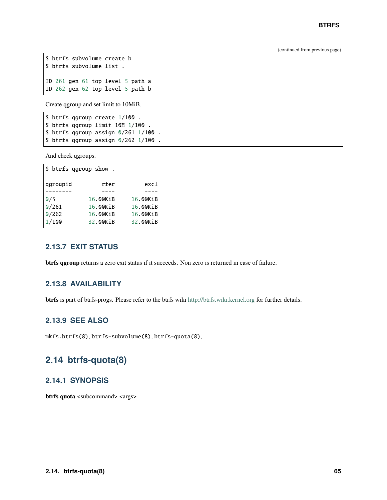(continued from previous page)

```
$ btrfs subvolume create b
$ btrfs subvolume list .
ID 261 gen 61 top level 5 path a
ID 262 gen 62 top level 5 path b
```
Create qgroup and set limit to 10MiB.

```
$ btrfs qgroup create 1/100 .
$ btrfs qgroup limit 10M 1/100 .
$ btrfs qgroup assign 0/261 1/100 .
$ btrfs qgroup assign 0/262 1/100 .
```
And check qgroups.

| \$ btrfs qgroup show. |          |          |
|-----------------------|----------|----------|
| qgroupid              | rfer     | excl     |
|                       |          |          |
| 0/5                   | 16.00KiB | 16.00KiB |
| 0/261                 | 16.00KiB | 16.00KiB |
| 0/262                 | 16.00KiB | 16.00KiB |
| 1/100                 | 32.00KiB | 32.00KiB |
|                       |          |          |

## **2.13.7 EXIT STATUS**

**btrfs qgroup** returns a zero exit status if it succeeds. Non zero is returned in case of failure.

## **2.13.8 AVAILABILITY**

**btrfs** is part of btrfs-progs. Please refer to the btrfs wiki <http://btrfs.wiki.kernel.org> for further details.

## **2.13.9 SEE ALSO**

mkfs.btrfs(8), btrfs-subvolume(8), btrfs-quota(8),

# **2.14 btrfs-quota(8)**

## **2.14.1 SYNOPSIS**

**btrfs quota** <subcommand> <args>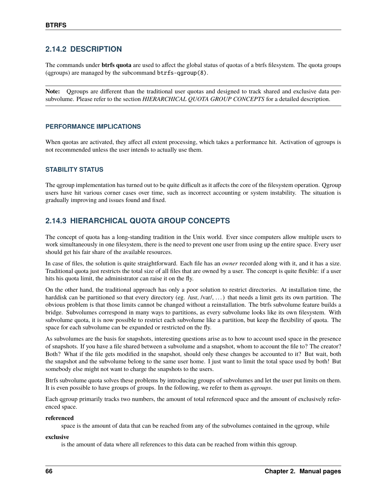## **2.14.2 DESCRIPTION**

The commands under **btrfs quota** are used to affect the global status of quotas of a btrfs filesystem. The quota groups (qgroups) are managed by the subcommand btrfs-qgroup(8).

**Note:** Qgroups are different than the traditional user quotas and designed to track shared and exclusive data persubvolume. Please refer to the section *HIERARCHICAL QUOTA GROUP CONCEPTS* for a detailed description.

### **PERFORMANCE IMPLICATIONS**

When quotas are activated, they affect all extent processing, which takes a performance hit. Activation of qgroups is not recommended unless the user intends to actually use them.

### **STABILITY STATUS**

The qgroup implementation has turned out to be quite difficult as it affects the core of the filesystem operation. Qgroup users have hit various corner cases over time, such as incorrect accounting or system instability. The situation is gradually improving and issues found and fixed.

## **2.14.3 HIERARCHICAL QUOTA GROUP CONCEPTS**

The concept of quota has a long-standing tradition in the Unix world. Ever since computers allow multiple users to work simultaneously in one filesystem, there is the need to prevent one user from using up the entire space. Every user should get his fair share of the available resources.

In case of files, the solution is quite straightforward. Each file has an *owner* recorded along with it, and it has a size. Traditional quota just restricts the total size of all files that are owned by a user. The concept is quite flexible: if a user hits his quota limit, the administrator can raise it on the fly.

On the other hand, the traditional approach has only a poor solution to restrict directories. At installation time, the harddisk can be partitioned so that every directory (eg. /usr, /var/, ...) that needs a limit gets its own partition. The obvious problem is that those limits cannot be changed without a reinstallation. The btrfs subvolume feature builds a bridge. Subvolumes correspond in many ways to partitions, as every subvolume looks like its own filesystem. With subvolume quota, it is now possible to restrict each subvolume like a partition, but keep the flexibility of quota. The space for each subvolume can be expanded or restricted on the fly.

As subvolumes are the basis for snapshots, interesting questions arise as to how to account used space in the presence of snapshots. If you have a file shared between a subvolume and a snapshot, whom to account the file to? The creator? Both? What if the file gets modified in the snapshot, should only these changes be accounted to it? But wait, both the snapshot and the subvolume belong to the same user home. I just want to limit the total space used by both! But somebody else might not want to charge the snapshots to the users.

Btrfs subvolume quota solves these problems by introducing groups of subvolumes and let the user put limits on them. It is even possible to have groups of groups. In the following, we refer to them as *qgroups*.

Each qgroup primarily tracks two numbers, the amount of total referenced space and the amount of exclusively referenced space.

### **referenced**

space is the amount of data that can be reached from any of the subvolumes contained in the qgroup, while

### **exclusive**

is the amount of data where all references to this data can be reached from within this qgroup.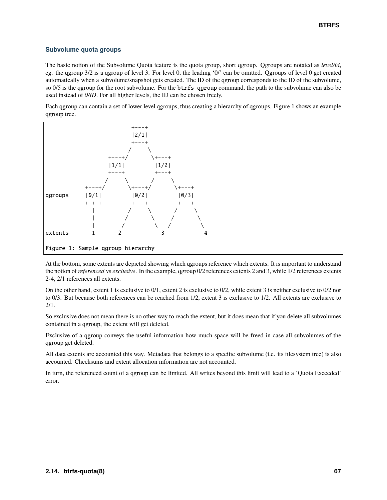### **Subvolume quota groups**

The basic notion of the Subvolume Quota feature is the quota group, short qgroup. Qgroups are notated as *level/id*, eg. the qgroup 3/2 is a qgroup of level 3. For level 0, the leading '0/' can be omitted. Qgroups of level 0 get created automatically when a subvolume/snapshot gets created. The ID of the qgroup corresponds to the ID of the subvolume, so 0/5 is the qgroup for the root subvolume. For the btrfs qgroup command, the path to the subvolume can also be used instead of *0/ID*. For all higher levels, the ID can be chosen freely.

Each qgroup can contain a set of lower level qgroups, thus creating a hierarchy of qgroups. Figure 1 shows an example qgroup tree.



At the bottom, some extents are depicted showing which qgroups reference which extents. It is important to understand the notion of*referenced* vs *exclusive*. In the example, qgroup 0/2 references extents 2 and 3, while 1/2 references extents 2-4, 2/1 references all extents.

On the other hand, extent 1 is exclusive to 0/1, extent 2 is exclusive to 0/2, while extent 3 is neither exclusive to 0/2 nor to 0/3. But because both references can be reached from 1/2, extent 3 is exclusive to 1/2. All extents are exclusive to 2/1.

So exclusive does not mean there is no other way to reach the extent, but it does mean that if you delete all subvolumes contained in a qgroup, the extent will get deleted.

Exclusive of a qgroup conveys the useful information how much space will be freed in case all subvolumes of the qgroup get deleted.

All data extents are accounted this way. Metadata that belongs to a specific subvolume (i.e. its filesystem tree) is also accounted. Checksums and extent allocation information are not accounted.

In turn, the referenced count of a ggroup can be limited. All writes beyond this limit will lead to a 'Quota Exceeded' error.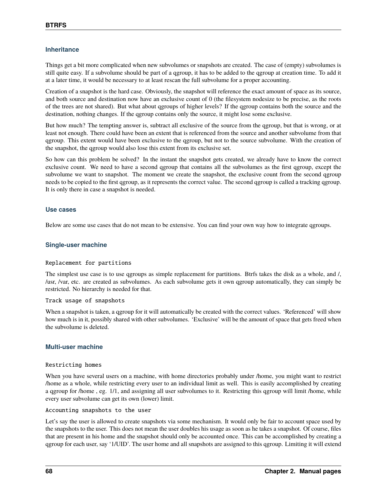### **Inheritance**

Things get a bit more complicated when new subvolumes or snapshots are created. The case of (empty) subvolumes is still quite easy. If a subvolume should be part of a qgroup, it has to be added to the qgroup at creation time. To add it at a later time, it would be necessary to at least rescan the full subvolume for a proper accounting.

Creation of a snapshot is the hard case. Obviously, the snapshot will reference the exact amount of space as its source, and both source and destination now have an exclusive count of 0 (the filesystem nodesize to be precise, as the roots of the trees are not shared). But what about qgroups of higher levels? If the qgroup contains both the source and the destination, nothing changes. If the qgroup contains only the source, it might lose some exclusive.

But how much? The tempting answer is, subtract all exclusive of the source from the qgroup, but that is wrong, or at least not enough. There could have been an extent that is referenced from the source and another subvolume from that qgroup. This extent would have been exclusive to the qgroup, but not to the source subvolume. With the creation of the snapshot, the qgroup would also lose this extent from its exclusive set.

So how can this problem be solved? In the instant the snapshot gets created, we already have to know the correct exclusive count. We need to have a second qgroup that contains all the subvolumes as the first qgroup, except the subvolume we want to snapshot. The moment we create the snapshot, the exclusive count from the second qgroup needs to be copied to the first qgroup, as it represents the correct value. The second qgroup is called a tracking qgroup. It is only there in case a snapshot is needed.

### **Use cases**

Below are some use cases that do not mean to be extensive. You can find your own way how to integrate qgroups.

### **Single-user machine**

### Replacement for partitions

The simplest use case is to use qgroups as simple replacement for partitions. Btrfs takes the disk as a whole, and /, /usr, /var, etc. are created as subvolumes. As each subvolume gets it own qgroup automatically, they can simply be restricted. No hierarchy is needed for that.

### Track usage of snapshots

When a snapshot is taken, a qgroup for it will automatically be created with the correct values. 'Referenced' will show how much is in it, possibly shared with other subvolumes. 'Exclusive' will be the amount of space that gets freed when the subvolume is deleted.

### **Multi-user machine**

### Restricting homes

When you have several users on a machine, with home directories probably under /home, you might want to restrict /home as a whole, while restricting every user to an individual limit as well. This is easily accomplished by creating a qgroup for /home , eg. 1/1, and assigning all user subvolumes to it. Restricting this qgroup will limit /home, while every user subvolume can get its own (lower) limit.

### Accounting snapshots to the user

Let's say the user is allowed to create snapshots via some mechanism. It would only be fair to account space used by the snapshots to the user. This does not mean the user doubles his usage as soon as he takes a snapshot. Of course, files that are present in his home and the snapshot should only be accounted once. This can be accomplished by creating a qgroup for each user, say '1/UID'. The user home and all snapshots are assigned to this qgroup. Limiting it will extend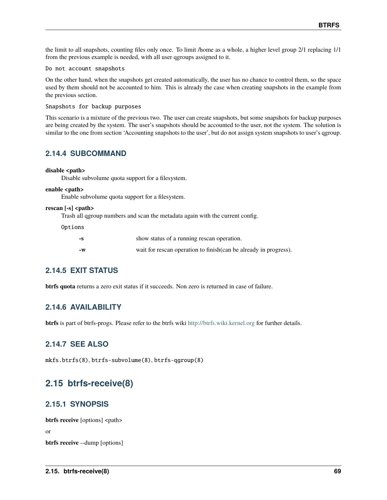the limit to all snapshots, counting files only once. To limit /home as a whole, a higher level group 2/1 replacing 1/1 from the previous example is needed, with all user qgroups assigned to it.

Do not account snapshots

On the other hand, when the snapshots get created automatically, the user has no chance to control them, so the space used by them should not be accounted to him. This is already the case when creating snapshots in the example from the previous section.

Snapshots for backup purposes

This scenario is a mixture of the previous two. The user can create snapshots, but some snapshots for backup purposes are being created by the system. The user's snapshots should be accounted to the user, not the system. The solution is similar to the one from section 'Accounting snapshots to the user', but do not assign system snapshots to user's qgroup.

### **2.14.4 SUBCOMMAND**

#### disable <path>

Disable subvolume quota support for a filesystem.

#### enable <path>

Enable subvolume quota support for a filesystem.

#### rescan [-s] <path>

Trash all qgroup numbers and scan the metadata again with the current config.

Options

| -8 | show status of a running rescan operation.                        |
|----|-------------------------------------------------------------------|
| -W | wait for rescan operation to finish (can be already in progress). |

### **2.14.5 EXIT STATUS**

**btrfs quota** returns a zero exit status if it succeeds. Non zero is returned in case of failure.

### **2.14.6 AVAILABILITY**

**btrfs** is part of btrfs-progs. Please refer to the btrfs wiki <http://btrfs.wiki.kernel.org> for further details.

### **2.14.7 SEE ALSO**

mkfs.btrfs(8), btrfs-subvolume(8), btrfs-qgroup(8)

## **2.15 btrfs-receive(8)**

### **2.15.1 SYNOPSIS**

**btrfs receive** [options] <path> or **btrfs receive** --dump [options]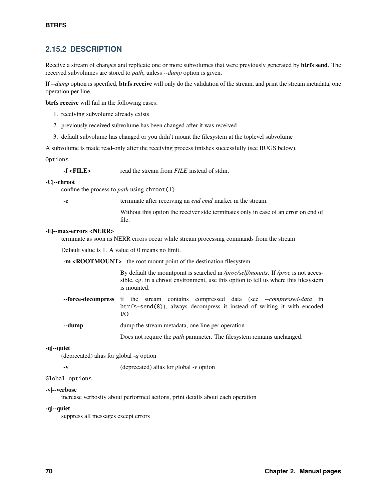### **2.15.2 DESCRIPTION**

Receive a stream of changes and replicate one or more subvolumes that were previously generated by **btrfs send**. The received subvolumes are stored to *path*, unless *--dump* option is given.

If *--dump* option is specified, **btrfs receive** will only do the validation of the stream, and print the stream metadata, one operation per line.

**btrfs receive** will fail in the following cases:

- 1. receiving subvolume already exists
- 2. previously received subvolume has been changed after it was received
- 3. default subvolume has changed or you didn't mount the filesystem at the toplevel subvolume

A subvolume is made read-only after the receiving process finishes successfully (see BUGS below).

#### Options

| $-f$ < $FILE$ > |  | read the stream from <i>FILE</i> instead of stdin, |
|-----------------|--|----------------------------------------------------|
|-----------------|--|----------------------------------------------------|

#### **-C|--chroot**

confine the process to *path* using chroot(1)

**-e** terminate after receiving an *end cmd* marker in the stream.

Without this option the receiver side terminates only in case of an error on end of file.

#### **-E|--max-errors <NERR>**

terminate as soon as NERR errors occur while stream processing commands from the stream

Default value is 1. A value of 0 means no limit.

**-m <ROOTMOUNT>** the root mount point of the destination filesystem

By default the mountpoint is searched in */proc/self/mounts*. If */proc* is not accessible, eg. in a chroot environment, use this option to tell us where this filesystem is mounted.

- **--force-decompress** if the stream contains compressed data (see *--compressed-data* in btrfs-send(8)), always decompress it instead of writing it with encoded I/O
- **--dump** dump the stream metadata, one line per operation
	- Does not require the *path* parameter. The filesystem remains unchanged.

#### **-q|--quiet**

(deprecated) alias for global *-q* option

**-v** (deprecated) alias for global *-v* option

#### Global options

#### **-v|--verbose**

increase verbosity about performed actions, print details about each operation

#### **-q|--quiet**

suppress all messages except errors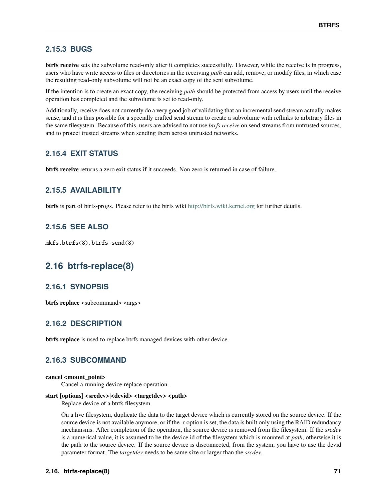### **2.15.3 BUGS**

**btrfs receive** sets the subvolume read-only after it completes successfully. However, while the receive is in progress, users who have write access to files or directories in the receiving *path* can add, remove, or modify files, in which case the resulting read-only subvolume will not be an exact copy of the sent subvolume.

If the intention is to create an exact copy, the receiving *path* should be protected from access by users until the receive operation has completed and the subvolume is set to read-only.

Additionally, receive does not currently do a very good job of validating that an incremental send stream actually makes sense, and it is thus possible for a specially crafted send stream to create a subvolume with reflinks to arbitrary files in the same filesystem. Because of this, users are advised to not use *btrfs receive* on send streams from untrusted sources, and to protect trusted streams when sending them across untrusted networks.

### **2.15.4 EXIT STATUS**

**btrfs receive** returns a zero exit status if it succeeds. Non zero is returned in case of failure.

### **2.15.5 AVAILABILITY**

**btrfs** is part of btrfs-progs. Please refer to the btrfs wiki <http://btrfs.wiki.kernel.org> for further details.

### **2.15.6 SEE ALSO**

mkfs.btrfs(8), btrfs-send(8)

## **2.16 btrfs-replace(8)**

### **2.16.1 SYNOPSIS**

**btrfs replace** <subcommand> <args>

### **2.16.2 DESCRIPTION**

**btrfs replace** is used to replace btrfs managed devices with other device.

### **2.16.3 SUBCOMMAND**

#### **cancel <mount\_point>**

Cancel a running device replace operation.

#### **start [options] <srcdev>|<devid> <targetdev> <path>**

Replace device of a btrfs filesystem.

On a live filesystem, duplicate the data to the target device which is currently stored on the source device. If the source device is not available anymore, or if the -r option is set, the data is built only using the RAID redundancy mechanisms. After completion of the operation, the source device is removed from the filesystem. If the *srcdev* is a numerical value, it is assumed to be the device id of the filesystem which is mounted at *path*, otherwise it is the path to the source device. If the source device is disconnected, from the system, you have to use the devid parameter format. The *targetdev* needs to be same size or larger than the *srcdev*.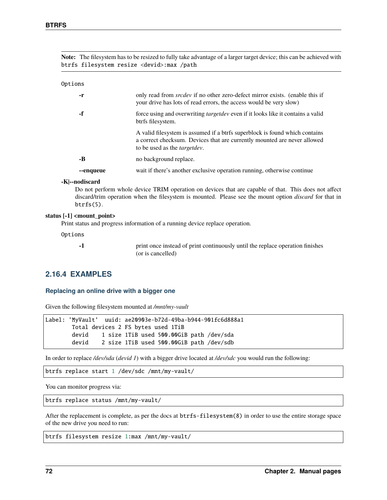**Note:** The filesystem has to be resized to fully take advantage of a larger target device; this can be achieved with btrfs filesystem resize <devid>:max /path

Options

| -r        | only read from <i>srcdev</i> if no other zero-defect mirror exists. (enable this if<br>your drive has lots of read errors, the access would be very slow)                                       |
|-----------|-------------------------------------------------------------------------------------------------------------------------------------------------------------------------------------------------|
| -f        | force using and overwriting <i>target dev</i> even if it looks like it contains a valid<br>btrfs filesystem.                                                                                    |
|           | A valid filesystem is assumed if a btrfs superblock is found which contains<br>a correct checksum. Devices that are currently mounted are never allowed<br>to be used as the <i>targetdev</i> . |
| -B        | no background replace.                                                                                                                                                                          |
| --enqueue | wait if there's another exclusive operation running, otherwise continue                                                                                                                         |

#### **-K|--nodiscard**

Do not perform whole device TRIM operation on devices that are capable of that. This does not affect discard/trim operation when the filesystem is mounted. Please see the mount option *discard* for that in btrfs(5).

#### **status [-1] <mount\_point>**

Print status and progress information of a running device replace operation.

Options

**-1** print once instead of print continuously until the replace operation finishes (or is cancelled)

### **2.16.4 EXAMPLES**

#### **Replacing an online drive with a bigger one**

Given the following filesystem mounted at */mnt/my-vault*

```
Label: 'MyVault' uuid: ae20903e-b72d-49ba-b944-901fc6d888a1
       Total devices 2 FS bytes used 1TiB
       devid 1 size 1TiB used 500.00GiB path /dev/sda
       devid 2 size 1TiB used 500.00GiB path /dev/sdb
```
In order to replace */dev/sda* (*devid 1*) with a bigger drive located at */dev/sdc* you would run the following:

btrfs replace start 1 /dev/sdc /mnt/my-vault/

You can monitor progress via:

btrfs replace status /mnt/my-vault/

After the replacement is complete, as per the docs at btrfs-filesystem(8) in order to use the entire storage space of the new drive you need to run:

```
btrfs filesystem resize 1:max /mnt/my-vault/
```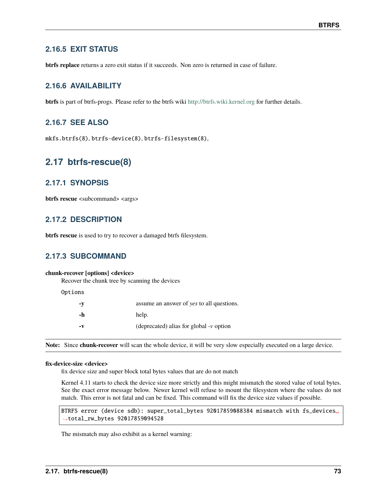### **2.16.5 EXIT STATUS**

**btrfs replace** returns a zero exit status if it succeeds. Non zero is returned in case of failure.

### **2.16.6 AVAILABILITY**

**btrfs** is part of btrfs-progs. Please refer to the btrfs wiki <http://btrfs.wiki.kernel.org> for further details.

### **2.16.7 SEE ALSO**

mkfs.btrfs(8), btrfs-device(8), btrfs-filesystem(8),

## **2.17 btrfs-rescue(8)**

### **2.17.1 SYNOPSIS**

**btrfs rescue** <subcommand> <args>

### **2.17.2 DESCRIPTION**

**btrfs rescue** is used to try to recover a damaged btrfs filesystem.

### **2.17.3 SUBCOMMAND**

#### **chunk-recover [options] <device>**

Recover the chunk tree by scanning the devices

Options

| $-V$          | assume an answer of yes to all questions.  |
|---------------|--------------------------------------------|
| -h            | help.                                      |
| $-\mathbf{v}$ | (deprecated) alias for global $\nu$ option |

**Note:** Since **chunk-recover** will scan the whole device, it will be very slow especially executed on a large device.

#### **fix-device-size <device>**

fix device size and super block total bytes values that are do not match

Kernel 4.11 starts to check the device size more strictly and this might mismatch the stored value of total bytes. See the exact error message below. Newer kernel will refuse to mount the filesystem where the values do not match. This error is not fatal and can be fixed. This command will fix the device size values if possible.

BTRFS error (device sdb): super\_total\_bytes 92017859088384 mismatch with fs\_devices␣ ˓<sup>→</sup>total\_rw\_bytes 92017859094528

The mismatch may also exhibit as a kernel warning: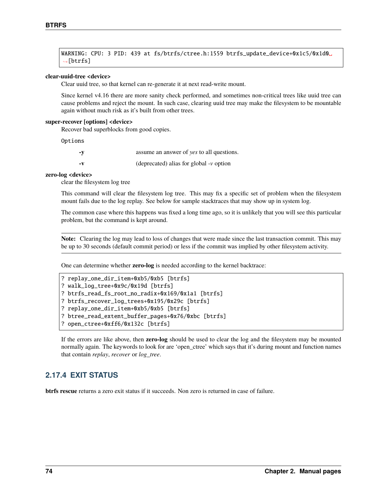WARNING: CPU: 3 PID: 439 at fs/btrfs/ctree.h:1559 btrfs\_update\_device+0x1c5/0x1d0␣  $ightharpoonup$ [btrfs]

#### **clear-uuid-tree <device>**

Clear uuid tree, so that kernel can re-generate it at next read-write mount.

Since kernel v4.16 there are more sanity check performed, and sometimes non-critical trees like uuid tree can cause problems and reject the mount. In such case, clearing uuid tree may make the filesystem to be mountable again without much risk as it's built from other trees.

#### **super-recover [options] <device>**

Recover bad superblocks from good copies.

Options

| $-V$ | assume an answer of yes to all questions.  |
|------|--------------------------------------------|
| – v  | (deprecated) alias for global $\nu$ option |

#### **zero-log <device>**

clear the filesystem log tree

This command will clear the filesystem log tree. This may fix a specific set of problem when the filesystem mount fails due to the log replay. See below for sample stacktraces that may show up in system log.

The common case where this happens was fixed a long time ago, so it is unlikely that you will see this particular problem, but the command is kept around.

**Note:** Clearing the log may lead to loss of changes that were made since the last transaction commit. This may be up to 30 seconds (default commit period) or less if the commit was implied by other filesystem activity.

One can determine whether **zero-log** is needed according to the kernel backtrace:

```
? replay_one_dir_item+0xb5/0xb5 [btrfs]
? walk_log_tree+0x9c/0x19d [btrfs]
? btrfs_read_fs_root_no_radix+0x169/0x1a1 [btrfs]
? btrfs_recover_log_trees+0x195/0x29c [btrfs]
? replay_one_dir_item+0xb5/0xb5 [btrfs]
? btree_read_extent_buffer_pages+0x76/0xbc [btrfs]
? open_ctree+0xff6/0x132c [btrfs]
```
If the errors are like above, then **zero-log** should be used to clear the log and the filesystem may be mounted normally again. The keywords to look for are 'open\_ctree' which says that it's during mount and function names that contain *replay*, *recover* or *log\_tree*.

### **2.17.4 EXIT STATUS**

**btrfs rescue** returns a zero exit status if it succeeds. Non zero is returned in case of failure.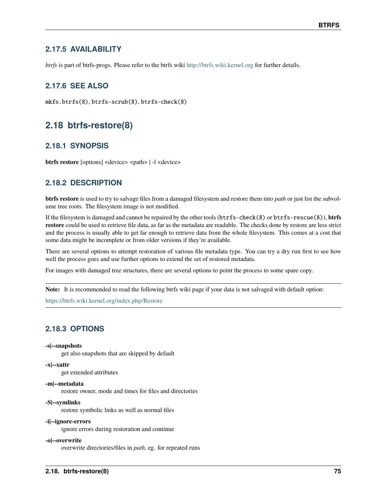### **2.17.5 AVAILABILITY**

*btrfs* is part of btrfs-progs. Please refer to the btrfs wiki <http://btrfs.wiki.kernel.org> for further details.

### **2.17.6 SEE ALSO**

mkfs.btrfs(8), btrfs-scrub(8), btrfs-check(8)

## **2.18 btrfs-restore(8)**

### **2.18.1 SYNOPSIS**

**btrfs restore** [options] <device> <path> | -1 <device>

### **2.18.2 DESCRIPTION**

**btrfs restore** is used to try to salvage files from a damaged filesystem and restore them into *path* or just list the subvolume tree roots. The filesystem image is not modified.

If the filesystem is damaged and cannot be repaired by the other tools (btrfs-check(8) or btrfs-rescue(8)), **btrfs restore** could be used to retrieve file data, as far as the metadata are readable. The checks done by restore are less strict and the process is usually able to get far enough to retrieve data from the whole filesystem. This comes at a cost that some data might be incomplete or from older versions if they're available.

There are several options to attempt restoration of various file metadata type. You can try a dry run first to see how well the process goes and use further options to extend the set of restored metadata.

For images with damaged tree structures, there are several options to point the process to some spare copy.

**Note:** It is recommended to read the following btrfs wiki page if your data is not salvaged with default option:

<https://btrfs.wiki.kernel.org/index.php/Restore>

### **2.18.3 OPTIONS**

#### **-s|--snapshots**

get also snapshots that are skipped by default

#### **-x|--xattr**

get extended attributes

#### **-m|--metadata**

restore owner, mode and times for files and directories

#### **-S|--symlinks**

restore symbolic links as well as normal files

#### **-i|--ignore-errors**

ignore errors during restoration and continue

#### **-o|--overwrite**

overwrite directories/files in *path*, eg. for repeated runs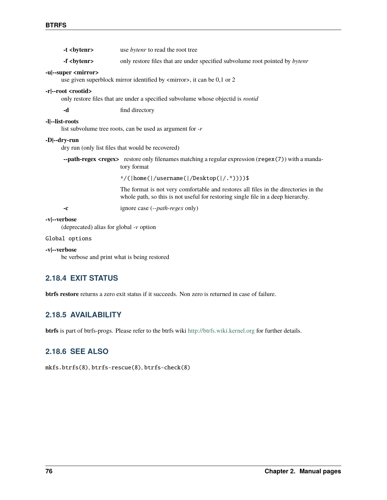| -t<br>bytenr>                                             | use bytenr to read the root tree                                                                                                                                        |  |  |
|-----------------------------------------------------------|-------------------------------------------------------------------------------------------------------------------------------------------------------------------------|--|--|
| -f<br>bytenr>                                             | only restore files that are under specified subvolume root pointed by bytenr                                                                                            |  |  |
| -u --super <mirror></mirror>                              | use given superblock mirror identified by <mirror>, it can be 0,1 or 2</mirror>                                                                                         |  |  |
| -r --root <rootid></rootid>                               | only restore files that are under a specified subvolume whose objectid is <i>rootid</i>                                                                                 |  |  |
| -d                                                        | find directory                                                                                                                                                          |  |  |
| -l --list-roots                                           | list subvolume tree roots, can be used as argument for $-r$                                                                                                             |  |  |
| -D --dry-run                                              | dry run (only list files that would be recovered)                                                                                                                       |  |  |
|                                                           | --path-regex <regex> restore only filenames matching a regular expression (regex (7)) with a manda-<br/>tory format</regex>                                             |  |  |
|                                                           | ^/( home( /username( /Desktop( /.*))))\$                                                                                                                                |  |  |
|                                                           | The format is not very comfortable and restores all files in the directories in the<br>whole path, so this is not useful for restoring single file in a deep hierarchy. |  |  |
| $-c$                                                      | ignore case (-- <i>path-regex</i> only)                                                                                                                                 |  |  |
| -v --verbose<br>(deprecated) alias for global $-v$ option |                                                                                                                                                                         |  |  |
| Global options                                            |                                                                                                                                                                         |  |  |
| -v --verbose                                              |                                                                                                                                                                         |  |  |

be verbose and print what is being restored

### **2.18.4 EXIT STATUS**

**btrfs restore** returns a zero exit status if it succeeds. Non zero is returned in case of failure.

### **2.18.5 AVAILABILITY**

**btrfs** is part of btrfs-progs. Please refer to the btrfs wiki <http://btrfs.wiki.kernel.org> for further details.

## **2.18.6 SEE ALSO**

mkfs.btrfs(8), btrfs-rescue(8), btrfs-check(8)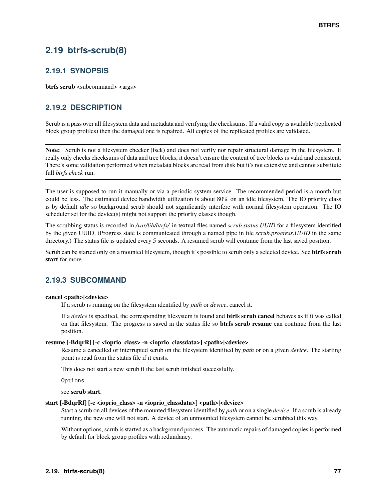## **2.19 btrfs-scrub(8)**

### **2.19.1 SYNOPSIS**

**btrfs scrub** <subcommand> <args>

### **2.19.2 DESCRIPTION**

Scrub is a pass over all filesystem data and metadata and verifying the checksums. If a valid copy is available (replicated block group profiles) then the damaged one is repaired. All copies of the replicated profiles are validated.

**Note:** Scrub is not a filesystem checker (fsck) and does not verify nor repair structural damage in the filesystem. It really only checks checksums of data and tree blocks, it doesn't ensure the content of tree blocks is valid and consistent. There's some validation performed when metadata blocks are read from disk but it's not extensive and cannot substitute full *btrfs check* run.

The user is supposed to run it manually or via a periodic system service. The recommended period is a month but could be less. The estimated device bandwidth utilization is about 80% on an idle filesystem. The IO priority class is by default *idle* so background scrub should not significantly interfere with normal filesystem operation. The IO scheduler set for the device(s) might not support the priority classes though.

The scrubbing status is recorded in */var/lib/btrfs/* in textual files named *scrub.status.UUID* for a filesystem identified by the given UUID. (Progress state is communicated through a named pipe in file *scrub.progress.UUID* in the same directory.) The status file is updated every 5 seconds. A resumed scrub will continue from the last saved position.

Scrub can be started only on a mounted filesystem, though it's possible to scrub only a selected device. See **btrfs scrub start** for more.

### **2.19.3 SUBCOMMAND**

#### **cancel <path>|<device>**

If a scrub is running on the filesystem identified by *path* or *device*, cancel it.

If a *device* is specified, the corresponding filesystem is found and **btrfs scrub cancel** behaves as if it was called on that filesystem. The progress is saved in the status file so **btrfs scrub resume** can continue from the last position.

#### **resume [-BdqrR] [-c <ioprio\_class> -n <ioprio\_classdata>] <path>|<device>**

Resume a cancelled or interrupted scrub on the filesystem identified by *path* or on a given *device*. The starting point is read from the status file if it exists.

This does not start a new scrub if the last scrub finished successfully.

Options

see **scrub start**.

#### **start [-BdqrRf] [-c <ioprio\_class> -n <ioprio\_classdata>] <path>|<device>**

Start a scrub on all devices of the mounted filesystem identified by *path* or on a single *device*. If a scrub is already running, the new one will not start. A device of an unmounted filesystem cannot be scrubbed this way.

Without options, scrub is started as a background process. The automatic repairs of damaged copies is performed by default for block group profiles with redundancy.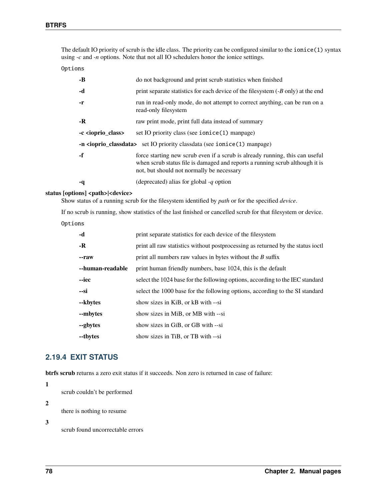The default IO priority of scrub is the idle class. The priority can be configured similar to the ionice(1) syntax using *-c* and *-n* options. Note that not all IO schedulers honor the ionice settings.

Options

| $-B$                                                                                       | do not background and print scrub statistics when finished                                                                                                                                                |  |
|--------------------------------------------------------------------------------------------|-----------------------------------------------------------------------------------------------------------------------------------------------------------------------------------------------------------|--|
| -d                                                                                         | print separate statistics for each device of the filesystem $(B \text{ only})$ at the end                                                                                                                 |  |
| $-r$                                                                                       | run in read-only mode, do not attempt to correct anything, can be run on a<br>read-only filesystem                                                                                                        |  |
| $-R$                                                                                       | raw print mode, print full data instead of summary                                                                                                                                                        |  |
| -c <ioprio_class></ioprio_class>                                                           | set IO priority class (see $i$ on $i$ ce $(1)$ manage)                                                                                                                                                    |  |
| -n <ioprio_classdata> set IO priority classdata (see ionice(1) manpage)</ioprio_classdata> |                                                                                                                                                                                                           |  |
| $-f$                                                                                       | force starting new scrub even if a scrub is already running, this can useful<br>when scrub status file is damaged and reports a running scrub although it is<br>not, but should not normally be necessary |  |
| -q                                                                                         | (deprecated) alias for global -q option                                                                                                                                                                   |  |

#### status [options] <path>|<device>

Show status of a running scrub for the filesystem identified by *path* or for the specified *device*.

If no scrub is running, show statistics of the last finished or cancelled scrub for that filesystem or device.

Options

| -d               | print separate statistics for each device of the filesystem                     |
|------------------|---------------------------------------------------------------------------------|
| $-R$             | print all raw statistics without postprocessing as returned by the status joctl |
| --raw            | print all numbers raw values in bytes without the $B$ suffix                    |
| --human-readable | print human friendly numbers, base 1024, this is the default                    |
| --iec            | select the 1024 base for the following options, according to the IEC standard   |
| $-Si$            | select the 1000 base for the following options, according to the SI standard    |
| --kbytes         | show sizes in KiB, or kB with --si                                              |
| --mbytes         | show sizes in MiB, or MB with --si                                              |
| --gbytes         | show sizes in GiB, or GB with --si                                              |
| --tbytes         | show sizes in TiB, or TB with --si                                              |

### **2.19.4 EXIT STATUS**

**btrfs scrub** returns a zero exit status if it succeeds. Non zero is returned in case of failure:

**1**

scrub couldn't be performed

**2**

there is nothing to resume

**3**

scrub found uncorrectable errors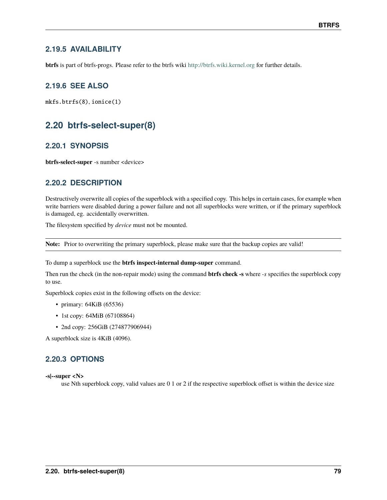### **2.19.5 AVAILABILITY**

**btrfs** is part of btrfs-progs. Please refer to the btrfs wiki <http://btrfs.wiki.kernel.org> for further details.

### **2.19.6 SEE ALSO**

mkfs.btrfs(8), ionice(1)

## **2.20 btrfs-select-super(8)**

### **2.20.1 SYNOPSIS**

**btrfs-select-super** -s number <device>

### **2.20.2 DESCRIPTION**

Destructively overwrite all copies of the superblock with a specified copy. This helps in certain cases, for example when write barriers were disabled during a power failure and not all superblocks were written, or if the primary superblock is damaged, eg. accidentally overwritten.

The filesystem specified by *device* must not be mounted.

**Note:** Prior to overwriting the primary superblock, please make sure that the backup copies are valid!

To dump a superblock use the **btrfs inspect-internal dump-super** command.

Then run the check (in the non-repair mode) using the command **btrfs check -s** where *-s* specifies the superblock copy to use.

Superblock copies exist in the following offsets on the device:

- primary: 64KiB (65536)
- 1st copy: 64MiB (67108864)
- 2nd copy: 256GiB (274877906944)

A superblock size is 4KiB (4096).

### **2.20.3 OPTIONS**

**-s|--super <N>**

use Nth superblock copy, valid values are 0 1 or 2 if the respective superblock offset is within the device size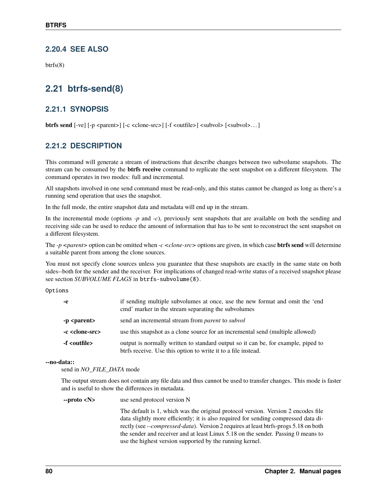### **2.20.4 SEE ALSO**

btrfs(8)

## **2.21 btrfs-send(8)**

### **2.21.1 SYNOPSIS**

**btrfs send** [-ve] [-p <parent>] [-c <clone-src>] [-f <outfile>] <subvol> [<subvol>...]

### **2.21.2 DESCRIPTION**

This command will generate a stream of instructions that describe changes between two subvolume snapshots. The stream can be consumed by the **btrfs receive** command to replicate the sent snapshot on a different filesystem. The command operates in two modes: full and incremental.

All snapshots involved in one send command must be read-only, and this status cannot be changed as long as there's a running send operation that uses the snapshot.

In the full mode, the entire snapshot data and metadata will end up in the stream.

In the incremental mode (options *-p* and *-c*), previously sent snapshots that are available on both the sending and receiving side can be used to reduce the amount of information that has to be sent to reconstruct the sent snapshot on a different filesystem.

The *-p <parent>* option can be omitted when *-c <clone-src>* options are given, in which case **btrfs send** will determine a suitable parent from among the clone sources.

You must not specify clone sources unless you guarantee that these snapshots are exactly in the same state on both sides--both for the sender and the receiver. For implications of changed read-write status of a received snapshot please see section *SUBVOLUME FLAGS* in btrfs-subvolume(8).

Options

| -е                         | if sending multiple subvolumes at once, use the new format and omit the 'end<br>emd' marker in the stream separating the subvolumes                |
|----------------------------|----------------------------------------------------------------------------------------------------------------------------------------------------|
| -p <parent></parent>       | send an incremental stream from <i>parent</i> to <i>subvol</i>                                                                                     |
| -c <clone-src></clone-src> | use this snapshot as a clone source for an incremental send (multiple allowed)                                                                     |
| -f <outfile></outfile>     | output is normally written to standard output so it can be, for example, piped to<br>btrfs receive. Use this option to write it to a file instead. |

**--no-data::**

send in *NO\_FILE\_DATA* mode

The output stream does not contain any file data and thus cannot be used to transfer changes. This mode is faster and is useful to show the differences in metadata.

**--proto <N>** use send protocol version N

The default is 1, which was the original protocol version. Version 2 encodes file data slightly more efficiently; it is also required for sending compressed data directly (see *--compressed-data*). Version 2 requires at least btrfs-progs 5.18 on both the sender and receiver and at least Linux 5.18 on the sender. Passing 0 means to use the highest version supported by the running kernel.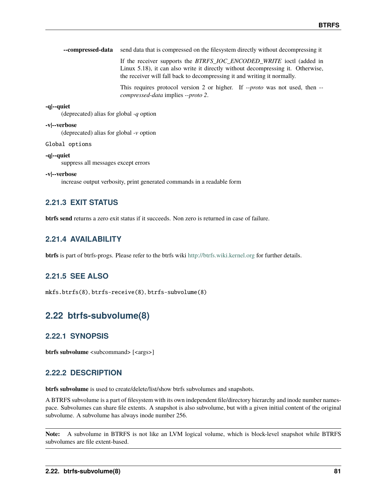|  | --compressed-data send data that is compressed on the filesystem directly without decompressing it |  |  |  |
|--|----------------------------------------------------------------------------------------------------|--|--|--|
|--|----------------------------------------------------------------------------------------------------|--|--|--|

If the receiver supports the *BTRFS\_IOC\_ENCODED\_WRITE* ioctl (added in Linux 5.18), it can also write it directly without decompressing it. Otherwise, the receiver will fall back to decompressing it and writing it normally.

This requires protocol version 2 or higher. If *--proto* was not used, then *- compressed-data* implies *--proto 2*.

#### **-q|--quiet**

(deprecated) alias for global *-q* option

#### **-v|--verbose**

(deprecated) alias for global *-v* option

#### Global options

#### **-q|--quiet**

suppress all messages except errors

#### **-v|--verbose**

increase output verbosity, print generated commands in a readable form

### **2.21.3 EXIT STATUS**

**btrfs send** returns a zero exit status if it succeeds. Non zero is returned in case of failure.

### **2.21.4 AVAILABILITY**

**btrfs** is part of btrfs-progs. Please refer to the btrfs wiki <http://btrfs.wiki.kernel.org> for further details.

### **2.21.5 SEE ALSO**

mkfs.btrfs(8), btrfs-receive(8), btrfs-subvolume(8)

## **2.22 btrfs-subvolume(8)**

### **2.22.1 SYNOPSIS**

**btrfs subvolume** <subcommand> [<args>]

### **2.22.2 DESCRIPTION**

**btrfs subvolume** is used to create/delete/list/show btrfs subvolumes and snapshots.

A BTRFS subvolume is a part of filesystem with its own independent file/directory hierarchy and inode number namespace. Subvolumes can share file extents. A snapshot is also subvolume, but with a given initial content of the original subvolume. A subvolume has always inode number 256.

**Note:** A subvolume in BTRFS is not like an LVM logical volume, which is block-level snapshot while BTRFS subvolumes are file extent-based.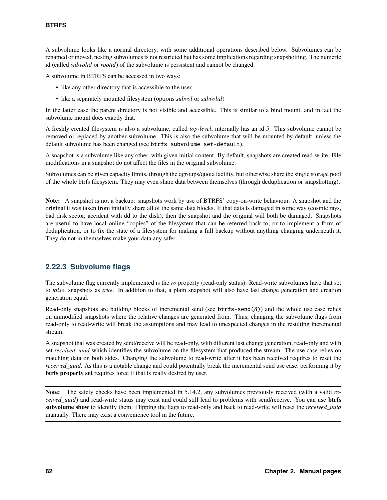A subvolume looks like a normal directory, with some additional operations described below. Subvolumes can be renamed or moved, nesting subvolumes is not restricted but has some implications regarding snapshotting. The numeric id (called *subvolid* or *rootid*) of the subvolume is persistent and cannot be changed.

A subvolume in BTRFS can be accessed in two ways:

- like any other directory that is accessible to the user
- like a separately mounted filesystem (options *subvol* or *subvolid*)

In the latter case the parent directory is not visible and accessible. This is similar to a bind mount, and in fact the subvolume mount does exactly that.

A freshly created filesystem is also a subvolume, called *top-level*, internally has an id 5. This subvolume cannot be removed or replaced by another subvolume. This is also the subvolume that will be mounted by default, unless the default subvolume has been changed (see btrfs subvolume set-default).

A snapshot is a subvolume like any other, with given initial content. By default, snapshots are created read-write. File modifications in a snapshot do not affect the files in the original subvolume.

Subvolumes can be given capacity limits, through the qgroups/quota facility, but otherwise share the single storage pool of the whole btrfs filesystem. They may even share data between themselves (through deduplication or snapshotting).

**Note:** A snapshot is not a backup: snapshots work by use of BTRFS' copy-on-write behaviour. A snapshot and the original it was taken from initially share all of the same data blocks. If that data is damaged in some way (cosmic rays, bad disk sector, accident with dd to the disk), then the snapshot and the original will both be damaged. Snapshots are useful to have local online "copies" of the filesystem that can be referred back to, or to implement a form of deduplication, or to fix the state of a filesystem for making a full backup without anything changing underneath it. They do not in themselves make your data any safer.

### **2.22.3 Subvolume flags**

The subvolume flag currently implemented is the *ro* property (read-only status). Read-write subvolumes have that set to *false*, snapshots as *true*. In addition to that, a plain snapshot will also have last change generation and creation generation equal.

Read-only snapshots are building blocks of incremental send (see btrfs-send(8)) and the whole use case relies on unmodified snapshots where the relative changes are generated from. Thus, changing the subvolume flags from read-only to read-write will break the assumptions and may lead to unexpected changes in the resulting incremental stream.

A snapshot that was created by send/receive will be read-only, with different last change generation, read-only and with set *received\_uuid* which identifies the subvolume on the filesystem that produced the stream. The use case relies on matching data on both sides. Changing the subvolume to read-write after it has been received requires to reset the *received\_uuid*. As this is a notable change and could potentially break the incremental send use case, performing it by **btrfs property set** requires force if that is really desired by user.

**Note:** The safety checks have been implemented in 5.14.2, any subvolumes previously received (with a valid *received\_uuid*) and read-write status may exist and could still lead to problems with send/receive. You can use **btrfs subvolume show** to identify them. Flipping the flags to read-only and back to read-write will reset the *received\_uuid* manually. There may exist a convenience tool in the future.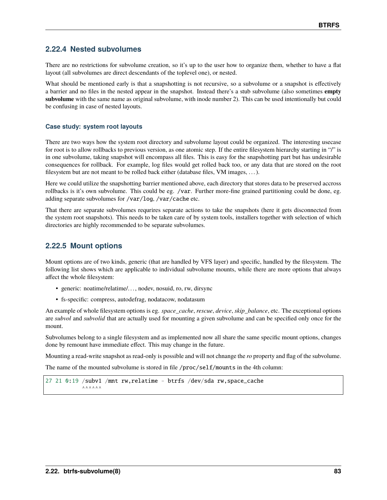### **2.22.4 Nested subvolumes**

There are no restrictions for subvolume creation, so it's up to the user how to organize them, whether to have a flat layout (all subvolumes are direct descendants of the toplevel one), or nested.

What should be mentioned early is that a snapshotting is not recursive, so a subvolume or a snapshot is effectively a barrier and no files in the nested appear in the snapshot. Instead there's a stub subvolume (also sometimes **empty subvolume** with the same name as original subvolume, with inode number 2). This can be used intentionally but could be confusing in case of nested layouts.

#### **Case study: system root layouts**

There are two ways how the system root directory and subvolume layout could be organized. The interesting usecase for root is to allow rollbacks to previous version, as one atomic step. If the entire filesystem hierarchy starting in "/" is in one subvolume, taking snapshot will encompass all files. This is easy for the snapshotting part but has undesirable consequences for rollback. For example, log files would get rolled back too, or any data that are stored on the root filesystem but are not meant to be rolled back either (database files, VM images, . . . ).

Here we could utilize the snapshotting barrier mentioned above, each directory that stores data to be preserved accross rollbacks is it's own subvolume. This could be eg. /var. Further more-fine grained partitioning could be done, eg. adding separate subvolumes for /var/log, /var/cache etc.

That there are separate subvolumes requrires separate actions to take the snapshots (here it gets disconnected from the system root snapshots). This needs to be taken care of by system tools, installers together with selection of which directories are highly recommended to be separate subvolumes.

### **2.22.5 Mount options**

Mount options are of two kinds, generic (that are handled by VFS layer) and specific, handled by the filesystem. The following list shows which are applicable to individual subvolume mounts, while there are more options that always affect the whole filesystem:

- generic: noatime/relatime/. . . , nodev, nosuid, ro, rw, dirsync
- fs-specific: compress, autodefrag, nodatacow, nodatasum

An example of whole filesystem options is eg. *space\_cache*, *rescue*, *device*, *skip\_balance*, etc. The exceptional options are *subvol* and *subvolid* that are actually used for mounting a given subvolume and can be specified only once for the mount.

Subvolumes belong to a single filesystem and as implemented now all share the same specific mount options, changes done by remount have immediate effect. This may change in the future.

Mounting a read-write snapshot as read-only is possible and will not chnange the *ro* property and flag of the subvolume.

The name of the mounted subvolume is stored in file /proc/self/mounts in the 4th column:

27 21 0:19 /subv1 /mnt rw,relatime - btrfs /dev/sda rw,space\_cache  $A A A A A A A$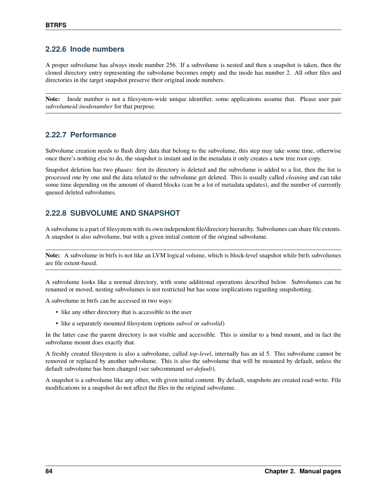### **2.22.6 Inode numbers**

A proper subvolume has always inode number 256. If a subvolume is nested and then a snapshot is taken, then the cloned directory entry representing the subvolume becomes empty and the inode has number 2. All other files and directories in the target snapshot preserve their original inode numbers.

**Note:** Inode number is not a filesystem-wide unique identifier, some applications assume that. Please user pair *subvolumeid:inodenumber* for that purpose.

### **2.22.7 Performance**

Subvolume creation needs to flush dirty data that belong to the subvolume, this step may take some time, otherwise once there's nothing else to do, the snapshot is instant and in the metadata it only creates a new tree root copy.

Snapshot deletion has two phases: first its directory is deleted and the subvolume is added to a list, then the list is processed one by one and the data related to the subvolume get deleted. This is usually called *cleaning* and can take some time depending on the amount of shared blocks (can be a lot of metadata updates), and the number of currently queued deleted subvolumes.

### **2.22.8 SUBVOLUME AND SNAPSHOT**

A subvolume is a part of filesystem with its own independent file/directory hierarchy. Subvolumes can share file extents. A snapshot is also subvolume, but with a given initial content of the original subvolume.

**Note:** A subvolume in btrfs is not like an LVM logical volume, which is block-level snapshot while btrfs subvolumes are file extent-based.

A subvolume looks like a normal directory, with some additional operations described below. Subvolumes can be renamed or moved, nesting subvolumes is not restricted but has some implications regarding snapshotting.

A subvolume in btrfs can be accessed in two ways:

- like any other directory that is accessible to the user
- like a separately mounted filesystem (options *subvol* or *subvolid*)

In the latter case the parent directory is not visible and accessible. This is similar to a bind mount, and in fact the subvolume mount does exactly that.

A freshly created filesystem is also a subvolume, called *top-level*, internally has an id 5. This subvolume cannot be removed or replaced by another subvolume. This is also the subvolume that will be mounted by default, unless the default subvolume has been changed (see subcommand *set-default*).

A snapshot is a subvolume like any other, with given initial content. By default, snapshots are created read-write. File modifications in a snapshot do not affect the files in the original subvolume.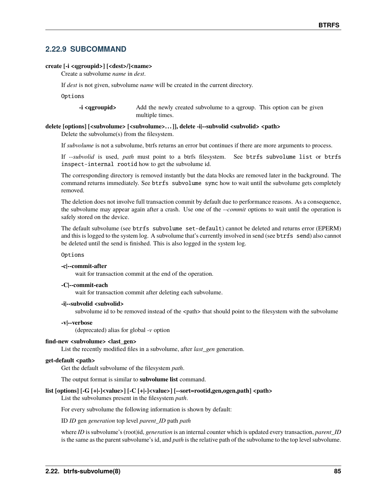### **2.22.9 SUBCOMMAND**

#### **create [-i <qgroupid>] [<dest>/]<name>**

Create a subvolume *name* in *dest*.

If *dest* is not given, subvolume *name* will be created in the current directory.

Options

**-i <qgroupid>** Add the newly created subvolume to a qgroup. This option can be given multiple times.

#### **delete [options] [<subvolume> [<subvolume>. . . ]], delete -i|--subvolid <subvolid> <path>**

Delete the subvolume(s) from the filesystem.

If *subvolume* is not a subvolume, btrfs returns an error but continues if there are more arguments to process.

If *--subvolid* is used, *path* must point to a btrfs filesystem. See btrfs subvolume list or btrfs inspect-internal rootid how to get the subvolume id.

The corresponding directory is removed instantly but the data blocks are removed later in the background. The command returns immediately. See btrfs subvolume sync how to wait until the subvolume gets completely removed.

The deletion does not involve full transaction commit by default due to performance reasons. As a consequence, the subvolume may appear again after a crash. Use one of the *--commit* options to wait until the operation is safely stored on the device.

The default subvolume (see btrfs subvolume set-default) cannot be deleted and returns error (EPERM) and this is logged to the system log. A subvolume that's currently involved in send (see btrfs send) also cannot be deleted until the send is finished. This is also logged in the system log.

#### Options

#### **-c|--commit-after**

wait for transaction commit at the end of the operation.

#### **-C|--commit-each**

wait for transaction commit after deleting each subvolume.

#### **-i|--subvolid <subvolid>**

subvolume id to be removed instead of the <path> that should point to the filesystem with the subvolume

#### **-v|--verbose**

(deprecated) alias for global *-v* option

#### **find-new <subvolume> <last\_gen>**

List the recently modified files in a subvolume, after *last\_gen* generation.

#### **get-default <path>**

Get the default subvolume of the filesystem *path*.

The output format is similar to **subvolume list** command.

#### **list [options] [-G [+|-]<value>] [-C [+|-]<value>] [--sort=rootid,gen,ogen,path] <path>**

List the subvolumes present in the filesystem *path*.

For every subvolume the following information is shown by default:

ID *ID* gen *generation* top level *parent\_ID* path *path*

where *ID* is subvolume's (root)id, *generation* is an internal counter which is updated every transaction, *parent\_ID* is the same as the parent subvolume's id, and *path* is the relative path of the subvolume to the top level subvolume.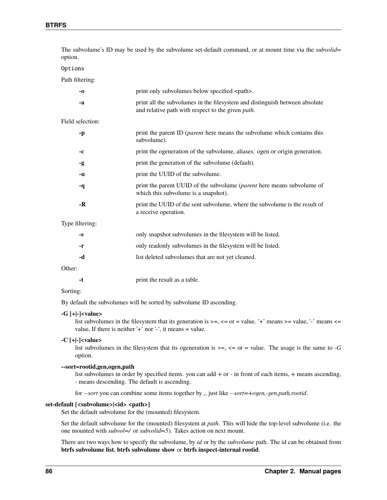| option.          | The subvolume's ID may be used by the subvolume set-default command, or at mount time via the <i>subvolid</i> =                          |
|------------------|------------------------------------------------------------------------------------------------------------------------------------------|
| Options          |                                                                                                                                          |
| Path filtering:  |                                                                                                                                          |
| $-0$             | print only subvolumes below specified <path>.</path>                                                                                     |
| -a               | print all the subvolumes in the filesystem and distinguish between absolute<br>and relative path with respect to the given <i>path</i> . |
| Field selection: |                                                                                                                                          |
| -p               | print the parent ID ( <i>parent</i> here means the subvolume which contains this<br>subvolume).                                          |
| -c               | print the ogeneration of the subvolume, aliases: ogen or origin generation.                                                              |
| -g               | print the generation of the subvolume (default).                                                                                         |
| -u               | print the UUID of the subvolume.                                                                                                         |
| -q               | print the parent UUID of the subvolume (parent here means subvolume of<br>which this subvolume is a snapshot).                           |
| $-R$             | print the UUID of the sent subvolume, where the subvolume is the result of<br>a receive operation.                                       |
| Type filtering:  |                                                                                                                                          |
| $-S$             | only snapshot subvolumes in the filesystem will be listed.                                                                               |
| -r               | only readonly subvolumes in the filesystem will be listed.                                                                               |
| -d               | list deleted subvolumes that are not yet cleaned.                                                                                        |
|                  |                                                                                                                                          |

Other:

#### Sorting:

By default the subvolumes will be sorted by subvolume ID ascending.

#### **-G [+|-]<value>**

list subvolumes in the filesystem that its generation is  $>=$ ,  $<=$  or  $=$  value. '+' means  $>=$  value, '-' means  $<=$ value, If there is neither  $'+'$  nor  $-$ , it means = value.

#### **-C [+|-]<value>**

list subvolumes in the filesystem that its ogeneration is  $\geq$ ,  $\leq$  or = value. The usage is the same to *-G* option.

#### **--sort=rootid,gen,ogen,path**

list subvolumes in order by specified items. you can add *+* or *-* in front of each items, *+* means ascending, *-* means descending. The default is ascending.

for *--sort* you can combine some items together by *,*, just like *--sort=+ogen,-gen,path,rootid*.

#### **set-default [<subvolume>|<id> <path>]**

Set the default subvolume for the (mounted) filesystem.

Set the default subvolume for the (mounted) filesystem at *path*. This will hide the top-level subvolume (i.e. the one mounted with *subvol=/* or *subvolid=5*). Takes action on next mount.

There are two ways how to specify the subvolume, by *id* or by the *subvolume* path. The id can be obtained from **btrfs subvolume list**, **btrfs subvolume show** or **btrfs inspect-internal rootid**.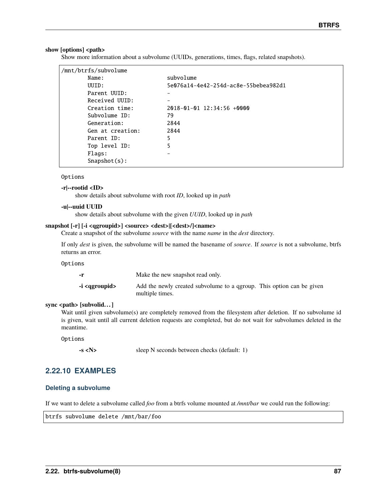#### show [options] <path>

Show more information about a subvolume (UUIDs, generations, times, flags, related snapshots).

| /mnt/btrfs/subvolume |                                      |
|----------------------|--------------------------------------|
| Name:                | subvolume                            |
| UUID:                | 5e076a14-4e42-254d-ac8e-55bebea982d1 |
| Parent UUID:         |                                      |
| Received UUID:       |                                      |
| Creation time:       | $2018 - 01 - 01$ 12:34:56 $+0000$    |
| Subvolume ID:        | 79                                   |
| Generation:          | 2844                                 |
| Gen at creation:     | 2844                                 |
| Parent ID:           | 5                                    |
| Top level ID:        | 5                                    |
| Flags:               |                                      |
| $S$ napshot $(s)$ :  |                                      |
|                      |                                      |

#### Options

#### **-r|--rootid <ID>**

show details about subvolume with root *ID*, looked up in *path*

#### **-u|--uuid UUID**

show details about subvolume with the given *UUID*, looked up in *path*

#### **snapshot [-r] [-i <qgroupid>] <source> <dest>|[<dest>/]<name>**

Create a snapshot of the subvolume *source* with the name *name* in the *dest* directory.

If only *dest* is given, the subvolume will be named the basename of *source*. If *source* is not a subvolume, btrfs returns an error.

#### Options

| -r                       | Make the new snapshot read only.                                                         |
|--------------------------|------------------------------------------------------------------------------------------|
| -i <ggroupid></ggroupid> | Add the newly created subvolume to a ggroup. This option can be given<br>multiple times. |

#### **sync <path> [subvolid. . . ]**

Wait until given subvolume(s) are completely removed from the filesystem after deletion. If no subvolume id is given, wait until all current deletion requests are completed, but do not wait for subvolumes deleted in the meantime.

#### Options

**-s <N>** sleep N seconds between checks (default: 1)

#### **2.22.10 EXAMPLES**

#### **Deleting a subvolume**

If we want to delete a subvolume called *foo* from a btrfs volume mounted at */mnt/bar* we could run the following:

btrfs subvolume delete /mnt/bar/foo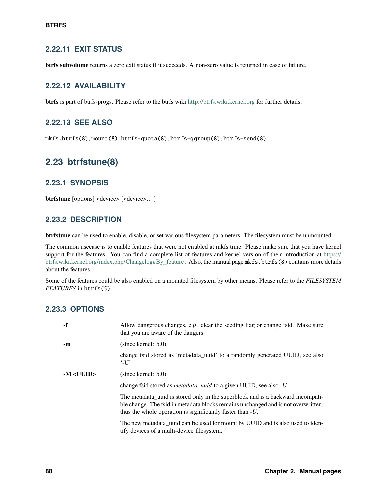### **2.22.11 EXIT STATUS**

**btrfs subvolume** returns a zero exit status if it succeeds. A non-zero value is returned in case of failure.

### **2.22.12 AVAILABILITY**

**btrfs** is part of btrfs-progs. Please refer to the btrfs wiki <http://btrfs.wiki.kernel.org> for further details.

### **2.22.13 SEE ALSO**

mkfs.btrfs(8), mount(8), btrfs-quota(8), btrfs-qgroup(8), btrfs-send(8)

## **2.23 btrfstune(8)**

### **2.23.1 SYNOPSIS**

**btrfstune** [options] <device> [<device>. . . ]

### **2.23.2 DESCRIPTION**

**btrfstune** can be used to enable, disable, or set various filesystem parameters. The filesystem must be unmounted.

The common usecase is to enable features that were not enabled at mkfs time. Please make sure that you have kernel support for the features. You can find a complete list of features and kernel version of their introduction at [https://](https://btrfs.wiki.kernel.org/index.php/Changelog#By_feature) [btrfs.wiki.kernel.org/index.php/Changelog#By\\_feature](https://btrfs.wiki.kernel.org/index.php/Changelog#By_feature) . Also, the manual page mkfs.btrfs(8) contains more details about the features.

Some of the features could be also enabled on a mounted filesystem by other means. Please refer to the *FILESYSTEM FEATURES* in btrfs(5).

### **2.23.3 OPTIONS**

| -f       | Allow dangerous changes, e.g. clear the seeding flag or change fsid. Make sure<br>that you are aware of the dangers.                                                                                                                       |
|----------|--------------------------------------------------------------------------------------------------------------------------------------------------------------------------------------------------------------------------------------------|
| -m       | (since kernet: 5.0)                                                                                                                                                                                                                        |
|          | change fsid stored as 'metadata_uuid' to a randomly generated UUID, see also<br>$\cdot$ -U'                                                                                                                                                |
| $-M U U$ | (since kernet: 5.0)                                                                                                                                                                                                                        |
|          | change fsid stored as <i>metadata_uuid</i> to a given UUID, see also - <i>U</i>                                                                                                                                                            |
|          | The metadata uuid is stored only in the superblock and is a backward incompati-<br>ble change. The fsid in metadata blocks remains unchanged and is not overwritten,<br>thus the whole operation is significantly faster than - <i>U</i> . |
|          | The new metadata_uuid can be used for mount by UUID and is also used to iden-<br>tify devices of a multi-device filesystem.                                                                                                                |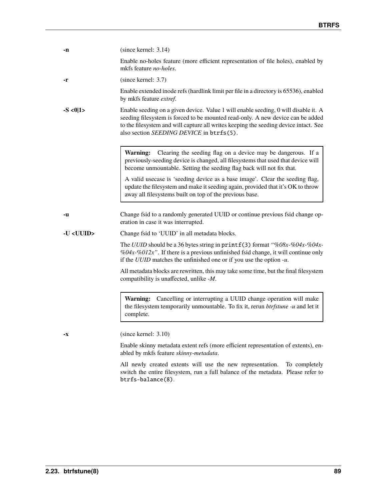| -n               | (since kernet: 3.14)                                                                                                                                                                                                                                                                                       |
|------------------|------------------------------------------------------------------------------------------------------------------------------------------------------------------------------------------------------------------------------------------------------------------------------------------------------------|
|                  | Enable no-holes feature (more efficient representation of file holes), enabled by<br>mkfs feature <i>no-holes</i> .                                                                                                                                                                                        |
| -r               | (since kernel: 3.7)                                                                                                                                                                                                                                                                                        |
|                  | Enable extended inode refs (hardlink limit per file in a directory is 65536), enabled<br>by mkfs feature extref.                                                                                                                                                                                           |
| $-S < 0 1>$      | Enable seeding on a given device. Value 1 will enable seeding, 0 will disable it. A<br>seeding filesystem is forced to be mounted read-only. A new device can be added<br>to the filesystem and will capture all writes keeping the seeding device intact. See<br>also section SEEDING DEVICE in btrfs(5). |
|                  | Clearing the seeding flag on a device may be dangerous. If a<br><b>Warning:</b><br>previously-seeding device is changed, all filesystems that used that device will<br>become unmountable. Setting the seeding flag back will not fix that.                                                                |
|                  | A valid usecase is 'seeding device as a base image'. Clear the seeding flag,<br>update the filesystem and make it seeding again, provided that it's OK to throw<br>away all filesystems built on top of the previous base.                                                                                 |
| -u               | Change fsid to a randomly generated UUID or continue previous fsid change op-<br>eration in case it was interrupted.                                                                                                                                                                                       |
| -U <uuid></uuid> | Change fsid to 'UUID' in all metadata blocks.                                                                                                                                                                                                                                                              |
|                  | The UUID should be a 36 bytes string in print $f(3)$ format "%08x-%04x-%04x-<br>%04x-%012x". If there is a previous unfinished fsid change, it will continue only<br>if the $UUID$ matches the unfinished one or if you use the option $-u$ .                                                              |
|                  | All metadata blocks are rewritten, this may take some time, but the final filesystem<br>compatibility is unaffected, unlike -M.                                                                                                                                                                            |
|                  |                                                                                                                                                                                                                                                                                                            |
|                  | Warning: Cancelling or interrupting a UUID change operation will make<br>the filesystem temporarily unmountable. To fix it, rerun btrfstune -u and let it<br>complete.                                                                                                                                     |
| -X               | (since kernet: 3.10)                                                                                                                                                                                                                                                                                       |

All newly created extents will use the new representation. To completely switch the entire filesystem, run a full balance of the metadata. Please refer to btrfs-balance(8).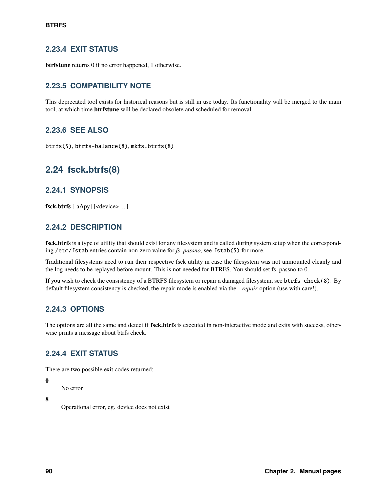### **2.23.4 EXIT STATUS**

**btrfstune** returns 0 if no error happened, 1 otherwise.

## **2.23.5 COMPATIBILITY NOTE**

This deprecated tool exists for historical reasons but is still in use today. Its functionality will be merged to the main tool, at which time **btrfstune** will be declared obsolete and scheduled for removal.

### **2.23.6 SEE ALSO**

btrfs(5), btrfs-balance(8), mkfs.btrfs(8)

# **2.24 fsck.btrfs(8)**

### **2.24.1 SYNOPSIS**

**fsck.btrfs** [-aApy] [<device>. . . ]

### **2.24.2 DESCRIPTION**

**fsck.btrfs** is a type of utility that should exist for any filesystem and is called during system setup when the corresponding /etc/fstab entries contain non-zero value for *fs\_passno*, see fstab(5) for more.

Traditional filesystems need to run their respective fsck utility in case the filesystem was not unmounted cleanly and the log needs to be replayed before mount. This is not needed for BTRFS. You should set fs\_passno to 0.

If you wish to check the consistency of a BTRFS filesystem or repair a damaged filesystem, see btrfs-check(8). By default filesystem consistency is checked, the repair mode is enabled via the *--repair* option (use with care!).

### **2.24.3 OPTIONS**

The options are all the same and detect if **fsck.btrfs** is executed in non-interactive mode and exits with success, otherwise prints a message about btrfs check.

### **2.24.4 EXIT STATUS**

There are two possible exit codes returned:

#### **0**

No error

**8**

Operational error, eg. device does not exist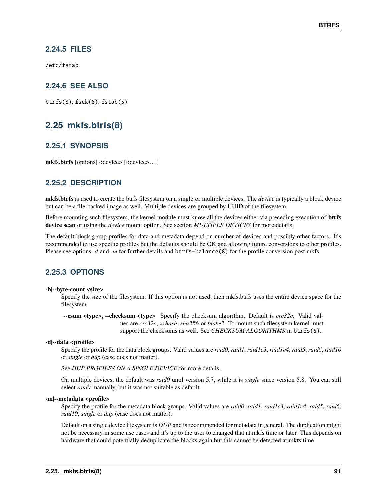### **2.24.5 FILES**

/etc/fstab

### **2.24.6 SEE ALSO**

btrfs(8), fsck(8), fstab(5)

## **2.25 mkfs.btrfs(8)**

### **2.25.1 SYNOPSIS**

**mkfs.btrfs** [options] <device> [<device>. . . ]

### **2.25.2 DESCRIPTION**

**mkfs.btrfs** is used to create the btrfs filesystem on a single or multiple devices. The *device* is typically a block device but can be a file-backed image as well. Multiple devices are grouped by UUID of the filesystem.

Before mounting such filesystem, the kernel module must know all the devices either via preceding execution of **btrfs device scan** or using the *device* mount option. See section *MULTIPLE DEVICES* for more details.

The default block group profiles for data and metadata depend on number of devices and possibly other factors. It's recommended to use specific profiles but the defaults should be OK and allowing future conversions to other profiles. Please see options *-d* and *-m* for further details and btrfs-balance(8) for the profile conversion post mkfs.

### **2.25.3 OPTIONS**

#### **-b|--byte-count <size>**

Specify the size of the filesystem. If this option is not used, then mkfs.btrfs uses the entire device space for the filesystem.

**--csum <type>, --checksum <type>** Specify the checksum algorithm. Default is *crc32c*. Valid values are *crc32c*, *xxhash*, *sha256* or *blake2*. To mount such filesystem kernel must support the checksums as well. See *CHECKSUM ALGORITHMS* in btrfs(5).

#### **-d|--data <profile>**

Specify the profile for the data block groups. Valid values are *raid0*, *raid1*, *raid1c3*, *raid1c4*, *raid5*, *raid6*, *raid10* or *single* or *dup* (case does not matter).

See *DUP PROFILES ON A SINGLE DEVICE* for more details.

On multiple devices, the default was *raid0* until version 5.7, while it is *single* since version 5.8. You can still select *raid0* manually, but it was not suitable as default.

#### **-m|--metadata <profile>**

Specify the profile for the metadata block groups. Valid values are *raid0*, *raid1*, *raid1c3*, *raid1c4*, *raid5*, *raid6*, *raid10*, *single* or *dup* (case does not matter).

Default on a single device filesystem is *DUP* and is recommended for metadata in general. The duplication might not be necessary in some use cases and it's up to the user to changed that at mkfs time or later. This depends on hardware that could potentially deduplicate the blocks again but this cannot be detected at mkfs time.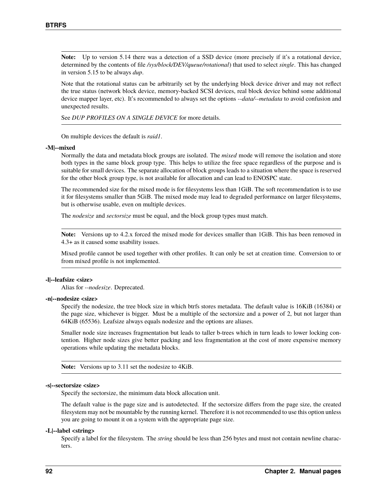**Note:** Up to version 5.14 there was a detection of a SSD device (more precisely if it's a rotational device, determined by the contents of file */sys/block/DEV/queue/rotational*) that used to select *single*. This has changed in version 5.15 to be always *dup*.

Note that the rotational status can be arbitrarily set by the underlying block device driver and may not reflect the true status (network block device, memory-backed SCSI devices, real block device behind some additional device mapper layer, etc). It's recommended to always set the options *--data/--metadata* to avoid confusion and unexpected results.

See *DUP PROFILES ON A SINGLE DEVICE* for more details.

On multiple devices the default is *raid1*.

#### **-M|--mixed**

Normally the data and metadata block groups are isolated. The *mixed* mode will remove the isolation and store both types in the same block group type. This helps to utilize the free space regardless of the purpose and is suitable for small devices. The separate allocation of block groups leads to a situation where the space is reserved for the other block group type, is not available for allocation and can lead to ENOSPC state.

The recommended size for the mixed mode is for filesystems less than 1GiB. The soft recommendation is to use it for filesystems smaller than 5GiB. The mixed mode may lead to degraded performance on larger filesystems, but is otherwise usable, even on multiple devices.

The *nodesize* and *sectorsize* must be equal, and the block group types must match.

**Note:** Versions up to 4.2.x forced the mixed mode for devices smaller than 1GiB. This has been removed in 4.3+ as it caused some usability issues.

Mixed profile cannot be used together with other profiles. It can only be set at creation time. Conversion to or from mixed profile is not implemented.

#### **-l|--leafsize <size>**

Alias for *--nodesize*. Deprecated.

#### **-n|--nodesize <size>**

Specify the nodesize, the tree block size in which btrfs stores metadata. The default value is 16KiB (16384) or the page size, whichever is bigger. Must be a multiple of the sectorsize and a power of 2, but not larger than 64KiB (65536). Leafsize always equals nodesize and the options are aliases.

Smaller node size increases fragmentation but leads to taller b-trees which in turn leads to lower locking contention. Higher node sizes give better packing and less fragmentation at the cost of more expensive memory operations while updating the metadata blocks.

**Note:** Versions up to 3.11 set the nodesize to 4KiB.

#### **-s|--sectorsize <size>**

Specify the sectorsize, the minimum data block allocation unit.

The default value is the page size and is autodetected. If the sectorsize differs from the page size, the created filesystem may not be mountable by the running kernel. Therefore it is not recommended to use this option unless you are going to mount it on a system with the appropriate page size.

#### **-L|--label <string>**

Specify a label for the filesystem. The *string* should be less than 256 bytes and must not contain newline characters.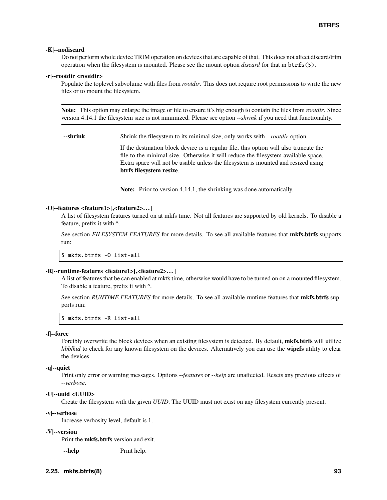#### **-K|--nodiscard**

Do not perform whole device TRIM operation on devices that are capable of that. This does not affect discard/trim operation when the filesystem is mounted. Please see the mount option *discard* for that in btrfs(5).

#### **-r|--rootdir <rootdir>**

Populate the toplevel subvolume with files from *rootdir*. This does not require root permissions to write the new files or to mount the filesystem.

**Note:** This option may enlarge the image or file to ensure it's big enough to contain the files from *rootdir*. Since version 4.14.1 the filesystem size is not minimized. Please see option *--shrink* if you need that functionality.

**--shrink** Shrink the filesystem to its minimal size, only works with *--rootdir* option.

If the destination block device is a regular file, this option will also truncate the file to the minimal size. Otherwise it will reduce the filesystem available space. Extra space will not be usable unless the filesystem is mounted and resized using **btrfs filesystem resize**.

**Note:** Prior to version 4.14.1, the shrinking was done automatically.

#### **-O|--features <feature1>[,<feature2>. . . ]**

A list of filesystem features turned on at mkfs time. Not all features are supported by old kernels. To disable a feature, prefix it with *^*.

See section *FILESYSTEM FEATURES* for more details. To see all available features that **mkfs.btrfs** supports run:

\$ mkfs.btrfs -O list-all

#### **-R|--runtime-features <feature1>[,<feature2>. . . ]**

A list of features that be can enabled at mkfs time, otherwise would have to be turned on on a mounted filesystem. To disable a feature, prefix it with *^*.

See section *RUNTIME FEATURES* for more details. To see all available runtime features that **mkfs.btrfs** supports run:

\$ mkfs.btrfs -R list-all

#### **-f|--force**

Forcibly overwrite the block devices when an existing filesystem is detected. By default, **mkfs.btrfs** will utilize *libblkid* to check for any known filesystem on the devices. Alternatively you can use the **wipefs** utility to clear the devices.

#### **-q|--quiet**

Print only error or warning messages. Options *--features* or *--help* are unaffected. Resets any previous effects of *--verbose*.

#### **-U|--uuid <UUID>**

Create the filesystem with the given *UUID*. The UUID must not exist on any filesystem currently present.

#### **-v|--verbose**

Increase verbosity level, default is 1.

#### **-V|--version**

Print the **mkfs.btrfs** version and exit.

**--help** Print help.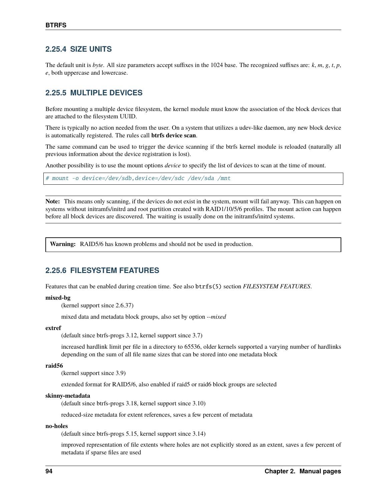### **2.25.4 SIZE UNITS**

The default unit is *byte*. All size parameters accept suffixes in the 1024 base. The recognized suffixes are: *k*, *m*, *g*, *t*, *p*, *e*, both uppercase and lowercase.

### **2.25.5 MULTIPLE DEVICES**

Before mounting a multiple device filesystem, the kernel module must know the association of the block devices that are attached to the filesystem UUID.

There is typically no action needed from the user. On a system that utilizes a udev-like daemon, any new block device is automatically registered. The rules call **btrfs device scan**.

The same command can be used to trigger the device scanning if the btrfs kernel module is reloaded (naturally all previous information about the device registration is lost).

Another possibility is to use the mount options *device* to specify the list of devices to scan at the time of mount.

# mount -o device=/dev/sdb,device=/dev/sdc /dev/sda /mnt

**Note:** This means only scanning, if the devices do not exist in the system, mount will fail anyway. This can happen on systems without initramfs/initrd and root partition created with RAID1/10/5/6 profiles. The mount action can happen before all block devices are discovered. The waiting is usually done on the initramfs/initrd systems.

**Warning:** RAID5/6 has known problems and should not be used in production.

### **2.25.6 FILESYSTEM FEATURES**

Features that can be enabled during creation time. See also btrfs(5) section *FILESYSTEM FEATURES*.

#### **mixed-bg**

(kernel support since 2.6.37)

mixed data and metadata block groups, also set by option *--mixed*

#### **extref**

(default since btrfs-progs 3.12, kernel support since 3.7)

increased hardlink limit per file in a directory to 65536, older kernels supported a varying number of hardlinks depending on the sum of all file name sizes that can be stored into one metadata block

#### **raid56**

(kernel support since 3.9)

extended format for RAID5/6, also enabled if raid5 or raid6 block groups are selected

#### **skinny-metadata**

(default since btrfs-progs 3.18, kernel support since 3.10)

reduced-size metadata for extent references, saves a few percent of metadata

#### **no-holes**

(default since btrfs-progs 5.15, kernel support since 3.14)

improved representation of file extents where holes are not explicitly stored as an extent, saves a few percent of metadata if sparse files are used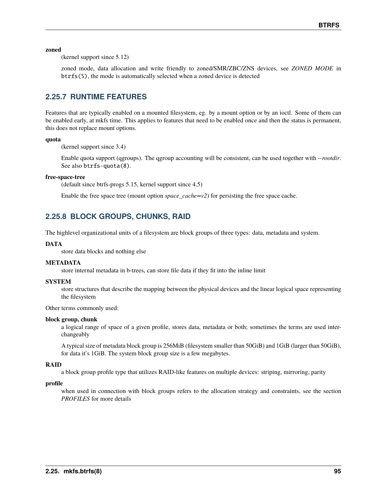**zoned**

(kernel support since 5.12)

zoned mode, data allocation and write friendly to zoned/SMR/ZBC/ZNS devices, see *ZONED MODE* in btrfs(5), the mode is automatically selected when a zoned device is detected

### **2.25.7 RUNTIME FEATURES**

Features that are typically enabled on a mounted filesystem, eg. by a mount option or by an ioctl. Some of them can be enabled early, at mkfs time. This applies to features that need to be enabled once and then the status is permanent, this does not replace mount options.

#### **quota**

(kernel support since 3.4)

Enable quota support (qgroups). The qgroup accounting will be consistent, can be used together with *--rootdir*. See also btrfs-quota(8).

#### **free-space-tree**

(default since btrfs-progs 5.15, kernel support since 4.5)

Enable the free space tree (mount option *space\_cache=v2*) for persisting the free space cache.

### **2.25.8 BLOCK GROUPS, CHUNKS, RAID**

The highlevel organizational units of a filesystem are block groups of three types: data, metadata and system.

#### **DATA**

store data blocks and nothing else

#### **METADATA**

store internal metadata in b-trees, can store file data if they fit into the inline limit

#### **SYSTEM**

store structures that describe the mapping between the physical devices and the linear logical space representing the filesystem

Other terms commonly used:

#### **block group, chunk**

a logical range of space of a given profile, stores data, metadata or both; sometimes the terms are used interchangeably

A typical size of metadata block group is 256MiB (filesystem smaller than 50GiB) and 1GiB (larger than 50GiB), for data it's 1GiB. The system block group size is a few megabytes.

#### **RAID**

a block group profile type that utilizes RAID-like features on multiple devices: striping, mirroring, parity

#### **profile**

when used in connection with block groups refers to the allocation strategy and constraints, see the section *PROFILES* for more details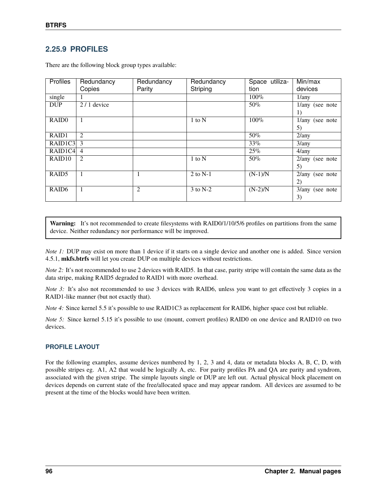### **2.25.9 PROFILES**

| <b>Profiles</b>    | Redundancy     | Redundancy | Redundancy | Space utiliza- | Min/max           |
|--------------------|----------------|------------|------------|----------------|-------------------|
|                    | Copies         | Parity     | Striping   | tion           | devices           |
| single             |                |            |            | $100\%$        | 1/any             |
| <b>DUP</b>         | $2/1$ device   |            |            | $50\%$         | $1/any$ (see note |
|                    |                |            |            |                | 1)                |
| RAID <sub>0</sub>  |                |            | $1$ to $N$ | 100%           | $1/any$ (see note |
|                    |                |            |            |                | 5)                |
| RAID1              | 2              |            |            | $50\%$         | 2/any             |
| RAID1C3            | 3              |            |            | 33%            | 3/any             |
| RAID1C4            | $\overline{4}$ |            |            | $25\%$         | 4/any             |
| RAID <sub>10</sub> | 2              |            | $1$ to $N$ | 50%            | $2/any$ (see note |
|                    |                |            |            |                | 5)                |
| RAID <sub>5</sub>  |                |            | 2 to $N-1$ | $(N-1)/N$      | $2/any$ (see note |
|                    |                |            |            |                | 2)                |
| RAID <sub>6</sub>  | 1              | 2          | $3$ to N-2 | $(N-2)/N$      | $3/any$ (see note |
|                    |                |            |            |                | 3)                |

There are the following block group types available:

Warning: It's not recommended to create filesystems with RAID0/1/10/5/6 profiles on partitions from the same device. Neither redundancy nor performance will be improved.

*Note 1*: DUP may exist on more than 1 device if it starts on a single device and another one is added. Since version 4.5.1, **mkfs.btrfs** will let you create DUP on multiple devices without restrictions.

*Note 2:* It's not recommended to use 2 devices with RAID5. In that case, parity stripe will contain the same data as the data stripe, making RAID5 degraded to RAID1 with more overhead.

*Note 3*: It's also not recommended to use 3 devices with RAID6, unless you want to get effectively 3 copies in a RAID1-like manner (but not exactly that).

*Note 4:* Since kernel 5.5 it's possible to use RAID1C3 as replacement for RAID6, higher space cost but reliable.

*Note 5*: Since kernel 5.15 it's possible to use (mount, convert profiles) RAID0 on one device and RAID10 on two devices.

#### **PROFILE LAYOUT**

For the following examples, assume devices numbered by 1, 2, 3 and 4, data or metadata blocks A, B, C, D, with possible stripes eg. A1, A2 that would be logically A, etc. For parity profiles PA and QA are parity and syndrom, associated with the given stripe. The simple layouts single or DUP are left out. Actual physical block placement on devices depends on current state of the free/allocated space and may appear random. All devices are assumed to be present at the time of the blocks would have been written.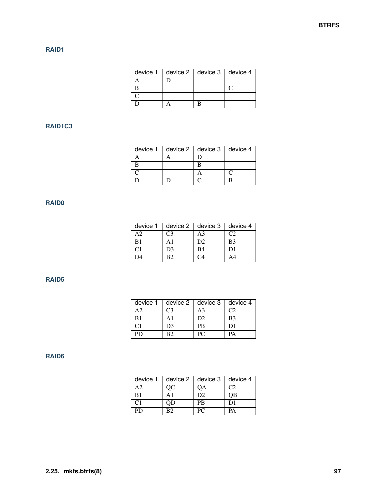### **RAID1**

| device $1 \mid$ | device $2 \mid$ device $3 \mid$ device 4 |  |
|-----------------|------------------------------------------|--|
|                 |                                          |  |
|                 |                                          |  |
|                 |                                          |  |
|                 |                                          |  |

### **RAID1C3**

| device $1 \mid$ | device $2 \mid$ device $3 \mid$ device 4 |  |
|-----------------|------------------------------------------|--|
|                 |                                          |  |
|                 |                                          |  |
|                 |                                          |  |
|                 |                                          |  |

### **RAID0**

| device 1       | device $2 \parallel$ | device 3       | device 4       |
|----------------|----------------------|----------------|----------------|
| A2             | C <sub>3</sub>       | A <sup>3</sup> | C2             |
| B1             | А1                   | D <sub>2</sub> | B <sub>3</sub> |
| C <sub>1</sub> | D3                   | B4             | D1             |
| D4             | RЭ                   | 1 '4           |                |

### **RAID5**

| device 1 |        | device $2 \mid$ device 3 | device 4 |
|----------|--------|--------------------------|----------|
| А2       | - 13 - | А3                       |          |
| B1       |        | D2                       | B3       |
| CΤ       | D3     | PB                       |          |
| PD       | R ?    |                          | PA       |

### **RAID6**

| device 1 | device 2 | device 3       | device 4 |
|----------|----------|----------------|----------|
| А2       | OС       | QA             | C2       |
| B1       | A1       | D <sub>2</sub> | OВ       |
| C1       | QD.      | PB             | D1       |
| PD.      | R2       | PС             | PΔ       |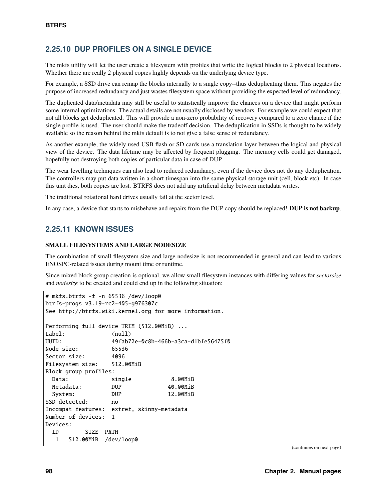### **2.25.10 DUP PROFILES ON A SINGLE DEVICE**

The mkfs utility will let the user create a filesystem with profiles that write the logical blocks to 2 physical locations. Whether there are really 2 physical copies highly depends on the underlying device type.

For example, a SSD drive can remap the blocks internally to a single copy--thus deduplicating them. This negates the purpose of increased redundancy and just wastes filesystem space without providing the expected level of redundancy.

The duplicated data/metadata may still be useful to statistically improve the chances on a device that might perform some internal optimizations. The actual details are not usually disclosed by vendors. For example we could expect that not all blocks get deduplicated. This will provide a non-zero probability of recovery compared to a zero chance if the single profile is used. The user should make the tradeoff decision. The deduplication in SSDs is thought to be widely available so the reason behind the mkfs default is to not give a false sense of redundancy.

As another example, the widely used USB flash or SD cards use a translation layer between the logical and physical view of the device. The data lifetime may be affected by frequent plugging. The memory cells could get damaged, hopefully not destroying both copies of particular data in case of DUP.

The wear levelling techniques can also lead to reduced redundancy, even if the device does not do any deduplication. The controllers may put data written in a short timespan into the same physical storage unit (cell, block etc). In case this unit dies, both copies are lost. BTRFS does not add any artificial delay between metadata writes.

The traditional rotational hard drives usually fail at the sector level.

In any case, a device that starts to misbehave and repairs from the DUP copy should be replaced! **DUP is not backup**.

### **2.25.11 KNOWN ISSUES**

#### **SMALL FILESYSTEMS AND LARGE NODESIZE**

The combination of small filesystem size and large nodesize is not recommended in general and can lead to various ENOSPC-related issues during mount time or runtime.

Since mixed block group creation is optional, we allow small filesystem instances with differing values for *sectorsize* and *nodesize* to be created and could end up in the following situation:

```
# mkfs.btrfs -f -n 65536 /dev/loop0
btrfs-progs v3.19-rc2-405-g976307c
See http://btrfs.wiki.kernel.org for more information.
Performing full device TRIM (512.00MiB) ...
Label: (null)
UUID: 49fab72e-0c8b-466b-a3ca-d1bfe56475f0
Node size: 65536
Sector size: 4096
Filesystem size: 512.00MiB
Block group profiles:
 Data: single 8.00MiB
 Metadata: DUP 40.00MiB
 System: DUP 12.00MiB
SSD detected: no
Incompat features: extref, skinny-metadata
Number of devices: 1
Devices:
 ID SIZE PATH
  1 512.00MiB /dev/loop0
```
(continues on next page)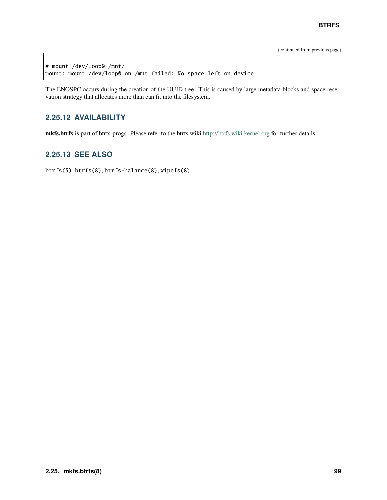(continued from previous page)

# mount /dev/loop0 /mnt/ mount: mount /dev/loop0 on /mnt failed: No space left on device

The ENOSPC occurs during the creation of the UUID tree. This is caused by large metadata blocks and space reservation strategy that allocates more than can fit into the filesystem.

### **2.25.12 AVAILABILITY**

**mkfs.btrfs** is part of btrfs-progs. Please refer to the btrfs wiki <http://btrfs.wiki.kernel.org> for further details.

### **2.25.13 SEE ALSO**

btrfs(5), btrfs(8), btrfs-balance(8), wipefs(8)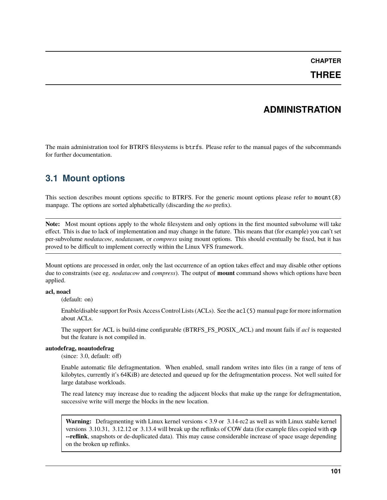### **CHAPTER**

## **THREE**

## **ADMINISTRATION**

The main administration tool for BTRFS filesystems is btrfs. Please refer to the manual pages of the subcommands for further documentation.

## **3.1 Mount options**

This section describes mount options specific to BTRFS. For the generic mount options please refer to mount(8) manpage. The options are sorted alphabetically (discarding the *no* prefix).

**Note:** Most mount options apply to the whole filesystem and only options in the first mounted subvolume will take effect. This is due to lack of implementation and may change in the future. This means that (for example) you can't set per-subvolume *nodatacow*, *nodatasum*, or *compress* using mount options. This should eventually be fixed, but it has proved to be difficult to implement correctly within the Linux VFS framework.

Mount options are processed in order, only the last occurrence of an option takes effect and may disable other options due to constraints (see eg. *nodatacow* and *compress*). The output of **mount** command shows which options have been applied.

#### **acl, noacl**

(default: on)

Enable/disable support for Posix Access Control Lists (ACLs). See the acl(5) manual page for more information about ACLs.

The support for ACL is build-time configurable (BTRFS\_FS\_POSIX\_ACL) and mount fails if *acl* is requested but the feature is not compiled in.

#### **autodefrag, noautodefrag**

(since: 3.0, default: off)

Enable automatic file defragmentation. When enabled, small random writes into files (in a range of tens of kilobytes, currently it's 64KiB) are detected and queued up for the defragmentation process. Not well suited for large database workloads.

The read latency may increase due to reading the adjacent blocks that make up the range for defragmentation, successive write will merge the blocks in the new location.

**Warning:** Defragmenting with Linux kernel versions < 3.9 or 3.14-rc2 as well as with Linux stable kernel versions 3.10.31, 3.12.12 or 3.13.4 will break up the reflinks of COW data (for example files copied with **cp --reflink**, snapshots or de-duplicated data). This may cause considerable increase of space usage depending on the broken up reflinks.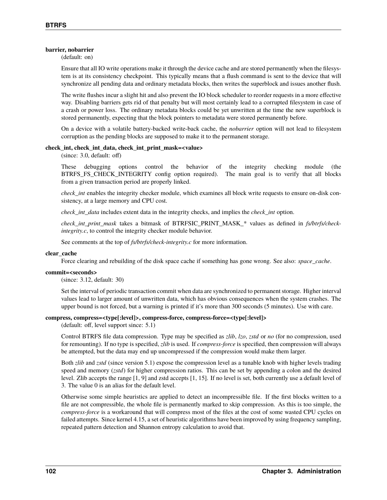#### **barrier, nobarrier**

(default: on)

Ensure that all IO write operations make it through the device cache and are stored permanently when the filesystem is at its consistency checkpoint. This typically means that a flush command is sent to the device that will synchronize all pending data and ordinary metadata blocks, then writes the superblock and issues another flush.

The write flushes incur a slight hit and also prevent the IO block scheduler to reorder requests in a more effective way. Disabling barriers gets rid of that penalty but will most certainly lead to a corrupted filesystem in case of a crash or power loss. The ordinary metadata blocks could be yet unwritten at the time the new superblock is stored permanently, expecting that the block pointers to metadata were stored permanently before.

On a device with a volatile battery-backed write-back cache, the *nobarrier* option will not lead to filesystem corruption as the pending blocks are supposed to make it to the permanent storage.

#### **check\_int, check\_int\_data, check\_int\_print\_mask=<value>**

(since: 3.0, default: off)

These debugging options control the behavior of the integrity checking module (the BTRFS\_FS\_CHECK\_INTEGRITY config option required). The main goal is to verify that all blocks from a given transaction period are properly linked.

*check int* enables the integrity checker module, which examines all block write requests to ensure on-disk consistency, at a large memory and CPU cost.

*check\_int\_data* includes extent data in the integrity checks, and implies the *check\_int* option.

*check\_int\_print\_mask* takes a bitmask of BTRFSIC\_PRINT\_MASK\_\* values as defined in *fs/btrfs/checkintegrity.c*, to control the integrity checker module behavior.

See comments at the top of *fs/btrfs/check-integrity.c* for more information.

#### **clear\_cache**

Force clearing and rebuilding of the disk space cache if something has gone wrong. See also: *space\_cache*.

#### **commit=<seconds>**

(since: 3.12, default: 30)

Set the interval of periodic transaction commit when data are synchronized to permanent storage. Higher interval values lead to larger amount of unwritten data, which has obvious consequences when the system crashes. The upper bound is not forced, but a warning is printed if it's more than 300 seconds (5 minutes). Use with care.

#### **compress, compress=<type[:level]>, compress-force, compress-force=<type[:level]>**

(default: off, level support since: 5.1)

Control BTRFS file data compression. Type may be specified as *zlib*, *lzo*, *zstd* or *no* (for no compression, used for remounting). If no type is specified, *zlib* is used. If *compress-force* is specified, then compression will always be attempted, but the data may end up uncompressed if the compression would make them larger.

Both *zlib* and *zstd* (since version 5.1) expose the compression level as a tunable knob with higher levels trading speed and memory (*zstd*) for higher compression ratios. This can be set by appending a colon and the desired level. Zlib accepts the range [1, 9] and zstd accepts [1, 15]. If no level is set, both currently use a default level of 3. The value 0 is an alias for the default level.

Otherwise some simple heuristics are applied to detect an incompressible file. If the first blocks written to a file are not compressible, the whole file is permanently marked to skip compression. As this is too simple, the *compress-force* is a workaround that will compress most of the files at the cost of some wasted CPU cycles on failed attempts. Since kernel 4.15, a set of heuristic algorithms have been improved by using frequency sampling, repeated pattern detection and Shannon entropy calculation to avoid that.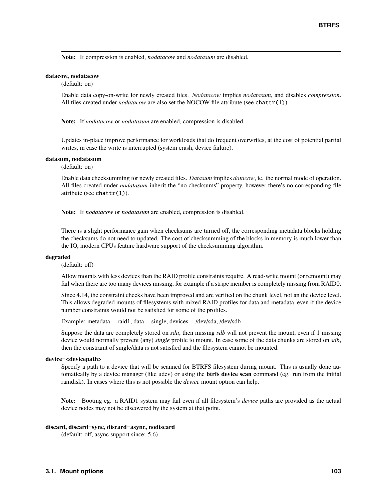**Note:** If compression is enabled, *nodatacow* and *nodatasum* are disabled.

#### **datacow, nodatacow**

(default: on)

Enable data copy-on-write for newly created files. *Nodatacow* implies *nodatasum*, and disables *compression*. All files created under *nodatacow* are also set the NOCOW file attribute (see chattr(1)).

**Note:** If *nodatacow* or *nodatasum* are enabled, compression is disabled.

Updates in-place improve performance for workloads that do frequent overwrites, at the cost of potential partial writes, in case the write is interrupted (system crash, device failure).

#### **datasum, nodatasum**

(default: on)

Enable data checksumming for newly created files. *Datasum* implies *datacow*, ie. the normal mode of operation. All files created under *nodatasum* inherit the "no checksums" property, however there's no corresponding file attribute (see chattr $(1)$ ).

**Note:** If *nodatacow* or *nodatasum* are enabled, compression is disabled.

There is a slight performance gain when checksums are turned off, the corresponding metadata blocks holding the checksums do not need to updated. The cost of checksumming of the blocks in memory is much lower than the IO, modern CPUs feature hardware support of the checksumming algorithm.

#### **degraded**

(default: off)

Allow mounts with less devices than the RAID profile constraints require. A read-write mount (or remount) may fail when there are too many devices missing, for example if a stripe member is completely missing from RAID0.

Since 4.14, the constraint checks have been improved and are verified on the chunk level, not an the device level. This allows degraded mounts of filesystems with mixed RAID profiles for data and metadata, even if the device number constraints would not be satisfied for some of the profiles.

Example: metadata -- raid1, data -- single, devices -- /dev/sda, /dev/sdb

Suppose the data are completely stored on *sda*, then missing *sdb* will not prevent the mount, even if 1 missing device would normally prevent (any) *single* profile to mount. In case some of the data chunks are stored on *sdb*, then the constraint of single/data is not satisfied and the filesystem cannot be mounted.

#### **device=<devicepath>**

Specify a path to a device that will be scanned for BTRFS filesystem during mount. This is usually done automatically by a device manager (like udev) or using the **btrfs device scan** command (eg. run from the initial ramdisk). In cases where this is not possible the *device* mount option can help.

**Note:** Booting eg. a RAID1 system may fail even if all filesystem's *device* paths are provided as the actual device nodes may not be discovered by the system at that point.

#### **discard, discard=sync, discard=async, nodiscard**

(default: off, async support since: 5.6)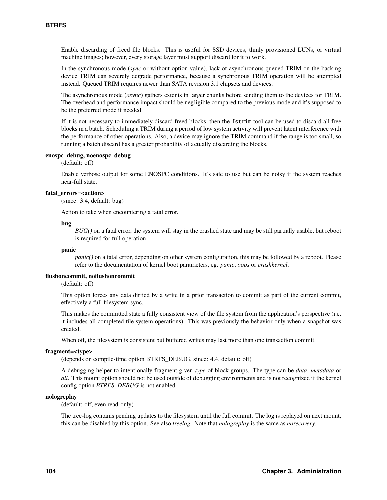Enable discarding of freed file blocks. This is useful for SSD devices, thinly provisioned LUNs, or virtual machine images; however, every storage layer must support discard for it to work.

In the synchronous mode (*sync* or without option value), lack of asynchronous queued TRIM on the backing device TRIM can severely degrade performance, because a synchronous TRIM operation will be attempted instead. Queued TRIM requires newer than SATA revision 3.1 chipsets and devices.

The asynchronous mode (*async*) gathers extents in larger chunks before sending them to the devices for TRIM. The overhead and performance impact should be negligible compared to the previous mode and it's supposed to be the preferred mode if needed.

If it is not necessary to immediately discard freed blocks, then the fstrim tool can be used to discard all free blocks in a batch. Scheduling a TRIM during a period of low system activity will prevent latent interference with the performance of other operations. Also, a device may ignore the TRIM command if the range is too small, so running a batch discard has a greater probability of actually discarding the blocks.

#### **enospc\_debug, noenospc\_debug**

(default: off)

Enable verbose output for some ENOSPC conditions. It's safe to use but can be noisy if the system reaches near-full state.

#### **fatal\_errors=<action>**

(since: 3.4, default: bug)

Action to take when encountering a fatal error.

#### **bug**

*BUG()* on a fatal error, the system will stay in the crashed state and may be still partially usable, but reboot is required for full operation

#### **panic**

*panic()* on a fatal error, depending on other system configuration, this may be followed by a reboot. Please refer to the documentation of kernel boot parameters, eg. *panic*, *oops* or *crashkernel*.

#### **flushoncommit, noflushoncommit**

(default: off)

This option forces any data dirtied by a write in a prior transaction to commit as part of the current commit, effectively a full filesystem sync.

This makes the committed state a fully consistent view of the file system from the application's perspective (i.e. it includes all completed file system operations). This was previously the behavior only when a snapshot was created.

When off, the filesystem is consistent but buffered writes may last more than one transaction commit.

#### **fragment=<type>**

(depends on compile-time option BTRFS\_DEBUG, since: 4.4, default: off)

A debugging helper to intentionally fragment given *type* of block groups. The type can be *data*, *metadata* or *all*. This mount option should not be used outside of debugging environments and is not recognized if the kernel config option *BTRFS\_DEBUG* is not enabled.

#### **nologreplay**

(default: off, even read-only)

The tree-log contains pending updates to the filesystem until the full commit. The log is replayed on next mount, this can be disabled by this option. See also *treelog*. Note that *nologreplay* is the same as *norecovery*.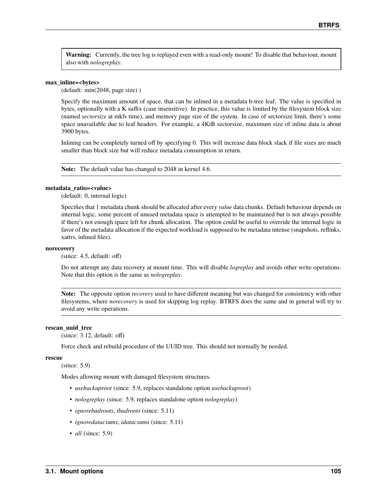**Warning:** Currently, the tree log is replayed even with a read-only mount! To disable that behaviour, mount also with *nologreplay*.

#### **max\_inline=<bytes>**

(default: min(2048, page size) )

Specify the maximum amount of space, that can be inlined in a metadata b-tree leaf. The value is specified in bytes, optionally with a K suffix (case insensitive). In practice, this value is limited by the filesystem block size (named *sectorsize* at mkfs time), and memory page size of the system. In case of sectorsize limit, there's some space unavailable due to leaf headers. For example, a 4KiB sectorsize, maximum size of inline data is about 3900 bytes.

Inlining can be completely turned off by specifying 0. This will increase data block slack if file sizes are much smaller than block size but will reduce metadata consumption in return.

**Note:** The default value has changed to 2048 in kernel 4.6.

#### **metadata\_ratio=<value>**

(default: 0, internal logic)

Specifies that 1 metadata chunk should be allocated after every *value* data chunks. Default behaviour depends on internal logic, some percent of unused metadata space is attempted to be maintained but is not always possible if there's not enough space left for chunk allocation. The option could be useful to override the internal logic in favor of the metadata allocation if the expected workload is supposed to be metadata intense (snapshots, reflinks, xattrs, inlined files).

#### **norecovery**

(since: 4.5, default: off)

Do not attempt any data recovery at mount time. This will disable *logreplay* and avoids other write operations. Note that this option is the same as *nologreplay*.

**Note:** The opposite option *recovery* used to have different meaning but was changed for consistency with other filesystems, where *norecovery* is used for skipping log replay. BTRFS does the same and in general will try to avoid any write operations.

#### **rescan\_uuid\_tree**

(since: 3.12, default: off)

Force check and rebuild procedure of the UUID tree. This should not normally be needed.

#### **rescue**

(since: 5.9)

Modes allowing mount with damaged filesystem structures.

- *usebackuproot* (since: 5.9, replaces standalone option *usebackuproot*)
- *nologreplay* (since: 5.9, replaces standalone option *nologreplay*)
- *ignorebadroots*, *ibadroots* (since: 5.11)
- *ignoredatacsums*, *idatacsums* (since: 5.11)
- *all* (since: 5.9)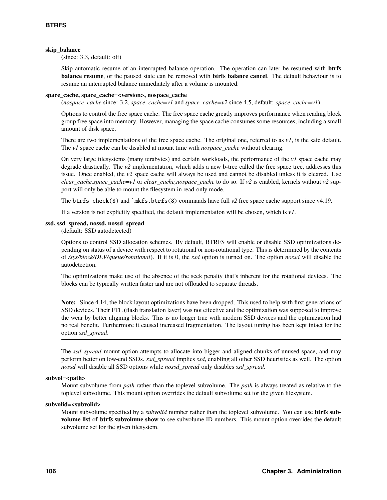#### **skip\_balance**

(since: 3.3, default: off)

Skip automatic resume of an interrupted balance operation. The operation can later be resumed with **btrfs balance resume**, or the paused state can be removed with **btrfs balance cancel**. The default behaviour is to resume an interrupted balance immediately after a volume is mounted.

#### **space\_cache, space\_cache=<version>, nospace\_cache**

(*nospace\_cache* since: 3.2, *space\_cache=v1* and *space\_cache=v2* since 4.5, default: *space\_cache=v1*)

Options to control the free space cache. The free space cache greatly improves performance when reading block group free space into memory. However, managing the space cache consumes some resources, including a small amount of disk space.

There are two implementations of the free space cache. The original one, referred to as *v1*, is the safe default. The *v1* space cache can be disabled at mount time with *nospace\_cache* without clearing.

On very large filesystems (many terabytes) and certain workloads, the performance of the *v1* space cache may degrade drastically. The *v2* implementation, which adds a new b-tree called the free space tree, addresses this issue. Once enabled, the *v2* space cache will always be used and cannot be disabled unless it is cleared. Use *clear\_cache,space\_cache=v1* or *clear\_cache,nospace\_cache* to do so. If *v2* is enabled, kernels without *v2* support will only be able to mount the filesystem in read-only mode.

The btrfs-check(8) and `mkfs.btrfs(8) commands have full  $v2$  free space cache support since v4.19.

If a version is not explicitly specified, the default implementation will be chosen, which is *v1*.

### **ssd, ssd\_spread, nossd, nossd\_spread**

(default: SSD autodetected)

Options to control SSD allocation schemes. By default, BTRFS will enable or disable SSD optimizations depending on status of a device with respect to rotational or non-rotational type. This is determined by the contents of */sys/block/DEV/queue/rotational*). If it is 0, the *ssd* option is turned on. The option *nossd* will disable the autodetection.

The optimizations make use of the absence of the seek penalty that's inherent for the rotational devices. The blocks can be typically written faster and are not offloaded to separate threads.

**Note:** Since 4.14, the block layout optimizations have been dropped. This used to help with first generations of SSD devices. Their FTL (flash translation layer) was not effective and the optimization was supposed to improve the wear by better aligning blocks. This is no longer true with modern SSD devices and the optimization had no real benefit. Furthermore it caused increased fragmentation. The layout tuning has been kept intact for the option *ssd\_spread*.

The *ssd\_spread* mount option attempts to allocate into bigger and aligned chunks of unused space, and may perform better on low-end SSDs. *ssd\_spread* implies *ssd*, enabling all other SSD heuristics as well. The option *nossd* will disable all SSD options while *nossd\_spread* only disables *ssd\_spread*.

#### subvol=<path>

Mount subvolume from *path* rather than the toplevel subvolume. The *path* is always treated as relative to the toplevel subvolume. This mount option overrides the default subvolume set for the given filesystem.

#### **subvolid=<subvolid>**

Mount subvolume specified by a *subvolid* number rather than the toplevel subvolume. You can use **btrfs subvolume list** of **btrfs subvolume show** to see subvolume ID numbers. This mount option overrides the default subvolume set for the given filesystem.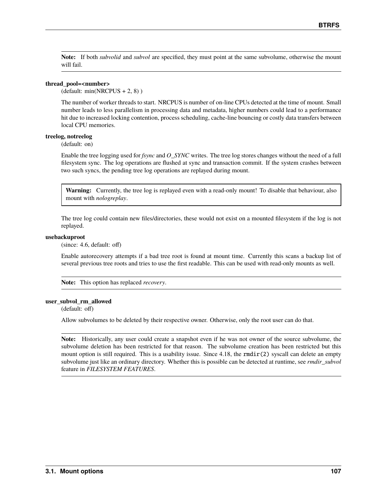**Note:** If both *subvolid* and *subvol* are specified, they must point at the same subvolume, otherwise the mount will fail.

#### **thread\_pool=<number>**

 $(\text{default: min(NRCPUS} + 2, 8))$ 

The number of worker threads to start. NRCPUS is number of on-line CPUs detected at the time of mount. Small number leads to less parallelism in processing data and metadata, higher numbers could lead to a performance hit due to increased locking contention, process scheduling, cache-line bouncing or costly data transfers between local CPU memories.

#### **treelog, notreelog**

(default: on)

Enable the tree logging used for *fsync* and *O\_SYNC* writes. The tree log stores changes without the need of a full filesystem sync. The log operations are flushed at sync and transaction commit. If the system crashes between two such syncs, the pending tree log operations are replayed during mount.

**Warning:** Currently, the tree log is replayed even with a read-only mount! To disable that behaviour, also mount with *nologreplay*.

The tree log could contain new files/directories, these would not exist on a mounted filesystem if the log is not replayed.

#### **usebackuproot**

(since: 4.6, default: off)

Enable autorecovery attempts if a bad tree root is found at mount time. Currently this scans a backup list of several previous tree roots and tries to use the first readable. This can be used with read-only mounts as well.

**Note:** This option has replaced *recovery*.

#### **user\_subvol\_rm\_allowed**

(default: off)

Allow subvolumes to be deleted by their respective owner. Otherwise, only the root user can do that.

**Note:** Historically, any user could create a snapshot even if he was not owner of the source subvolume, the subvolume deletion has been restricted for that reason. The subvolume creation has been restricted but this mount option is still required. This is a usability issue. Since 4.18, the rmdir(2) syscall can delete an empty subvolume just like an ordinary directory. Whether this is possible can be detected at runtime, see *rmdir\_subvol* feature in *FILESYSTEM FEATURES*.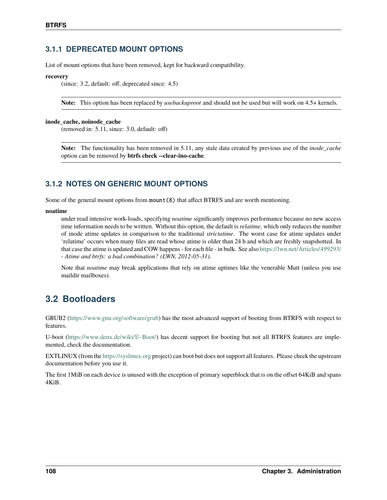## **3.1.1 DEPRECATED MOUNT OPTIONS**

List of mount options that have been removed, kept for backward compatibility.

#### **recovery**

(since: 3.2, default: off, deprecated since: 4.5)

**Note:** This option has been replaced by *usebackuproot* and should not be used but will work on 4.5+ kernels.

#### **inode\_cache, noinode\_cache**

(removed in: 5.11, since: 3.0, default: off)

**Note:** The functionality has been removed in 5.11, any stale data created by previous use of the *inode\_cache* option can be removed by **btrfs check --clear-ino-cache**.

## **3.1.2 NOTES ON GENERIC MOUNT OPTIONS**

Some of the general mount options from mount(8) that affect BTRFS and are worth mentioning.

#### **noatime**

under read intensive work-loads, specifying *noatime* significantly improves performance because no new access time information needs to be written. Without this option, the default is *relatime*, which only reduces the number of inode atime updates in comparison to the traditional *strictatime*. The worst case for atime updates under 'relatime' occurs when many files are read whose atime is older than 24 h and which are freshly snapshotted. In that case the atime is updated and COW happens - for each file - in bulk. See also <https://lwn.net/Articles/499293/> - *Atime and btrfs: a bad combination? (LWN, 2012-05-31)*.

Note that *noatime* may break applications that rely on atime uptimes like the venerable Mutt (unless you use maildir mailboxes).

## **3.2 Bootloaders**

GRUB2 [\(https://www.gnu.org/software/grub\)](https://www.gnu.org/software/grub) has the most advanced support of booting from BTRFS with respect to features.

U-boot [\(https://www.denx.de/wiki/U-Boot/\)](https://www.denx.de/wiki/U-Boot/) has decent support for booting but not all BTRFS features are implemented, check the documentation.

EXTLINUX (from the <https://syslinux.org> project) can boot but does not support all features. Please check the upstream documentation before you use it.

The first 1MiB on each device is unused with the exception of primary superblock that is on the offset 64KiB and spans 4KiB.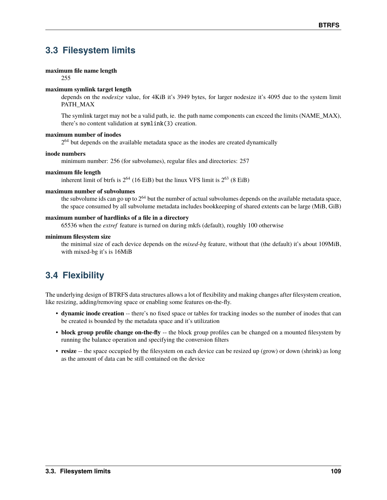# **3.3 Filesystem limits**

#### **maximum file name length**

255

### **maximum symlink target length**

depends on the *nodesize* value, for 4KiB it's 3949 bytes, for larger nodesize it's 4095 due to the system limit PATH\_MAX

The symlink target may not be a valid path, ie. the path name components can exceed the limits (NAME\_MAX), there's no content validation at symlink(3) creation.

#### **maximum number of inodes**

 $2<sup>64</sup>$  but depends on the available metadata space as the inodes are created dynamically

#### **inode numbers**

minimum number: 256 (for subvolumes), regular files and directories: 257

### **maximum file length**

inherent limit of btrfs is  $2^{64}$  (16 EiB) but the linux VFS limit is  $2^{63}$  (8 EiB)

### **maximum number of subvolumes**

the subvolume ids can go up to  $2^{64}$  but the number of actual subvolumes depends on the available metadata space, the space consumed by all subvolume metadata includes bookkeeping of shared extents can be large (MiB, GiB)

### **maximum number of hardlinks of a file in a directory**

65536 when the *extref* feature is turned on during mkfs (default), roughly 100 otherwise

### **minimum filesystem size**

the minimal size of each device depends on the *mixed-bg* feature, without that (the default) it's about 109MiB, with mixed-bg it's is 16MiB

# **3.4 Flexibility**

The underlying design of BTRFS data structures allows a lot of flexibility and making changes after filesystem creation, like resizing, adding/removing space or enabling some features on-the-fly.

- **dynamic inode creation** -- there's no fixed space or tables for tracking inodes so the number of inodes that can be created is bounded by the metadata space and it's utilization
- **block group profile change on-the-fly** -- the block group profiles can be changed on a mounted filesystem by running the balance operation and specifying the conversion filters
- **resize** -- the space occupied by the filesystem on each device can be resized up (grow) or down (shrink) as long as the amount of data can be still contained on the device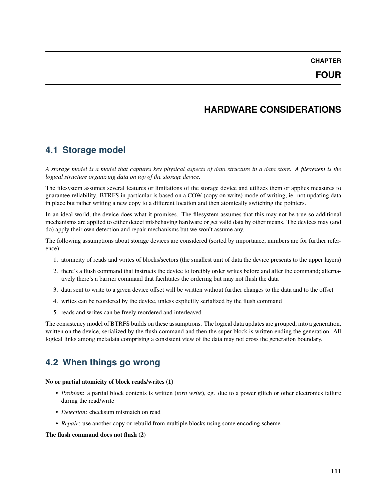**CHAPTER**

# **HARDWARE CONSIDERATIONS**

## **4.1 Storage model**

*A storage model is a model that captures key physical aspects of data structure in a data store. A filesystem is the logical structure organizing data on top of the storage device.*

The filesystem assumes several features or limitations of the storage device and utilizes them or applies measures to guarantee reliability. BTRFS in particular is based on a COW (copy on write) mode of writing, ie. not updating data in place but rather writing a new copy to a different location and then atomically switching the pointers.

In an ideal world, the device does what it promises. The filesystem assumes that this may not be true so additional mechanisms are applied to either detect misbehaving hardware or get valid data by other means. The devices may (and do) apply their own detection and repair mechanisms but we won't assume any.

The following assumptions about storage devices are considered (sorted by importance, numbers are for further reference):

- 1. atomicity of reads and writes of blocks/sectors (the smallest unit of data the device presents to the upper layers)
- 2. there's a flush command that instructs the device to forcibly order writes before and after the command; alternatively there's a barrier command that facilitates the ordering but may not flush the data
- 3. data sent to write to a given device offset will be written without further changes to the data and to the offset
- 4. writes can be reordered by the device, unless explicitly serialized by the flush command
- 5. reads and writes can be freely reordered and interleaved

The consistency model of BTRFS builds on these assumptions. The logical data updates are grouped, into a generation, written on the device, serialized by the flush command and then the super block is written ending the generation. All logical links among metadata comprising a consistent view of the data may not cross the generation boundary.

## **4.2 When things go wrong**

#### **No or partial atomicity of block reads/writes (1)**

- *Problem*: a partial block contents is written (*torn write*), eg. due to a power glitch or other electronics failure during the read/write
- *Detection*: checksum mismatch on read
- *Repair*: use another copy or rebuild from multiple blocks using some encoding scheme

#### **The flush command does not flush (2)**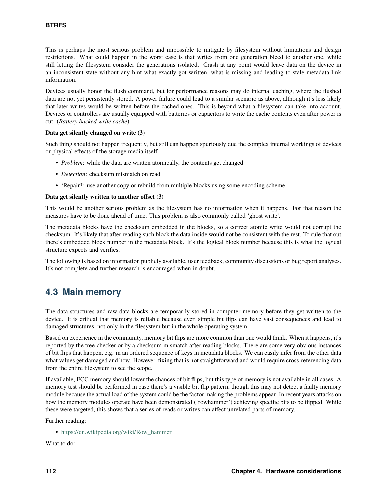This is perhaps the most serious problem and impossible to mitigate by filesystem without limitations and design restrictions. What could happen in the worst case is that writes from one generation bleed to another one, while still letting the filesystem consider the generations isolated. Crash at any point would leave data on the device in an inconsistent state without any hint what exactly got written, what is missing and leading to stale metadata link information.

Devices usually honor the flush command, but for performance reasons may do internal caching, where the flushed data are not yet persistently stored. A power failure could lead to a similar scenario as above, although it's less likely that later writes would be written before the cached ones. This is beyond what a filesystem can take into account. Devices or controllers are usually equipped with batteries or capacitors to write the cache contents even after power is cut. (*Battery backed write cache*)

#### **Data get silently changed on write (3)**

Such thing should not happen frequently, but still can happen spuriously due the complex internal workings of devices or physical effects of the storage media itself.

- *Problem*: while the data are written atomically, the contents get changed
- *Detection*: checksum mismatch on read
- 'Repair\*: use another copy or rebuild from multiple blocks using some encoding scheme

#### **Data get silently written to another offset (3)**

This would be another serious problem as the filesystem has no information when it happens. For that reason the measures have to be done ahead of time. This problem is also commonly called 'ghost write'.

The metadata blocks have the checksum embedded in the blocks, so a correct atomic write would not corrupt the checksum. It's likely that after reading such block the data inside would not be consistent with the rest. To rule that out there's embedded block number in the metadata block. It's the logical block number because this is what the logical structure expects and verifies.

The following is based on information publicly available, user feedback, community discussions or bug report analyses. It's not complete and further research is encouraged when in doubt.

## **4.3 Main memory**

The data structures and raw data blocks are temporarily stored in computer memory before they get written to the device. It is critical that memory is reliable because even simple bit flips can have vast consequences and lead to damaged structures, not only in the filesystem but in the whole operating system.

Based on experience in the community, memory bit flips are more common than one would think. When it happens, it's reported by the tree-checker or by a checksum mismatch after reading blocks. There are some very obvious instances of bit flips that happen, e.g. in an ordered sequence of keys in metadata blocks. We can easily infer from the other data what values get damaged and how. However, fixing that is not straightforward and would require cross-referencing data from the entire filesystem to see the scope.

If available, ECC memory should lower the chances of bit flips, but this type of memory is not available in all cases. A memory test should be performed in case there's a visible bit flip pattern, though this may not detect a faulty memory module because the actual load of the system could be the factor making the problems appear. In recent years attacks on how the memory modules operate have been demonstrated ('rowhammer') achieving specific bits to be flipped. While these were targeted, this shows that a series of reads or writes can affect unrelated parts of memory.

Further reading:

• [https://en.wikipedia.org/wiki/Row\\_hammer](https://en.wikipedia.org/wiki/Row_hammer)

What to do: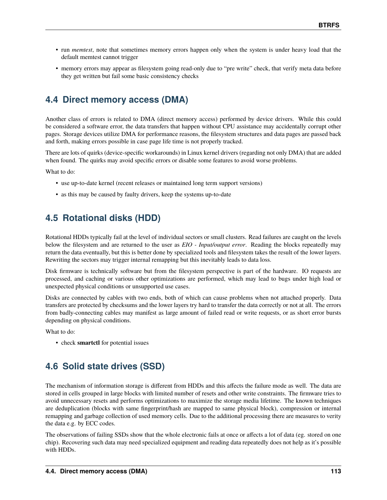- run *memtest*, note that sometimes memory errors happen only when the system is under heavy load that the default memtest cannot trigger
- memory errors may appear as filesystem going read-only due to "pre write" check, that verify meta data before they get written but fail some basic consistency checks

# **4.4 Direct memory access (DMA)**

Another class of errors is related to DMA (direct memory access) performed by device drivers. While this could be considered a software error, the data transfers that happen without CPU assistance may accidentally corrupt other pages. Storage devices utilize DMA for performance reasons, the filesystem structures and data pages are passed back and forth, making errors possible in case page life time is not properly tracked.

There are lots of quirks (device-specific workarounds) in Linux kernel drivers (regarding not only DMA) that are added when found. The quirks may avoid specific errors or disable some features to avoid worse problems.

What to do:

- use up-to-date kernel (recent releases or maintained long term support versions)
- as this may be caused by faulty drivers, keep the systems up-to-date

# **4.5 Rotational disks (HDD)**

Rotational HDDs typically fail at the level of individual sectors or small clusters. Read failures are caught on the levels below the filesystem and are returned to the user as *EIO - Input/output error*. Reading the blocks repeatedly may return the data eventually, but this is better done by specialized tools and filesystem takes the result of the lower layers. Rewriting the sectors may trigger internal remapping but this inevitably leads to data loss.

Disk firmware is technically software but from the filesystem perspective is part of the hardware. IO requests are processed, and caching or various other optimizations are performed, which may lead to bugs under high load or unexpected physical conditions or unsupported use cases.

Disks are connected by cables with two ends, both of which can cause problems when not attached properly. Data transfers are protected by checksums and the lower layers try hard to transfer the data correctly or not at all. The errors from badly-connecting cables may manifest as large amount of failed read or write requests, or as short error bursts depending on physical conditions.

What to do:

• check **smartctl** for potential issues

# **4.6 Solid state drives (SSD)**

The mechanism of information storage is different from HDDs and this affects the failure mode as well. The data are stored in cells grouped in large blocks with limited number of resets and other write constraints. The firmware tries to avoid unnecessary resets and performs optimizations to maximize the storage media lifetime. The known techniques are deduplication (blocks with same fingerprint/hash are mapped to same physical block), compression or internal remapping and garbage collection of used memory cells. Due to the additional processing there are measures to verity the data e.g. by ECC codes.

The observations of failing SSDs show that the whole electronic fails at once or affects a lot of data (eg. stored on one chip). Recovering such data may need specialized equipment and reading data repeatedly does not help as it's possible with HDDs.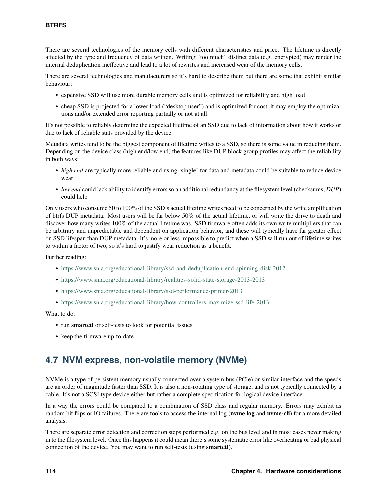There are several technologies of the memory cells with different characteristics and price. The lifetime is directly affected by the type and frequency of data written. Writing "too much" distinct data (e.g. encrypted) may render the internal deduplication ineffective and lead to a lot of rewrites and increased wear of the memory cells.

There are several technologies and manufacturers so it's hard to describe them but there are some that exhibit similar behaviour:

- expensive SSD will use more durable memory cells and is optimized for reliability and high load
- cheap SSD is projected for a lower load ("desktop user") and is optimized for cost, it may employ the optimizations and/or extended error reporting partially or not at all

It's not possible to reliably determine the expected lifetime of an SSD due to lack of information about how it works or due to lack of reliable stats provided by the device.

Metadata writes tend to be the biggest component of lifetime writes to a SSD, so there is some value in reducing them. Depending on the device class (high end/low end) the features like DUP block group profiles may affect the reliability in both ways:

- *high end* are typically more reliable and using 'single' for data and metadata could be suitable to reduce device wear
- *low end* could lack ability to identify errors so an additional redundancy at the filesystem level (checksums, *DUP*) could help

Only users who consume 50 to 100% of the SSD's actual lifetime writes need to be concerned by the write amplification of btrfs DUP metadata. Most users will be far below 50% of the actual lifetime, or will write the drive to death and discover how many writes 100% of the actual lifetime was. SSD firmware often adds its own write multipliers that can be arbitrary and unpredictable and dependent on application behavior, and these will typically have far greater effect on SSD lifespan than DUP metadata. It's more or less impossible to predict when a SSD will run out of lifetime writes to within a factor of two, so it's hard to justify wear reduction as a benefit.

Further reading:

- <https://www.snia.org/educational-library/ssd-and-deduplication-end-spinning-disk-2012>
- <https://www.snia.org/educational-library/realities-solid-state-storage-2013-2013>
- <https://www.snia.org/educational-library/ssd-performance-primer-2013>
- <https://www.snia.org/educational-library/how-controllers-maximize-ssd-life-2013>

#### What to do:

- run **smartctl** or self-tests to look for potential issues
- keep the firmware up-to-date

## **4.7 NVM express, non-volatile memory (NVMe)**

NVMe is a type of persistent memory usually connected over a system bus (PCIe) or similar interface and the speeds are an order of magnitude faster than SSD. It is also a non-rotating type of storage, and is not typically connected by a cable. It's not a SCSI type device either but rather a complete specification for logical device interface.

In a way the errors could be compared to a combination of SSD class and regular memory. Errors may exhibit as random bit flips or IO failures. There are tools to access the internal log (**nvme log** and **nvme-cli**) for a more detailed analysis.

There are separate error detection and correction steps performed e.g. on the bus level and in most cases never making in to the filesystem level. Once this happens it could mean there's some systematic error like overheating or bad physical connection of the device. You may want to run self-tests (using **smartctl**).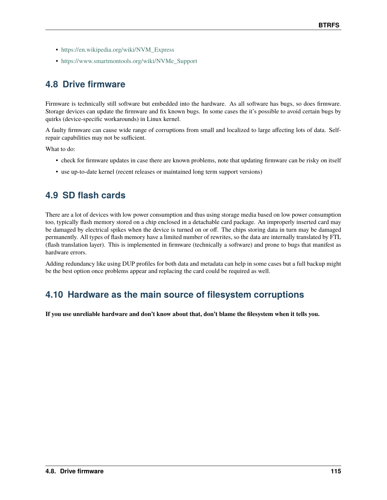- [https://en.wikipedia.org/wiki/NVM\\_Express](https://en.wikipedia.org/wiki/NVM_Express)
- [https://www.smartmontools.org/wiki/NVMe\\_Support](https://www.smartmontools.org/wiki/NVMe_Support)

# **4.8 Drive firmware**

Firmware is technically still software but embedded into the hardware. As all software has bugs, so does firmware. Storage devices can update the firmware and fix known bugs. In some cases the it's possible to avoid certain bugs by quirks (device-specific workarounds) in Linux kernel.

A faulty firmware can cause wide range of corruptions from small and localized to large affecting lots of data. Selfrepair capabilities may not be sufficient.

What to do:

- check for firmware updates in case there are known problems, note that updating firmware can be risky on itself
- use up-to-date kernel (recent releases or maintained long term support versions)

# **4.9 SD flash cards**

There are a lot of devices with low power consumption and thus using storage media based on low power consumption too, typically flash memory stored on a chip enclosed in a detachable card package. An improperly inserted card may be damaged by electrical spikes when the device is turned on or off. The chips storing data in turn may be damaged permanently. All types of flash memory have a limited number of rewrites, so the data are internally translated by FTL (flash translation layer). This is implemented in firmware (technically a software) and prone to bugs that manifest as hardware errors.

Adding redundancy like using DUP profiles for both data and metadata can help in some cases but a full backup might be the best option once problems appear and replacing the card could be required as well.

## **4.10 Hardware as the main source of filesystem corruptions**

**If you use unreliable hardware and don't know about that, don't blame the filesystem when it tells you.**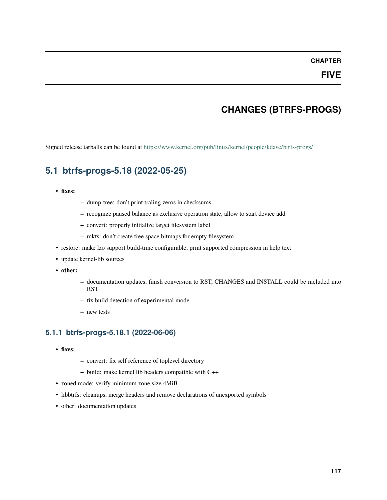### **CHAPTER**

### **FIVE**

# **CHANGES (BTRFS-PROGS)**

Signed release tarballs can be found at <https://www.kernel.org/pub/linux/kernel/people/kdave/btrfs-progs/>

## **5.1 btrfs-progs-5.18 (2022-05-25)**

### • **fixes:**

- **–** dump-tree: don't print traling zeros in checksums
- **–** recognize paused balance as exclusive operation state, allow to start device add
- **–** convert: properly initialize target filesystem label
- **–** mkfs: don't create free space bitmaps for empty filesystem
- restore: make lzo support build-time configurable, print supported compression in help text
- update kernel-lib sources
- **other:**
- **–** documentation updates, finish conversion to RST, CHANGES and INSTALL could be included into RST
- **–** fix build detection of experimental mode
- **–** new tests

### **5.1.1 btrfs-progs-5.18.1 (2022-06-06)**

- **fixes:**
- **–** convert: fix self reference of toplevel directory
- **–** build: make kernel lib headers compatible with C++
- zoned mode: verify minimum zone size 4MiB
- libbtrfs: cleanups, merge headers and remove declarations of unexported symbols
- other: documentation updates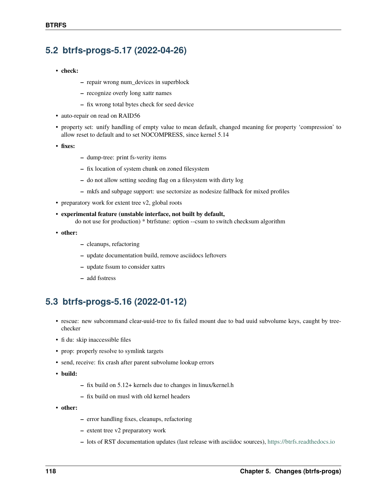## **5.2 btrfs-progs-5.17 (2022-04-26)**

- **check:**
- **–** repair wrong num\_devices in superblock
- **–** recognize overly long xattr names
- **–** fix wrong total bytes check for seed device
- auto-repair on read on RAID56
- property set: unify handling of empty value to mean default, changed meaning for property 'compression' to allow reset to default and to set NOCOMPRESS, since kernel 5.14
- **fixes:**
- **–** dump-tree: print fs-verity items
- **–** fix location of system chunk on zoned filesystem
- **–** do not allow setting seeding flag on a filesystem with dirty log
- **–** mkfs and subpage support: use sectorsize as nodesize fallback for mixed profiles
- preparatory work for extent tree v2, global roots
- **experimental feature (unstable interface, not built by default,**

do not use for production) \* btrfstune: option --csum to switch checksum algorithm

- **other:**
- **–** cleanups, refactoring
- **–** update documentation build, remove asciidocs leftovers
- **–** update fssum to consider xattrs
- **–** add fsstress

# **5.3 btrfs-progs-5.16 (2022-01-12)**

- rescue: new subcommand clear-uuid-tree to fix failed mount due to bad uuid subvolume keys, caught by treechecker
- fi du: skip inaccessible files
- prop: properly resolve to symlink targets
- send, receive: fix crash after parent subvolume lookup errors
- **build:**
- **–** fix build on 5.12+ kernels due to changes in linux/kernel.h
- **–** fix build on musl with old kernel headers
- **other:**
- **–** error handling fixes, cleanups, refactoring
- **–** extent tree v2 preparatory work
- **–** lots of RST documentation updates (last release with asciidoc sources), <https://btrfs.readthedocs.io>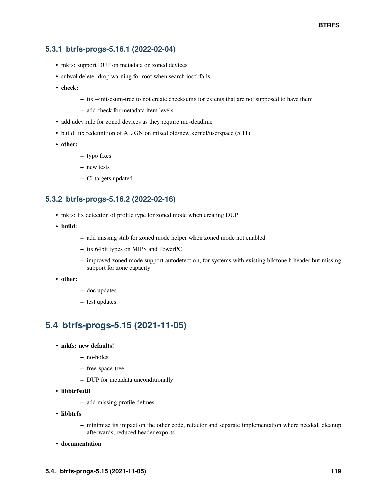## **5.3.1 btrfs-progs-5.16.1 (2022-02-04)**

- mkfs: support DUP on metadata on zoned devices
- subvol delete: drop warning for root when search ioctl fails
- **check:**
- **–** fix --init-csum-tree to not create checksums for extents that are not supposed to have them
- **–** add check for metadata item levels
- add udev rule for zoned devices as they require mq-deadline
- build: fix redefinition of ALIGN on mixed old/new kernel/userspace (5.11)
- **other:**
- **–** typo fixes
- **–** new tests
- **–** CI targets updated

### **5.3.2 btrfs-progs-5.16.2 (2022-02-16)**

- mkfs: fix detection of profile type for zoned mode when creating DUP
- **build:**
- **–** add missing stub for zoned mode helper when zoned mode not enabled
- **–** fix 64bit types on MIPS and PowerPC
- **–** improved zoned mode support autodetection, for systems with existing blkzone.h header but missing support for zone capacity
- **other:**
- **–** doc updates
- **–** test updates

# **5.4 btrfs-progs-5.15 (2021-11-05)**

- **mkfs: new defaults!**
	- **–** no-holes
	- **–** free-space-tree
	- **–** DUP for metadata unconditionally
- **libbtrfsutil**
	- **–** add missing profile defines
- **libbtrfs**
	- **–** minimize its impact on the other code, refactor and separate implementation where needed, cleanup afterwards, reduced header exports
- **documentation**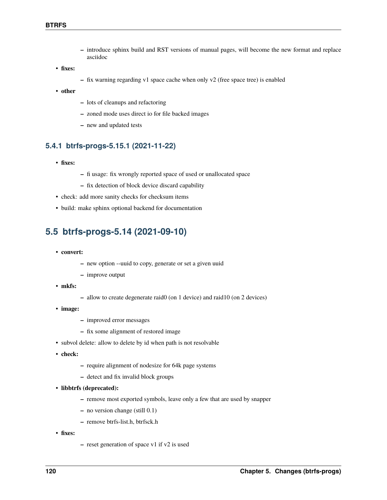- **–** introduce sphinx build and RST versions of manual pages, will become the new format and replace asciidoc
- **fixes:**
- **–** fix warning regarding v1 space cache when only v2 (free space tree) is enabled
- **other**
- **–** lots of cleanups and refactoring
- **–** zoned mode uses direct io for file backed images
- **–** new and updated tests

### **5.4.1 btrfs-progs-5.15.1 (2021-11-22)**

- **fixes:**
- **–** fi usage: fix wrongly reported space of used or unallocated space
- **–** fix detection of block device discard capability
- check: add more sanity checks for checksum items
- build: make sphinx optional backend for documentation

## **5.5 btrfs-progs-5.14 (2021-09-10)**

- **convert:**
	- **–** new option --uuid to copy, generate or set a given uuid
	- **–** improve output
- **mkfs:**
- **–** allow to create degenerate raid0 (on 1 device) and raid10 (on 2 devices)
- **image:**
	- **–** improved error messages
	- **–** fix some alignment of restored image
- subvol delete: allow to delete by id when path is not resolvable
- **check:**
	- **–** require alignment of nodesize for 64k page systems
	- **–** detect and fix invalid block groups
- **libbtrfs (deprecated):**
	- **–** remove most exported symbols, leave only a few that are used by snapper
	- **–** no version change (still 0.1)
	- **–** remove btrfs-list.h, btrfsck.h
- **fixes:**
- **–** reset generation of space v1 if v2 is used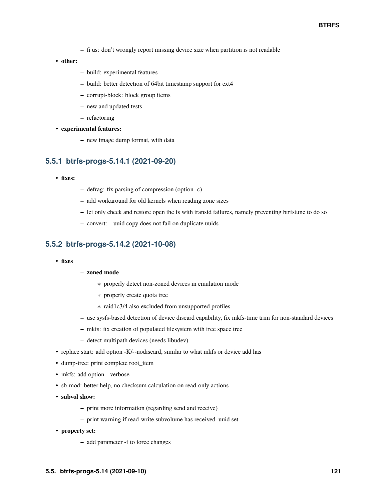- **–** fi us: don't wrongly report missing device size when partition is not readable
- **other:**
- **–** build: experimental features
- **–** build: better detection of 64bit timestamp support for ext4
- **–** corrupt-block: block group items
- **–** new and updated tests
- **–** refactoring
- **experimental features:**
	- **–** new image dump format, with data

### **5.5.1 btrfs-progs-5.14.1 (2021-09-20)**

- **fixes:**
- **–** defrag: fix parsing of compression (option -c)
- **–** add workaround for old kernels when reading zone sizes
- **–** let only check and restore open the fs with transid failures, namely preventing btrfstune to do so
- **–** convert: --uuid copy does not fail on duplicate uuids

### **5.5.2 btrfs-progs-5.14.2 (2021-10-08)**

• **fixes**

### **– zoned mode**

- ∗ properly detect non-zoned devices in emulation mode
- ∗ properly create quota tree
- ∗ raid1c3/4 also excluded from unsupported profiles
- **–** use sysfs-based detection of device discard capability, fix mkfs-time trim for non-standard devices
- **–** mkfs: fix creation of populated filesystem with free space tree
- **–** detect multipath devices (needs libudev)
- replace start: add option -K/--nodiscard, similar to what mkfs or device add has
- dump-tree: print complete root\_item
- mkfs: add option --verbose
- sb-mod: better help, no checksum calculation on read-only actions
- **subvol show:**
	- **–** print more information (regarding send and receive)
	- **–** print warning if read-write subvolume has received\_uuid set
- **property set:**
	- **–** add parameter -f to force changes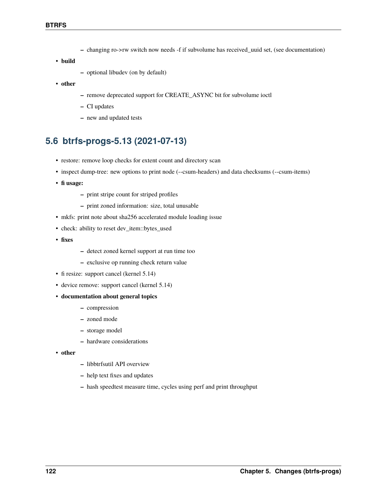- **–** changing ro->rw switch now needs -f if subvolume has received\_uuid set, (see documentation)
- **build**
- **–** optional libudev (on by default)
- **other**
- **–** remove deprecated support for CREATE\_ASYNC bit for subvolume ioctl
- **–** CI updates
- **–** new and updated tests

# **5.6 btrfs-progs-5.13 (2021-07-13)**

- restore: remove loop checks for extent count and directory scan
- inspect dump-tree: new options to print node (--csum-headers) and data checksums (--csum-items)
- **fi usage:**
	- **–** print stripe count for striped profiles
	- **–** print zoned information: size, total unusable
- mkfs: print note about sha256 accelerated module loading issue
- check: ability to reset dev\_item::bytes\_used
- **fixes**
- **–** detect zoned kernel support at run time too
- **–** exclusive op running check return value
- fi resize: support cancel (kernel 5.14)
- device remove: support cancel (kernel 5.14)
- **documentation about general topics**
	- **–** compression
	- **–** zoned mode
	- **–** storage model
	- **–** hardware considerations
- **other**
- **–** libbtrfsutil API overview
- **–** help text fixes and updates
- **–** hash speedtest measure time, cycles using perf and print throughput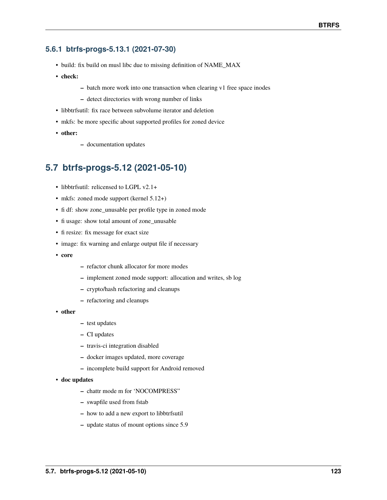### **5.6.1 btrfs-progs-5.13.1 (2021-07-30)**

- build: fix build on musl libc due to missing definition of NAME\_MAX
- **check:**
- **–** batch more work into one transaction when clearing v1 free space inodes
- **–** detect directories with wrong number of links
- libbtrfsutil: fix race between subvolume iterator and deletion
- mkfs: be more specific about supported profiles for zoned device
- **other:**
- **–** documentation updates

## **5.7 btrfs-progs-5.12 (2021-05-10)**

- libbtrfsutil: relicensed to LGPL v2.1+
- mkfs: zoned mode support (kernel 5.12+)
- fi df: show zone\_unusable per profile type in zoned mode
- fi usage: show total amount of zone\_unusable
- fi resize: fix message for exact size
- image: fix warning and enlarge output file if necessary
- **core**
- **–** refactor chunk allocator for more modes
- **–** implement zoned mode support: allocation and writes, sb log
- **–** crypto/hash refactoring and cleanups
- **–** refactoring and cleanups
- **other**
- **–** test updates
- **–** CI updates
- **–** travis-ci integration disabled
- **–** docker images updated, more coverage
- **–** incomplete build support for Android removed
- **doc updates**
	- **–** chattr mode m for 'NOCOMPRESS"
	- **–** swapfile used from fstab
	- **–** how to add a new export to libbtrfsutil
	- **–** update status of mount options since 5.9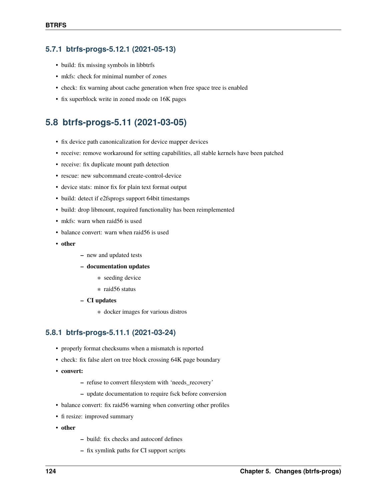### **5.7.1 btrfs-progs-5.12.1 (2021-05-13)**

- build: fix missing symbols in libbtrfs
- mkfs: check for minimal number of zones
- check: fix warning about cache generation when free space tree is enabled
- fix superblock write in zoned mode on 16K pages

## **5.8 btrfs-progs-5.11 (2021-03-05)**

- fix device path canonicalization for device mapper devices
- receive: remove workaround for setting capabilities, all stable kernels have been patched
- receive: fix duplicate mount path detection
- rescue: new subcommand create-control-device
- device stats: minor fix for plain text format output
- build: detect if e2fsprogs support 64bit timestamps
- build: drop libmount, required functionality has been reimplemented
- mkfs: warn when raid56 is used
- balance convert: warn when raid56 is used
- **other**
- **–** new and updated tests
- **– documentation updates**
	- ∗ seeding device
	- ∗ raid56 status
- **– CI updates**
	- ∗ docker images for various distros

### **5.8.1 btrfs-progs-5.11.1 (2021-03-24)**

- properly format checksums when a mismatch is reported
- check: fix false alert on tree block crossing 64K page boundary
- **convert:**
	- **–** refuse to convert filesystem with 'needs\_recovery'
	- **–** update documentation to require fsck before conversion
- balance convert: fix raid56 warning when converting other profiles
- fi resize: improved summary
- **other**
- **–** build: fix checks and autoconf defines
- **–** fix symlink paths for CI support scripts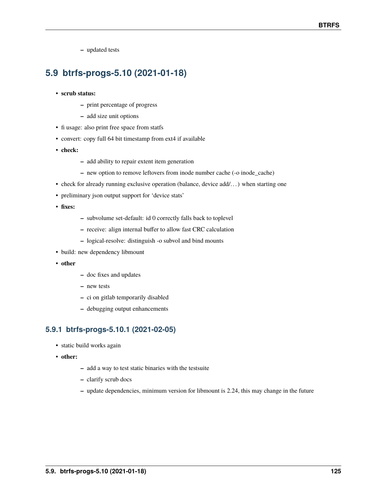**–** updated tests

# **5.9 btrfs-progs-5.10 (2021-01-18)**

- **scrub status:**
	- **–** print percentage of progress
	- **–** add size unit options
- fi usage: also print free space from statfs
- convert: copy full 64 bit timestamp from ext4 if available
- **check:**
- **–** add ability to repair extent item generation
- **–** new option to remove leftovers from inode number cache (-o inode\_cache)
- check for already running exclusive operation (balance, device add/...) when starting one
- preliminary json output support for 'device stats'
- **fixes:**
- **–** subvolume set-default: id 0 correctly falls back to toplevel
- **–** receive: align internal buffer to allow fast CRC calculation
- **–** logical-resolve: distinguish -o subvol and bind mounts
- build: new dependency libmount
- **other**
- **–** doc fixes and updates
- **–** new tests
- **–** ci on gitlab temporarily disabled
- **–** debugging output enhancements

### **5.9.1 btrfs-progs-5.10.1 (2021-02-05)**

- static build works again
- **other:**
- **–** add a way to test static binaries with the testsuite
- **–** clarify scrub docs
- **–** update dependencies, minimum version for libmount is 2.24, this may change in the future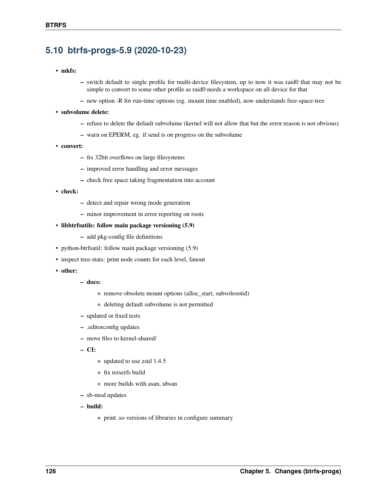# **5.10 btrfs-progs-5.9 (2020-10-23)**

- **mkfs:**
- **–** switch default to single profile for multi-device filesystem, up to now it was raid0 that may not be simple to convert to some other profile as raid0 needs a workspace on all device for that
- **–** new option -R for run-time options (eg. mount time enabled), now understands free-space-tree
- **subvolume delete:**
	- **–** refuse to delete the default subvolume (kernel will not allow that but the error reason is not obvious)
	- **–** warn on EPERM, eg. if send is on progress on the subvolume
- **convert:**
	- **–** fix 32bit overflows on large filesystems
	- **–** improved error handling and error messages
	- **–** check free space taking fragmentation into account
- **check:**
	- **–** detect and repair wrong inode generation
	- **–** minor improvement in error reporting on roots
- **libbtrfsutils: follow main package versioning (5.9)**
	- **–** add pkg-config file definitions
- python-btrfsutil: follow main package versioning (5.9)
- inspect tree-stats: print node counts for each level, fanout
- **other:**
- **– docs:**
	- ∗ remove obsolete mount options (alloc\_start, subvolrootid)
	- ∗ deleting default subvolume is not permitted
- **–** updated or fixed tests
- **–** .editorconfig updates
- **–** move files to kernel-shared/
- **– CI:**
	- ∗ updated to use zstd 1.4.5
	- ∗ fix reiserfs build
	- ∗ more builds with asan, ubsan
- **–** sb-mod updates
- **– build:**
	- ∗ print .so versions of libraries in configure summary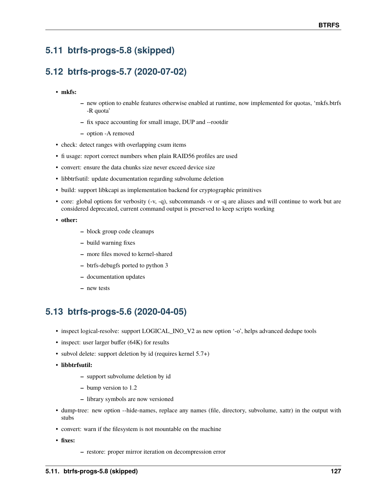# **5.11 btrfs-progs-5.8 (skipped)**

# **5.12 btrfs-progs-5.7 (2020-07-02)**

- **mkfs:**
- **–** new option to enable features otherwise enabled at runtime, now implemented for quotas, 'mkfs.btrfs -R quota'
- **–** fix space accounting for small image, DUP and --rootdir
- **–** option -A removed
- check: detect ranges with overlapping csum items
- fi usage: report correct numbers when plain RAID56 profiles are used
- convert: ensure the data chunks size never exceed device size
- libbtrfsutil: update documentation regarding subvolume deletion
- build: support libkcapi as implementation backend for cryptographic primitives
- core: global options for verbosity (-v, -q), subcommands -v or -q are aliases and will continue to work but are considered deprecated, current command output is preserved to keep scripts working
- **other:**
- **–** block group code cleanups
- **–** build warning fixes
- **–** more files moved to kernel-shared
- **–** btrfs-debugfs ported to python 3
- **–** documentation updates
- **–** new tests

# **5.13 btrfs-progs-5.6 (2020-04-05)**

- inspect logical-resolve: support LOGICAL\_INO\_V2 as new option '-o', helps advanced dedupe tools
- inspect: user larger buffer (64K) for results
- subvol delete: support deletion by id (requires kernel 5.7+)
- **libbtrfsutil:**
	- **–** support subvolume deletion by id
	- **–** bump version to 1.2
	- **–** library symbols are now versioned
- dump-tree: new option --hide-names, replace any names (file, directory, subvolume, xattr) in the output with stubs
- convert: warn if the filesystem is not mountable on the machine
- **fixes:**
- **–** restore: proper mirror iteration on decompression error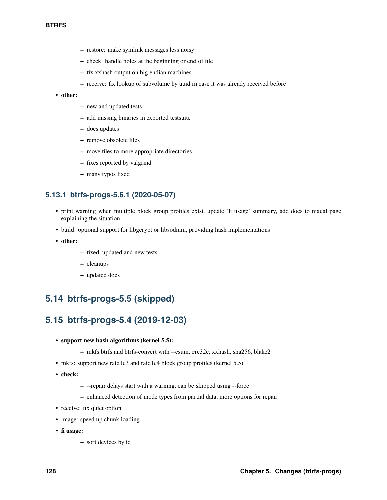- **–** restore: make symlink messages less noisy
- **–** check: handle holes at the beginning or end of file
- **–** fix xxhash output on big endian machines
- **–** receive: fix lookup of subvolume by uuid in case it was already received before

#### • **other:**

- **–** new and updated tests
- **–** add missing binaries in exported testsuite
- **–** docs updates
- **–** remove obsolete files
- **–** move files to more appropriate directories
- **–** fixes reported by valgrind
- **–** many typos fixed

### **5.13.1 btrfs-progs-5.6.1 (2020-05-07)**

- print warning when multiple block group profiles exist, update 'fi usage' summary, add docs to maual page explaining the situation
- build: optional support for libgcrypt or libsodium, providing hash implementations
- **other:**
- **–** fixed, updated and new tests
- **–** cleanups
- **–** updated docs

## **5.14 btrfs-progs-5.5 (skipped)**

## **5.15 btrfs-progs-5.4 (2019-12-03)**

- **support new hash algorithms (kernel 5.5):**
	- **–** mkfs.btrfs and btrfs-convert with --csum, crc32c, xxhash, sha256, blake2
- mkfs: support new raid1c3 and raid1c4 block group profiles (kernel 5.5)
- **check:**
- **–** --repair delays start with a warning, can be skipped using --force
- **–** enhanced detection of inode types from partial data, more options for repair
- receive: fix quiet option
- image: speed up chunk loading
- **fi usage:**
	- **–** sort devices by id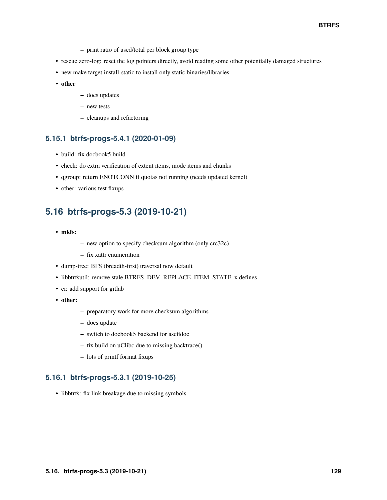- **–** print ratio of used/total per block group type
- rescue zero-log: reset the log pointers directly, avoid reading some other potentially damaged structures
- new make target install-static to install only static binaries/libraries
- **other**
- **–** docs updates
- **–** new tests
- **–** cleanups and refactoring

### **5.15.1 btrfs-progs-5.4.1 (2020-01-09)**

- build: fix docbook5 build
- check: do extra verification of extent items, inode items and chunks
- qgroup: return ENOTCONN if quotas not running (needs updated kernel)
- other: various test fixups

# **5.16 btrfs-progs-5.3 (2019-10-21)**

- **mkfs:**
- **–** new option to specify checksum algorithm (only crc32c)
- **–** fix xattr enumeration
- dump-tree: BFS (breadth-first) traversal now default
- libbtrfsutil: remove stale BTRFS\_DEV\_REPLACE\_ITEM\_STATE\_x defines
- ci: add support for gitlab
- **other:**
- **–** preparatory work for more checksum algorithms
- **–** docs update
- **–** switch to docbook5 backend for asciidoc
- **–** fix build on uClibc due to missing backtrace()
- **–** lots of printf format fixups

### **5.16.1 btrfs-progs-5.3.1 (2019-10-25)**

• libbtrfs: fix link breakage due to missing symbols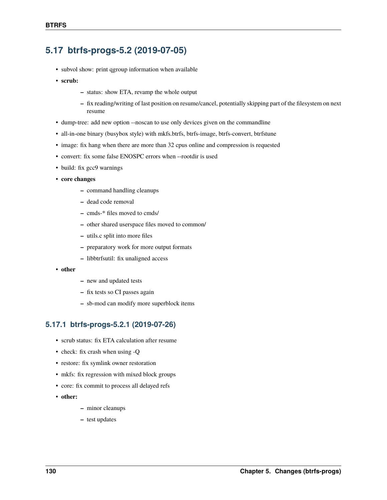## **5.17 btrfs-progs-5.2 (2019-07-05)**

- subvol show: print qgroup information when available
- **scrub:**
	- **–** status: show ETA, revamp the whole output
	- **–** fix reading/writing of last position on resume/cancel, potentially skipping part of the filesystem on next resume
- dump-tree: add new option --noscan to use only devices given on the commandline
- all-in-one binary (busybox style) with mkfs.btrfs, btrfs-image, btrfs-convert, btrfstune
- image: fix hang when there are more than 32 cpus online and compression is requested
- convert: fix some false ENOSPC errors when --rootdir is used
- build: fix gcc9 warnings
- **core changes**
	- **–** command handling cleanups
	- **–** dead code removal
	- **–** cmds-\* files moved to cmds/
	- **–** other shared userspace files moved to common/
	- **–** utils.c split into more files
	- **–** preparatory work for more output formats
	- **–** libbtrfsutil: fix unaligned access
- **other**
- **–** new and updated tests
- **–** fix tests so CI passes again
- **–** sb-mod can modify more superblock items

### **5.17.1 btrfs-progs-5.2.1 (2019-07-26)**

- scrub status: fix ETA calculation after resume
- check: fix crash when using -Q
- restore: fix symlink owner restoration
- mkfs: fix regression with mixed block groups
- core: fix commit to process all delayed refs
- **other:**
- **–** minor cleanups
- **–** test updates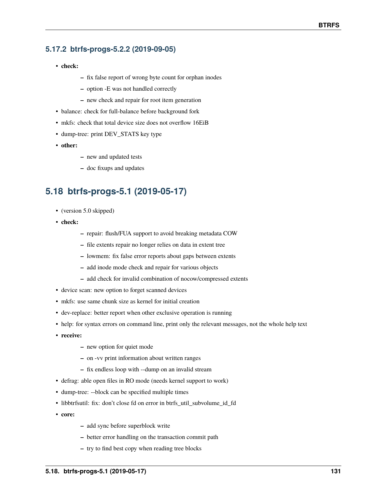## **5.17.2 btrfs-progs-5.2.2 (2019-09-05)**

- **check:**
- **–** fix false report of wrong byte count for orphan inodes
- **–** option -E was not handled correctly
- **–** new check and repair for root item generation
- balance: check for full-balance before background fork
- mkfs: check that total device size does not overflow 16EiB
- dump-tree: print DEV\_STATS key type
- **other:**
- **–** new and updated tests
- **–** doc fixups and updates

# **5.18 btrfs-progs-5.1 (2019-05-17)**

- (version 5.0 skipped)
- **check:**
- **–** repair: flush/FUA support to avoid breaking metadata COW
- **–** file extents repair no longer relies on data in extent tree
- **–** lowmem: fix false error reports about gaps between extents
- **–** add inode mode check and repair for various objects
- **–** add check for invalid combination of nocow/compressed extents
- device scan: new option to forget scanned devices
- mkfs: use same chunk size as kernel for initial creation
- dev-replace: better report when other exclusive operation is running
- help: for syntax errors on command line, print only the relevant messages, not the whole help text
- **receive:**
	- **–** new option for quiet mode
	- **–** on -vv print information about written ranges
	- **–** fix endless loop with --dump on an invalid stream
- defrag: able open files in RO mode (needs kernel support to work)
- dump-tree: --block can be specified multiple times
- libbtrfsutil: fix: don't close fd on error in btrfs\_util\_subvolume\_id\_fd
- **core:**
- **–** add sync before superblock write
- **–** better error handling on the transaction commit path
- **–** try to find best copy when reading tree blocks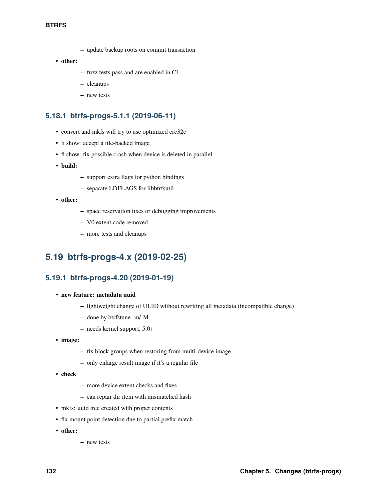- **–** update backup roots on commit transaction
- **other:**
- **–** fuzz tests pass and are enabled in CI
- **–** cleanups
- **–** new tests

### **5.18.1 btrfs-progs-5.1.1 (2019-06-11)**

- convert and mkfs will try to use optimized crc32c
- fi show: accept a file-backed image
- fi show: fix possible crash when device is deleted in parallel
- **build:**
- **–** support extra flags for python bindings
- **–** separate LDFLAGS for libbtrfsutil
- **other:**
- **–** space reservation fixes or debugging improvements
- **–** V0 extent code removed
- **–** more tests and cleanups

## **5.19 btrfs-progs-4.x (2019-02-25)**

### **5.19.1 btrfs-progs-4.20 (2019-01-19)**

- **new feature: metadata uuid**
	- **–** lightweight change of UUID without rewriting all metadata (incompatible change)
	- **–** done by btrfstune -m/-M
	- **–** needs kernel support, 5.0+
- **image:**
	- **–** fix block groups when restoring from multi-device image
	- **–** only enlarge result image if it's a regular file
- **check**
- **–** more device extent checks and fixes
- **–** can repair dir item with mismatched hash
- mkfs: uuid tree created with proper contents
- fix mount point detection due to partial prefix match
- **other:**
- **–** new tests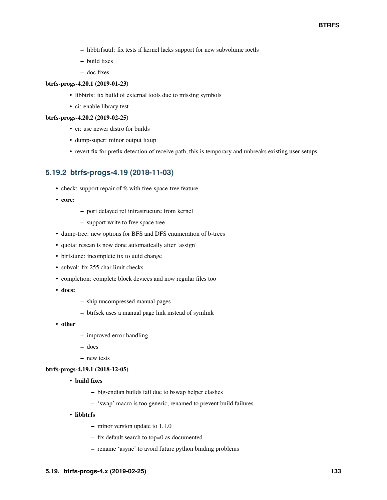- **–** libbtrfsutil: fix tests if kernel lacks support for new subvolume ioctls
- **–** build fixes
- **–** doc fixes

### **btrfs-progs-4.20.1 (2019-01-23)**

- libbtrfs: fix build of external tools due to missing symbols
- ci: enable library test

#### **btrfs-progs-4.20.2 (2019-02-25)**

- ci: use newer distro for builds
- dump-super: minor output fixup
- revert fix for prefix detection of receive path, this is temporary and unbreaks existing user setups

### **5.19.2 btrfs-progs-4.19 (2018-11-03)**

- check: support repair of fs with free-space-tree feature
- **core:**
- **–** port delayed ref infrastructure from kernel
- **–** support write to free space tree
- dump-tree: new options for BFS and DFS enumeration of b-trees
- quota: rescan is now done automatically after 'assign'
- btrfstune: incomplete fix to uuid change
- subvol: fix 255 char limit checks
- completion: complete block devices and now regular files too
- **docs:**
- **–** ship uncompressed manual pages
- **–** btrfsck uses a manual page link instead of symlink
- **other**
- **–** improved error handling
- **–** docs
- **–** new tests

#### **btrfs-progs-4.19.1 (2018-12-05)**

- **build fixes**
	- **–** big-endian builds fail due to bswap helper clashes
	- **–** 'swap' macro is too generic, renamed to prevent build failures
- **libbtrfs**
	- **–** minor version update to 1.1.0
	- **–** fix default search to top=0 as documented
	- **–** rename 'async' to avoid future python binding problems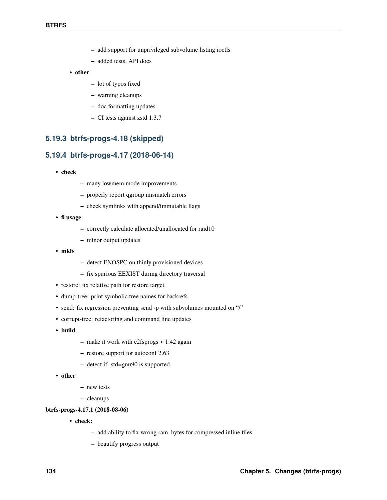- **–** add support for unprivileged subvolume listing ioctls
- **–** added tests, API docs
- **other**
	- **–** lot of typos fixed
	- **–** warning cleanups
	- **–** doc formatting updates
	- **–** CI tests against zstd 1.3.7

### **5.19.3 btrfs-progs-4.18 (skipped)**

### **5.19.4 btrfs-progs-4.17 (2018-06-14)**

- **check**
- **–** many lowmem mode improvements
- **–** properly report qgroup mismatch errors
- **–** check symlinks with append/immutable flags
- **fi usage**
	- **–** correctly calculate allocated/unallocated for raid10
	- **–** minor output updates
- **mkfs**
- **–** detect ENOSPC on thinly provisioned devices
- **–** fix spurious EEXIST during directory traversal
- restore: fix relative path for restore target
- dump-tree: print symbolic tree names for backrefs
- send: fix regression preventing send -p with subvolumes mounted on "/"
- corrupt-tree: refactoring and command line updates
- **build**
- **–** make it work with e2fsprogs < 1.42 again
- **–** restore support for autoconf 2.63
- **–** detect if -std=gnu90 is supported
- **other**
- **–** new tests
- **–** cleanups

#### **btrfs-progs-4.17.1 (2018-08-06)**

- **check:**
	- **–** add ability to fix wrong ram\_bytes for compressed inline files
	- **–** beautify progress output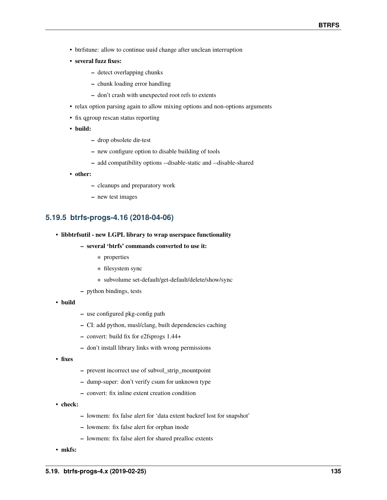- btrfstune: allow to continue uuid change after unclean interruption
- **several fuzz fixes:**
	- **–** detect overlapping chunks
	- **–** chunk loading error handling
	- **–** don't crash with unexpected root refs to extents
- relax option parsing again to allow mixing options and non-options arguments
- fix qgroup rescan status reporting
- **build:**
	- **–** drop obsolete dir-test
	- **–** new configure option to disable building of tools
	- **–** add compatibility options --disable-static and --disable-shared
- **other:**
	- **–** cleanups and preparatory work
	- **–** new test images

### **5.19.5 btrfs-progs-4.16 (2018-04-06)**

- **libbtrfsutil new LGPL library to wrap userspace functionality**
	- **– several 'btrfs' commands converted to use it:**
		- ∗ properties
		- ∗ filesystem sync
		- ∗ subvolume set-default/get-default/delete/show/sync
	- **–** python bindings, tests
- **build**
- **–** use configured pkg-config path
- **–** CI: add python, musl/clang, built dependencies caching
- **–** convert: build fix for e2fsprogs 1.44+
- **–** don't install library links with wrong permissions
- **fixes**
- **–** prevent incorrect use of subvol\_strip\_mountpoint
- **–** dump-super: don't verify csum for unknown type
- **–** convert: fix inline extent creation condition
- **check:**
- **–** lowmem: fix false alert for 'data extent backref lost for snapshot'
- **–** lowmem: fix false alert for orphan inode
- **–** lowmem: fix false alert for shared prealloc extents
- **mkfs:**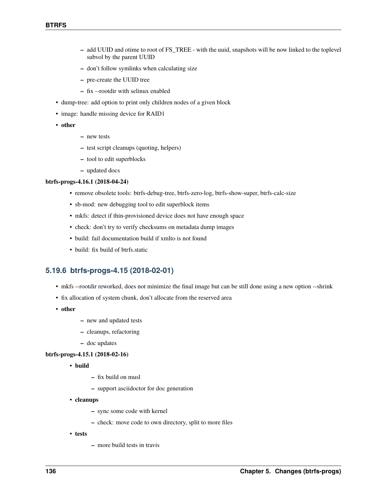- **–** add UUID and otime to root of FS\_TREE with the uuid, snapshots will be now linked to the toplevel subvol by the parent UUID
- **–** don't follow symlinks when calculating size
- **–** pre-create the UUID tree
- **–** fix --rootdir with selinux enabled
- dump-tree: add option to print only children nodes of a given block
- image: handle missing device for RAID1
- **other**
- **–** new tests
- **–** test script cleanups (quoting, helpers)
- **–** tool to edit superblocks
- **–** updated docs

### **btrfs-progs-4.16.1 (2018-04-24)**

- remove obsolete tools: btrfs-debug-tree, btrfs-zero-log, btrfs-show-super, btrfs-calc-size
- sb-mod: new debugging tool to edit superblock items
- mkfs: detect if thin-provisioned device does not have enough space
- check: don't try to verify checksums on metadata dump images
- build: fail documentation build if xmlto is not found
- build: fix build of btrfs.static

## **5.19.6 btrfs-progs-4.15 (2018-02-01)**

- mkfs --rootdir reworked, does not minimize the final image but can be still done using a new option --shrink
- fix allocation of system chunk, don't allocate from the reserved area
- **other**
- **–** new and updated tests
- **–** cleanups, refactoring
- **–** doc updates

### **btrfs-progs-4.15.1 (2018-02-16)**

- **build**
	- **–** fix build on musl
	- **–** support asciidoctor for doc generation
- **cleanups**
	- **–** sync some code with kernel
	- **–** check: move code to own directory, split to more files
- **tests**
- **–** more build tests in travis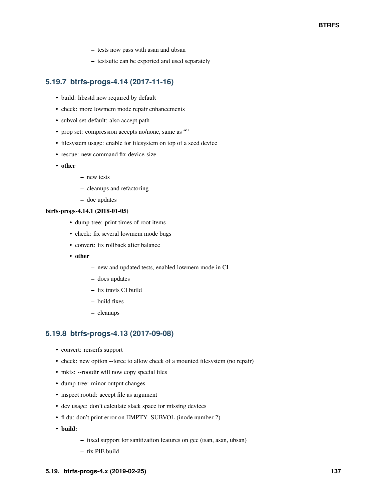- **–** tests now pass with asan and ubsan
- **–** testsuite can be exported and used separately

### **5.19.7 btrfs-progs-4.14 (2017-11-16)**

- build: libzstd now required by default
- check: more lowmem mode repair enhancements
- subvol set-default: also accept path
- prop set: compression accepts no/none, same as ""
- filesystem usage: enable for filesystem on top of a seed device
- rescue: new command fix-device-size
- **other**
- **–** new tests
- **–** cleanups and refactoring
- **–** doc updates

#### **btrfs-progs-4.14.1 (2018-01-05)**

- dump-tree: print times of root items
- check: fix several lowmem mode bugs
- convert: fix rollback after balance
- **other**
	- **–** new and updated tests, enabled lowmem mode in CI
	- **–** docs updates
	- **–** fix travis CI build
	- **–** build fixes
	- **–** cleanups

### **5.19.8 btrfs-progs-4.13 (2017-09-08)**

- convert: reiserfs support
- check: new option --force to allow check of a mounted filesystem (no repair)
- mkfs: --rootdir will now copy special files
- dump-tree: minor output changes
- inspect rootid: accept file as argument
- dev usage: don't calculate slack space for missing devices
- fi du: don't print error on EMPTY\_SUBVOL (inode number 2)
- **build:**
- **–** fixed support for sanitization features on gcc (tsan, asan, ubsan)
- **–** fix PIE build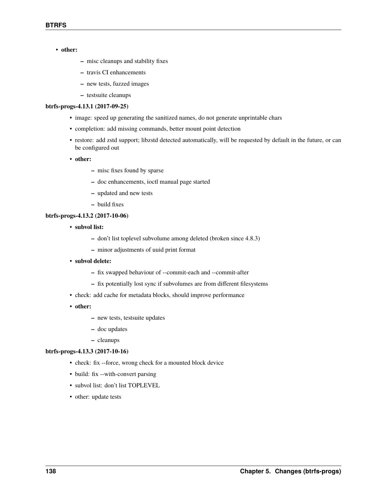### • **other:**

- **–** misc cleanups and stability fixes
- **–** travis CI enhancements
- **–** new tests, fuzzed images
- **–** testsuite cleanups

#### **btrfs-progs-4.13.1 (2017-09-25)**

- image: speed up generating the sanitized names, do not generate unprintable chars
- completion: add missing commands, better mount point detection
- restore: add zstd support; libzstd detected automatically, will be requested by default in the future, or can be configured out
- **other:**
	- **–** misc fixes found by sparse
	- **–** doc enhancements, ioctl manual page started
	- **–** updated and new tests
	- **–** build fixes

### **btrfs-progs-4.13.2 (2017-10-06)**

- **subvol list:**
	- **–** don't list toplevel subvolume among deleted (broken since 4.8.3)
	- **–** minor adjustments of uuid print format
- **subvol delete:**
	- **–** fix swapped behaviour of --commit-each and --commit-after
	- **–** fix potentially lost sync if subvolumes are from different filesystems
- check: add cache for metadata blocks, should improve performance
- **other:**
	- **–** new tests, testsuite updates
	- **–** doc updates
	- **–** cleanups

#### **btrfs-progs-4.13.3 (2017-10-16)**

- check: fix --force, wrong check for a mounted block device
- build: fix --with-convert parsing
- subvol list: don't list TOPLEVEL
- other: update tests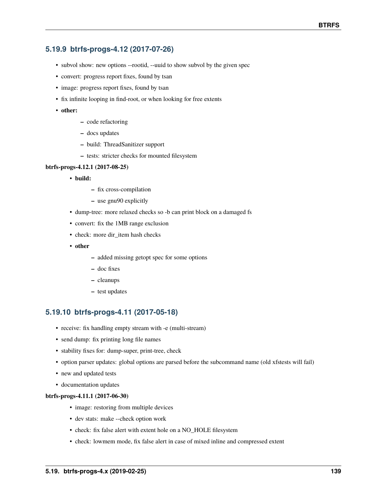## **5.19.9 btrfs-progs-4.12 (2017-07-26)**

- subvol show: new options --rootid, --uuid to show subvol by the given spec
- convert: progress report fixes, found by tsan
- image: progress report fixes, found by tsan
- fix infinite looping in find-root, or when looking for free extents
- **other:**
- **–** code refactoring
- **–** docs updates
- **–** build: ThreadSanitizer support
- **–** tests: stricter checks for mounted filesystem

### **btrfs-progs-4.12.1 (2017-08-25)**

- **build:**
	- **–** fix cross-compilation
	- **–** use gnu90 explicitly
- dump-tree: more relaxed checks so -b can print block on a damaged fs
- convert: fix the 1MB range exclusion
- check: more dir item hash checks
- **other**
	- **–** added missing getopt spec for some options
	- **–** doc fixes
	- **–** cleanups
	- **–** test updates

## **5.19.10 btrfs-progs-4.11 (2017-05-18)**

- receive: fix handling empty stream with -e (multi-stream)
- send dump: fix printing long file names
- stability fixes for: dump-super, print-tree, check
- option parser updates: global options are parsed before the subcommand name (old xfstests will fail)
- new and updated tests
- documentation updates

#### **btrfs-progs-4.11.1 (2017-06-30)**

- image: restoring from multiple devices
- dev stats: make --check option work
- check: fix false alert with extent hole on a NO\_HOLE filesystem
- check: lowmem mode, fix false alert in case of mixed inline and compressed extent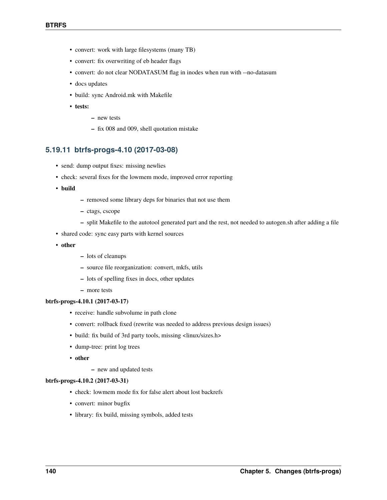- convert: work with large filesystems (many TB)
- convert: fix overwriting of eb header flags
- convert: do not clear NODATASUM flag in inodes when run with --no-datasum
- docs updates
- build: sync Android.mk with Makefile
- **tests:**
- **–** new tests
- **–** fix 008 and 009, shell quotation mistake

### **5.19.11 btrfs-progs-4.10 (2017-03-08)**

- send: dump output fixes: missing newlies
- check: several fixes for the lowmem mode, improved error reporting
- **build**
- **–** removed some library deps for binaries that not use them
- **–** ctags, cscope
- **–** split Makefile to the autotool generated part and the rest, not needed to autogen.sh after adding a file
- shared code: sync easy parts with kernel sources
- **other**
- **–** lots of cleanups
- **–** source file reorganization: convert, mkfs, utils
- **–** lots of spelling fixes in docs, other updates
- **–** more tests

### **btrfs-progs-4.10.1 (2017-03-17)**

- receive: handle subvolume in path clone
- convert: rollback fixed (rewrite was needed to address previous design issues)
- build: fix build of 3rd party tools, missing <linux/sizes.h>
- dump-tree: print log trees
- **other**
	- **–** new and updated tests

#### **btrfs-progs-4.10.2 (2017-03-31)**

- check: lowmem mode fix for false alert about lost backrefs
- convert: minor bugfix
- library: fix build, missing symbols, added tests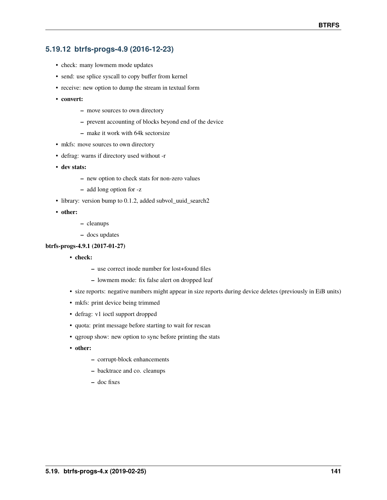# **5.19.12 btrfs-progs-4.9 (2016-12-23)**

- check: many lowmem mode updates
- send: use splice syscall to copy buffer from kernel
- receive: new option to dump the stream in textual form
- **convert:**
	- **–** move sources to own directory
	- **–** prevent accounting of blocks beyond end of the device
	- **–** make it work with 64k sectorsize
- mkfs: move sources to own directory
- defrag: warns if directory used without -r
- **dev stats:**
	- **–** new option to check stats for non-zero values
	- **–** add long option for -z
- library: version bump to 0.1.2, added subvol\_uuid\_search2
- **other:**
- **–** cleanups
- **–** docs updates

# **btrfs-progs-4.9.1 (2017-01-27)**

- **check:**
	- **–** use correct inode number for lost+found files
	- **–** lowmem mode: fix false alert on dropped leaf
- size reports: negative numbers might appear in size reports during device deletes (previously in EiB units)
- mkfs: print device being trimmed
- defrag: v1 ioctl support dropped
- quota: print message before starting to wait for rescan
- qgroup show: new option to sync before printing the stats
- **other:**
	- **–** corrupt-block enhancements
	- **–** backtrace and co. cleanups
	- **–** doc fixes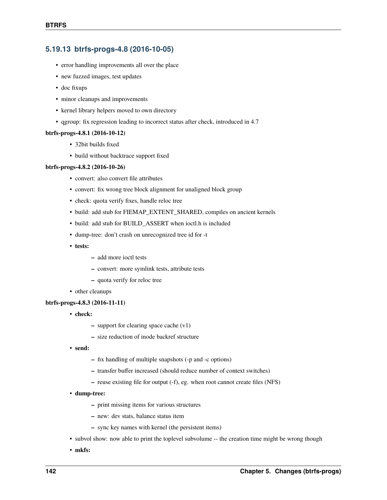# **5.19.13 btrfs-progs-4.8 (2016-10-05)**

- error handling improvements all over the place
- new fuzzed images, test updates
- doc fixups
- minor cleanups and improvements
- kernel library helpers moved to own directory
- qgroup: fix regression leading to incorrect status after check, introduced in 4.7

#### **btrfs-progs-4.8.1 (2016-10-12)**

- 32bit builds fixed
- build without backtrace support fixed

# **btrfs-progs-4.8.2 (2016-10-26)**

- convert: also convert file attributes
- convert: fix wrong tree block alignment for unaligned block group
- check: quota verify fixes, handle reloc tree
- build: add stub for FIEMAP\_EXTENT\_SHARED, compiles on ancient kernels
- build: add stub for BUILD\_ASSERT when ioctl.h is included
- dump-tree: don't crash on unrecognized tree id for -t
- **tests:**
- **–** add more ioctl tests
- **–** convert: more symlink tests, attribute tests
- **–** quota verify for reloc tree
- other cleanups

#### **btrfs-progs-4.8.3 (2016-11-11)**

- **check:**
	- **–** support for clearing space cache (v1)
	- **–** size reduction of inode backref structure
- **send:**
	- **–** fix handling of multiple snapshots (-p and -c options)
	- **–** transfer buffer increased (should reduce number of context switches)
	- **–** reuse existing file for output (-f), eg. when root cannot create files (NFS)
- **dump-tree:**
	- **–** print missing items for various structures
	- **–** new: dev stats, balance status item
	- **–** sync key names with kernel (the persistent items)
- subvol show: now able to print the toplevel subvolume -- the creation time might be wrong though
- **mkfs:**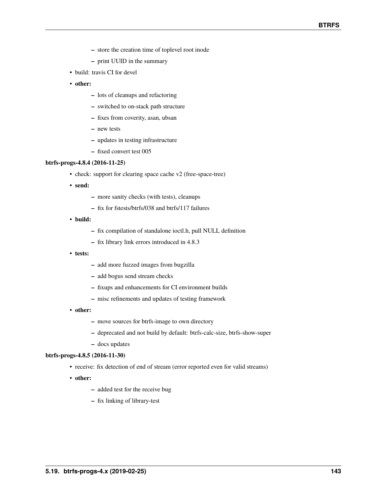- **–** store the creation time of toplevel root inode
- **–** print UUID in the summary
- build: travis CI for devel
- **other:**
	- **–** lots of cleanups and refactoring
	- **–** switched to on-stack path structure
	- **–** fixes from coverity, asan, ubsan
	- **–** new tests
	- **–** updates in testing infrastructure
	- **–** fixed convert test 005

# **btrfs-progs-4.8.4 (2016-11-25)**

- check: support for clearing space cache v2 (free-space-tree)
- **send:**
	- **–** more sanity checks (with tests), cleanups
	- **–** fix for fstests/btrfs/038 and btrfs/117 failures
- **build:**
	- **–** fix compilation of standalone ioctl.h, pull NULL definition
	- **–** fix library link errors introduced in 4.8.3
- **tests:**
	- **–** add more fuzzed images from bugzilla
	- **–** add bogus send stream checks
	- **–** fixups and enhancements for CI environment builds
	- **–** misc refinements and updates of testing framework
- **other:**
	- **–** move sources for btrfs-image to own directory
	- **–** deprecated and not build by default: btrfs-calc-size, btrfs-show-super
	- **–** docs updates

# **btrfs-progs-4.8.5 (2016-11-30)**

- receive: fix detection of end of stream (error reported even for valid streams)
- **other:**
	- **–** added test for the receive bug
	- **–** fix linking of library-test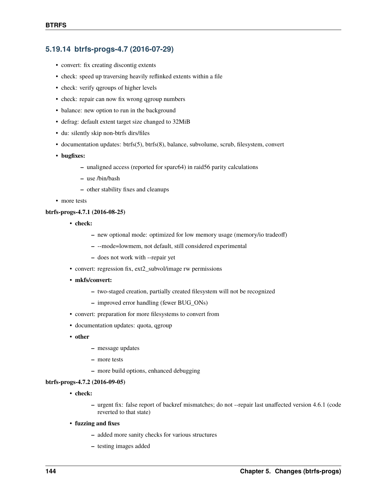# **5.19.14 btrfs-progs-4.7 (2016-07-29)**

- convert: fix creating discontig extents
- check: speed up traversing heavily reflinked extents within a file
- check: verify qgroups of higher levels
- check: repair can now fix wrong qgroup numbers
- balance: new option to run in the background
- defrag: default extent target size changed to 32MiB
- du: silently skip non-btrfs dirs/files
- documentation updates: btrfs(5), btrfs(8), balance, subvolume, scrub, filesystem, convert
- **bugfixes:**
	- **–** unaligned access (reported for sparc64) in raid56 parity calculations
	- **–** use /bin/bash
	- **–** other stability fixes and cleanups
- more tests

# **btrfs-progs-4.7.1 (2016-08-25)**

- **check:**
	- **–** new optional mode: optimized for low memory usage (memory/io tradeoff)
	- **–** --mode=lowmem, not default, still considered experimental
	- **–** does not work with --repair yet
- convert: regression fix, ext2\_subvol/image rw permissions
- **mkfs/convert:**
	- **–** two-staged creation, partially created filesystem will not be recognized
	- **–** improved error handling (fewer BUG\_ONs)
- convert: preparation for more filesystems to convert from
- documentation updates: quota, qgroup
- **other**
	- **–** message updates
	- **–** more tests
	- **–** more build options, enhanced debugging

# **btrfs-progs-4.7.2 (2016-09-05)**

- **check:**
	- **–** urgent fix: false report of backref mismatches; do not --repair last unaffected version 4.6.1 (code reverted to that state)
- **fuzzing and fixes**
	- **–** added more sanity checks for various structures
	- **–** testing images added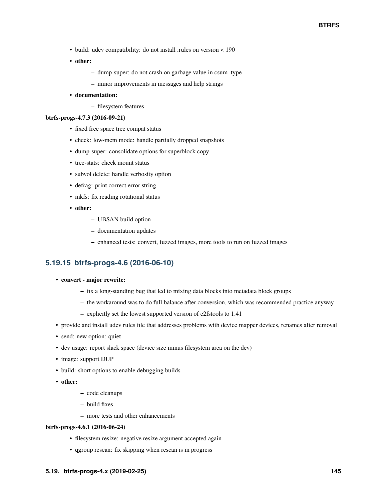- build: udev compatibility: do not install .rules on version < 190
- **other:**
	- **–** dump-super: do not crash on garbage value in csum\_type
	- **–** minor improvements in messages and help strings
- **documentation:**
	- **–** filesystem features

# **btrfs-progs-4.7.3 (2016-09-21)**

- fixed free space tree compat status
- check: low-mem mode: handle partially dropped snapshots
- dump-super: consolidate options for superblock copy
- tree-stats: check mount status
- subvol delete: handle verbosity option
- defrag: print correct error string
- mkfs: fix reading rotational status
- **other:**
	- **–** UBSAN build option
	- **–** documentation updates
	- **–** enhanced tests: convert, fuzzed images, more tools to run on fuzzed images

# **5.19.15 btrfs-progs-4.6 (2016-06-10)**

- **convert major rewrite:**
	- **–** fix a long-standing bug that led to mixing data blocks into metadata block groups
	- **–** the workaround was to do full balance after conversion, which was recommended practice anyway
	- **–** explicitly set the lowest supported version of e2fstools to 1.41
- provide and install udev rules file that addresses problems with device mapper devices, renames after removal
- send: new option: quiet
- dev usage: report slack space (device size minus filesystem area on the dev)
- image: support DUP
- build: short options to enable debugging builds
- **other:**
- **–** code cleanups
- **–** build fixes
- **–** more tests and other enhancements

# **btrfs-progs-4.6.1 (2016-06-24)**

- filesystem resize: negative resize argument accepted again
- qgroup rescan: fix skipping when rescan is in progress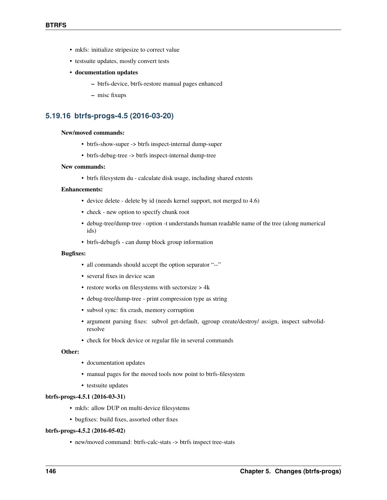- mkfs: initialize stripesize to correct value
- testsuite updates, mostly convert tests
- **documentation updates**
	- **–** btrfs-device, btrfs-restore manual pages enhanced
	- **–** misc fixups

# **5.19.16 btrfs-progs-4.5 (2016-03-20)**

#### **New/moved commands:**

- btrfs-show-super -> btrfs inspect-internal dump-super
- btrfs-debug-tree -> btrfs inspect-internal dump-tree

# **New commands:**

• btrfs filesystem du - calculate disk usage, including shared extents

# **Enhancements:**

- device delete delete by id (needs kernel support, not merged to 4.6)
- check new option to specify chunk root
- debug-tree/dump-tree option -t understands human readable name of the tree (along numerical ids)
- btrfs-debugfs can dump block group information

# **Bugfixes:**

- all commands should accept the option separator "--"
- several fixes in device scan
- restore works on filesystems with sectorsize > 4k
- debug-tree/dump-tree print compression type as string
- subvol sync: fix crash, memory corruption
- argument parsing fixes: subvol get-default, qgroup create/destroy/ assign, inspect subvolidresolve
- check for block device or regular file in several commands

# **Other:**

- documentation updates
- manual pages for the moved tools now point to btrfs-filesystem
- testsuite updates

#### **btrfs-progs-4.5.1 (2016-03-31)**

- mkfs: allow DUP on multi-device filesystems
- bugfixes: build fixes, assorted other fixes

# **btrfs-progs-4.5.2 (2016-05-02)**

• new/moved command: btrfs-calc-stats -> btrfs inspect tree-stats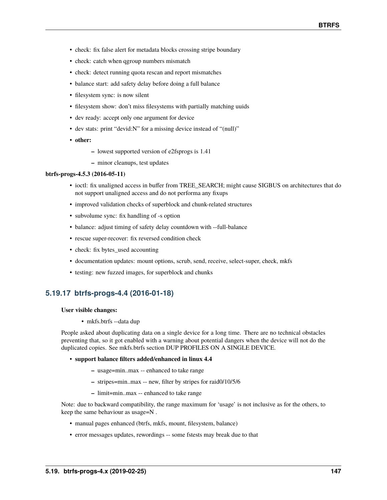- check: fix false alert for metadata blocks crossing stripe boundary
- check: catch when qgroup numbers mismatch
- check: detect running quota rescan and report mismatches
- balance start: add safety delay before doing a full balance
- filesystem sync: is now silent
- filesystem show: don't miss filesystems with partially matching uuids
- dev ready: accept only one argument for device
- dev stats: print "devid:N" for a missing device instead of "(null)"
- **other:**
	- **–** lowest supported version of e2fsprogs is 1.41
	- **–** minor cleanups, test updates

#### **btrfs-progs-4.5.3 (2016-05-11)**

- ioctl: fix unaligned access in buffer from TREE\_SEARCH; might cause SIGBUS on architectures that do not support unaligned access and do not performa any fixups
- improved validation checks of superblock and chunk-related structures
- subvolume sync: fix handling of -s option
- balance: adjust timing of safety delay countdown with --full-balance
- rescue super-recover: fix reversed condition check
- check: fix bytes\_used accounting
- documentation updates: mount options, scrub, send, receive, select-super, check, mkfs
- testing: new fuzzed images, for superblock and chunks

# **5.19.17 btrfs-progs-4.4 (2016-01-18)**

#### **User visible changes:**

• mkfs.btrfs --data dup

People asked about duplicating data on a single device for a long time. There are no technical obstacles preventing that, so it got enabled with a warning about potential dangers when the device will not do the duplicated copies. See mkfs.btrfs section DUP PROFILES ON A SINGLE DEVICE.

#### • **support balance filters added/enhanced in linux 4.4**

- **–** usage=min..max -- enhanced to take range
- **–** stripes=min..max -- new, filter by stripes for raid0/10/5/6
- **–** limit=min..max -- enhanced to take range

Note: due to backward compatibility, the range maximum for 'usage' is not inclusive as for the others, to keep the same behaviour as usage=N .

- manual pages enhanced (btrfs, mkfs, mount, filesystem, balance)
- error messages updates, rewordings -- some fstests may break due to that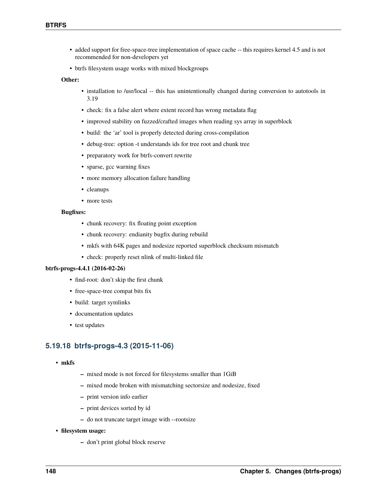- added support for free-space-tree implementation of space cache -- this requires kernel 4.5 and is not recommended for non-developers yet
- btrfs filesystem usage works with mixed blockgroups

### **Other:**

- installation to /usr/local -- this has unintentionally changed during conversion to autotools in 3.19
- check: fix a false alert where extent record has wrong metadata flag
- improved stability on fuzzed/crafted images when reading sys array in superblock
- build: the 'ar' tool is properly detected during cross-compilation
- debug-tree: option -t understands ids for tree root and chunk tree
- preparatory work for btrfs-convert rewrite
- sparse, gcc warning fixes
- more memory allocation failure handling
- cleanups
- more tests

#### **Bugfixes:**

- chunk recovery: fix floating point exception
- chunk recovery: endianity bugfix during rebuild
- mkfs with 64K pages and nodesize reported superblock checksum mismatch
- check: properly reset nlink of multi-linked file

#### **btrfs-progs-4.4.1 (2016-02-26)**

- find-root: don't skip the first chunk
- free-space-tree compat bits fix
- build: target symlinks
- documentation updates
- test updates

# **5.19.18 btrfs-progs-4.3 (2015-11-06)**

- **mkfs**
- **–** mixed mode is not forced for filesystems smaller than 1GiB
- **–** mixed mode broken with mismatching sectorsize and nodesize, fixed
- **–** print version info earlier
- **–** print devices sorted by id
- **–** do not truncate target image with --rootsize
- **filesystem usage:**
	- **–** don't print global block reserve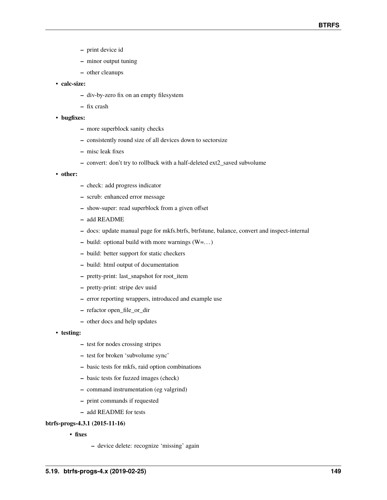- **–** print device id
- **–** minor output tuning
- **–** other cleanups

# • **calc-size:**

- **–** div-by-zero fix on an empty filesystem
- **–** fix crash

# • **bugfixes:**

- **–** more superblock sanity checks
- **–** consistently round size of all devices down to sectorsize
- **–** misc leak fixes
- **–** convert: don't try to rollback with a half-deleted ext2\_saved subvolume
- **other:**
- **–** check: add progress indicator
- **–** scrub: enhanced error message
- **–** show-super: read superblock from a given offset
- **–** add README
- **–** docs: update manual page for mkfs.btrfs, btrfstune, balance, convert and inspect-internal
- **–** build: optional build with more warnings (W=. . . )
- **–** build: better support for static checkers
- **–** build: html output of documentation
- **–** pretty-print: last\_snapshot for root\_item
- **–** pretty-print: stripe dev uuid
- **–** error reporting wrappers, introduced and example use
- **–** refactor open\_file\_or\_dir
- **–** other docs and help updates
- **testing:**
	- **–** test for nodes crossing stripes
	- **–** test for broken 'subvolume sync'
	- **–** basic tests for mkfs, raid option combinations
	- **–** basic tests for fuzzed images (check)
	- **–** command instrumentation (eg valgrind)
	- **–** print commands if requested
	- **–** add README for tests

# **btrfs-progs-4.3.1 (2015-11-16)**

- **fixes**
- **–** device delete: recognize 'missing' again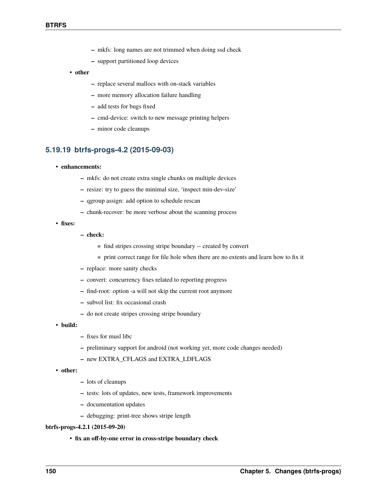- **–** mkfs: long names are not trimmed when doing ssd check
- **–** support partitioned loop devices
- **other**
	- **–** replace several mallocs with on-stack variables
	- **–** more memory allocation failure handling
	- **–** add tests for bugs fixed
	- **–** cmd-device: switch to new message printing helpers
	- **–** minor code cleanups

# **5.19.19 btrfs-progs-4.2 (2015-09-03)**

- **enhancements:**
	- **–** mkfs: do not create extra single chunks on multiple devices
	- **–** resize: try to guess the minimal size, 'inspect min-dev-size'
	- **–** qgroup assign: add option to schedule rescan
	- **–** chunk-recover: be more verbose about the scanning process
- **fixes:**
- **– check:**
	- ∗ find stripes crossing stripe boundary -- created by convert
	- ∗ print correct range for file hole when there are no extents and learn how to fix it
- **–** replace: more sanity checks
- **–** convert: concurrency fixes related to reporting progress
- **–** find-root: option -a will not skip the current root anymore
- **–** subvol list: fix occasional crash
- **–** do not create stripes crossing stripe boundary
- **build:**
- **–** fixes for musl libc
- **–** preliminary support for android (not working yet, more code changes needed)
- **–** new EXTRA\_CFLAGS and EXTRA\_LDFLAGS
- **other:**
- **–** lots of cleanups
- **–** tests: lots of updates, new tests, framework improvements
- **–** documentation updates
- **–** debugging: print-tree shows stripe length

# **btrfs-progs-4.2.1 (2015-09-20)**

• **fix an off-by-one error in cross-stripe boundary check**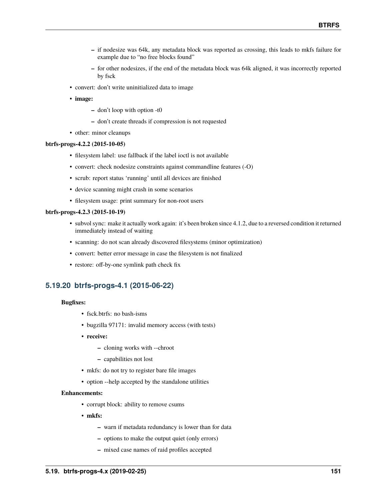- **–** if nodesize was 64k, any metadata block was reported as crossing, this leads to mkfs failure for example due to "no free blocks found"
- **–** for other nodesizes, if the end of the metadata block was 64k aligned, it was incorrectly reported by fsck
- convert: don't write uninitialized data to image
- **image:**
	- **–** don't loop with option -t0
	- **–** don't create threads if compression is not requested
- other: minor cleanups

#### **btrfs-progs-4.2.2 (2015-10-05)**

- filesystem label: use fallback if the label ioctl is not available
- convert: check nodesize constraints against commandline features (-O)
- scrub: report status 'running' until all devices are finished
- device scanning might crash in some scenarios
- filesystem usage: print summary for non-root users

#### **btrfs-progs-4.2.3 (2015-10-19)**

- subvol sync: make it actually work again: it's been broken since 4.1.2, due to a reversed condition it returned immediately instead of waiting
- scanning: do not scan already discovered filesystems (minor optimization)
- convert: better error message in case the filesystem is not finalized
- restore: off-by-one symlink path check fix

# **5.19.20 btrfs-progs-4.1 (2015-06-22)**

# **Bugfixes:**

- fsck.btrfs: no bash-isms
- bugzilla 97171: invalid memory access (with tests)
- **receive:**
	- **–** cloning works with --chroot
	- **–** capabilities not lost
- mkfs: do not try to register bare file images
- option --help accepted by the standalone utilities

#### **Enhancements:**

- corrupt block: ability to remove csums
- **mkfs:**
	- **–** warn if metadata redundancy is lower than for data
	- **–** options to make the output quiet (only errors)
	- **–** mixed case names of raid profiles accepted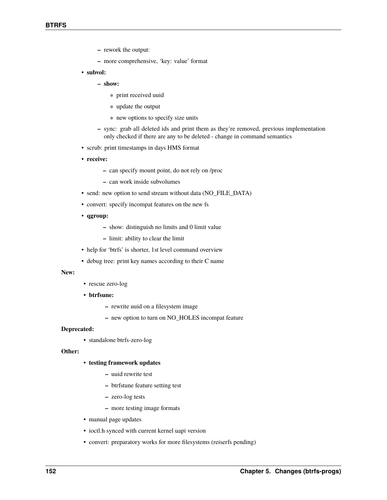- **–** rework the output:
- **–** more comprehensive, 'key: value' format
- **subvol:**
	- **– show:**
		- ∗ print received uuid
		- ∗ update the output
		- ∗ new options to specify size units
	- **–** sync: grab all deleted ids and print them as they're removed, previous implementation only checked if there are any to be deleted - change in command semantics
- scrub: print timestamps in days HMS format
- **receive:**
	- **–** can specify mount point, do not rely on /proc
	- **–** can work inside subvolumes
- send: new option to send stream without data (NO\_FILE\_DATA)
- convert: specify incompat features on the new fs
- **qgroup:**
	- **–** show: distinguish no limits and 0 limit value
	- **–** limit: ability to clear the limit
- help for 'btrfs' is shorter, 1st level command overview
- debug tree: print key names according to their C name

#### **New:**

- rescue zero-log
- **btrfsune:**
	- **–** rewrite uuid on a filesystem image
	- **–** new option to turn on NO\_HOLES incompat feature

#### **Deprecated:**

• standalone btrfs-zero-log

#### **Other:**

- **testing framework updates**
	- **–** uuid rewrite test
	- **–** btrfstune feature setting test
	- **–** zero-log tests
	- **–** more testing image formats
- manual page updates
- ioctl.h synced with current kernel uapi version
- convert: preparatory works for more filesystems (reiserfs pending)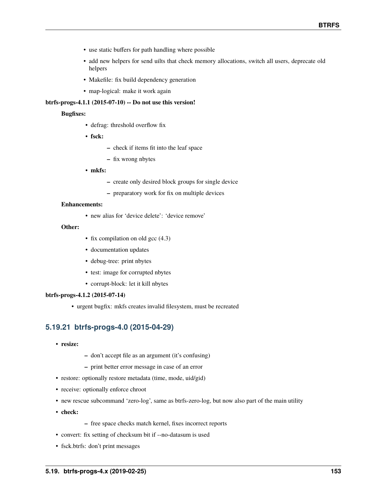- use static buffers for path handling where possible
- add new helpers for send uilts that check memory allocations, switch all users, deprecate old helpers
- Makefile: fix build dependency generation
- map-logical: make it work again

# **btrfs-progs-4.1.1 (2015-07-10) -- Do not use this version!**

# **Bugfixes:**

- defrag: threshold overflow fix
- **fsck:**
- **–** check if items fit into the leaf space
- **–** fix wrong nbytes
- **mkfs:**
	- **–** create only desired block groups for single device
	- **–** preparatory work for fix on multiple devices

# **Enhancements:**

• new alias for 'device delete': 'device remove'

# **Other:**

- fix compilation on old gcc  $(4.3)$
- documentation updates
- debug-tree: print nbytes
- test: image for corrupted nbytes
- corrupt-block: let it kill nbytes

# **btrfs-progs-4.1.2 (2015-07-14)**

• urgent bugfix: mkfs creates invalid filesystem, must be recreated

# **5.19.21 btrfs-progs-4.0 (2015-04-29)**

- **resize:**
- **–** don't accept file as an argument (it's confusing)
- **–** print better error message in case of an error
- restore: optionally restore metadata (time, mode, uid/gid)
- receive: optionally enforce chroot
- new rescue subcommand 'zero-log', same as btrfs-zero-log, but now also part of the main utility
- **check:**
- **–** free space checks match kernel, fixes incorrect reports
- convert: fix setting of checksum bit if --no-datasum is used
- fsck.btrfs: don't print messages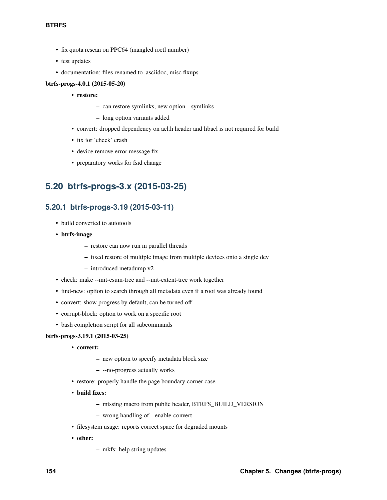- fix quota rescan on PPC64 (mangled ioctl number)
- test updates
- documentation: files renamed to .asciidoc, misc fixups

# **btrfs-progs-4.0.1 (2015-05-20)**

- **restore:**
	- **–** can restore symlinks, new option --symlinks
	- **–** long option variants added
- convert: dropped dependency on acl.h header and libacl is not required for build
- fix for 'check' crash
- device remove error message fix
- preparatory works for fsid change

# **5.20 btrfs-progs-3.x (2015-03-25)**

# **5.20.1 btrfs-progs-3.19 (2015-03-11)**

- build converted to autotools
- **btrfs-image**
	- **–** restore can now run in parallel threads
	- **–** fixed restore of multiple image from multiple devices onto a single dev
	- **–** introduced metadump v2
- check: make --init-csum-tree and --init-extent-tree work together
- find-new: option to search through all metadata even if a root was already found
- convert: show progress by default, can be turned off
- corrupt-block: option to work on a specific root
- bash completion script for all subcommands

# **btrfs-progs-3.19.1 (2015-03-25)**

- **convert:**
	- **–** new option to specify metadata block size
	- **–** --no-progress actually works
- restore: properly handle the page boundary corner case
- **build fixes:**
	- **–** missing macro from public header, BTRFS\_BUILD\_VERSION
	- **–** wrong handling of --enable-convert
- filesystem usage: reports correct space for degraded mounts
- **other:**
- **–** mkfs: help string updates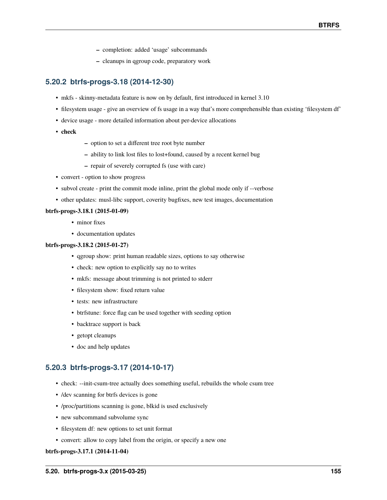- **–** completion: added 'usage' subcommands
- **–** cleanups in qgroup code, preparatory work

# **5.20.2 btrfs-progs-3.18 (2014-12-30)**

- mkfs skinny-metadata feature is now on by default, first introduced in kernel 3.10
- filesystem usage give an overview of fs usage in a way that's more comprehensible than existing 'filesystem df'
- device usage more detailed information about per-device allocations
- **check**
- **–** option to set a different tree root byte number
- **–** ability to link lost files to lost+found, caused by a recent kernel bug
- **–** repair of severely corrupted fs (use with care)
- convert option to show progress
- subvol create print the commit mode inline, print the global mode only if --verbose
- other updates: musl-libc support, coverity bugfixes, new test images, documentation

# **btrfs-progs-3.18.1 (2015-01-09)**

- minor fixes
- documentation updates

# **btrfs-progs-3.18.2 (2015-01-27)**

- qgroup show: print human readable sizes, options to say otherwise
- check: new option to explicitly say no to writes
- mkfs: message about trimming is not printed to stderr
- filesystem show: fixed return value
- tests: new infrastructure
- btrfstune: force flag can be used together with seeding option
- backtrace support is back
- getopt cleanups
- doc and help updates

# **5.20.3 btrfs-progs-3.17 (2014-10-17)**

- check: --init-csum-tree actually does something useful, rebuilds the whole csum tree
- /dev scanning for btrfs devices is gone
- /proc/partitions scanning is gone, blkid is used exclusively
- new subcommand subvolume sync
- filesystem df: new options to set unit format
- convert: allow to copy label from the origin, or specify a new one

# **btrfs-progs-3.17.1 (2014-11-04)**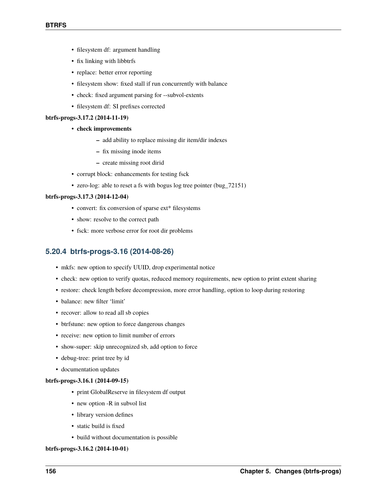- filesystem df: argument handling
- fix linking with libbtrfs
- replace: better error reporting
- filesystem show: fixed stall if run concurrently with balance
- check: fixed argument parsing for --subvol-extents
- filesystem df: SI prefixes corrected

# **btrfs-progs-3.17.2 (2014-11-19)**

- **check improvements**
	- **–** add ability to replace missing dir item/dir indexes
	- **–** fix missing inode items
	- **–** create missing root dirid
- corrupt block: enhancements for testing fsck
- zero-log: able to reset a fs with bogus log tree pointer (bug\_72151)

# **btrfs-progs-3.17.3 (2014-12-04)**

- convert: fix conversion of sparse ext\* filesystems
- show: resolve to the correct path
- fsck: more verbose error for root dir problems

# **5.20.4 btrfs-progs-3.16 (2014-08-26)**

- mkfs: new option to specify UUID, drop experimental notice
- check: new option to verify quotas, reduced memory requirements, new option to print extent sharing
- restore: check length before decompression, more error handling, option to loop during restoring
- balance: new filter 'limit'
- recover: allow to read all sb copies
- btrfstune: new option to force dangerous changes
- receive: new option to limit number of errors
- show-super: skip unrecognized sb, add option to force
- debug-tree: print tree by id
- documentation updates

# **btrfs-progs-3.16.1 (2014-09-15)**

- print GlobalReserve in filesystem df output
- new option -R in subvol list
- library version defines
- static build is fixed
- build without documentation is possible

# **btrfs-progs-3.16.2 (2014-10-01)**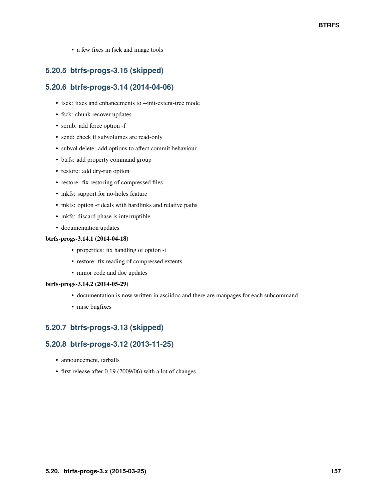• a few fixes in fsck and image tools

# **5.20.5 btrfs-progs-3.15 (skipped)**

# **5.20.6 btrfs-progs-3.14 (2014-04-06)**

- fsck: fixes and enhancements to --init-extent-tree mode
- fsck: chunk-recover updates
- scrub: add force option -f
- send: check if subvolumes are read-only
- subvol delete: add options to affect commit behaviour
- btrfs: add property command group
- restore: add dry-run option
- restore: fix restoring of compressed files
- mkfs: support for no-holes feature
- mkfs: option -r deals with hardlinks and relative paths
- mkfs: discard phase is interruptible
- documentation updates

# **btrfs-progs-3.14.1 (2014-04-18)**

- properties: fix handling of option -t
- restore: fix reading of compressed extents
- minor code and doc updates

# **btrfs-progs-3.14.2 (2014-05-29)**

- documentation is now written in asciidoc and there are manpages for each subcommand
- misc bugfixes

# **5.20.7 btrfs-progs-3.13 (skipped)**

# **5.20.8 btrfs-progs-3.12 (2013-11-25)**

- announcement, tarballs
- first release after 0.19 (2009/06) with a lot of changes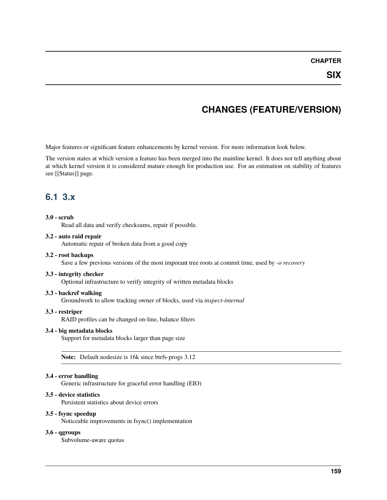# **CHAPTER**

# **CHANGES (FEATURE/VERSION)**

Major features or significant feature enhancements by kernel version. For more information look below.

The version states at which version a feature has been merged into the mainline kernel. It does not tell anything about at which kernel version it is considered mature enough for production use. For an estimation on stability of features see [[Status]] page.

# **6.1 3.x**

# **3.0 - scrub**

Read all data and verify checksums, repair if possible.

# **3.2 - auto raid repair**

Automatic repair of broken data from a good copy

# **3.2 - root backups**

Save a few previous versions of the most imporant tree roots at commit time, used by *-o recovery*

# **3.3 - integrity checker**

Optional infrastructure to verify integrity of written metadata blocks

# **3.3 - backref walking**

Groundwork to allow tracking owner of blocks, used via *inspect-internal*

# **3.3 - restriper**

RAID profiles can be changed on-line, balance filters

# **3.4 - big metadata blocks**

Support for metadata blocks larger than page size

**Note:** Default nodesize is 16k since btrfs-progs 3.12

# **3.4 - error handling**

Generic infrastructure for graceful error handling (EIO)

# **3.5 - device statistics**

Persistent statistics about device errors

# **3.5 - fsync speedup**

Noticeable improvements in fsync() implementation

# **3.6 - qgroups**

Subvolume-aware quotas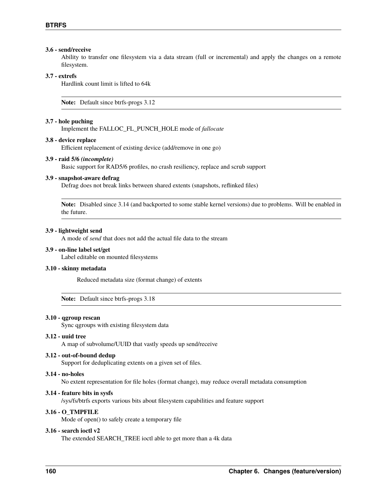# **3.6 - send/receive**

Ability to transfer one filesystem via a data stream (full or incremental) and apply the changes on a remote filesystem.

# **3.7 - extrefs**

Hardlink count limit is lifted to 64k

**Note:** Default since btrfs-progs 3.12

#### **3.7 - hole puching**

Implement the FALLOC\_FL\_PUNCH\_HOLE mode of *fallocate*

# **3.8 - device replace**

Efficient replacement of existing device (add/remove in one go)

### **3.9 - raid 5/6** *(incomplete)*

Basic support for RAD5/6 profiles, no crash resiliency, replace and scrub support

#### **3.9 - snapshot-aware defrag**

Defrag does not break links between shared extents (snapshots, reflinked files)

**Note:** Disabled since 3.14 (and backported to some stable kernel versions) due to problems. Will be enabled in the future.

#### **3.9 - lightweight send**

A mode of *send* that does not add the actual file data to the stream

# **3.9 - on-line label set/get**

Label editable on mounted filesystems

# **3.10 - skinny metadata**

Reduced metadata size (format change) of extents

**Note:** Default since btrfs-progs 3.18

#### **3.10 - qgroup rescan**

Sync qgroups with existing filesystem data

#### **3.12 - uuid tree**

A map of subvolume/UUID that vastly speeds up send/receive

#### **3.12 - out-of-bound dedup**

Support for deduplicating extents on a given set of files.

# **3.14 - no-holes**

No extent representation for file holes (format change), may reduce overall metadata consumption

# **3.14 - feature bits in sysfs**

/sys/fs/btrfs exports various bits about filesystem capabilities and feature support

# **3.16 - O\_TMPFILE**

Mode of open() to safely create a temporary file

# **3.16 - search ioctl v2**

The extended SEARCH\_TREE ioctl able to get more than a 4k data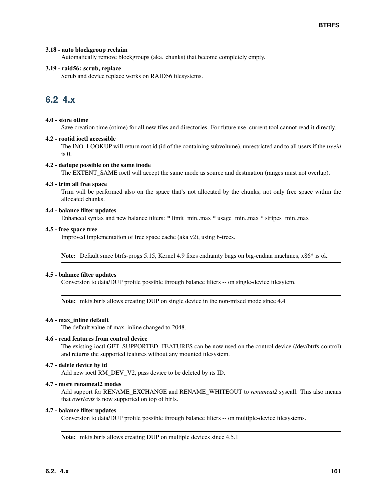# **3.18 - auto blockgroup reclaim**

Automatically remove blockgroups (aka. chunks) that become completely empty.

# **3.19 - raid56: scrub, replace**

Scrub and device replace works on RAID56 filesystems.

# **6.2 4.x**

# **4.0 - store otime**

Save creation time (otime) for all new files and directories. For future use, current tool cannot read it directly.

# **4.2 - rootid ioctl accessible**

The INO\_LOOKUP will return root id (id of the containing subvolume), unrestricted and to all users if the *treeid* is 0.

# **4.2 - dedupe possible on the same inode**

The EXTENT\_SAME ioctl will accept the same inode as source and destination (ranges must not overlap).

# **4.3 - trim all free space**

Trim will be performed also on the space that's not allocated by the chunks, not only free space within the allocated chunks.

# **4.4 - balance filter updates**

Enhanced syntax and new balance filters: \* limit=min..max \* usage=min..max \* stripes=min..max

# **4.5 - free space tree**

Improved implementation of free space cache (aka v2), using b-trees.

**Note:** Default since btrfs-progs 5.15, Kernel 4.9 fixes endianity bugs on big-endian machines, x86\* is ok

# **4.5 - balance filter updates**

Conversion to data/DUP profile possible through balance filters -- on single-device filesytem.

**Note:** mkfs.btrfs allows creating DUP on single device in the non-mixed mode since 4.4

# **4.6 - max\_inline default**

The default value of max\_inline changed to 2048.

# **4.6 - read features from control device**

The existing ioctl GET\_SUPPORTED\_FEATURES can be now used on the control device (/dev/btrfs-control) and returns the supported features without any mounted filesystem.

# **4.7 - delete device by id**

Add new ioctl RM\_DEV\_V2, pass device to be deleted by its ID.

# **4.7 - more renameat2 modes**

Add support for RENAME\_EXCHANGE and RENAME\_WHITEOUT to *renameat2* syscall. This also means that *overlayfs* is now supported on top of btrfs.

# **4.7 - balance filter updates**

Conversion to data/DUP profile possible through balance filters -- on multiple-device filesystems.

**Note:** mkfs.btrfs allows creating DUP on multiple devices since 4.5.1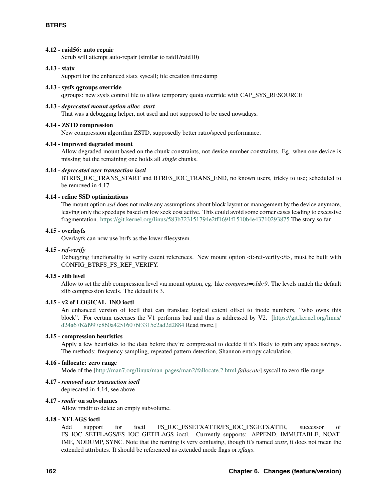# **4.12 - raid56: auto repair**

Scrub will attempt auto-repair (similar to raid1/raid10)

# **4.13 - statx**

Support for the enhanced statx syscall; file creation timestamp

### **4.13 - sysfs qgroups override**

qgroups: new sysfs control file to allow temporary quota override with CAP\_SYS\_RESOURCE

#### **4.13 -** *deprecated mount option alloc\_start*

That was a debugging helper, not used and not supposed to be used nowadays.

#### **4.14 - ZSTD compression**

New compression algorithm ZSTD, supposedly better ratio/speed performance.

#### **4.14 - improved degraded mount**

Allow degraded mount based on the chunk constraints, not device number constraints. Eg. when one device is missing but the remaining one holds all *single* chunks.

# **4.14 -** *deprecated user transaction ioctl*

BTRFS\_IOC\_TRANS\_START and BTRFS\_IOC\_TRANS\_END, no known users, tricky to use; scheduled to be removed in 4.17

# **4.14 - refine SSD optimizations**

The mount option *ssd* does not make any assumptions about block layout or management by the device anymore, leaving only the speedups based on low seek cost active. This could avoid some corner cases leading to excessive fragmentation. <https://git.kernel.org/linus/583b723151794e2ff1691f1510b4e43710293875> The story so far.

# **4.15 - overlayfs**

Overlayfs can now use btrfs as the lower filesystem.

### **4.15 -** *ref-verify*

Debugging functionality to verify extent references. New mount option  $\langle i \rangle$  ref-verify $\langle i \rangle$ , must be built with CONFIG\_BTRFS\_FS\_REF\_VERIFY.

#### **4.15 - zlib level**

Allow to set the zlib compression level via mount option, eg. like *compress=zlib:9*. The levels match the default zlib compression levels. The default is 3.

# **4.15 - v2 of LOGICAL\_INO ioctl**

An enhanced version of ioctl that can translate logical extent offset to inode numbers, "who owns this block". For certain usecases the V1 performs bad and this is addressed by V2. [\[https://git.kernel.org/linus/](https://git.kernel.org/linus/d24a67b2d997c860a42516076f3315c2ad2d2884) [d24a67b2d997c860a42516076f3315c2ad2d2884](https://git.kernel.org/linus/d24a67b2d997c860a42516076f3315c2ad2d2884) Read more.]

### **4.15 - compression heuristics**

Apply a few heuristics to the data before they're compressed to decide if it's likely to gain any space savings. The methods: frequency sampling, repeated pattern detection, Shannon entropy calculation.

#### **4.16 - fallocate: zero range**

Mode of the [\[http://man7.org/linux/man-pages/man2/fallocate.2.html](http://man7.org/linux/man-pages/man2/fallocate.2.html) *fallocate*] syscall to zero file range.

# **4.17 -** *removed user transaction ioctl*

deprecated in 4.14, see above

# **4.17 -** *rmdir* **on subvolumes**

Allow rmdir to delete an empty subvolume.

# **4.18 - XFLAGS ioctl**

Add support for ioctl FS\_IOC\_FSSETXATTR/FS\_IOC\_FSGETXATTR, successor of FS\_IOC\_SETFLAGS/FS\_IOC\_GETFLAGS ioctl. Currently supports: APPEND, IMMUTABLE, NOAT-IME, NODUMP, SYNC. Note that the naming is very confusing, though it's named *xattr*, it does not mean the extended attributes. It should be referenced as extended inode flags or *xflags*.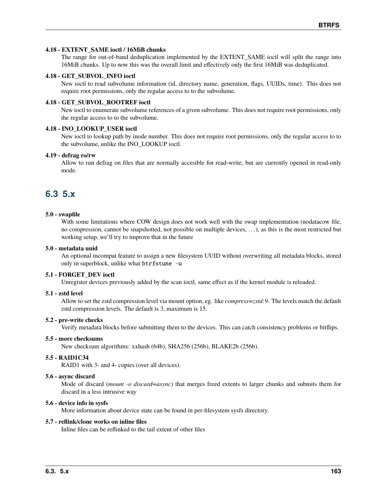# **4.18 - EXTENT\_SAME ioctl / 16MiB chunks**

The range for out-of-band deduplication implemented by the EXTENT\_SAME ioctl will split the range into 16MiB chunks. Up to now this was the overall limit and effectively only the first 16MiB was deduplicated.

# **4.18 - GET\_SUBVOL\_INFO ioctl**

New ioctl to read subvolume information (id, directory name, generation, flags, UUIDs, time). This does not require root permissions, only the regular access to to the subvolume.

# **4.18 - GET\_SUBVOL\_ROOTREF ioctl**

New ioctl to enumerate subvolume references of a given subvolume. This does not require root permissions, only the regular access to to the subvolume.

# **4.18 - INO\_LOOKUP\_USER ioctl**

New ioctl to lookup path by inode number. This does not require root permissions, only the regular access to to the subvolume, unlike the INO\_LOOKUP ioctl.

# **4.19 - defrag ro/rw**

Allow to run defrag on files that are normally accesible for read-write, but are currently opened in read-only mode.

# **6.3 5.x**

# **5.0 - swapfile**

With some limitations where COW design does not work well with the swap implementation (nodatacow file, no compression, cannot be snapshotted, not possible on multiple devices, . . . ), as this is the most restricted but working setup, we'll try to improve that in the future

# **5.0 - metadata uuid**

An optional incompat feature to assign a new filesystem UUID without overwriting all metadata blocks, stored only in superblock, unlike what btrfstune -u

# **5.1 - FORGET\_DEV ioctl**

Unregister devices previously added by the scan ioctl, same effect as if the kernel module is reloaded.

# **5.1 - zstd level**

Allow to set the zstd compression level via mount option, eg. like *compress=zstd:9*. The levels match the default zstd compression levels. The default is 3, maximum is 15.

# **5.2 - pre-write checks**

Verify metadata blocks before submitting them to the devices. This can catch consistency problems or bitflips.

# **5.5 - more checksums**

New checksum algorithms: xxhash (64b), SHA256 (256b), BLAKE2b (256b).

# **5.5 - RAID1C34**

RAID1 with 3- and 4- copies (over all devices).

# **5.6 - async discard**

Mode of discard (*mount -o discard=async*) that merges freed extents to larger chunks and submits them for discard in a less intrusive way

# **5.6 - device info in sysfs**

More information about device state can be found in per-filesystem sysfs directory.

# **5.7 - reflink/clone works on inline files**

Inline files can be reflinked to the tail extent of other files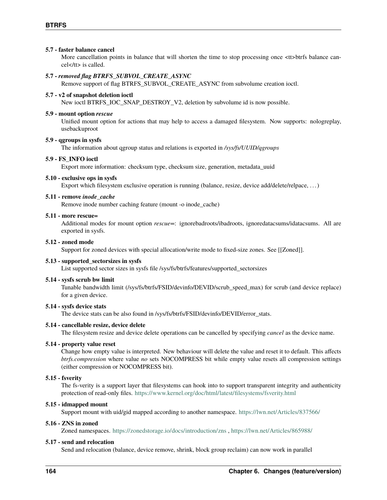# **5.7 - faster balance cancel**

More cancellation points in balance that will shorten the time to stop processing once <tt>btrfs balance cancel</tt> is called.

# **5.7 -** *removed flag BTRFS\_SUBVOL\_CREATE\_ASYNC*

Remove support of flag BTRFS\_SUBVOL\_CREATE\_ASYNC from subvolume creation ioctl.

# **5.7 - v2 of snapshot deletion ioctl**

New ioctl BTRFS\_IOC\_SNAP\_DESTROY\_V2, deletion by subvolume id is now possible.

# **5.9 - mount option** *rescue*

Unified mount option for actions that may help to access a damaged filesystem. Now supports: nologreplay, usebackuproot

### **5.9 - qgroups in sysfs**

The information about qgroup status and relations is exported in */sys/fs/UUID/qgroups*

#### **5.9 - FS\_INFO ioctl**

Export more information: checksum type, checksum size, generation, metadata\_uuid

#### **5.10 - exclusive ops in sysfs**

Export which filesystem exclusive operation is running (balance, resize, device add/delete/relpace, ...)

#### **5.11 - remove** *inode\_cache*

Remove inode number caching feature (mount -o inode\_cache)

# **5.11 - more rescue=**

Additional modes for mount option *rescue=*: ignorebadroots/ibadroots, ignoredatacsums/idatacsums. All are exported in sysfs.

#### **5.12 - zoned mode**

Support for zoned devices with special allocation/write mode to fixed-size zones. See [[Zoned]].

# **5.13 - supported\_sectorsizes in sysfs**

List supported sector sizes in sysfs file /sys/fs/btrfs/features/supported\_sectorsizes

#### **5.14 - sysfs scrub bw limit**

Tunable bandwidth limit (/sys/fs/btrfs/FSID/devinfo/DEVID/scrub\_speed\_max) for scrub (and device replace) for a given device.

# **5.14 - sysfs device stats**

The device stats can be also found in /sys/fs/btrfs/FSID/devinfo/DEVID/error\_stats.

#### **5.14 - cancellable resize, device delete**

The filesystem resize and device delete operations can be cancelled by specifying *cancel* as the device name.

### **5.14 - property value reset**

Change how empty value is interpreted. New behaviour will delete the value and reset it to default. This affects *btrfs.compression* where value *no* sets NOCOMPRESS bit while empty value resets all compression settings (either compression or NOCOMPRESS bit).

# **5.15 - fsverity**

The fs-verity is a support layer that filesystems can hook into to support transparent integrity and authenticity protection of read-only files. <https://www.kernel.org/doc/html/latest/filesystems/fsverity.html>

#### **5.15 - idmapped mount**

Support mount with uid/gid mapped according to another namespace. <https://lwn.net/Articles/837566/>

#### **5.16 - ZNS in zoned**

Zoned namespaces. <https://zonedstorage.io/docs/introduction/zns> , <https://lwn.net/Articles/865988/>

#### **5.17 - send and relocation**

Send and relocation (balance, device remove, shrink, block group reclaim) can now work in parallel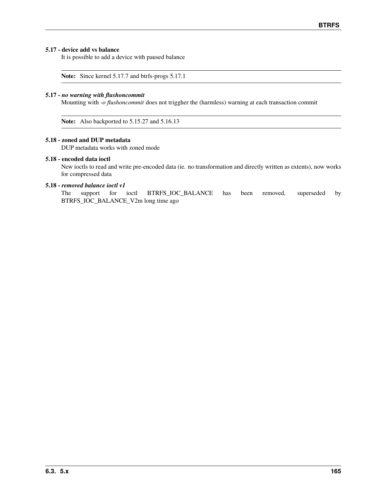# **5.17 - device add vs balance**

It is possible to add a device with paused balance

**Note:** Since kernel 5.17.7 and btrfs-progs 5.17.1

# **5.17 -** *no warning with flushoncommit*

Mounting with *-o flushoncommit* does not triggher the (harmless) warning at each transaction commit

**Note:** Also backported to 5.15.27 and 5.16.13

# **5.18 - zoned and DUP metadata**

DUP metadata works with zoned mode

# **5.18 - encoded data ioctl**

New ioctls to read and write pre-encoded data (ie. no transformation and directly written as extents), now works for compressed data

# **5.18 -** *removed balance ioctl v1*

The support for ioctl BTRFS\_IOC\_BALANCE has been removed, superseded by BTRFS\_IOC\_BALANCE\_V2m long time ago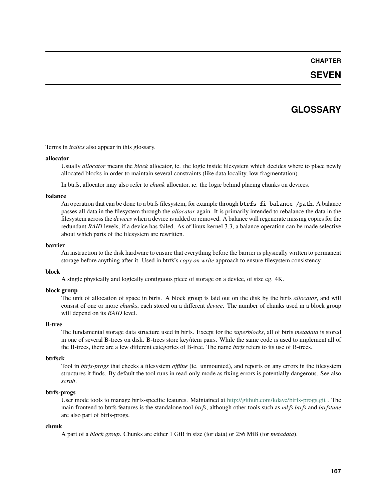# **CHAPTER**

# **SEVEN**

# **GLOSSARY**

Terms in *italics* also appear in this glossary.

#### **allocator**

Usually *allocator* means the *block* allocator, ie. the logic inside filesystem which decides where to place newly allocated blocks in order to maintain several constraints (like data locality, low fragmentation).

In btrfs, allocator may also refer to *chunk* allocator, ie. the logic behind placing chunks on devices.

# **balance**

An operation that can be done to a btrfs filesystem, for example through btrfs fi balance /path. A balance passes all data in the filesystem through the *allocator* again. It is primarily intended to rebalance the data in the filesystem across the *devices* when a device is added or removed. A balance will regenerate missing copies for the redundant *RAID* levels, if a device has failed. As of linux kernel 3.3, a balance operation can be made selective about which parts of the filesystem are rewritten.

### **barrier**

An instruction to the disk hardware to ensure that everything before the barrier is physically written to permanent storage before anything after it. Used in btrfs's *copy on write* approach to ensure filesystem consistency.

# **block**

A single physically and logically contiguous piece of storage on a device, of size eg. 4K.

# **block group**

The unit of allocation of space in btrfs. A block group is laid out on the disk by the btrfs *allocator*, and will consist of one or more *chunks*, each stored on a different *device*. The number of chunks used in a block group will depend on its *RAID* level.

# **B-tree**

The fundamental storage data structure used in btrfs. Except for the *superblocks*, all of btrfs *metadata* is stored in one of several B-trees on disk. B-trees store key/item pairs. While the same code is used to implement all of the B-trees, there are a few different categories of B-tree. The name *btrfs* refers to its use of B-trees.

# **btrfsck**

Tool in *btrfs-progs* that checks a filesystem *offline* (ie. unmounted), and reports on any errors in the filesystem structures it finds. By default the tool runs in read-only mode as fixing errors is potentially dangerous. See also *scrub*.

# **btrfs-progs**

User mode tools to manage btrfs-specific features. Maintained at <http://github.com/kdave/btrfs-progs.git> . The main frontend to btrfs features is the standalone tool *btrfs*, although other tools such as *mkfs.btrfs* and *btrfstune* are also part of btrfs-progs.

# **chunk**

A part of a *block group*. Chunks are either 1 GiB in size (for data) or 256 MiB (for *metadata*).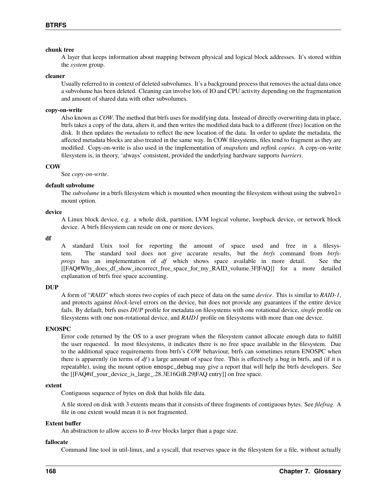# **chunk tree**

A layer that keeps information about mapping between physical and logical block addresses. It's stored within the *system* group.

#### **cleaner**

Usually referred to in context of deleted subvolumes. It's a background process that removes the actual data once a subvolume has been deleted. Cleaning can involve lots of IO and CPU activity depending on the fragmentation and amount of shared data with other subvolumes.

# **copy-on-write**

Also known as *COW*. The method that btrfs uses for modifying data. Instead of directly overwriting data in place, btrfs takes a copy of the data, alters it, and then writes the modified data back to a different (free) location on the disk. It then updates the *metadata* to reflect the new location of the data. In order to update the metadata, the affected metadata blocks are also treated in the same way. In COW filesystems, files tend to fragment as they are modified. Copy-on-write is also used in the implementation of *snapshots* and *reflink copies*. A copy-on-write filesystem is, in theory, 'always' consistent, provided the underlying hardware supports *barriers*.

# **COW**

See *copy-on-write*.

### **default subvolume**

The *subvolume* in a btrfs filesystem which is mounted when mounting the filesystem without using the subvolmount option.

#### **device**

A Linux block device, e.g. a whole disk, partition, LVM logical volume, loopback device, or network block device. A btrfs filesystem can reside on one or more devices.

**df**

A standard Unix tool for reporting the amount of space used and free in a filesystem. The standard tool does not give accurate results, but the *btrfs* command from *btrfsprogs* has an implementation of *df* which shows space available in more detail. See the [[FAQ#Why\_does\_df\_show\_incorrect\_free\_space\_for\_my\_RAID\_volume.3F|FAQ]] for a more detailed explanation of btrfs free space accounting.

#### **DUP**

A form of "*RAID*" which stores two copies of each piece of data on the same *device*. This is similar to *RAID-1*, and protects against *block*-level errors on the device, but does not provide any guarantees if the entire device fails. By default, btrfs uses *DUP* profile for metadata on filesystems with one rotational device, *single* profile on filesystems with one non-rotational device, and *RAID1* profile on filesystems with more than one device.

# **ENOSPC**

Error code returned by the OS to a user program when the filesystem cannot allocate enough data to fulfill the user requested. In most filesystems, it indicates there is no free space available in the filesystem. Due to the additional space requirements from btrfs's *COW* behaviour, btrfs can sometimes return ENOSPC when there is apparently (in terms of *df* ) a large amount of space free. This is effectively a bug in btrfs, and (if it is repeatable), using the mount option enospc\_debug may give a report that will help the btrfs developers. See the [[FAQ#if\_your\_device\_is\_large\_.28.3E16GiB.29|FAQ entry]] on free space.

#### **extent**

Contiguous sequence of bytes on disk that holds file data.

A file stored on disk with 3 extents means that it consists of three fragments of contiguous bytes. See *filefrag*. A file in one extent would mean it is not fragmented.

#### **Extent buffer**

An abstraction to allow access to *B-tree* blocks larger than a page size.

# **fallocate**

Command line tool in util-linux, and a syscall, that reserves space in the filesystem for a file, without actually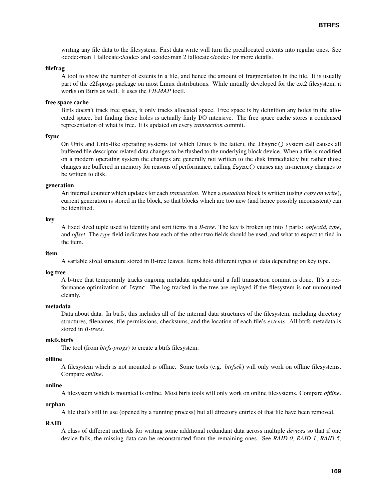writing any file data to the filesystem. First data write will turn the preallocated extents into regular ones. See  $<$ code>man 1 fallocate $<$ /code> and  $<$ code>man 2 fallocate $<$ /code> for more details.

#### **filefrag**

A tool to show the number of extents in a file, and hence the amount of fragmentation in the file. It is usually part of the e2fsprogs package on most Linux distributions. While initially developed for the ext2 filesystem, it works on Btrfs as well. It uses the *FIEMAP* ioctl.

# **free space cache**

Btrfs doesn't track free space, it only tracks allocated space. Free space is by definition any holes in the allocated space, but finding these holes is actually fairly I/O intensive. The free space cache stores a condensed representation of what is free. It is updated on every *transaction* commit.

#### **fsync**

On Unix and Unix-like operating systems (of which Linux is the latter), the lfsync() system call causes all buffered file descriptor related data changes to be flushed to the underlying block device. When a file is modified on a modern operating system the changes are generally not written to the disk immediately but rather those changes are buffered in memory for reasons of performance, calling fsync() causes any in-memory changes to be written to disk.

#### **generation**

An internal counter which updates for each *transaction*. When a *metadata* block is written (using *copy on write*), current generation is stored in the block, so that blocks which are too new (and hence possibly inconsistent) can be identified.

#### **key**

A fixed sized tuple used to identify and sort items in a *B-tree*. The key is broken up into 3 parts: *objectid*, *type*, and *offset*. The *type* field indicates how each of the other two fields should be used, and what to expect to find in the item.

#### **item**

A variable sized structure stored in B-tree leaves. Items hold different types of data depending on key type.

#### **log tree**

A b-tree that temporarily tracks ongoing metadata updates until a full transaction commit is done. It's a performance optimization of fsync. The log tracked in the tree are replayed if the filesystem is not unmounted cleanly.

#### **metadata**

Data about data. In btrfs, this includes all of the internal data structures of the filesystem, including directory structures, filenames, file permissions, checksums, and the location of each file's *extents*. All btrfs metadata is stored in *B-trees*.

# **mkfs.btrfs**

The tool (from *btrfs-progs*) to create a btrfs filesystem.

#### **offline**

A filesystem which is not mounted is offline. Some tools (e.g. *btrfsck*) will only work on offline filesystems. Compare *online*.

#### **online**

A filesystem which is mounted is online. Most btrfs tools will only work on online filesystems. Compare *offline*.

#### **orphan**

A file that's still in use (opened by a running process) but all directory entries of that file have been removed.

#### **RAID**

A class of different methods for writing some additional redundant data across multiple *devices* so that if one device fails, the missing data can be reconstructed from the remaining ones. See *RAID-0*, *RAID-1*, *RAID-5*,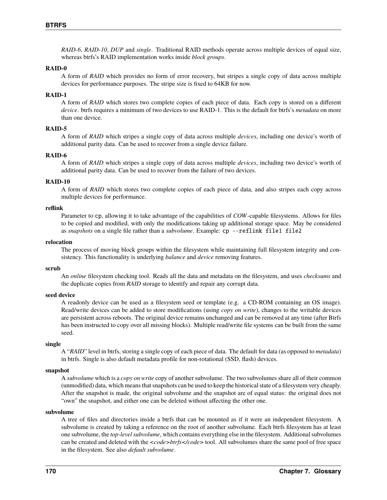*RAID-6*, *RAID-10*, *DUP* and *single*. Traditional RAID methods operate across multiple devices of equal size, whereas btrfs's RAID implementation works inside *block groups*.

#### **RAID-0**

A form of *RAID* which provides no form of error recovery, but stripes a single copy of data across multiple devices for performance purposes. The stripe size is fixed to 64KB for now.

#### **RAID-1**

A form of *RAID* which stores two complete copies of each piece of data. Each copy is stored on a different *device*. btrfs requires a minimum of two devices to use RAID-1. This is the default for btrfs's *metadata* on more than one device.

# **RAID-5**

A form of *RAID* which stripes a single copy of data across multiple *devices*, including one device's worth of additional parity data. Can be used to recover from a single device failure.

#### **RAID-6**

A form of *RAID* which stripes a single copy of data across multiple *devices*, including two device's worth of additional parity data. Can be used to recover from the failure of two devices.

### **RAID-10**

A form of *RAID* which stores two complete copies of each piece of data, and also stripes each copy across multiple devices for performance.

#### **reflink**

Parameter to cp, allowing it to take advantage of the capabilities of *COW*-capable filesystems. Allows for files to be copied and modified, with only the modifications taking up additional storage space. May be considered as *snapshots* on a single file rather than a *subvolume*. Example: cp --reflink file1 file2

# **relocation**

The process of moving block groups within the filesystem while maintaining full filesystem integrity and consistency. This functionality is underlying *balance* and *device* removing features.

# **scrub**

An *online* filesystem checking tool. Reads all the data and metadata on the filesystem, and uses *checksums* and the duplicate copies from *RAID* storage to identify and repair any corrupt data.

### **seed device**

A readonly device can be used as a filesystem seed or template (e.g. a CD-ROM containing an OS image). Read/write devices can be added to store modifications (using *copy on write*), changes to the writable devices are persistent across reboots. The original device remains unchanged and can be removed at any time (after Btrfs has been instructed to copy over all missing blocks). Multiple read/write file systems can be built from the same seed.

#### **single**

A "*RAID*" level in btrfs, storing a single copy of each piece of data. The default for data (as opposed to *metadata*) in btrfs. Single is also default metadata profile for non-rotational (SSD, flash) devices.

# **snapshot**

A *subvolume* which is a *copy on write* copy of another subvolume. The two subvolumes share all of their common (unmodified) data, which means that snapshots can be used to keep the historical state of a filesystem very cheaply. After the snapshot is made, the original subvolume and the snapshot are of equal status: the original does not "own" the snapshot, and either one can be deleted without affecting the other one.

# **subvolume**

A tree of files and directories inside a btrfs that can be mounted as if it were an independent filesystem. A subvolume is created by taking a reference on the root of another subvolume. Each btrfs filesystem has at least one subvolume, the *top-level subvolume*, which contains everything else in the filesystem. Additional subvolumes can be created and deleted with the  $<\ncode>btrfs$  and  $\ncode>botfs$  and  $\ncode>botfs$  and  $\ncode>botfs$  are not defined.in the filesystem. See also *default subvolume*.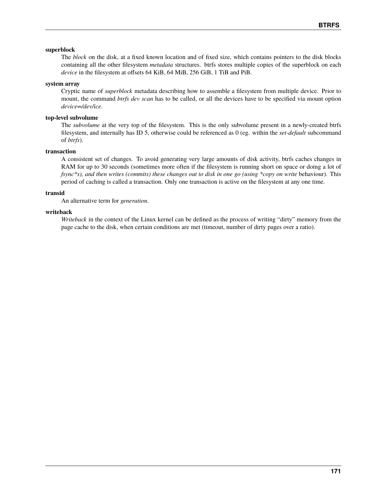# **superblock**

The *block* on the disk, at a fixed known location and of fixed size, which contains pointers to the disk blocks containing all the other filesystem *metadata* structures. btrfs stores multiple copies of the superblock on each *device* in the filesystem at offsets 64 KiB, 64 MiB, 256 GiB, 1 TiB and PiB.

# **system array**

Cryptic name of *superblock* metadata describing how to assemble a filesystem from multiple device. Prior to mount, the command *btrfs dev scan* has to be called, or all the devices have to be specified via mount option *device=/dev/ice*.

# **top-level subvolume**

The *subvolume* at the very top of the filesystem. This is the only subvolume present in a newly-created btrfs filesystem, and internally has ID 5, otherwise could be referenced as 0 (eg. within the *set-default* subcommand of *btrfs*).

# **transaction**

A consistent set of changes. To avoid generating very large amounts of disk activity, btrfs caches changes in RAM for up to 30 seconds (sometimes more often if the filesystem is running short on space or doing a lot of *fsync\*s), and then writes (commits) these changes out to disk in one go (using \*copy on write behaviour). This* period of caching is called a transaction. Only one transaction is active on the filesystem at any one time.

# **transid**

An alternative term for *generation*.

# **writeback**

*Writeback* in the context of the Linux kernel can be defined as the process of writing "dirty" memory from the page cache to the disk, when certain conditions are met (timeout, number of dirty pages over a ratio).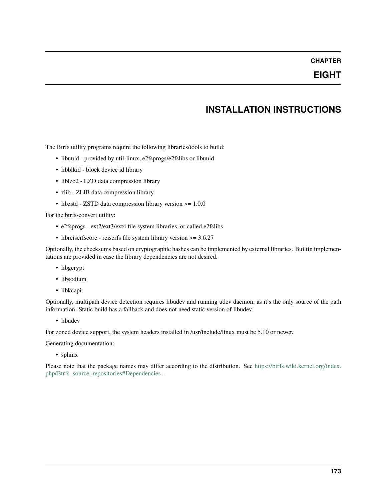# **CHAPTER**

# **EIGHT**

# **INSTALLATION INSTRUCTIONS**

The Btrfs utility programs require the following libraries/tools to build:

- libuuid provided by util-linux, e2fsprogs/e2fslibs or libuuid
- libblkid block device id library
- liblzo2 LZO data compression library
- zlib ZLIB data compression library
- libzstd ZSTD data compression library version >= 1.0.0

For the btrfs-convert utility:

- e2fsprogs ext2/ext3/ext4 file system libraries, or called e2fslibs
- libreiserfscore reiserfs file system library version >= 3.6.27

Optionally, the checksums based on cryptographic hashes can be implemented by external libraries. Builtin implementations are provided in case the library dependencies are not desired.

- libgcrypt
- libsodium
- libkcapi

Optionally, multipath device detection requires libudev and running udev daemon, as it's the only source of the path information. Static build has a fallback and does not need static version of libudev.

• libudev

For zoned device support, the system headers installed in /usr/include/linux must be 5.10 or newer.

Generating documentation:

• sphinx

Please note that the package names may differ according to the distribution. See [https://btrfs.wiki.kernel.org/index.](https://btrfs.wiki.kernel.org/index.php/Btrfs_source_repositories#Dependencies) [php/Btrfs\\_source\\_repositories#Dependencies](https://btrfs.wiki.kernel.org/index.php/Btrfs_source_repositories#Dependencies) .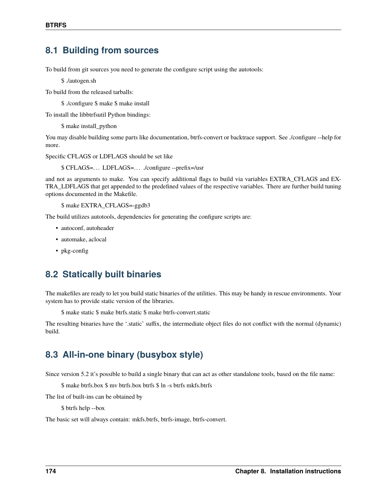# **8.1 Building from sources**

To build from git sources you need to generate the configure script using the autotools:

\$ ./autogen.sh

To build from the released tarballs:

\$ ./configure \$ make \$ make install

To install the libbtrfsutil Python bindings:

\$ make install\_python

You may disable building some parts like documentation, btrfs-convert or backtrace support. See ./configure --help for more.

Specific CFLAGS or LDFLAGS should be set like

\$ CFLAGS=. . . LDFLAGS=. . . ./configure --prefix=/usr

and not as arguments to make. You can specify additional flags to build via variables EXTRA\_CFLAGS and EX-TRA\_LDFLAGS that get appended to the predefined values of the respective variables. There are further build tuning options documented in the Makefile.

\$ make EXTRA\_CFLAGS=-ggdb3

The build utilizes autotools, dependencies for generating the configure scripts are:

- autoconf, autoheader
- automake, aclocal
- pkg-config

# **8.2 Statically built binaries**

The makefiles are ready to let you build static binaries of the utilities. This may be handy in rescue environments. Your system has to provide static version of the libraries.

\$ make static \$ make btrfs.static \$ make btrfs-convert.static

The resulting binaries have the '.static' suffix, the intermediate object files do not conflict with the normal (dynamic) build.

# **8.3 All-in-one binary (busybox style)**

Since version 5.2 it's possible to build a single binary that can act as other standalone tools, based on the file name:

\$ make btrfs.box \$ mv btrfs.box btrfs \$ ln -s btrfs mkfs.btrfs

The list of built-ins can be obtained by

\$ btrfs help --box

The basic set will always contain: mkfs.btrfs, btrfs-image, btrfs-convert.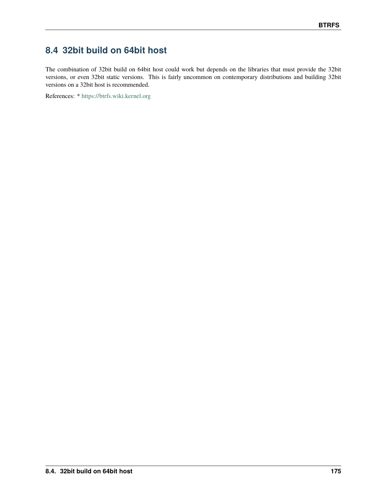# **8.4 32bit build on 64bit host**

The combination of 32bit build on 64bit host could work but depends on the libraries that must provide the 32bit versions, or even 32bit static versions. This is fairly uncommon on contemporary distributions and building 32bit versions on a 32bit host is recommended.

References: \* <https://btrfs.wiki.kernel.org>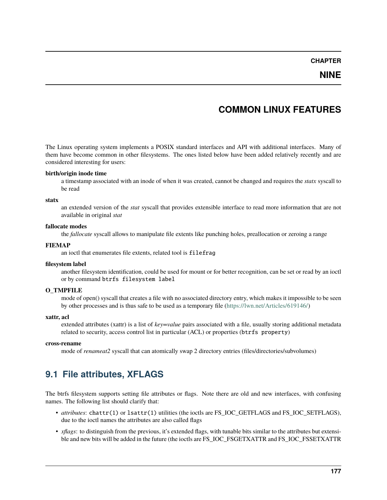### **NINE**

## **COMMON LINUX FEATURES**

The Linux operating system implements a POSIX standard interfaces and API with additional interfaces. Many of them have become common in other filesystems. The ones listed below have been added relatively recently and are considered interesting for users:

#### **birth/origin inode time**

a timestamp associated with an inode of when it was created, cannot be changed and requires the *statx* syscall to be read

#### **statx**

an extended version of the *stat* syscall that provides extensible interface to read more information that are not available in original *stat*

#### **fallocate modes**

the *fallocate* syscall allows to manipulate file extents like punching holes, preallocation or zeroing a range

#### **FIEMAP**

an ioctl that enumerates file extents, related tool is filefrag

#### **filesystem label**

another filesystem identification, could be used for mount or for better recognition, can be set or read by an ioctl or by command btrfs filesystem label

#### **O\_TMPFILE**

mode of open() syscall that creates a file with no associated directory entry, which makes it impossible to be seen by other processes and is thus safe to be used as a temporary file [\(https://lwn.net/Articles/619146/\)](https://lwn.net/Articles/619146/)

#### **xattr, acl**

extended attributes (xattr) is a list of *key=value* pairs associated with a file, usually storing additional metadata related to security, access control list in particular (ACL) or properties (btrfs property)

#### **cross-rename**

mode of *renameat2* syscall that can atomically swap 2 directory entries (files/directories/subvolumes)

## **9.1 File attributes, XFLAGS**

The btrfs filesystem supports setting file attributes or flags. Note there are old and new interfaces, with confusing names. The following list should clarify that:

- *attributes*: chattr(1) or lsattr(1) utilities (the ioctls are FS\_IOC\_GETFLAGS and FS\_IOC\_SETFLAGS), due to the ioctl names the attributes are also called flags
- *xflags*: to distinguish from the previous, it's extended flags, with tunable bits similar to the attributes but extensible and new bits will be added in the future (the ioctls are FS\_IOC\_FSGETXATTR and FS\_IOC\_FSSETXATTR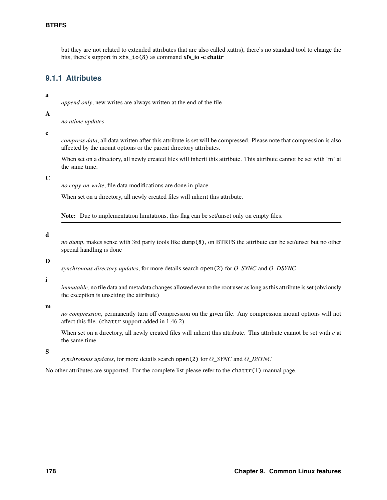but they are not related to extended attributes that are also called xattrs), there's no standard tool to change the bits, there's support in xfs\_io(8) as command **xfs\_io -c chattr**

### **9.1.1 Attributes**

#### **a**

*append only*, new writes are always written at the end of the file

#### **A**

*no atime updates*

**c**

*compress data*, all data written after this attribute is set will be compressed. Please note that compression is also affected by the mount options or the parent directory attributes.

When set on a directory, all newly created files will inherit this attribute. This attribute cannot be set with 'm' at the same time.

#### **C**

*no copy-on-write*, file data modifications are done in-place

When set on a directory, all newly created files will inherit this attribute.

**Note:** Due to implementation limitations, this flag can be set/unset only on empty files.

#### **d**

*no dump*, makes sense with 3rd party tools like dump(8), on BTRFS the attribute can be set/unset but no other special handling is done

#### **D**

*synchronous directory updates*, for more details search open(2) for *O\_SYNC* and *O\_DSYNC*

#### **i**

*immutable*, no file data and metadata changes allowed even to the root user as long as this attribute is set (obviously the exception is unsetting the attribute)

#### **m**

*no compression*, permanently turn off compression on the given file. Any compression mount options will not affect this file. (chattr support added in 1.46.2)

When set on a directory, all newly created files will inherit this attribute. This attribute cannot be set with  $c$  at the same time.

**S**

*synchronous updates*, for more details search open(2) for *O\_SYNC* and *O\_DSYNC*

No other attributes are supported. For the complete list please refer to the chattr(1) manual page.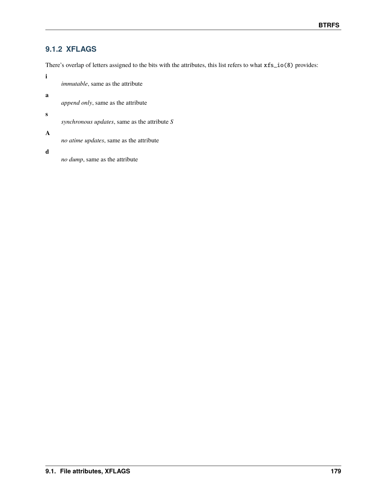### **9.1.2 XFLAGS**

There's overlap of letters assigned to the bits with the attributes, this list refers to what xfs\_io(8) provides:

**i**

*immutable*, same as the attribute

**a**

*append only*, same as the attribute

**s**

*synchronous updates*, same as the attribute *S*

**A**

*no atime updates*, same as the attribute

**d**

*no dump*, same as the attribute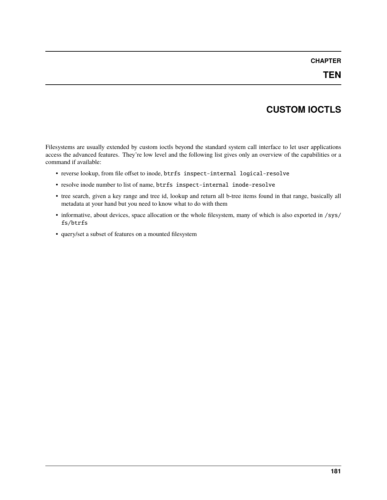# **CUSTOM IOCTLS**

Filesystems are usually extended by custom ioctls beyond the standard system call interface to let user applications access the advanced features. They're low level and the following list gives only an overview of the capabilities or a command if available:

- reverse lookup, from file offset to inode, btrfs inspect-internal logical-resolve
- resolve inode number to list of name, btrfs inspect-internal inode-resolve
- tree search, given a key range and tree id, lookup and return all b-tree items found in that range, basically all metadata at your hand but you need to know what to do with them
- informative, about devices, space allocation or the whole filesystem, many of which is also exported in /sys/ fs/btrfs
- query/set a subset of features on a mounted filesystem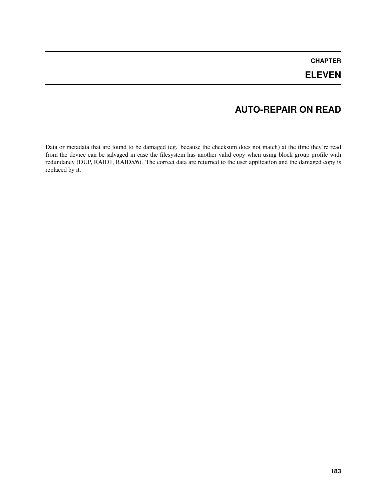## **ELEVEN**

# **AUTO-REPAIR ON READ**

Data or metadata that are found to be damaged (eg. because the checksum does not match) at the time they're read from the device can be salvaged in case the filesystem has another valid copy when using block group profile with redundancy (DUP, RAID1, RAID5/6). The correct data are returned to the user application and the damaged copy is replaced by it.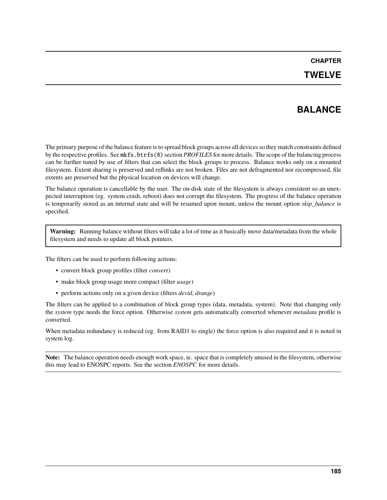### **TWELVE**

# **BALANCE**

The primary purpose of the balance feature is to spread block groups across all devices so they match constraints defined by the respective profiles. See mkfs.btrfs(8) section *PROFILES* for more details. The scope of the balancing process can be further tuned by use of filters that can select the block groups to process. Balance works only on a mounted filesystem. Extent sharing is preserved and reflinks are not broken. Files are not defragmented nor recompressed, file extents are preserved but the physical location on devices will change.

The balance operation is cancellable by the user. The on-disk state of the filesystem is always consistent so an unexpected interruption (eg. system crash, reboot) does not corrupt the filesystem. The progress of the balance operation is temporarily stored as an internal state and will be resumed upon mount, unless the mount option *skip\_balance* is specified.

**Warning:** Running balance without filters will take a lot of time as it basically move data/metadata from the whole filesystem and needs to update all block pointers.

The filters can be used to perform following actions:

- convert block group profiles (filter *convert*)
- make block group usage more compact (filter *usage*)
- perform actions only on a given device (filters *devid*, *drange*)

The filters can be applied to a combination of block group types (data, metadata, system). Note that changing only the *system* type needs the force option. Otherwise *system* gets automatically converted whenever *metadata* profile is converted.

When metadata redundancy is reduced (eg. from RAID1 to single) the force option is also required and it is noted in system log.

**Note:** The balance operation needs enough work space, ie. space that is completely unused in the filesystem, otherwise this may lead to ENOSPC reports. See the section *ENOSPC* for more details.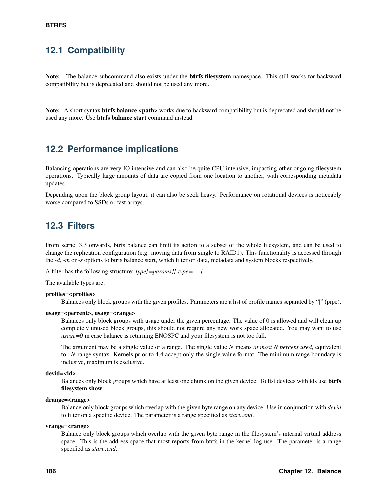## **12.1 Compatibility**

**Note:** The balance subcommand also exists under the **btrfs filesystem** namespace. This still works for backward compatibility but is deprecated and should not be used any more.

**Note:** A short syntax **btrfs balance <path>** works due to backward compatibility but is deprecated and should not be used any more. Use **btrfs balance start** command instead.

## **12.2 Performance implications**

Balancing operations are very IO intensive and can also be quite CPU intensive, impacting other ongoing filesystem operations. Typically large amounts of data are copied from one location to another, with corresponding metadata updates.

Depending upon the block group layout, it can also be seek heavy. Performance on rotational devices is noticeably worse compared to SSDs or fast arrays.

## **12.3 Filters**

From kernel 3.3 onwards, btrfs balance can limit its action to a subset of the whole filesystem, and can be used to change the replication configuration (e.g. moving data from single to RAID1). This functionality is accessed through the *-d*, *-m* or *-s* options to btrfs balance start, which filter on data, metadata and system blocks respectively.

A filter has the following structure: *type[=params][,type=. . . ]*

The available types are:

#### **profiles=<profiles>**

Balances only block groups with the given profiles. Parameters are a list of profile names separated by "*|*" (pipe).

#### **usage=<percent>, usage=<range>**

Balances only block groups with usage under the given percentage. The value of 0 is allowed and will clean up completely unused block groups, this should not require any new work space allocated. You may want to use *usage=0* in case balance is returning ENOSPC and your filesystem is not too full.

The argument may be a single value or a range. The single value *N* means *at most N percent used*, equivalent to *..N* range syntax. Kernels prior to 4.4 accept only the single value format. The minimum range boundary is inclusive, maximum is exclusive.

#### **devid=<id>**

Balances only block groups which have at least one chunk on the given device. To list devices with ids use **btrfs filesystem show**.

#### **drange=<range>**

Balance only block groups which overlap with the given byte range on any device. Use in conjunction with *devid* to filter on a specific device. The parameter is a range specified as *start..end*.

#### **vrange=<range>**

Balance only block groups which overlap with the given byte range in the filesystem's internal virtual address space. This is the address space that most reports from btrfs in the kernel log use. The parameter is a range specified as *start..end*.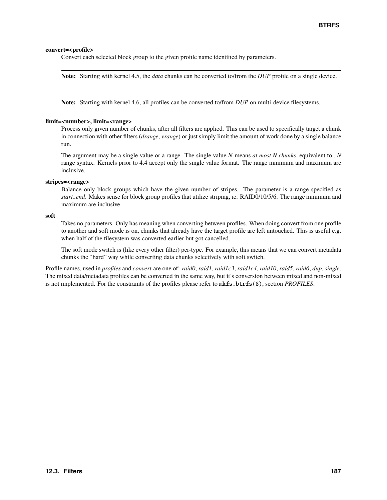#### **convert=<profile>**

Convert each selected block group to the given profile name identified by parameters.

**Note:** Starting with kernel 4.5, the *data* chunks can be converted to/from the *DUP* profile on a single device.

**Note:** Starting with kernel 4.6, all profiles can be converted to/from *DUP* on multi-device filesystems.

#### **limit=<number>, limit=<range>**

Process only given number of chunks, after all filters are applied. This can be used to specifically target a chunk in connection with other filters (*drange*, *vrange*) or just simply limit the amount of work done by a single balance run.

The argument may be a single value or a range. The single value *N* means *at most N chunks*, equivalent to *..N* range syntax. Kernels prior to 4.4 accept only the single value format. The range minimum and maximum are inclusive.

#### **stripes=<range>**

Balance only block groups which have the given number of stripes. The parameter is a range specified as *start..end*. Makes sense for block group profiles that utilize striping, ie. RAID0/10/5/6. The range minimum and maximum are inclusive.

**soft**

Takes no parameters. Only has meaning when converting between profiles. When doing convert from one profile to another and soft mode is on, chunks that already have the target profile are left untouched. This is useful e.g. when half of the filesystem was converted earlier but got cancelled.

The soft mode switch is (like every other filter) per-type. For example, this means that we can convert metadata chunks the "hard" way while converting data chunks selectively with soft switch.

Profile names, used in *profiles* and *convert* are one of: *raid0*, *raid1*, *raid1c3*, *raid1c4*, *raid10*, *raid5*, *raid6*, *dup*, *single*. The mixed data/metadata profiles can be converted in the same way, but it's conversion between mixed and non-mixed is not implemented. For the constraints of the profiles please refer to mkfs.btrfs(8), section *PROFILES*.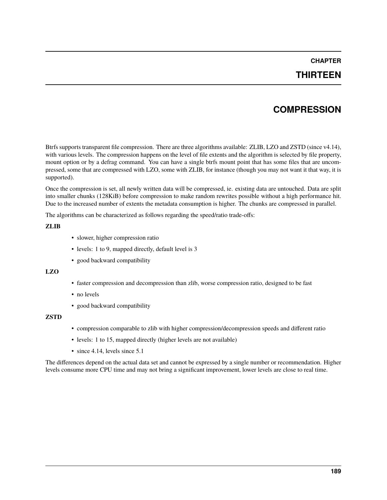## **THIRTEEN**

## **COMPRESSION**

Btrfs supports transparent file compression. There are three algorithms available: ZLIB, LZO and ZSTD (since v4.14), with various levels. The compression happens on the level of file extents and the algorithm is selected by file property, mount option or by a defrag command. You can have a single btrfs mount point that has some files that are uncompressed, some that are compressed with LZO, some with ZLIB, for instance (though you may not want it that way, it is supported).

Once the compression is set, all newly written data will be compressed, ie. existing data are untouched. Data are split into smaller chunks (128KiB) before compression to make random rewrites possible without a high performance hit. Due to the increased number of extents the metadata consumption is higher. The chunks are compressed in parallel.

The algorithms can be characterized as follows regarding the speed/ratio trade-offs:

#### **ZLIB**

- slower, higher compression ratio
- levels: 1 to 9, mapped directly, default level is 3
- good backward compatibility

#### **LZO**

- faster compression and decompression than zlib, worse compression ratio, designed to be fast
- no levels
- good backward compatibility

#### **ZSTD**

- compression comparable to zlib with higher compression/decompression speeds and different ratio
- levels: 1 to 15, mapped directly (higher levels are not available)
- since 4.14, levels since 5.1

The differences depend on the actual data set and cannot be expressed by a single number or recommendation. Higher levels consume more CPU time and may not bring a significant improvement, lower levels are close to real time.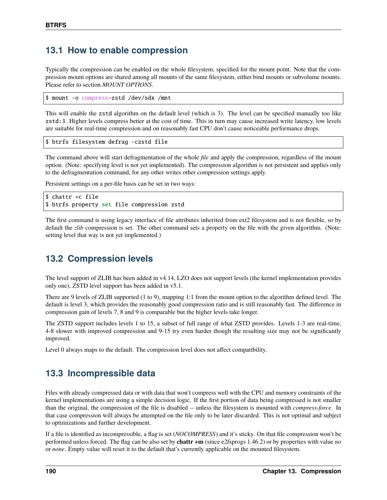## **13.1 How to enable compression**

Typically the compression can be enabled on the whole filesystem, specified for the mount point. Note that the compression mount options are shared among all mounts of the same filesystem, either bind mounts or subvolume mounts. Please refer to section *MOUNT OPTIONS*.

\$ mount -o compress=zstd /dev/sdx /mnt

This will enable the zstd algorithm on the default level (which is 3). The level can be specified manually too like zstd:3. Higher levels compress better at the cost of time. This in turn may cause increased write latency, low levels are suitable for real-time compression and on reasonably fast CPU don't cause noticeable performance drops.

```
$ btrfs filesystem defrag -czstd file
```
The command above will start defragmentation of the whole *file* and apply the compression, regardless of the mount option. (Note: specifying level is not yet implemented). The compression algorithm is not persistent and applies only to the defragmentation command, for any other writes other compression settings apply.

Persistent settings on a per-file basis can be set in two ways:

```
$ chattr +c file
$ btrfs property set file compression zstd
```
The first command is using legacy interface of file attributes inherited from ext2 filesystem and is not flexible, so by default the *zlib* compression is set. The other command sets a property on the file with the given algorithm. (Note: setting level that way is not yet implemented.)

## **13.2 Compression levels**

The level support of ZLIB has been added in v4.14, LZO does not support levels (the kernel implementation provides only one), ZSTD level support has been added in v5.1.

There are 9 levels of ZLIB supported (1 to 9), mapping 1:1 from the mount option to the algorithm defined level. The default is level 3, which provides the reasonably good compression ratio and is still reasonably fast. The difference in compression gain of levels 7, 8 and 9 is comparable but the higher levels take longer.

The ZSTD support includes levels 1 to 15, a subset of full range of what ZSTD provides. Levels 1-3 are real-time, 4-8 slower with improved compression and 9-15 try even harder though the resulting size may not be significantly improved.

Level 0 always maps to the default. The compression level does not affect compatibility.

## **13.3 Incompressible data**

Files with already compressed data or with data that won't compress well with the CPU and memory constraints of the kernel implementations are using a simple decision logic. If the first portion of data being compressed is not smaller than the original, the compression of the file is disabled -- unless the filesystem is mounted with *compress-force*. In that case compression will always be attempted on the file only to be later discarded. This is not optimal and subject to optimizations and further development.

If a file is identified as incompressible, a flag is set (*NOCOMPRESS*) and it's sticky. On that file compression won't be performed unless forced. The flag can be also set by **chattr +m** (since e2fsprogs 1.46.2) or by properties with value *no* or *none*. Empty value will reset it to the default that's currently applicable on the mounted filesystem.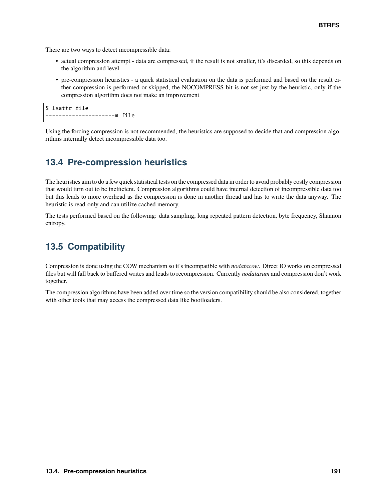There are two ways to detect incompressible data:

- actual compression attempt data are compressed, if the result is not smaller, it's discarded, so this depends on the algorithm and level
- pre-compression heuristics a quick statistical evaluation on the data is performed and based on the result either compression is performed or skipped, the NOCOMPRESS bit is not set just by the heuristic, only if the compression algorithm does not make an improvement

\$ lsattr file ---------------------m file

Using the forcing compression is not recommended, the heuristics are supposed to decide that and compression algorithms internally detect incompressible data too.

# **13.4 Pre-compression heuristics**

The heuristics aim to do a few quick statistical tests on the compressed data in order to avoid probably costly compression that would turn out to be inefficient. Compression algorithms could have internal detection of incompressible data too but this leads to more overhead as the compression is done in another thread and has to write the data anyway. The heuristic is read-only and can utilize cached memory.

The tests performed based on the following: data sampling, long repeated pattern detection, byte frequency, Shannon entropy.

# **13.5 Compatibility**

Compression is done using the COW mechanism so it's incompatible with *nodatacow*. Direct IO works on compressed files but will fall back to buffered writes and leads to recompression. Currently *nodatasum* and compression don't work together.

The compression algorithms have been added over time so the version compatibility should be also considered, together with other tools that may access the compressed data like bootloaders.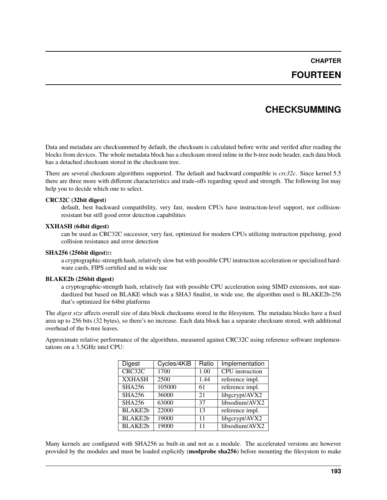## **FOURTEEN**

## **CHECKSUMMING**

Data and metadata are checksummed by default, the checksum is calculated before write and verifed after reading the blocks from devices. The whole metadata block has a checksum stored inline in the b-tree node header, each data block has a detached checksum stored in the checksum tree.

There are several checksum algorithms supported. The default and backward compatible is *crc32c*. Since kernel 5.5 there are three more with different characteristics and trade-offs regarding speed and strength. The following list may help you to decide which one to select.

#### **CRC32C (32bit digest)**

default, best backward compatibility, very fast, modern CPUs have instruction-level support, not collisionresistant but still good error detection capabilities

#### **XXHASH (64bit digest)**

can be used as CRC32C successor, very fast, optimized for modern CPUs utilizing instruction pipelining, good collision resistance and error detection

#### **SHA256 (256bit digest)::**

a cryptographic-strength hash, relatively slow but with possible CPU instruction acceleration or specialized hardware cards, FIPS certified and in wide use

#### **BLAKE2b (256bit digest)**

a cryptographic-strength hash, relatively fast with possible CPU acceleration using SIMD extensions, not standardized but based on BLAKE which was a SHA3 finalist, in wide use, the algorithm used is BLAKE2b-256 that's optimized for 64bit platforms

The *digest size* affects overall size of data block checksums stored in the filesystem. The metadata blocks have a fixed area up to 256 bits (32 bytes), so there's no increase. Each data block has a separate checksum stored, with additional overhead of the b-tree leaves.

Approximate relative performance of the algorithms, measured against CRC32C using reference software implementations on a 3.5GHz intel CPU:

| <b>Digest</b>  | Cycles/4KiB | Ratio | <b>Implementation</b>  |
|----------------|-------------|-------|------------------------|
| CRC32C         | 1700        | 1.00  | <b>CPU</b> instruction |
| <b>XXHASH</b>  | 2500        | 1.44  | reference impl.        |
| <b>SHA256</b>  | 105000      | 61    | reference impl.        |
| <b>SHA256</b>  | 36000       | 21    | libgcrypt/AVX2         |
| SHA256         | 63000       | 37    | libsodium/AVX2         |
| <b>BLAKE2b</b> | 22000       | 13    | reference impl.        |
| <b>BLAKE2b</b> | 19000       | 11    | libgcrypt/AVX2         |
| <b>BLAKE2b</b> | 19000       | 11    | libsodium/AVX2         |

Many kernels are configured with SHA256 as built-in and not as a module. The accelerated versions are however provided by the modules and must be loaded explicitly (**modprobe sha256**) before mounting the filesystem to make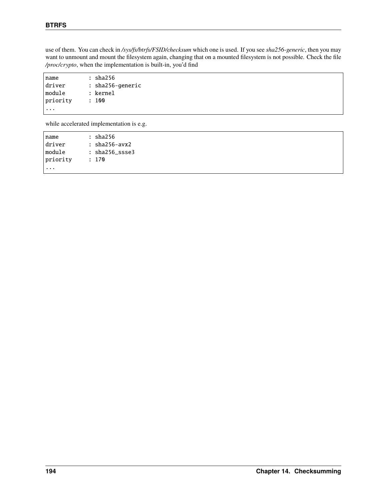use of them. You can check in */sys/fs/btrfs/FSID/checksum* which one is used. If you see *sha256-generic*, then you may want to unmount and mount the filesystem again, changing that on a mounted filesystem is not possible. Check the file */proc/crypto*, when the implementation is built-in, you'd find

| name     | : sha256         |
|----------|------------------|
| driver   | : sha256-generic |
| module   | : kernel         |
| priority | : 100            |
|          |                  |

while accelerated implementation is e.g.

| Iname    | : sha256            |  |
|----------|---------------------|--|
| driver   | $: sha256$ -avx $2$ |  |
| Imodule  | : sha256 ssse3      |  |
| priority | : 170               |  |
|          |                     |  |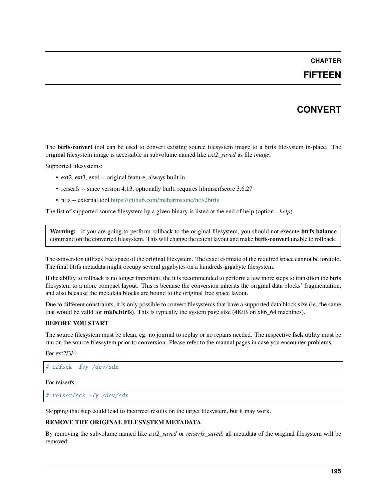### **FIFTEEN**

## **CONVERT**

The **btrfs-convert** tool can be used to convert existing source filesystem image to a btrfs filesystem in-place. The original filesystem image is accessible in subvolume named like *ext2\_saved* as file *image*.

Supported filesystems:

- ext2, ext3, ext4 -- original feature, always built in
- reiserfs -- since version 4.13, optionally built, requires libreiserfscore 3.6.27
- ntfs -- external tool <https://github.com/maharmstone/ntfs2btrfs>

The list of supported source filesystem by a given binary is listed at the end of help (option *--help*).

**Warning:** If you are going to perform rollback to the original filesystem, you should not execute **btrfs balance** command on the converted filesystem. This will change the extent layout and make **btrfs-convert** unable to rollback.

The conversion utilizes free space of the original filesystem. The exact estimate of the required space cannot be foretold. The final btrfs metadata might occupy several gigabytes on a hundreds-gigabyte filesystem.

If the ability to rollback is no longer important, the it is recommended to perform a few more steps to transition the btrfs filesystem to a more compact layout. This is because the conversion inherits the original data blocks' fragmentation, and also because the metadata blocks are bound to the original free space layout.

Due to different constraints, it is only possible to convert filesystems that have a supported data block size (ie. the same that would be valid for **mkfs.btrfs**). This is typically the system page size (4KiB on x86\_64 machines).

#### **BEFORE YOU START**

The source filesystem must be clean, eg. no journal to replay or no repairs needed. The respective **fsck** utility must be run on the source filessytem prior to conversion. Please refer to the manual pages in case you encounter problems.

For ext2/3/4:

# e2fsck -fvy /dev/sdx

For reiserfs:

# reiserfsck -fy /dev/sdx

Skipping that step could lead to incorrect results on the target filesystem, but it may work.

#### **REMOVE THE ORIGINAL FILESYSTEM METADATA**

By removing the subvolume named like *ext2\_saved* or *reiserfs\_saved*, all metadata of the original filesystem will be removed: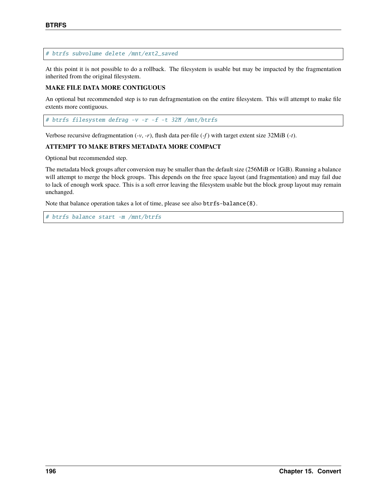#### # btrfs subvolume delete /mnt/ext2\_saved

At this point it is not possible to do a rollback. The filesystem is usable but may be impacted by the fragmentation inherited from the original filesystem.

#### **MAKE FILE DATA MORE CONTIGUOUS**

An optional but recommended step is to run defragmentation on the entire filesystem. This will attempt to make file extents more contiguous.

# btrfs filesystem defrag -v -r -f -t 32M /mnt/btrfs

Verbose recursive defragmentation (*-v*, *-r*), flush data per-file (*-f* ) with target extent size 32MiB (*-t*).

#### **ATTEMPT TO MAKE BTRFS METADATA MORE COMPACT**

Optional but recommended step.

The metadata block groups after conversion may be smaller than the default size (256MiB or 1GiB). Running a balance will attempt to merge the block groups. This depends on the free space layout (and fragmentation) and may fail due to lack of enough work space. This is a soft error leaving the filesystem usable but the block group layout may remain unchanged.

Note that balance operation takes a lot of time, please see also btrfs-balance(8).

# btrfs balance start -m /mnt/btrfs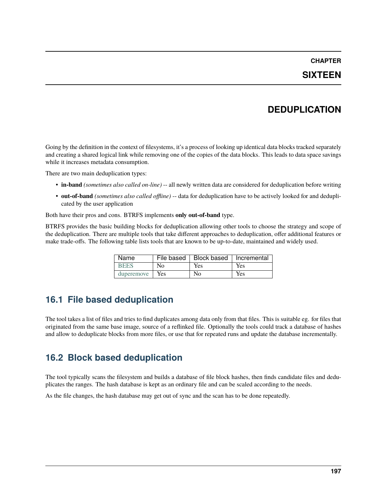## **SIXTEEN**

# **DEDUPLICATION**

Going by the definition in the context of filesystems, it's a process of looking up identical data blocks tracked separately and creating a shared logical link while removing one of the copies of the data blocks. This leads to data space savings while it increases metadata consumption.

There are two main deduplication types:

- **in-band** *(sometimes also called on-line)* -- all newly written data are considered for deduplication before writing
- **out-of-band** *(sometimes also called offline)* -- data for deduplication have to be actively looked for and deduplicated by the user application

Both have their pros and cons. BTRFS implements **only out-of-band** type.

BTRFS provides the basic building blocks for deduplication allowing other tools to choose the strategy and scope of the deduplication. There are multiple tools that take different approaches to deduplication, offer additional features or make trade-offs. The following table lists tools that are known to be up-to-date, maintained and widely used.

| Name        |      | File based   Block based   Incremental |     |
|-------------|------|----------------------------------------|-----|
| <b>BEES</b> | Nο   | Yes                                    | Yes |
| duperemove  | Yes. | Nο                                     | Yes |

# **16.1 File based deduplication**

The tool takes a list of files and tries to find duplicates among data only from that files. This is suitable eg. for files that originated from the same base image, source of a reflinked file. Optionally the tools could track a database of hashes and allow to deduplicate blocks from more files, or use that for repeated runs and update the database incrementally.

# **16.2 Block based deduplication**

The tool typically scans the filesystem and builds a database of file block hashes, then finds candidate files and deduplicates the ranges. The hash database is kept as an ordinary file and can be scaled according to the needs.

As the file changes, the hash database may get out of sync and the scan has to be done repeatedly.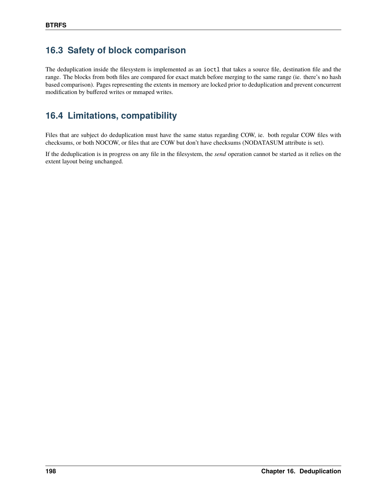# **16.3 Safety of block comparison**

The deduplication inside the filesystem is implemented as an ioctl that takes a source file, destination file and the range. The blocks from both files are compared for exact match before merging to the same range (ie. there's no hash based comparison). Pages representing the extents in memory are locked prior to deduplication and prevent concurrent modification by buffered writes or mmaped writes.

# **16.4 Limitations, compatibility**

Files that are subject do deduplication must have the same status regarding COW, ie. both regular COW files with checksums, or both NOCOW, or files that are COW but don't have checksums (NODATASUM attribute is set).

If the deduplication is in progress on any file in the filesystem, the *send* operation cannot be started as it relies on the extent layout being unchanged.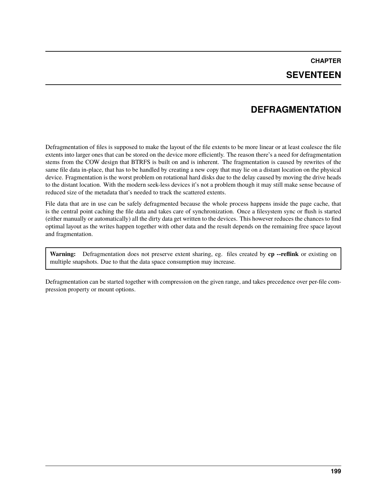# **CHAPTER SEVENTEEN**

## **DEFRAGMENTATION**

Defragmentation of files is supposed to make the layout of the file extents to be more linear or at least coalesce the file extents into larger ones that can be stored on the device more efficiently. The reason there's a need for defragmentation stems from the COW design that BTRFS is built on and is inherent. The fragmentation is caused by rewrites of the same file data in-place, that has to be handled by creating a new copy that may lie on a distant location on the physical device. Fragmentation is the worst problem on rotational hard disks due to the delay caused by moving the drive heads to the distant location. With the modern seek-less devices it's not a problem though it may still make sense because of reduced size of the metadata that's needed to track the scattered extents.

File data that are in use can be safely defragmented because the whole process happens inside the page cache, that is the central point caching the file data and takes care of synchronization. Once a filesystem sync or flush is started (either manually or automatically) all the dirty data get written to the devices. This however reduces the chances to find optimal layout as the writes happen together with other data and the result depends on the remaining free space layout and fragmentation.

**Warning:** Defragmentation does not preserve extent sharing, eg. files created by **cp --reflink** or existing on multiple snapshots. Due to that the data space consumption may increase.

Defragmentation can be started together with compression on the given range, and takes precedence over per-file compression property or mount options.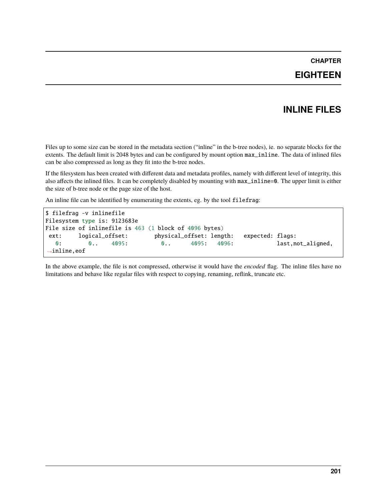## **EIGHTEEN**

## **INLINE FILES**

Files up to some size can be stored in the metadata section ("inline" in the b-tree nodes), ie. no separate blocks for the extents. The default limit is 2048 bytes and can be configured by mount option max\_inline. The data of inlined files can be also compressed as long as they fit into the b-tree nodes.

If the filesystem has been created with different data and metadata profiles, namely with different level of integrity, this also affects the inlined files. It can be completely disabled by mounting with max\_inline=0. The upper limit is either the size of b-tree node or the page size of the host.

An inline file can be identified by enumerating the extents, eg. by the tool filefrag:

```
$ filefrag -v inlinefile
Filesystem type is: 9123683e
File size of inlinefile is 463 (1 block of 4096 bytes)
ext: logical_offset: physical_offset: length: expected: flags:
  0: 0. 4095: 0. 4095: 4096: last,not_aligned,
˓→inline,eof
```
In the above example, the file is not compressed, otherwise it would have the *encoded* flag. The inline files have no limitations and behave like regular files with respect to copying, renaming, reflink, truncate etc.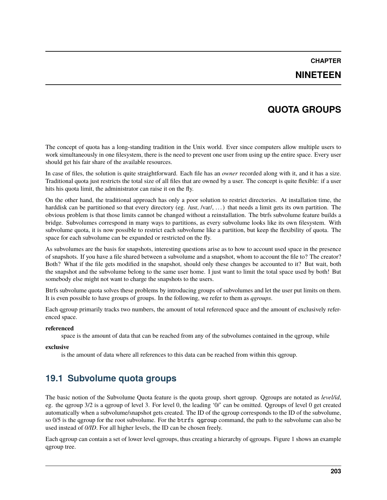### **NINETEEN**

## **QUOTA GROUPS**

The concept of quota has a long-standing tradition in the Unix world. Ever since computers allow multiple users to work simultaneously in one filesystem, there is the need to prevent one user from using up the entire space. Every user should get his fair share of the available resources.

In case of files, the solution is quite straightforward. Each file has an *owner* recorded along with it, and it has a size. Traditional quota just restricts the total size of all files that are owned by a user. The concept is quite flexible: if a user hits his quota limit, the administrator can raise it on the fly.

On the other hand, the traditional approach has only a poor solution to restrict directories. At installation time, the harddisk can be partitioned so that every directory (eg. /usr, /var/, ...) that needs a limit gets its own partition. The obvious problem is that those limits cannot be changed without a reinstallation. The btrfs subvolume feature builds a bridge. Subvolumes correspond in many ways to partitions, as every subvolume looks like its own filesystem. With subvolume quota, it is now possible to restrict each subvolume like a partition, but keep the flexibility of quota. The space for each subvolume can be expanded or restricted on the fly.

As subvolumes are the basis for snapshots, interesting questions arise as to how to account used space in the presence of snapshots. If you have a file shared between a subvolume and a snapshot, whom to account the file to? The creator? Both? What if the file gets modified in the snapshot, should only these changes be accounted to it? But wait, both the snapshot and the subvolume belong to the same user home. I just want to limit the total space used by both! But somebody else might not want to charge the snapshots to the users.

Btrfs subvolume quota solves these problems by introducing groups of subvolumes and let the user put limits on them. It is even possible to have groups of groups. In the following, we refer to them as *qgroups*.

Each qgroup primarily tracks two numbers, the amount of total referenced space and the amount of exclusively referenced space.

#### **referenced**

space is the amount of data that can be reached from any of the subvolumes contained in the qgroup, while

#### **exclusive**

is the amount of data where all references to this data can be reached from within this qgroup.

## **19.1 Subvolume quota groups**

The basic notion of the Subvolume Quota feature is the quota group, short qgroup. Qgroups are notated as *level/id*, eg. the qgroup 3/2 is a qgroup of level 3. For level 0, the leading '0/' can be omitted. Qgroups of level 0 get created automatically when a subvolume/snapshot gets created. The ID of the qgroup corresponds to the ID of the subvolume, so 0/5 is the qgroup for the root subvolume. For the btrfs qgroup command, the path to the subvolume can also be used instead of *0/ID*. For all higher levels, the ID can be chosen freely.

Each qgroup can contain a set of lower level qgroups, thus creating a hierarchy of qgroups. Figure 1 shows an example qgroup tree.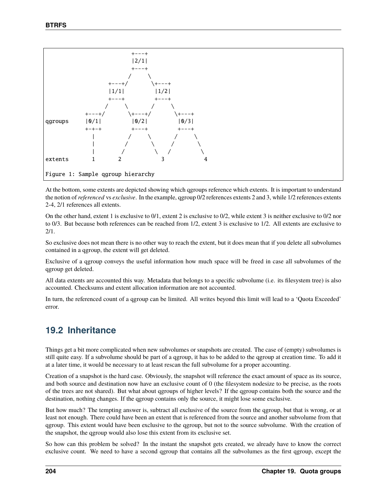

At the bottom, some extents are depicted showing which qgroups reference which extents. It is important to understand the notion of*referenced* vs *exclusive*. In the example, qgroup 0/2 references extents 2 and 3, while 1/2 references extents 2-4, 2/1 references all extents.

On the other hand, extent 1 is exclusive to 0/1, extent 2 is exclusive to 0/2, while extent 3 is neither exclusive to 0/2 nor to 0/3. But because both references can be reached from 1/2, extent 3 is exclusive to 1/2. All extents are exclusive to 2/1.

So exclusive does not mean there is no other way to reach the extent, but it does mean that if you delete all subvolumes contained in a qgroup, the extent will get deleted.

Exclusive of a qgroup conveys the useful information how much space will be freed in case all subvolumes of the qgroup get deleted.

All data extents are accounted this way. Metadata that belongs to a specific subvolume (i.e. its filesystem tree) is also accounted. Checksums and extent allocation information are not accounted.

In turn, the referenced count of a qgroup can be limited. All writes beyond this limit will lead to a 'Quota Exceeded' error.

## **19.2 Inheritance**

Things get a bit more complicated when new subvolumes or snapshots are created. The case of (empty) subvolumes is still quite easy. If a subvolume should be part of a qgroup, it has to be added to the qgroup at creation time. To add it at a later time, it would be necessary to at least rescan the full subvolume for a proper accounting.

Creation of a snapshot is the hard case. Obviously, the snapshot will reference the exact amount of space as its source, and both source and destination now have an exclusive count of 0 (the filesystem nodesize to be precise, as the roots of the trees are not shared). But what about qgroups of higher levels? If the qgroup contains both the source and the destination, nothing changes. If the qgroup contains only the source, it might lose some exclusive.

But how much? The tempting answer is, subtract all exclusive of the source from the qgroup, but that is wrong, or at least not enough. There could have been an extent that is referenced from the source and another subvolume from that qgroup. This extent would have been exclusive to the qgroup, but not to the source subvolume. With the creation of the snapshot, the qgroup would also lose this extent from its exclusive set.

So how can this problem be solved? In the instant the snapshot gets created, we already have to know the correct exclusive count. We need to have a second qgroup that contains all the subvolumes as the first qgroup, except the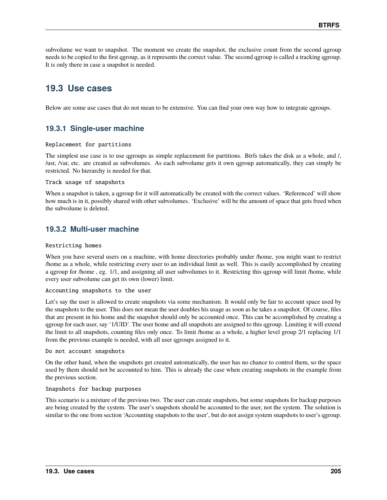subvolume we want to snapshot. The moment we create the snapshot, the exclusive count from the second qgroup needs to be copied to the first qgroup, as it represents the correct value. The second qgroup is called a tracking qgroup. It is only there in case a snapshot is needed.

## **19.3 Use cases**

Below are some use cases that do not mean to be extensive. You can find your own way how to integrate qgroups.

### **19.3.1 Single-user machine**

#### Replacement for partitions

The simplest use case is to use qgroups as simple replacement for partitions. Btrfs takes the disk as a whole, and /, /usr, /var, etc. are created as subvolumes. As each subvolume gets it own qgroup automatically, they can simply be restricted. No hierarchy is needed for that.

#### Track usage of snapshots

When a snapshot is taken, a qgroup for it will automatically be created with the correct values. 'Referenced' will show how much is in it, possibly shared with other subvolumes. 'Exclusive' will be the amount of space that gets freed when the subvolume is deleted.

### **19.3.2 Multi-user machine**

#### Restricting homes

When you have several users on a machine, with home directories probably under /home, you might want to restrict /home as a whole, while restricting every user to an individual limit as well. This is easily accomplished by creating a qgroup for /home , eg. 1/1, and assigning all user subvolumes to it. Restricting this qgroup will limit /home, while every user subvolume can get its own (lower) limit.

#### Accounting snapshots to the user

Let's say the user is allowed to create snapshots via some mechanism. It would only be fair to account space used by the snapshots to the user. This does not mean the user doubles his usage as soon as he takes a snapshot. Of course, files that are present in his home and the snapshot should only be accounted once. This can be accomplished by creating a qgroup for each user, say '1/UID'. The user home and all snapshots are assigned to this qgroup. Limiting it will extend the limit to all snapshots, counting files only once. To limit /home as a whole, a higher level group 2/1 replacing 1/1 from the previous example is needed, with all user qgroups assigned to it.

#### Do not account snapshots

On the other hand, when the snapshots get created automatically, the user has no chance to control them, so the space used by them should not be accounted to him. This is already the case when creating snapshots in the example from the previous section.

#### Snapshots for backup purposes

This scenario is a mixture of the previous two. The user can create snapshots, but some snapshots for backup purposes are being created by the system. The user's snapshots should be accounted to the user, not the system. The solution is similar to the one from section 'Accounting snapshots to the user', but do not assign system snapshots to user's qgroup.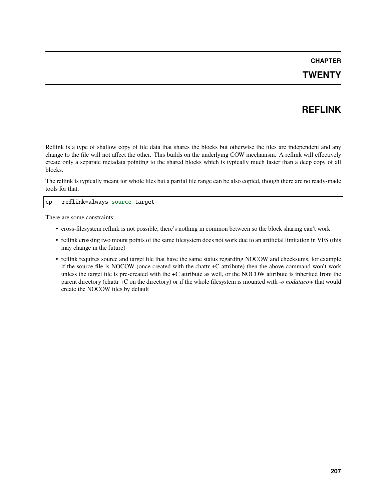## **TWENTY**

# **REFLINK**

Reflink is a type of shallow copy of file data that shares the blocks but otherwise the files are independent and any change to the file will not affect the other. This builds on the underlying COW mechanism. A reflink will effectively create only a separate metadata pointing to the shared blocks which is typically much faster than a deep copy of all blocks.

The reflink is typically meant for whole files but a partial file range can be also copied, though there are no ready-made tools for that.

#### cp --reflink=always source target

There are some constraints:

- cross-filesystem reflink is not possible, there's nothing in common between so the block sharing can't work
- reflink crossing two mount points of the same filesystem does not work due to an artificial limitation in VFS (this may change in the future)
- reflink requires source and target file that have the same status regarding NOCOW and checksums, for example if the source file is NOCOW (once created with the chattr +C attribute) then the above command won't work unless the target file is pre-created with the +C attribute as well, or the NOCOW attribute is inherited from the parent directory (chattr +C on the directory) or if the whole filesystem is mounted with *-o nodatacow* that would create the NOCOW files by default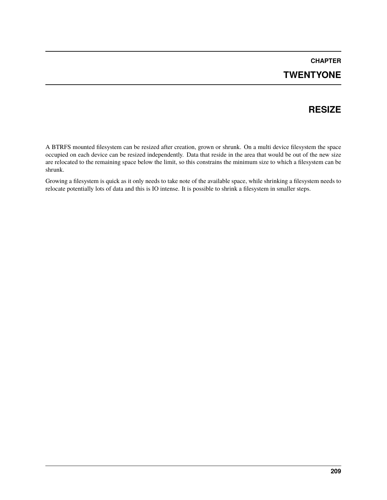# **CHAPTER TWENTYONE**

## **RESIZE**

A BTRFS mounted filesystem can be resized after creation, grown or shrunk. On a multi device filesystem the space occupied on each device can be resized independently. Data that reside in the area that would be out of the new size are relocated to the remaining space below the limit, so this constrains the minimum size to which a filesystem can be shrunk.

Growing a filesystem is quick as it only needs to take note of the available space, while shrinking a filesystem needs to relocate potentially lots of data and this is IO intense. It is possible to shrink a filesystem in smaller steps.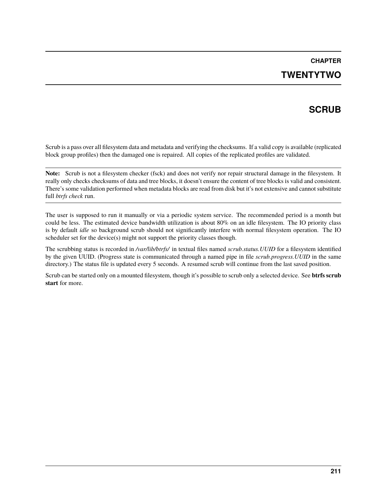# **CHAPTER TWENTYTWO**

# **SCRUB**

Scrub is a pass over all filesystem data and metadata and verifying the checksums. If a valid copy is available (replicated block group profiles) then the damaged one is repaired. All copies of the replicated profiles are validated.

**Note:** Scrub is not a filesystem checker (fsck) and does not verify nor repair structural damage in the filesystem. It really only checks checksums of data and tree blocks, it doesn't ensure the content of tree blocks is valid and consistent. There's some validation performed when metadata blocks are read from disk but it's not extensive and cannot substitute full *btrfs check* run.

The user is supposed to run it manually or via a periodic system service. The recommended period is a month but could be less. The estimated device bandwidth utilization is about 80% on an idle filesystem. The IO priority class is by default *idle* so background scrub should not significantly interfere with normal filesystem operation. The IO scheduler set for the device(s) might not support the priority classes though.

The scrubbing status is recorded in */var/lib/btrfs/* in textual files named *scrub.status.UUID* for a filesystem identified by the given UUID. (Progress state is communicated through a named pipe in file *scrub.progress.UUID* in the same directory.) The status file is updated every 5 seconds. A resumed scrub will continue from the last saved position.

Scrub can be started only on a mounted filesystem, though it's possible to scrub only a selected device. See **btrfs scrub start** for more.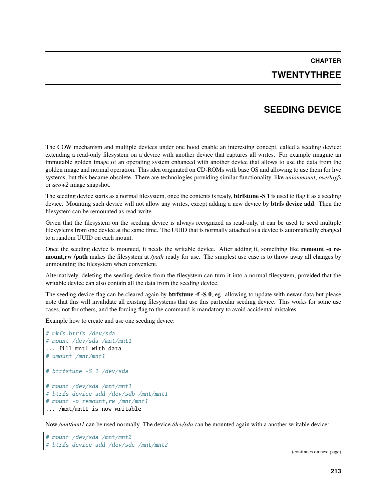**CHAPTER TWENTYTHREE**

### **SEEDING DEVICE**

The COW mechanism and multiple devices under one hood enable an interesting concept, called a seeding device: extending a read-only filesystem on a device with another device that captures all writes. For example imagine an immutable golden image of an operating system enhanced with another device that allows to use the data from the golden image and normal operation. This idea originated on CD-ROMs with base OS and allowing to use them for live systems, but this became obsolete. There are technologies providing similar functionality, like *unionmount*, *overlayfs* or *qcow2* image snapshot.

The seeding device starts as a normal filesystem, once the contents is ready, **btrfstune -S 1** is used to flag it as a seeding device. Mounting such device will not allow any writes, except adding a new device by **btrfs device add**. Then the filesystem can be remounted as read-write.

Given that the filesystem on the seeding device is always recognized as read-only, it can be used to seed multiple filesystems from one device at the same time. The UUID that is normally attached to a device is automatically changed to a random UUID on each mount.

Once the seeding device is mounted, it needs the writable device. After adding it, something like **remount -o remount,rw /path** makes the filesystem at */path* ready for use. The simplest use case is to throw away all changes by unmounting the filesystem when convenient.

Alternatively, deleting the seeding device from the filesystem can turn it into a normal filesystem, provided that the writable device can also contain all the data from the seeding device.

The seeding device flag can be cleared again by **btrfstune -f -S 0**, eg. allowing to update with newer data but please note that this will invalidate all existing filesystems that use this particular seeding device. This works for some use cases, not for others, and the forcing flag to the command is mandatory to avoid accidental mistakes.

Example how to create and use one seeding device:

```
# mkfs.btrfs /dev/sda
# mount /dev/sda /mnt/mnt1
... fill mnt1 with data
# umount /mnt/mnt1
# btrfstune -S 1 /dev/sda
# mount /dev/sda /mnt/mnt1
# btrfs device add /dev/sdb /mnt/mnt1
# mount -o remount,rw /mnt/mnt1
... /mnt/mnt1 is now writable
```
Now */mnt/mnt1* can be used normally. The device */dev/sda* can be mounted again with a another writable device:

```
# mount /dev/sda /mnt/mnt2
# btrfs device add /dev/sdc /mnt/mnt2
```
(continues on next page)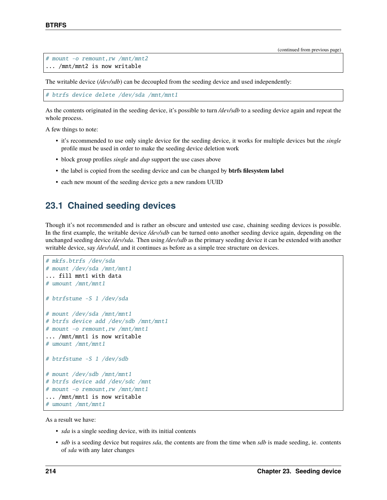```
# mount -o remount,rw /mnt/mnt2
... /mnt/mnt2 is now writable
```
The writable device (*/dev/sdb*) can be decoupled from the seeding device and used independently:

```
# btrfs device delete /dev/sda /mnt/mnt1
```
As the contents originated in the seeding device, it's possible to turn */dev/sdb* to a seeding device again and repeat the whole process.

A few things to note:

- it's recommended to use only single device for the seeding device, it works for multiple devices but the *single* profile must be used in order to make the seeding device deletion work
- block group profiles *single* and *dup* support the use cases above
- the label is copied from the seeding device and can be changed by **btrfs filesystem label**
- each new mount of the seeding device gets a new random UUID

#### **23.1 Chained seeding devices**

Though it's not recommended and is rather an obscure and untested use case, chaining seeding devices is possible. In the first example, the writable device */dev/sdb* can be turned onto another seeding device again, depending on the unchanged seeding device */dev/sda*. Then using */dev/sdb* as the primary seeding device it can be extended with another writable device, say */dev/sdd*, and it continues as before as a simple tree structure on devices.

```
# mkfs.btrfs /dev/sda
# mount /dev/sda /mnt/mnt1
... fill mnt1 with data
# umount /mnt/mnt1
# btrfstune -S 1 /dev/sda
# mount /dev/sda /mnt/mnt1
# btrfs device add /dev/sdb /mnt/mnt1
# mount -o remount,rw /mnt/mnt1
... /mnt/mnt1 is now writable
# umount /mnt/mnt1
# btrfstune -S 1 /dev/sdb
# mount /dev/sdb /mnt/mnt1
# btrfs device add /dev/sdc /mnt
# mount -o remount,rw /mnt/mnt1
... /mnt/mnt1 is now writable
# umount /mnt/mnt1
```
As a result we have:

- *sda* is a single seeding device, with its initial contents
- *sdb* is a seeding device but requires *sda*, the contents are from the time when *sdb* is made seeding, ie. contents of *sda* with any later changes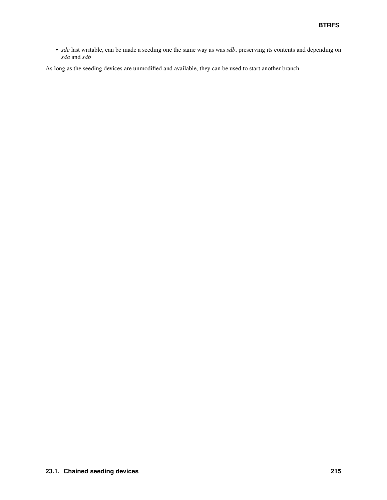• *sdc* last writable, can be made a seeding one the same way as was *sdb*, preserving its contents and depending on *sda* and *sdb*

As long as the seeding devices are unmodified and available, they can be used to start another branch.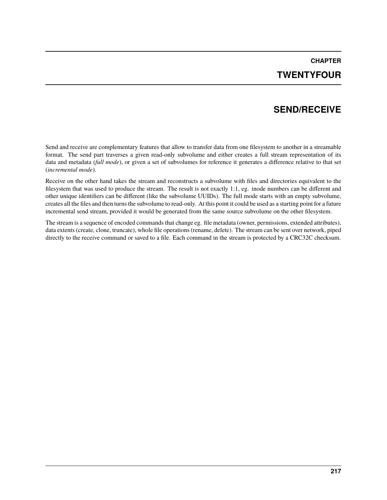# **CHAPTER TWENTYFOUR**

## **SEND/RECEIVE**

Send and receive are complementary features that allow to transfer data from one filesystem to another in a streamable format. The send part traverses a given read-only subvolume and either creates a full stream representation of its data and metadata (*full mode*), or given a set of subvolumes for reference it generates a difference relative to that set (*incremental mode*).

Receive on the other hand takes the stream and reconstructs a subvolume with files and directories equivalent to the filesystem that was used to produce the stream. The result is not exactly 1:1, eg. inode numbers can be different and other unique identifiers can be different (like the subvolume UUIDs). The full mode starts with an empty subvolume, creates all the files and then turns the subvolume to read-only. At this point it could be used as a starting point for a future incremental send stream, provided it would be generated from the same source subvolume on the other filesystem.

The stream is a sequence of encoded commands that change eg. file metadata (owner, permissions, extended attributes), data extents (create, clone, truncate), whole file operations (rename, delete). The stream can be sent over network, piped directly to the receive command or saved to a file. Each command in the stream is protected by a CRC32C checksum.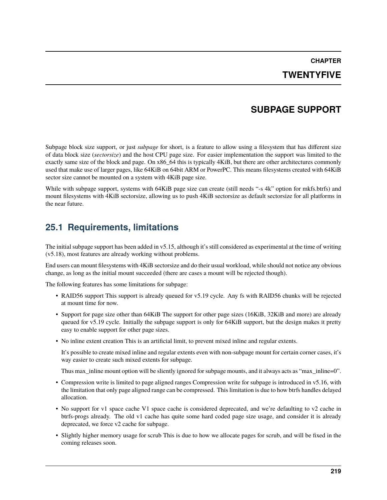**CHAPTER TWENTYFIVE**

### **SUBPAGE SUPPORT**

Subpage block size support, or just *subpage* for short, is a feature to allow using a filesystem that has different size of data block size (*sectorsize*) and the host CPU page size. For easier implementation the support was limited to the exactly same size of the block and page. On x86\_64 this is typically 4KiB, but there are other architectures commonly used that make use of larger pages, like 64KiB on 64bit ARM or PowerPC. This means filesystems created with 64KiB sector size cannot be mounted on a system with 4KiB page size.

While with subpage support, systems with 64KiB page size can create (still needs "-s 4k" option for mkfs.btrfs) and mount filesystems with 4KiB sectorsize, allowing us to push 4KiB sectorsize as default sectorsize for all platforms in the near future.

### **25.1 Requirements, limitations**

The initial subpage support has been added in v5.15, although it's still considered as experimental at the time of writing (v5.18), most features are already working without problems.

End users can mount filesystems with 4KiB sectorsize and do their usual workload, while should not notice any obvious change, as long as the initial mount succeeded (there are cases a mount will be rejected though).

The following features has some limitations for subpage:

- RAID56 support This support is already queued for v5.19 cycle. Any fs with RAID56 chunks will be rejected at mount time for now.
- Support for page size other than 64KiB The support for other page sizes (16KiB, 32KiB and more) are already queued for v5.19 cycle. Initially the subpage support is only for 64KiB support, but the design makes it pretty easy to enable support for other page sizes.
- No inline extent creation This is an artificial limit, to prevent mixed inline and regular extents.

It's possible to create mixed inline and regular extents even with non-subpage mount for certain corner cases, it's way easier to create such mixed extents for subpage.

Thus max\_inline mount option will be sliently ignored for subpage mounts, and it always acts as "max\_inline=0".

- Compression write is limited to page aligned ranges Compression write for subpage is introduced in v5.16, with the limitation that only page aligned range can be compressed. This limitation is due to how btrfs handles delayed allocation.
- No support for v1 space cache V1 space cache is considered deprecated, and we're defaulting to v2 cache in btrfs-progs already. The old v1 cache has quite some hard coded page size usage, and consider it is already deprecated, we force v2 cache for subpage.
- Slightly higher memory usage for scrub This is due to how we allocate pages for scrub, and will be fixed in the coming releases soon.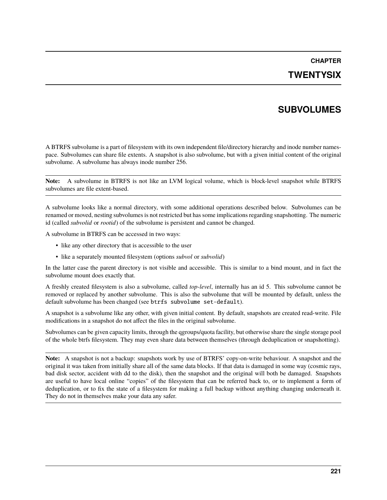#### **TWENTYSIX**

## **SUBVOLUMES**

A BTRFS subvolume is a part of filesystem with its own independent file/directory hierarchy and inode number namespace. Subvolumes can share file extents. A snapshot is also subvolume, but with a given initial content of the original subvolume. A subvolume has always inode number 256.

**Note:** A subvolume in BTRFS is not like an LVM logical volume, which is block-level snapshot while BTRFS subvolumes are file extent-based.

A subvolume looks like a normal directory, with some additional operations described below. Subvolumes can be renamed or moved, nesting subvolumes is not restricted but has some implications regarding snapshotting. The numeric id (called *subvolid* or *rootid*) of the subvolume is persistent and cannot be changed.

A subvolume in BTRFS can be accessed in two ways:

- like any other directory that is accessible to the user
- like a separately mounted filesystem (options *subvol* or *subvolid*)

In the latter case the parent directory is not visible and accessible. This is similar to a bind mount, and in fact the subvolume mount does exactly that.

A freshly created filesystem is also a subvolume, called *top-level*, internally has an id 5. This subvolume cannot be removed or replaced by another subvolume. This is also the subvolume that will be mounted by default, unless the default subvolume has been changed (see btrfs subvolume set-default).

A snapshot is a subvolume like any other, with given initial content. By default, snapshots are created read-write. File modifications in a snapshot do not affect the files in the original subvolume.

Subvolumes can be given capacity limits, through the qgroups/quota facility, but otherwise share the single storage pool of the whole btrfs filesystem. They may even share data between themselves (through deduplication or snapshotting).

**Note:** A snapshot is not a backup: snapshots work by use of BTRFS' copy-on-write behaviour. A snapshot and the original it was taken from initially share all of the same data blocks. If that data is damaged in some way (cosmic rays, bad disk sector, accident with dd to the disk), then the snapshot and the original will both be damaged. Snapshots are useful to have local online "copies" of the filesystem that can be referred back to, or to implement a form of deduplication, or to fix the state of a filesystem for making a full backup without anything changing underneath it. They do not in themselves make your data any safer.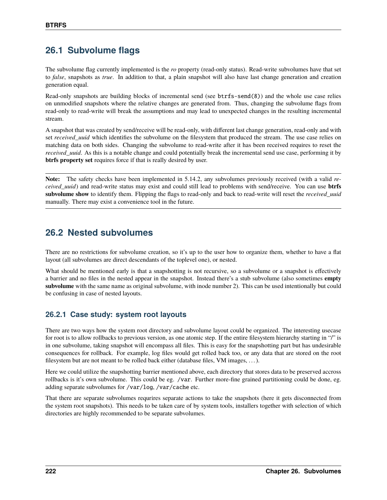## **26.1 Subvolume flags**

The subvolume flag currently implemented is the *ro* property (read-only status). Read-write subvolumes have that set to *false*, snapshots as *true*. In addition to that, a plain snapshot will also have last change generation and creation generation equal.

Read-only snapshots are building blocks of incremental send (see btrfs-send(8)) and the whole use case relies on unmodified snapshots where the relative changes are generated from. Thus, changing the subvolume flags from read-only to read-write will break the assumptions and may lead to unexpected changes in the resulting incremental stream.

A snapshot that was created by send/receive will be read-only, with different last change generation, read-only and with set *received\_uuid* which identifies the subvolume on the filesystem that produced the stream. The use case relies on matching data on both sides. Changing the subvolume to read-write after it has been received requires to reset the *received\_uuid*. As this is a notable change and could potentially break the incremental send use case, performing it by **btrfs property set** requires force if that is really desired by user.

**Note:** The safety checks have been implemented in 5.14.2, any subvolumes previously received (with a valid *received\_uuid*) and read-write status may exist and could still lead to problems with send/receive. You can use **btrfs subvolume show** to identify them. Flipping the flags to read-only and back to read-write will reset the *received\_uuid* manually. There may exist a convenience tool in the future.

### **26.2 Nested subvolumes**

There are no restrictions for subvolume creation, so it's up to the user how to organize them, whether to have a flat layout (all subvolumes are direct descendants of the toplevel one), or nested.

What should be mentioned early is that a snapshotting is not recursive, so a subvolume or a snapshot is effectively a barrier and no files in the nested appear in the snapshot. Instead there's a stub subvolume (also sometimes **empty subvolume** with the same name as original subvolume, with inode number 2). This can be used intentionally but could be confusing in case of nested layouts.

#### **26.2.1 Case study: system root layouts**

There are two ways how the system root directory and subvolume layout could be organized. The interesting usecase for root is to allow rollbacks to previous version, as one atomic step. If the entire filesystem hierarchy starting in "/" is in one subvolume, taking snapshot will encompass all files. This is easy for the snapshotting part but has undesirable consequences for rollback. For example, log files would get rolled back too, or any data that are stored on the root filesystem but are not meant to be rolled back either (database files, VM images, . . . ).

Here we could utilize the snapshotting barrier mentioned above, each directory that stores data to be preserved accross rollbacks is it's own subvolume. This could be eg. /var. Further more-fine grained partitioning could be done, eg. adding separate subvolumes for /var/log, /var/cache etc.

That there are separate subvolumes requrires separate actions to take the snapshots (here it gets disconnected from the system root snapshots). This needs to be taken care of by system tools, installers together with selection of which directories are highly recommended to be separate subvolumes.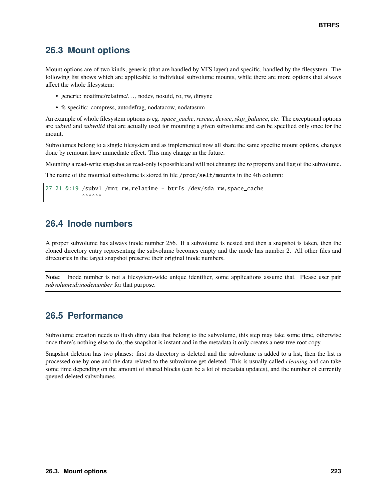### **26.3 Mount options**

Mount options are of two kinds, generic (that are handled by VFS layer) and specific, handled by the filesystem. The following list shows which are applicable to individual subvolume mounts, while there are more options that always affect the whole filesystem:

- generic: noatime/relatime/..., nodev, nosuid, ro, rw, dirsync
- fs-specific: compress, autodefrag, nodatacow, nodatasum

An example of whole filesystem options is eg. *space\_cache*, *rescue*, *device*, *skip\_balance*, etc. The exceptional options are *subvol* and *subvolid* that are actually used for mounting a given subvolume and can be specified only once for the mount.

Subvolumes belong to a single filesystem and as implemented now all share the same specific mount options, changes done by remount have immediate effect. This may change in the future.

Mounting a read-write snapshot as read-only is possible and will not chnange the *ro* property and flag of the subvolume.

The name of the mounted subvolume is stored in file /proc/self/mounts in the 4th column:

```
27 21 0:19 /subv1 /mnt rw,relatime - btrfs /dev/sda rw,space_cache
               \land\land\land\land\land\land\land
```
### **26.4 Inode numbers**

A proper subvolume has always inode number 256. If a subvolume is nested and then a snapshot is taken, then the cloned directory entry representing the subvolume becomes empty and the inode has number 2. All other files and directories in the target snapshot preserve their original inode numbers.

**Note:** Inode number is not a filesystem-wide unique identifier, some applications assume that. Please user pair *subvolumeid:inodenumber* for that purpose.

### **26.5 Performance**

Subvolume creation needs to flush dirty data that belong to the subvolume, this step may take some time, otherwise once there's nothing else to do, the snapshot is instant and in the metadata it only creates a new tree root copy.

Snapshot deletion has two phases: first its directory is deleted and the subvolume is added to a list, then the list is processed one by one and the data related to the subvolume get deleted. This is usually called *cleaning* and can take some time depending on the amount of shared blocks (can be a lot of metadata updates), and the number of currently queued deleted subvolumes.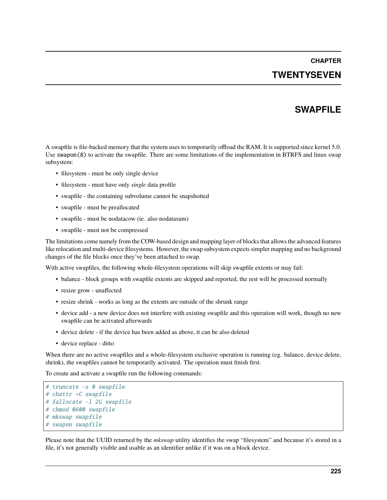## **CHAPTER TWENTYSEVEN**

### **SWAPFILE**

A swapfile is file-backed memory that the system uses to temporarily offload the RAM. It is supported since kernel 5.0. Use swapon(8) to activate the swapfile. There are some limitations of the implementation in BTRFS and linux swap subsystem:

- filesystem must be only single device
- filesystem must have only *single* data profile
- swapfile the containing subvolume cannot be snapshotted
- swapfile must be preallocated
- swapfile must be nodatacow (ie. also nodatasum)
- swapfile must not be compressed

The limitations come namely from the COW-based design and mapping layer of blocks that allows the advanced features like relocation and multi-device filesystems. However, the swap subsystem expects simpler mapping and no background changes of the file blocks once they've been attached to swap.

With active swapfiles, the following whole-filesystem operations will skip swapfile extents or may fail:

- balance block groups with swapfile extents are skipped and reported, the rest will be processed normally
- resize grow unaffected
- resize shrink works as long as the extents are outside of the shrunk range
- device add a new device does not interfere with existing swapfile and this operation will work, though no new swapfile can be activated afterwards
- device delete if the device has been added as above, it can be also deleted
- device replace ditto

When there are no active swapfiles and a whole-filesystem exclusive operation is running (eg. balance, device delete, shrink), the swapfiles cannot be temporarily activated. The operation must finish first.

To create and activate a swapfile run the following commands:

```
# truncate -s 0 swapfile
# chattr +C swapfile
# fallocate -l 2G swapfile
# chmod 0600 swapfile
# mkswap swapfile
# swapon swapfile
```
Please note that the UUID returned by the *mkswap* utility identifies the swap "filesystem" and because it's stored in a file, it's not generally visible and usable as an identifier unlike if it was on a block device.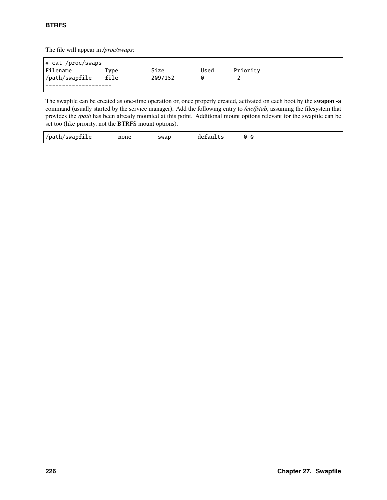The file will appear in */proc/swaps*:

| # cat /proc/swaps |      |         |      |          |  |  |  |
|-------------------|------|---------|------|----------|--|--|--|
| Filename          | Type | Size    | Used | Priority |  |  |  |
| /path/swapfile    | file | 2097152 | ⋒    | -2       |  |  |  |
|                   |      |         |      |          |  |  |  |

The swapfile can be created as one-time operation or, once properly created, activated on each boot by the **swapon -a** command (usually started by the service manager). Add the following entry to */etc/fstab*, assuming the filesystem that provides the */path* has been already mounted at this point. Additional mount options relevant for the swapfile can be set too (like priority, not the BTRFS mount options).

| /path/swapfile | none | swap | defaults | ⋒<br>Q |  |
|----------------|------|------|----------|--------|--|
|----------------|------|------|----------|--------|--|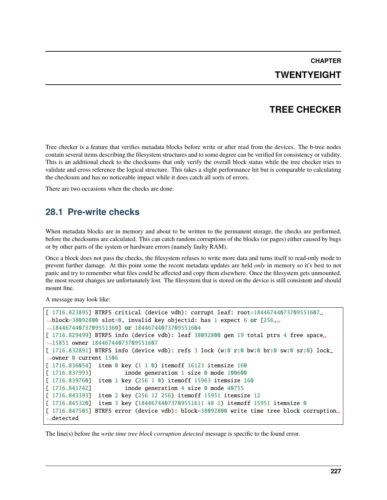**CHAPTER TWENTYEIGHT**

## **TREE CHECKER**

Tree checker is a feature that verifies metadata blocks before write or after read from the devices. The b-tree nodes contain several items describing the filesystem structures and to some degree can be verified for consistency or validity. This is an additional check to the checksums that only verify the overall block status while the tree checker tries to validate and cross reference the logical structure. This takes a slight performance hit but is comparable to calculating the checksum and has no noticeable impact while it does catch all sorts of errors.

There are two occasions when the checks are done:

#### **28.1 Pre-write checks**

When metadata blocks are in memory and about to be written to the permanent storage, the checks are performed, before the checksums are calculated. This can catch random corruptions of the blocks (or pages) either caused by bugs or by other parts of the system or hardware errors (namely faulty RAM).

Once a block does not pass the checks, the filesystem refuses to write more data and turns itself to read-only mode to prevent further damage. At this point some the recent metadata updates are held *only* in memory so it's best to not panic and try to remember what files could be affected and copy them elsewhere. Once the filesystem gets unmounted, the most recent changes are unfortunately lost. The filesystem that is stored on the device is still consistent and should mount fine.

A message may look like:

```
[ 1716.823895] BTRFS critical (device vdb): corrupt leaf: root=18446744073709551607␣
˓→block=38092800 slot=0, invalid key objectid: has 1 expect 6 or [256,␣
˓→18446744073709551360] or 18446744073709551604
[ 1716.829499] BTRFS info (device vdb): leaf 38092800 gen 19 total ptrs 4 free space␣
˓→15851 owner 18446744073709551607
[ 1716.832891] BTRFS info (device vdb): refs 3 lock (w:0 r:0 bw:0 br:0 sw:0 sr:0) lock_
˓→owner 0 current 1506
[ 1716.836054] item 0 key (1 1 0) itemoff 16123 itemsize 160
[ 1716.837993] inode generation 1 size 0 mode 100600
[ 1716.839760] item 1 key (256 1 0) itemoff 15963 itemsize 160
[ 1716.841742] inode generation 4 size 0 mode 40755
[ 1716.843393] item 2 key (256 12 256) itemoff 15951 itemsize 12
[ 1716.845320] item 3 key (18446744073709551611 48 1) itemoff 15951 itemsize 0
[ 1716.847505] BTRFS error (device vdb): block=38092800 write time tree block corruption␣
˓→detected
```
The line(s) before the *write time tree block corruption detected* message is specific to the found error.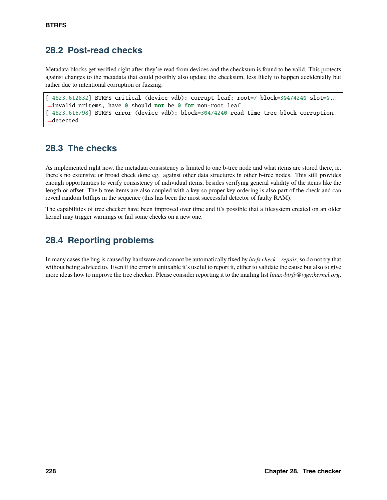### **28.2 Post-read checks**

Metadata blocks get verified right after they're read from devices and the checksum is found to be valid. This protects against changes to the metadata that could possibly also update the checksum, less likely to happen accidentally but rather due to intentional corruption or fuzzing.

```
[ 4823.612832] BTRFS critical (device vdb): corrupt leaf: root=7 block=30474240 slot=0,␣
→invalid nritems, have 0 should not be 0 for non-root leaf
[ 4823.616798] BTRFS error (device vdb): block=30474240 read time tree block corruption
˓→detected
```
## **28.3 The checks**

As implemented right now, the metadata consistency is limited to one b-tree node and what items are stored there, ie. there's no extensive or broad check done eg. against other data structures in other b-tree nodes. This still provides enough opportunities to verify consistency of individual items, besides verifying general validity of the items like the length or offset. The b-tree items are also coupled with a key so proper key ordering is also part of the check and can reveal random bitflips in the sequence (this has been the most successful detector of faulty RAM).

The capabilities of tree checker have been improved over time and it's possible that a filesystem created on an older kernel may trigger warnings or fail some checks on a new one.

# **28.4 Reporting problems**

In many cases the bug is caused by hardware and cannot be automatically fixed by *btrfs check --repair*, so do not try that without being adviced to. Even if the error is unfixable it's useful to report it, either to validate the cause but also to give more ideas how to improve the tree checker. Please consider reporting it to the mailing list *linux-btrfs@vger.kernel.org*.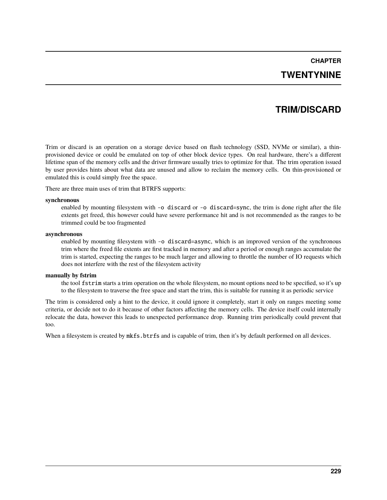### **CHAPTER TWENTYNINE**

## **TRIM/DISCARD**

Trim or discard is an operation on a storage device based on flash technology (SSD, NVMe or similar), a thinprovisioned device or could be emulated on top of other block device types. On real hardware, there's a different lifetime span of the memory cells and the driver firmware usually tries to optimize for that. The trim operation issued by user provides hints about what data are unused and allow to reclaim the memory cells. On thin-provisioned or emulated this is could simply free the space.

There are three main uses of trim that BTRFS supports:

#### **synchronous**

enabled by mounting filesystem with -o discard or -o discard=sync, the trim is done right after the file extents get freed, this however could have severe performance hit and is not recommended as the ranges to be trimmed could be too fragmented

#### **asynchronous**

enabled by mounting filesystem with -o discard=async, which is an improved version of the synchronous trim where the freed file extents are first tracked in memory and after a period or enough ranges accumulate the trim is started, expecting the ranges to be much larger and allowing to throttle the number of IO requests which does not interfere with the rest of the filesystem activity

#### **manually by fstrim**

the tool fstrim starts a trim operation on the whole filesystem, no mount options need to be specified, so it's up to the filesystem to traverse the free space and start the trim, this is suitable for running it as periodic service

The trim is considered only a hint to the device, it could ignore it completely, start it only on ranges meeting some criteria, or decide not to do it because of other factors affecting the memory cells. The device itself could internally relocate the data, however this leads to unexpected performance drop. Running trim periodically could prevent that too.

When a filesystem is created by  $mkfs.btrfs$  and is capable of trim, then it's by default performed on all devices.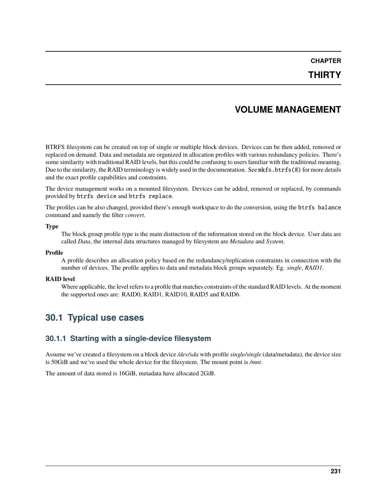#### **THIRTY**

### **VOLUME MANAGEMENT**

BTRFS filesystem can be created on top of single or multiple block devices. Devices can be then added, removed or replaced on demand. Data and metadata are organized in allocation profiles with various redundancy policies. There's some similarity with traditional RAID levels, but this could be confusing to users familiar with the traditional meaning. Due to the similarity, the RAID terminology is widely used in the documentation. See mkfs.btrfs(8) for more details and the exact profile capabilities and constraints.

The device management works on a mounted filesystem. Devices can be added, removed or replaced, by commands provided by btrfs device and btrfs replace.

The profiles can be also changed, provided there's enough workspace to do the conversion, using the btrfs balance command and namely the filter *convert*.

#### **Type**

The block group profile type is the main distinction of the information stored on the block device. User data are called *Data*, the internal data structures managed by filesystem are *Metadata* and *System*.

#### **Profile**

A profile describes an allocation policy based on the redundancy/replication constraints in connection with the number of devices. The profile applies to data and metadata block groups separately. Eg. *single*, *RAID1*.

#### **RAID level**

Where applicable, the level refers to a profile that matches constraints of the standard RAID levels. At the moment the supported ones are: RAID0, RAID1, RAID10, RAID5 and RAID6.

#### **30.1 Typical use cases**

#### **30.1.1 Starting with a single-device filesystem**

Assume we've created a filesystem on a block device */dev/sda* with profile *single/single* (data/metadata), the device size is 50GiB and we've used the whole device for the filesystem. The mount point is */mnt*.

The amount of data stored is 16GiB, metadata have allocated 2GiB.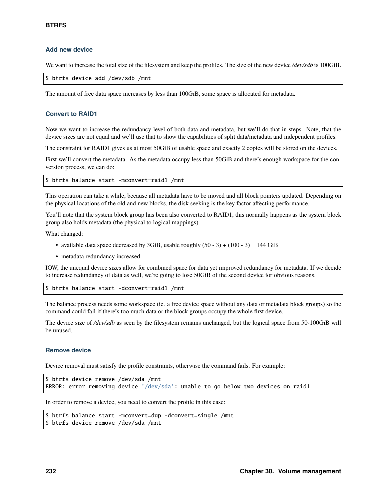#### **Add new device**

We want to increase the total size of the filesystem and keep the profiles. The size of the new device */dev/sdb* is 100GiB.

```
$ btrfs device add /dev/sdb /mnt
```
The amount of free data space increases by less than 100GiB, some space is allocated for metadata.

#### **Convert to RAID1**

Now we want to increase the redundancy level of both data and metadata, but we'll do that in steps. Note, that the device sizes are not equal and we'll use that to show the capabilities of split data/metadata and independent profiles.

The constraint for RAID1 gives us at most 50GiB of usable space and exactly 2 copies will be stored on the devices.

First we'll convert the metadata. As the metadata occupy less than 50GiB and there's enough workspace for the conversion process, we can do:

\$ btrfs balance start -mconvert=raid1 /mnt

This operation can take a while, because all metadata have to be moved and all block pointers updated. Depending on the physical locations of the old and new blocks, the disk seeking is the key factor affecting performance.

You'll note that the system block group has been also converted to RAID1, this normally happens as the system block group also holds metadata (the physical to logical mappings).

What changed:

- available data space decreased by 3GiB, usable roughly  $(50 3) + (100 3) = 144$  GiB
- metadata redundancy increased

IOW, the unequal device sizes allow for combined space for data yet improved redundancy for metadata. If we decide to increase redundancy of data as well, we're going to lose 50GiB of the second device for obvious reasons.

\$ btrfs balance start -dconvert=raid1 /mnt

The balance process needs some workspace (ie. a free device space without any data or metadata block groups) so the command could fail if there's too much data or the block groups occupy the whole first device.

The device size of */dev/sdb* as seen by the filesystem remains unchanged, but the logical space from 50-100GiB will be unused.

#### **Remove device**

Device removal must satisfy the profile constraints, otherwise the command fails. For example:

```
$ btrfs device remove /dev/sda /mnt
ERROR: error removing device '/dev/sda': unable to go below two devices on raid1
```
In order to remove a device, you need to convert the profile in this case:

```
$ btrfs balance start -mconvert=dup -dconvert=single /mnt
$ btrfs device remove /dev/sda /mnt
```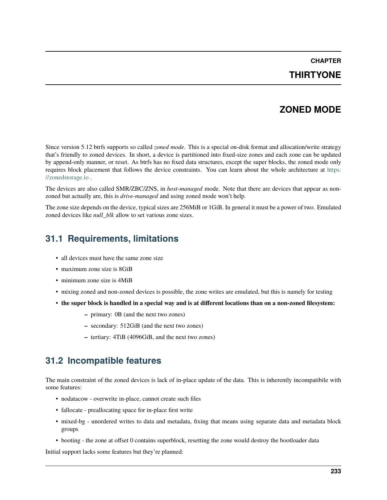#### **THIRTYONE**

#### **ZONED MODE**

Since version 5.12 btrfs supports so called *zoned mode*. This is a special on-disk format and allocation/write strategy that's friendly to zoned devices. In short, a device is partitioned into fixed-size zones and each zone can be updated by append-only manner, or reset. As btrfs has no fixed data structures, except the super blocks, the zoned mode only requires block placement that follows the device constraints. You can learn about the whole architecture at [https:](https://zonedstorage.io) [//zonedstorage.io](https://zonedstorage.io) .

The devices are also called SMR/ZBC/ZNS, in *host-managed* mode. Note that there are devices that appear as nonzoned but actually are, this is *drive-managed* and using zoned mode won't help.

The zone size depends on the device, typical sizes are 256MiB or 1GiB. In general it must be a power of two. Emulated zoned devices like *null\_blk* allow to set various zone sizes.

### **31.1 Requirements, limitations**

- all devices must have the same zone size
- maximum zone size is 8GiB
- minimum zone size is 4MiB
- mixing zoned and non-zoned devices is possible, the zone writes are emulated, but this is namely for testing
- **the super block is handled in a special way and is at different locations than on a non-zoned filesystem:**
	- **–** primary: 0B (and the next two zones)
	- **–** secondary: 512GiB (and the next two zones)
	- **–** tertiary: 4TiB (4096GiB, and the next two zones)

#### **31.2 Incompatible features**

The main constraint of the zoned devices is lack of in-place update of the data. This is inherently incompatibile with some features:

- nodatacow overwrite in-place, cannot create such files
- fallocate preallocating space for in-place first write
- mixed-bg unordered writes to data and metadata, fixing that means using separate data and metadata block groups
- booting the zone at offset 0 contains superblock, resetting the zone would destroy the bootloader data

Initial support lacks some features but they're planned: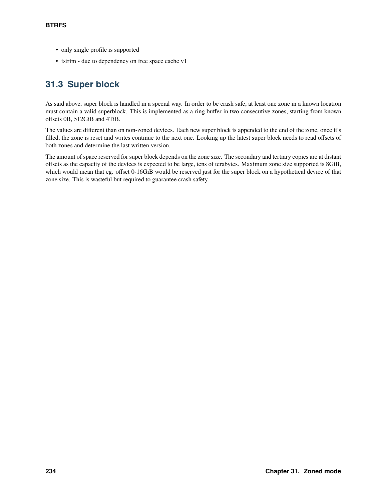- only single profile is supported
- fstrim due to dependency on free space cache v1

## **31.3 Super block**

As said above, super block is handled in a special way. In order to be crash safe, at least one zone in a known location must contain a valid superblock. This is implemented as a ring buffer in two consecutive zones, starting from known offsets 0B, 512GiB and 4TiB.

The values are different than on non-zoned devices. Each new super block is appended to the end of the zone, once it's filled, the zone is reset and writes continue to the next one. Looking up the latest super block needs to read offsets of both zones and determine the last written version.

The amount of space reserved for super block depends on the zone size. The secondary and tertiary copies are at distant offsets as the capacity of the devices is expected to be large, tens of terabytes. Maximum zone size supported is 8GiB, which would mean that eg. offset 0-16GiB would be reserved just for the super block on a hypothetical device of that zone size. This is wasteful but required to guarantee crash safety.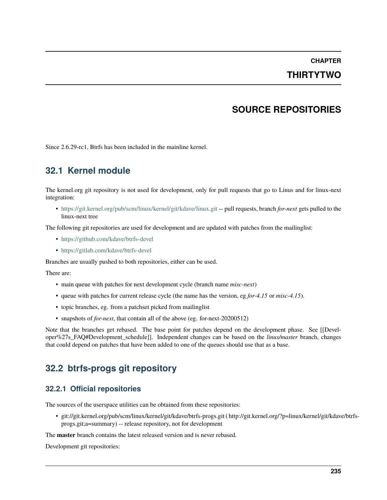# **CHAPTER THIRTYTWO**

## **SOURCE REPOSITORIES**

Since 2.6.29-rc1, Btrfs has been included in the mainline kernel.

### **32.1 Kernel module**

The kernel.org git repository is not used for development, only for pull requests that go to Linus and for linux-next integration:

• <https://git.kernel.org/pub/scm/linux/kernel/git/kdave/linux.git> -- pull requests, branch *for-next* gets pulled to the linux-next tree

The following git repositories are used for development and are updated with patches from the mailinglist:

- <https://github.com/kdave/btrfs-devel>
- <https://gitlab.com/kdave/btrfs-devel>

Branches are usually pushed to both repositories, either can be used.

There are:

- main queue with patches for next development cycle (branch name *misc-next*)
- queue with patches for current release cycle (the name has the version, eg *for-4.15* or *misc-4.15*).
- topic branches, eg. from a patchset picked from mailinglist
- snapshots of *for-next*, that contain all of the above (eg. for-next-20200512)

Note that the branches get rebased. The base point for patches depend on the development phase. See [[Developer%27s\_FAQ#Development\_schedule]]. Independent changes can be based on the *linus/master* branch, changes that could depend on patches that have been added to one of the queues should use that as a base.

#### **32.2 btrfs-progs git repository**

#### **32.2.1 Official repositories**

The sources of the userspace utilities can be obtained from these repositories:

• git://git.kernel.org/pub/scm/linux/kernel/git/kdave/btrfs-progs.git ( http://git.kernel.org/?p=linux/kernel/git/kdave/btrfsprogs.git;a=summary) -- release repository, not for development

The **master** branch contains the latest released version and is never rebased.

Development git repositories: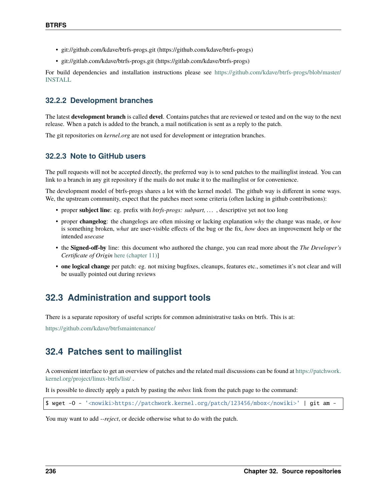- git://github.com/kdave/btrfs-progs.git (https://github.com/kdave/btrfs-progs)
- git://gitlab.com/kdave/btrfs-progs.git (https://gitlab.com/kdave/btrfs-progs)

For build dependencies and installation instructions please see [https://github.com/kdave/btrfs-progs/blob/master/](https://github.com/kdave/btrfs-progs/blob/master/INSTALL) [INSTALL](https://github.com/kdave/btrfs-progs/blob/master/INSTALL)

#### **32.2.2 Development branches**

The latest **development branch** is called **devel**. Contains patches that are reviewed or tested and on the way to the next release. When a patch is added to the branch, a mail notification is sent as a reply to the patch.

The git repositories on *kernel.org* are not used for development or integration branches.

#### **32.2.3 Note to GitHub users**

The pull requests will not be accepted directly, the preferred way is to send patches to the mailinglist instead. You can link to a branch in any git repository if the mails do not make it to the mailinglist or for convenience.

The development model of btrfs-progs shares a lot with the kernel model. The github way is different in some ways. We, the upstream community, expect that the patches meet some criteria (often lacking in github contributions):

- proper **subject line**: eg. prefix with *btrfs-progs: subpart, . . .* , descriptive yet not too long
- proper **changelog**: the changelogs are often missing or lacking explanation *why* the change was made, or *how* is something broken, *what* are user-visible effects of the bug or the fix, *how* does an improvement help or the intended *usecase*
- the **Signed-off-by** line: this document who authored the change, you can read more about the *The Developer's Certificate of Origin* [here \(chapter 11\)\]](https://www.kernel.org/doc/Documentation/SubmittingPatches)
- **one logical change** per patch: eg. not mixing bugfixes, cleanups, features etc., sometimes it's not clear and will be usually pointed out during reviews

#### **32.3 Administration and support tools**

There is a separate repository of useful scripts for common administrative tasks on btrfs. This is at:

<https://github.com/kdave/btrfsmaintenance/>

#### **32.4 Patches sent to mailinglist**

A convenient interface to get an overview of patches and the related mail discussions can be found at [https://patchwork.](https://patchwork.kernel.org/project/linux-btrfs/list/) [kernel.org/project/linux-btrfs/list/](https://patchwork.kernel.org/project/linux-btrfs/list/) .

It is possible to directly apply a patch by pasting the *mbox* link from the patch page to the command:

```
$ wget -O - '<nowiki>https://patchwork.kernel.org/patch/123456/mbox</nowiki>' | git am -
```
You may want to add *--reject*, or decide otherwise what to do with the patch.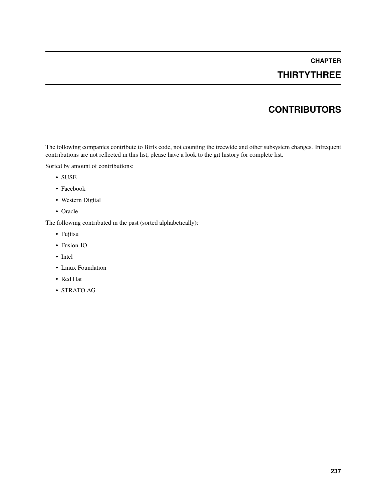## **THIRTYTHREE**

## **CONTRIBUTORS**

The following companies contribute to Btrfs code, not counting the treewide and other subsystem changes. Infrequent contributions are not reflected in this list, please have a look to the git history for complete list.

Sorted by amount of contributions:

- SUSE
- Facebook
- Western Digital
- Oracle

The following contributed in the past (sorted alphabetically):

- Fujitsu
- Fusion-IO
- Intel
- Linux Foundation
- Red Hat
- STRATO AG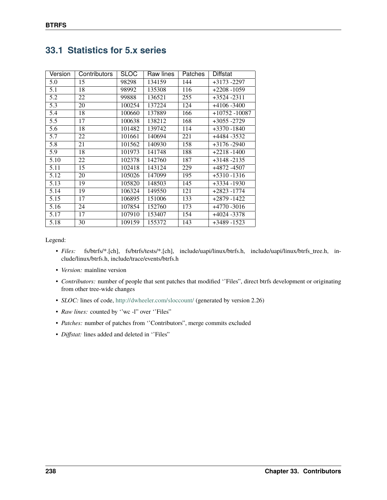| Version | <b>Contributors</b> | <b>SLOC</b> | Raw lines | <b>Patches</b> | Diffstat         |
|---------|---------------------|-------------|-----------|----------------|------------------|
| 5.0     | 15                  | 98298       | 134159    | 144            | $+3173 - 2297$   |
| 5.1     | 18                  | 98992       | 135308    | 116            | $+2208 - 1059$   |
| 5.2     | 22                  | 99888       | 136521    | 255            | $+3524 - 2311$   |
| 5.3     | 20                  | 100254      | 137224    | 124            | $+4106 - 3400$   |
| 5.4     | 18                  | 100660      | 137889    | 166            | $+10752 - 10087$ |
| 5.5     | 17                  | 100638      | 138212    | 168            | +3055 -2729      |
| 5.6     | 18                  | 101482      | 139742    | 114            | $+3370 - 1840$   |
| 5.7     | 22                  | 101661      | 140694    | 221            | +4484 -3532      |
| 5.8     | 21                  | 101562      | 140930    | 158            | $+3176 - 2940$   |
| 5.9     | 18                  | 101973      | 141748    | 188            | $+2218 - 1400$   |
| 5.10    | 22                  | 102378      | 142760    | 187            | $+3148 - 2135$   |
| 5.11    | 15                  | 102418      | 143124    | 229            | +4872 -4507      |
| 5.12    | 20                  | 105026      | 147099    | 195            | $+5310 - 1316$   |
| 5.13    | 19                  | 105820      | 148503    | 145            | +3334 -1930      |
| 5.14    | 19                  | 106324      | 149550    | 121            | $+2823 - 1774$   |
| 5.15    | 17                  | 106895      | 151006    | 133            | +2879 -1422      |
| 5.16    | 24                  | 107854      | 152760    | 173            | $+4770 - 3016$   |
| 5.17    | 17                  | 107910      | 153407    | 154            | $+4024 - 3378$   |
| 5.18    | 30                  | 109159      | 155372    | 143            | +3489 -1523      |

## **33.1 Statistics for 5.x series**

Legend:

- *Files:* fs/btrfs/\*.[ch], fs/btrfs/tests/\*.[ch], include/uapi/linux/btrfs.h, include/uapi/linux/btrfs\_tree.h, include/linux/btrfs.h, include/trace/events/btrfs.h
- *Version:* mainline version
- *Contributors:* number of people that sent patches that modified ''Files", direct btrfs development or originating from other tree-wide changes
- *SLOC:* lines of code, <http://dwheeler.com/sloccount/> (generated by version 2.26)
- *Raw lines:* counted by "wc -l" over "Files"
- *Patches:* number of patches from ''Contributors", merge commits excluded
- *Diffstat:* lines added and deleted in ''Files"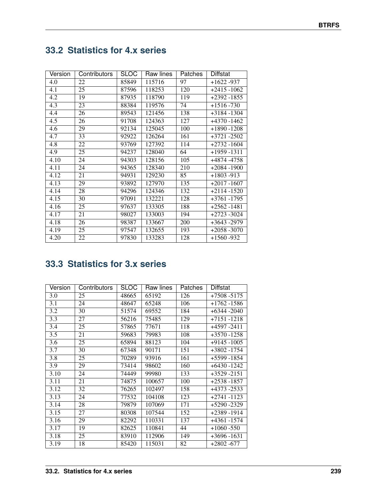# **33.2 Statistics for 4.x series**

| Version | Contributors | <b>SLOC</b> | Raw lines | <b>Patches</b> | Diffstat       |
|---------|--------------|-------------|-----------|----------------|----------------|
| 4.0     | 22           | 85849       | 115716    | 97             | $+1622 - 937$  |
| 4.1     | 25           | 87596       | 118253    | 120            | $+2415 - 1062$ |
| 4.2     | 19           | 87935       | 118790    | 119            | $+2392 - 1855$ |
| 4.3     | 23           | 88384       | 119576    | 74             | $+1516 - 730$  |
| 4.4     | 26           | 89543       | 121456    | 138            | +3184 -1304    |
| 4.5     | 26           | 91708       | 124363    | 127            | $+4370 - 1462$ |
| 4.6     | 29           | 92134       | 125045    | 100            | $+1890 - 1208$ |
| 4.7     | 33           | 92922       | 126264    | 161            | +3721 -2502    |
| 4.8     | 22           | 93769       | 127392    | 114            | $+2732 - 1604$ |
| 4.9     | 25           | 94237       | 128040    | 64             | +1959 -1311    |
| 4.10    | 24           | 94303       | 128156    | 105            | +4874 -4758    |
| 4.11    | 24           | 94365       | 128340    | 210            | $+2084 - 1900$ |
| 4.12    | 21           | 94931       | 129230    | 85             | $+1803 -913$   |
| 4.13    | 29           | 93892       | 127970    | 135            | $+2017 - 1607$ |
| 4.14    | 28           | 94296       | 124346    | 132            | $+2114 - 1520$ |
| 4.15    | 30           | 97091       | 132221    | 128            | $+3761 - 1795$ |
| 4.16    | 25           | 97637       | 133305    | 188            | $+2562 - 1481$ |
| 4.17    | 21           | 98027       | 133003    | 194            | +2723 -3024    |
| 4.18    | 26           | 98387       | 133667    | 200            | +3643 -2979    |
| 4.19    | 25           | 97547       | 132655    | 193            | $+2058 - 3070$ |
| 4.20    | 22           | 97830       | 133283    | 128            | +1560 -932     |

# **33.3 Statistics for 3.x series**

| Version | Contributors | <b>SLOC</b> | Raw lines | <b>Patches</b> | Diffstat       |
|---------|--------------|-------------|-----------|----------------|----------------|
| 3.0     | 25           | 48665       | 65192     | 126            | $+7508 - 5175$ |
| 3.1     | 24           | 48647       | 65248     | 106            | $+1762 - 1586$ |
| 3.2     | 30           | 51574       | 69552     | 184            | $+6344 - 2040$ |
| 3.3     | 27           | 56216       | 75485     | 129            | $+7151 - 1218$ |
| 3.4     | 25           | 57865       | 77671     | 118            | +4597 -2411    |
| 3.5     | 21           | 59683       | 79983     | 108            | $+3570 - 1258$ |
| 3.6     | 25           | 65894       | 88123     | 104            | $+9145 - 1005$ |
| 3.7     | 30           | 67348       | 90171     | 151            | +3802 -1754    |
| 3.8     | 25           | 70289       | 93916     | 161            | +5599 -1854    |
| 3.9     | 29           | 73414       | 98602     | 160            | $+6430 - 1242$ |
| 3.10    | 24           | 74449       | 99980     | 133            | $+3529 - 2151$ |
| 3.11    | 21           | 74875       | 100657    | 100            | +2538 -1857    |
| 3.12    | 32           | 76265       | 102497    | 158            | +4373 -2533    |
| 3.13    | 24           | 77532       | 104108    | 123            | $+2741 - 1123$ |
| 3.14    | 28           | 79879       | 107069    | 171            | $+5290 - 2329$ |
| 3.15    | 27           | 80308       | 107544    | 152            | +2389 -1914    |
| 3.16    | 29           | 82292       | 110331    | 137            | $+4361 - 1574$ |
| 3.17    | 19           | 82625       | 110841    | 44             | $+1060 - 550$  |
| 3.18    | 25           | 83910       | 112906    | 149            | $+3696 - 1631$ |
| 3.19    | 18           | 85420       | 115031    | 82             | $+2802 - 677$  |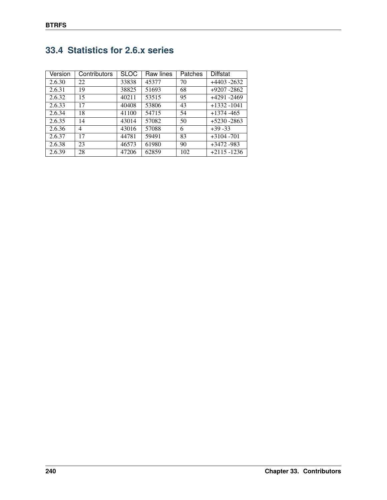| Version | Contributors | <b>SLOC</b> | Raw lines | Patches | Diffstat       |
|---------|--------------|-------------|-----------|---------|----------------|
| 2.6.30  | 22           | 33838       | 45377     | 70      | $+4403 - 2632$ |
| 2.6.31  | 19           | 38825       | 51693     | 68      | $+9207 - 2862$ |
| 2.6.32  | 15           | 40211       | 53515     | 95      | +4291 -2469    |
| 2.6.33  | 17           | 40408       | 53806     | 43      | $+1332 - 1041$ |
| 2.6.34  | 18           | 41100       | 54715     | 54      | $+1374 - 465$  |
| 2.6.35  | 14           | 43014       | 57082     | 50      | $+5230 - 2863$ |
| 2.6.36  | 4            | 43016       | 57088     | 6       | $+39 - 33$     |
| 2.6.37  | 17           | 44781       | 59491     | 83      | $+3104 - 701$  |
| 2.6.38  | 23           | 46573       | 61980     | 90      | $+3472 - 983$  |
| 2.6.39  | 28           | 47206       | 62859     | 102     | $+2115 - 1236$ |

# **33.4 Statistics for 2.6.x series**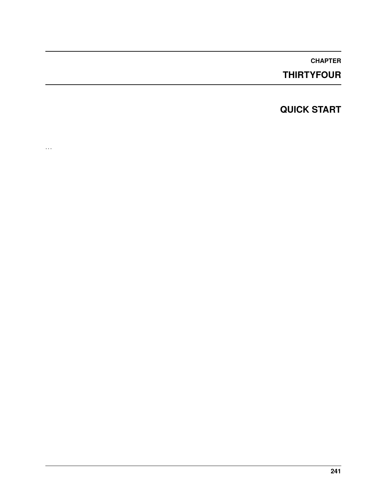## **THIRTYFOUR**

## **QUICK START**

. . .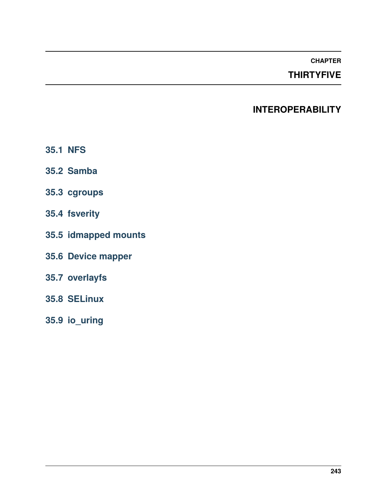## **THIRTYFIVE**

## **INTEROPERABILITY**

- **35.1 NFS**
- **35.2 Samba**
- **35.3 cgroups**
- **35.4 fsverity**
- **35.5 idmapped mounts**
- **35.6 Device mapper**
- **35.7 overlayfs**
- **35.8 SELinux**
- **35.9 io\_uring**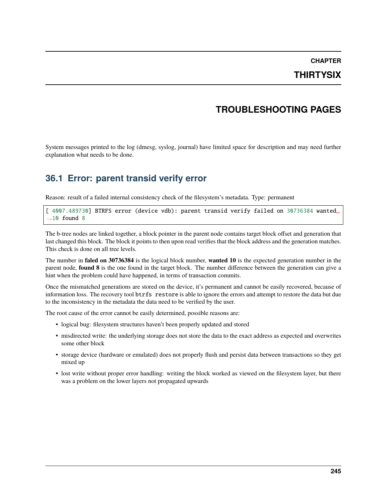## **THIRTYSIX**

### **TROUBLESHOOTING PAGES**

System messages printed to the log (dmesg, syslog, journal) have limited space for description and may need further explanation what needs to be done.

## **36.1 Error: parent transid verify error**

Reason: result of a failed internal consistency check of the filesystem's metadata. Type: permanent

[ 4007.489730] BTRFS error (device vdb): parent transid verify failed on 30736384 wanted␣  $\rightarrow$ 10 found 8

The b-tree nodes are linked together, a block pointer in the parent node contains target block offset and generation that last changed this block. The block it points to then upon read verifies that the block address and the generation matches. This check is done on all tree levels.

The number in **faled on 30736384** is the logical block number, **wanted 10** is the expected generation number in the parent node, **found 8** is the one found in the target block. The number difference between the generation can give a hint when the problem could have happened, in terms of transaction commits.

Once the mismatched generations are stored on the device, it's permanent and cannot be easily recovered, because of information loss. The recovery tool btrfs restore is able to ignore the errors and attempt to restore the data but due to the inconsistency in the metadata the data need to be verified by the user.

The root cause of the error cannot be easily determined, possible reasons are:

- logical bug: filesystem structures haven't been properly updated and stored
- misdirected write: the underlying storage does not store the data to the exact address as expected and overwrites some other block
- storage device (hardware or emulated) does not properly flush and persist data between transactions so they get mixed up
- lost write without proper error handling: writing the block worked as viewed on the filesystem layer, but there was a problem on the lower layers not propagated upwards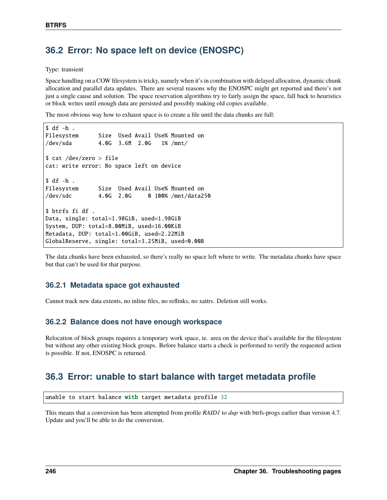## **36.2 Error: No space left on device (ENOSPC)**

Type: transient

Space handling on a COW filesystem is tricky, namely when it's in combination with delayed allocation, dynamic chunk allocation and parallel data updates. There are several reasons why the ENOSPC might get reported and there's not just a single cause and solution. The space reservation algorithms try to fairly assign the space, fall back to heuristics or block writes until enough data are persisted and possibly making old copies available.

The most obvious way how to exhaust space is to create a file until the data chunks are full:

```
$ df -h .
Filesystem Size Used Avail Use% Mounted on
/dev/sda 4.0G 3.6M 2.0G 1% /mnt/
$ cat /dev/zero > file
cat: write error: No space left on device
$ df - h .Filesystem Size Used Avail Use% Mounted on
/dev/sdc 4.0G 2.0G 0 100% /mnt/data250
$ btrfs fi df .
Data, single: total=1.98GiB, used=1.98GiB
System, DUP: total=8.00MiB, used=16.00KiB
Metadata, DUP: total=1.00GiB, used=2.22MiB
GlobalReserve, single: total=3.25MiB, used=0.00B
```
The data chunks have been exhausted, so there's really no space left where to write. The metadata chunks have space but that can't be used for that purpose.

#### **36.2.1 Metadata space got exhausted**

Cannot track new data extents, no inline files, no reflinks, no xattrs. Deletion still works.

#### **36.2.2 Balance does not have enough workspace**

Relocation of block groups requires a temporary work space, ie. area on the device that's available for the filesystem but without any other existing block groups. Before balance starts a check is performed to verify the requested action is possible. If not, ENOSPC is returned.

### **36.3 Error: unable to start balance with target metadata profile**

unable to start balance with target metadata profile 32

This means that a conversion has been attempted from profile *RAID1* to *dup* with btrfs-progs earlier than version 4.7. Update and you'll be able to do the conversion.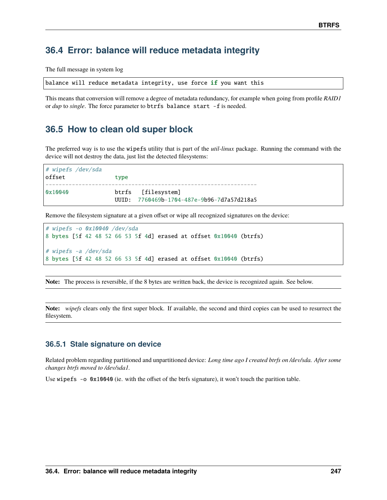### **36.4 Error: balance will reduce metadata integrity**

The full message in system log

```
balance will reduce metadata integrity, use force if you want this
```
This means that conversion will remove a degree of metadata redundancy, for example when going from profile *RAID1* or *dup* to *single*. The force parameter to btrfs balance start -f is needed.

#### **36.5 How to clean old super block**

The preferred way is to use the wipefs utility that is part of the *util-linux* package. Running the command with the device will not destroy the data, just list the detected filesystems:

```
# wipefs /dev/sda
offset type
----------------------------------------------------------------
0x10040 btrfs [filesystem]
                  UUID: 7760469b-1704-487e-9b96-7d7a57d218a5
```
Remove the filesystem signature at a given offset or wipe all recognized signatures on the device:

```
# wipefs -o 0x10040 /dev/sda
8 bytes [5f 42 48 52 66 53 5f 4d] erased at offset 0x10040 (btrfs)
# wipefs -a /dev/sda
8 bytes [5f 42 48 52 66 53 5f 4d] erased at offset 0x10040 (btrfs)
```
**Note:** The process is reversible, if the 8 bytes are written back, the device is recognized again. See below.

**Note:** *wipefs* clears only the first super block. If available, the second and third copies can be used to resurrect the filesystem.

#### **36.5.1 Stale signature on device**

Related problem regarding partitioned and unpartitioned device: *Long time ago I created btrfs on /dev/sda. After some changes btrfs moved to /dev/sda1.*

Use wipefs -o 0x10040 (ie. with the offset of the btrfs signature), it won't touch the parition table.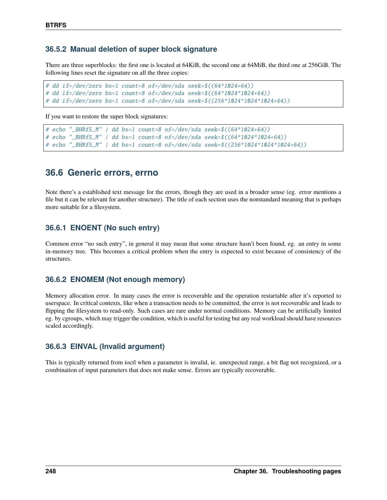#### **36.5.2 Manual deletion of super block signature**

There are three superblocks: the first one is located at 64KiB, the second one at 64MiB, the third one at 256GiB. The following lines reset the signature on all the three copies:

```
# dd if=/dev/zero bs=1 count=8 of=/dev/sda seek=$((64*1024+64))
# dd if=/dev/zero bs=1 count=8 of=/dev/sda seek=$((64*1024*1024+64))
# dd if=/dev/zero bs=1 count=8 of=/dev/sda seek=$((256*1024*1024*1024+64))
```
If you want to restore the super block signatures:

```
# echo "_BHRfS_M" | dd bs=1 count=8 of=/dev/sda seek=$((64*1024+64))
# echo "_BHRfS_M" | dd bs=1 count=8 of=/dev/sda seek=$((64*1024*1024+64))
# echo "_BHRfS_M" | dd bs=1 count=8 of=/dev/sda seek=$((256*1024*1024*1024+64))
```
### **36.6 Generic errors, errno**

Note there's a established text message for the errors, though they are used in a broader sense (eg. error mentions a file but it can be relevant for another structure). The title of each section uses the nonstandard meaning that is perhaps more suitable for a filesystem.

#### **36.6.1 ENOENT (No such entry)**

Common error "no such entry", in general it may mean that some structure hasn't been found, eg. an entry in some in-memory tree. This becomes a critical problem when the entry is expected to exist because of consistency of the structures.

#### **36.6.2 ENOMEM (Not enough memory)**

Memory allocation error. In many cases the error is recoverable and the operation restartable after it's reported to userspace. In critical contexts, like when a transaction needs to be committed, the error is not recoverable and leads to flipping the filesystem to read-only. Such cases are rare under normal conditions. Memory can be artificially limited eg. by cgroups, which may trigger the condition, which is useful for testing but any real workload should have resources scaled accordingly.

#### **36.6.3 EINVAL (Invalid argument)**

This is typically returned from ioctl when a parameter is invalid, ie. unexpected range, a bit flag not recognized, or a combination of input parameters that does not make sense. Errors are typically recoverable.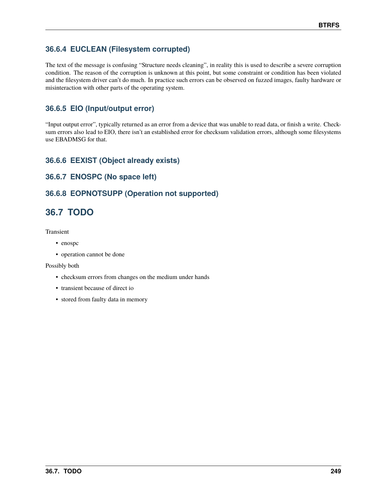## **36.6.4 EUCLEAN (Filesystem corrupted)**

The text of the message is confusing "Structure needs cleaning", in reality this is used to describe a severe corruption condition. The reason of the corruption is unknown at this point, but some constraint or condition has been violated and the filesystem driver can't do much. In practice such errors can be observed on fuzzed images, faulty hardware or misinteraction with other parts of the operating system.

## **36.6.5 EIO (Input/output error)**

"Input output error", typically returned as an error from a device that was unable to read data, or finish a write. Checksum errors also lead to EIO, there isn't an established error for checksum validation errors, although some filesystems use EBADMSG for that.

### **36.6.6 EEXIST (Object already exists)**

### **36.6.7 ENOSPC (No space left)**

### **36.6.8 EOPNOTSUPP (Operation not supported)**

# **36.7 TODO**

Transient

- enospc
- operation cannot be done

#### Possibly both

- checksum errors from changes on the medium under hands
- transient because of direct io
- stored from faulty data in memory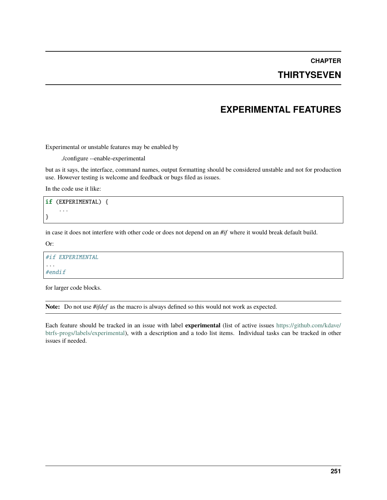**CHAPTER**

## **THIRTYSEVEN**

## **EXPERIMENTAL FEATURES**

Experimental or unstable features may be enabled by

./configure --enable-experimental

but as it says, the interface, command names, output formatting should be considered unstable and not for production use. However testing is welcome and feedback or bugs filed as issues.

In the code use it like:

```
if (EXPERIMENTAL) {
    ...
}
```
in case it does not interfere with other code or does not depend on an *#if* where it would break default build.

Or:

```
#if EXPERIMENTAL
...
#endif
```
for larger code blocks.

**Note:** Do not use *#ifdef* as the macro is always defined so this would not work as expected.

Each feature should be tracked in an issue with label **experimental** (list of active issues [https://github.com/kdave/](https://github.com/kdave/btrfs-progs/labels/experimental) [btrfs-progs/labels/experimental\)](https://github.com/kdave/btrfs-progs/labels/experimental), with a description and a todo list items. Individual tasks can be tracked in other issues if needed.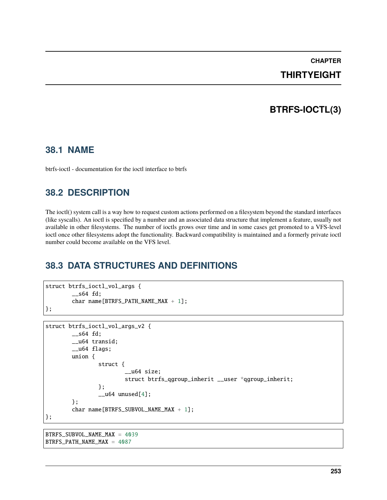# **CHAPTER**

## **THIRTYEIGHT**

# **BTRFS-IOCTL(3)**

### **38.1 NAME**

btrfs-ioctl - documentation for the ioctl interface to btrfs

## **38.2 DESCRIPTION**

The ioctl() system call is a way how to request custom actions performed on a filesystem beyond the standard interfaces (like syscalls). An ioctl is specified by a number and an associated data structure that implement a feature, usually not available in other filesystems. The number of ioctls grows over time and in some cases get promoted to a VFS-level ioctl once other filesystems adopt the functionality. Backward compatibility is maintained and a formerly private ioctl number could become available on the VFS level.

# **38.3 DATA STRUCTURES AND DEFINITIONS**

```
struct btrfs_ioctl_vol_args {
        __s64 fd;
        char name[BTRFS_PATH_NAME_MAX + 1];
};
struct btrfs_ioctl_vol_args_v2 {
        -s64 fd;
        __u64 transid;
        __u64 flags;
        union {
                struct {
                         __u64 size;
                        struct btrfs_qgroup_inherit __user *qgroup_inherit;
                };
                _l unused[4];
        };
        char name[BTRFS_SUBVOL_NAME_MAX + 1];
};
```
BTRFS\_SUBVOL\_NAME\_MAX = 4039 BTRFS\_PATH\_NAME\_MAX = 4087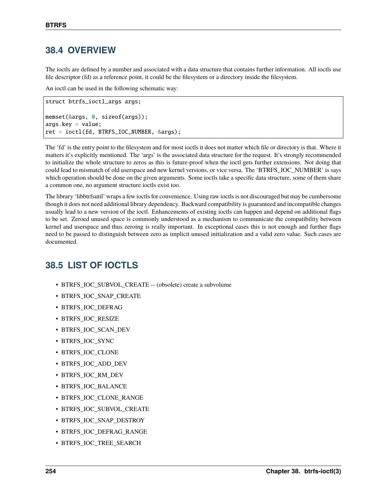## **38.4 OVERVIEW**

The ioctls are defined by a number and associated with a data structure that contains further information. All ioctls use file descriptor (fd) as a reference point, it could be the filesystem or a directory inside the filesystem.

An ioctl can be used in the following schematic way:

```
struct btrfs_ioctl_args args;
memset(&args, 0, sizeof(args));
args.key = value;
ret = ioctl(fd, BTRFS_IOC_NUMBER, &args);
```
The 'fd' is the entry point to the filesystem and for most ioctls it does not matter which file or directory is that. Where it matters it's explicitly mentioned. The 'args' is the associated data structure for the request. It's strongly recommended to initialize the whole structure to zeros as this is future-proof when the ioctl gets further extensions. Not doing that could lead to mismatch of old userspace and new kernel versions, or vice versa. The 'BTRFS\_IOC\_NUMBER' is says which operation should be done on the given arguments. Some joctls take a specific data structure, some of them share a common one, no argument structure ioctls exist too.

The library 'libbtrfsutil' wraps a few ioctls for convenience. Using raw ioctls is not discouraged but may be cumbersome though it does not need additional library dependency. Backward compatibility is guaranteed and incompatible changes usually lead to a new version of the ioctl. Enhancements of existing ioctls can happen and depend on additional flags to be set. Zeroed unused space is commonly understood as a mechanism to communicate the compatibility between kernel and userspace and thus zeroing is really important. In exceptional cases this is not enough and further flags need to be passed to distinguish between zero as implicit unused initialization and a valid zero value. Such cases are documented.

# **38.5 LIST OF IOCTLS**

- BTRFS\_IOC\_SUBVOL\_CREATE -- (obsolete) create a subvolume
- BTRFS\_IOC\_SNAP\_CREATE
- BTRFS\_IOC\_DEFRAG
- BTRFS\_IOC\_RESIZE
- BTRFS\_IOC\_SCAN\_DEV
- BTRFS\_IOC\_SYNC
- BTRFS\_IOC\_CLONE
- BTRFS\_IOC\_ADD\_DEV
- BTRFS\_IOC\_RM\_DEV
- BTRFS\_IOC\_BALANCE
- BTRFS\_IOC\_CLONE\_RANGE
- BTRFS\_IOC\_SUBVOL\_CREATE
- BTRFS\_IOC\_SNAP\_DESTROY
- BTRFS\_IOC\_DEFRAG\_RANGE
- BTRFS IOC TREE SEARCH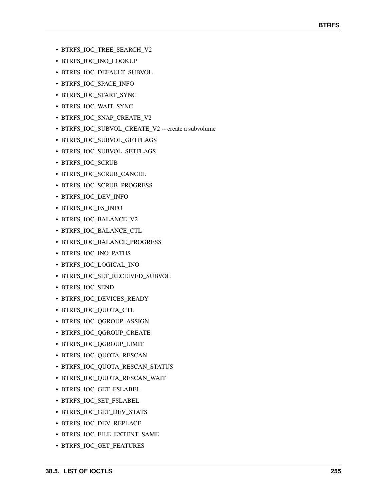- BTRFS\_IOC\_TREE\_SEARCH\_V2
- BTRFS\_IOC\_INO\_LOOKUP
- BTRFS\_IOC\_DEFAULT\_SUBVOL
- BTRFS\_IOC\_SPACE\_INFO
- BTRFS\_IOC\_START\_SYNC
- BTRFS\_IOC\_WAIT\_SYNC
- BTRFS\_IOC\_SNAP\_CREATE\_V2
- BTRFS\_IOC\_SUBVOL\_CREATE\_V2 -- create a subvolume
- BTRFS\_IOC\_SUBVOL\_GETFLAGS
- BTRFS\_IOC\_SUBVOL\_SETFLAGS
- BTRFS\_IOC\_SCRUB
- BTRFS\_IOC\_SCRUB\_CANCEL
- BTRFS\_IOC\_SCRUB\_PROGRESS
- BTRFS\_IOC\_DEV\_INFO
- BTRFS\_IOC\_FS\_INFO
- BTRFS\_IOC\_BALANCE\_V2
- BTRFS\_IOC\_BALANCE\_CTL
- BTRFS\_IOC\_BALANCE\_PROGRESS
- BTRFS\_IOC\_INO\_PATHS
- BTRFS\_IOC\_LOGICAL\_INO
- BTRFS\_IOC\_SET\_RECEIVED\_SUBVOL
- BTRFS\_IOC\_SEND
- BTRFS\_IOC\_DEVICES\_READY
- BTRFS\_IOC\_QUOTA\_CTL
- BTRFS\_IOC\_QGROUP\_ASSIGN
- BTRFS\_IOC\_QGROUP\_CREATE
- BTRFS\_IOC\_QGROUP\_LIMIT
- BTRFS\_IOC\_QUOTA\_RESCAN
- BTRFS\_IOC\_QUOTA\_RESCAN\_STATUS
- BTRFS\_IOC\_QUOTA\_RESCAN\_WAIT
- BTRFS\_IOC\_GET\_FSLABEL
- BTRFS\_IOC\_SET\_FSLABEL
- BTRFS\_IOC\_GET\_DEV\_STATS
- BTRFS\_IOC\_DEV\_REPLACE
- BTRFS\_IOC\_FILE\_EXTENT\_SAME
- BTRFS\_IOC\_GET\_FEATURES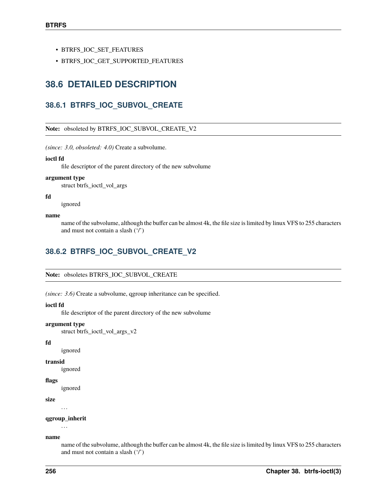- BTRFS\_IOC\_SET\_FEATURES
- BTRFS\_IOC\_GET\_SUPPORTED\_FEATURES

## **38.6 DETAILED DESCRIPTION**

### **38.6.1 BTRFS\_IOC\_SUBVOL\_CREATE**

#### **Note:** obsoleted by BTRFS\_IOC\_SUBVOL\_CREATE\_V2

*(since: 3.0, obsoleted: 4.0)* Create a subvolume.

#### **ioctl fd**

file descriptor of the parent directory of the new subvolume

#### **argument type**

struct btrfs\_ioctl\_vol\_args

#### **fd**

ignored

#### **name**

name of the subvolume, although the buffer can be almost 4k, the file size is limited by linux VFS to 255 characters and must not contain a slash ('/')

### **38.6.2 BTRFS\_IOC\_SUBVOL\_CREATE\_V2**

**Note:** obsoletes BTRFS\_IOC\_SUBVOL\_CREATE

*(since: 3.6)* Create a subvolume, qgroup inheritance can be specified.

#### **ioctl fd**

file descriptor of the parent directory of the new subvolume

#### **argument type**

struct btrfs\_ioctl\_vol\_args\_v2

#### **fd**

ignored

#### **transid**

ignored

#### **flags**

ignored

#### **size**

. . .

#### **qgroup\_inherit**

. . .

#### **name**

name of the subvolume, although the buffer can be almost 4k, the file size is limited by linux VFS to 255 characters and must not contain a slash ('/')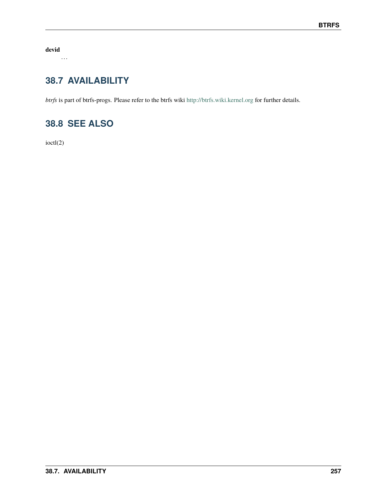**devid**

. . .

# **38.7 AVAILABILITY**

*btrfs* is part of btrfs-progs. Please refer to the btrfs wiki <http://btrfs.wiki.kernel.org> for further details.

# **38.8 SEE ALSO**

ioctl(2)